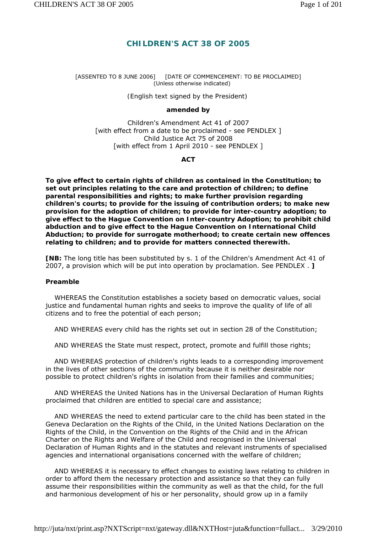## **CHILDREN'S ACT 38 OF 2005**

#### [ASSENTED TO 8 JUNE 2006] [DATE OF COMMENCEMENT: TO BE PROCLAIMED] (Unless otherwise indicated)

*(English text signed by the President)* 

#### **amended by**

Children's Amendment Act 41 of 2007 [with effect from a date to be proclaimed - see PENDLEX ] Child Justice Act 75 of 2008 [with effect from 1 April 2010 - see PENDLEX ]

#### **ACT**

**To give effect to certain rights of children as contained in the Constitution; to set out principles relating to the care and protection of children; to define parental responsibilities and rights; to make further provision regarding children's courts; to provide for the issuing of contribution orders; to make new provision for the adoption of children; to provide for inter-country adoption; to give effect to the Hague Convention on Inter-country Adoption; to prohibit child abduction and to give effect to the Hague Convention on International Child Abduction; to provide for surrogate motherhood; to create certain new offences relating to children; and to provide for matters connected therewith.** 

**[NB:** The long title has been substituted by s. 1 of the Children's Amendment Act 41 of 2007, a provision which will be put into operation by proclamation. See PENDLEX . **]** 

#### **Preamble**

 WHEREAS the Constitution establishes a society based on democratic values, social justice and fundamental human rights and seeks to improve the quality of life of all citizens and to free the potential of each person;

AND WHEREAS every child has the rights set out in section 28 of the Constitution;

AND WHEREAS the State must respect, protect, promote and fulfill those rights;

 AND WHEREAS protection of children's rights leads to a corresponding improvement in the lives of other sections of the community because it is neither desirable nor possible to protect children's rights in isolation from their families and communities;

 AND WHEREAS the United Nations has in the Universal Declaration of Human Rights proclaimed that children are entitled to special care and assistance;

 AND WHEREAS the need to extend particular care to the child has been stated in the Geneva Declaration on the Rights of the Child, in the United Nations Declaration on the Rights of the Child, in the Convention on the Rights of the Child and in the African Charter on the Rights and Welfare of the Child and recognised in the Universal Declaration of Human Rights and in the statutes and relevant instruments of specialised agencies and international organisations concerned with the welfare of children;

 AND WHEREAS it is necessary to effect changes to existing laws relating to children in order to afford them the necessary protection and assistance so that they can fully assume their responsibilities within the community as well as that the child, for the full and harmonious development of his or her personality, should grow up in a family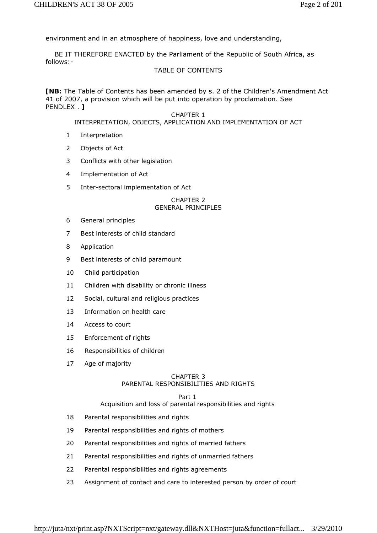environment and in an atmosphere of happiness, love and understanding,

 BE IT THEREFORE ENACTED by the Parliament of the Republic of South Africa, as follows:-

## TABLE OF CONTENTS

**[NB:** The Table of Contents has been amended by s. 2 of the Children's Amendment Act 41 of 2007, a provision which will be put into operation by proclamation. See PENDLEX . **]** 

#### CHAPTER 1

### INTERPRETATION, OBJECTS, APPLICATION AND IMPLEMENTATION OF ACT

- 1 Interpretation
- 2 Objects of Act
- 3 Conflicts with other legislation
- 4 Implementation of Act
- 5 Inter-sectoral implementation of Act

### CHAPTER 2 GENERAL PRINCIPLES

- 6 General principles
- 7 Best interests of child standard
- 8 Application
- 9 Best interests of child paramount
- 10 Child participation
- 11 Children with disability or chronic illness
- 12 Social, cultural and religious practices
- 13 Information on health care
- 14 Access to court
- 15 Enforcement of rights
- 16 Responsibilities of children
- 17 Age of majority

### CHAPTER 3 PARENTAL RESPONSIBILITIES AND RIGHTS

#### *Part 1 Acquisition and loss of parental responsibilities and rights*

- 18 Parental responsibilities and rights
- 19 Parental responsibilities and rights of mothers
- 20 Parental responsibilities and rights of married fathers
- 21 Parental responsibilities and rights of unmarried fathers
- 22 Parental responsibilities and rights agreements
- 23 Assignment of contact and care to interested person by order of court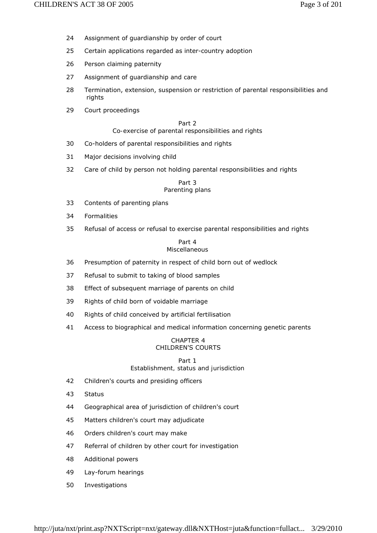- 24 Assignment of guardianship by order of court
- 25 Certain applications regarded as inter-country adoption
- 26 Person claiming paternity
- 27 Assignment of guardianship and care
- 28 Termination, extension, suspension or restriction of parental responsibilities and rights
- 29 Court proceedings

#### *Part 2 Co-exercise of parental responsibilities and rights*

- 30 Co-holders of parental responsibilities and rights
- 31 Major decisions involving child
- 32 Care of child by person not holding parental responsibilities and rights

#### *Part 3 Parenting plans*

- 33 Contents of parenting plans
- 34 Formalities
- 35 Refusal of access or refusal to exercise parental responsibilities and rights

### *Part 4 Miscellaneous*

- 36 Presumption of paternity in respect of child born out of wedlock
- 37 Refusal to submit to taking of blood samples
- 38 Effect of subsequent marriage of parents on child
- 39 Rights of child born of voidable marriage
- 40 Rights of child conceived by artificial fertilisation
- 41 Access to biographical and medical information concerning genetic parents

#### CHAPTER 4 CHILDREN'S COURTS

#### *Part 1 Establishment, status and jurisdiction*

- 42 Children's courts and presiding officers
- 43 Status
- 44 Geographical area of jurisdiction of children's court
- 45 Matters children's court may adjudicate
- 46 Orders children's court may make
- 47 Referral of children by other court for investigation
- 48 Additional powers
- 49 Lay-forum hearings
- 50 Investigations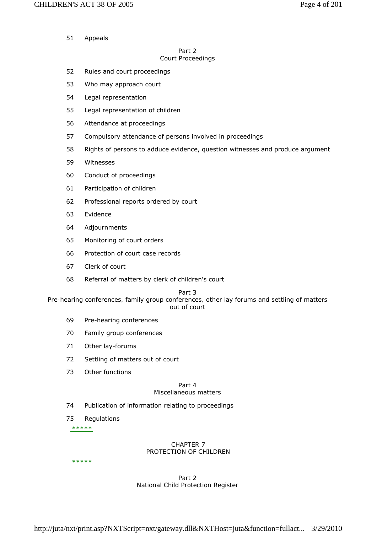51 Appeals

#### *Part 2 Court Proceedings*

- 52 Rules and court proceedings
- 53 Who may approach court
- 54 Legal representation
- 55 Legal representation of children
- 56 Attendance at proceedings
- 57 Compulsory attendance of persons involved in proceedings
- 58 Rights of persons to adduce evidence, question witnesses and produce argument
- 59 Witnesses
- 60 Conduct of proceedings
- 61 Participation of children
- 62 Professional reports ordered by court
- 63 Evidence
- 64 Adjournments
- 65 Monitoring of court orders
- 66 Protection of court case records
- 67 Clerk of court
- 68 Referral of matters by clerk of children's court

### *Part 3*

*Pre-hearing conferences, family group conferences, other lay forums and settling of matters out of court* 

- 69 Pre-hearing conferences
- 70 Family group conferences
- 71 Other lay-forums
- 72 Settling of matters out of court
- 73 Other functions

#### *Part 4 Miscellaneous matters*

- 74 Publication of information relating to proceedings
- 75 Regulations

**\*\*\*\*\***

#### CHAPTER 7 PROTECTION OF CHILDREN

**\*\*\*\*\***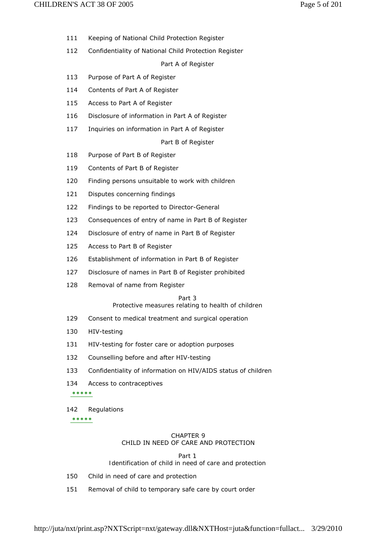- 111 Keeping of National Child Protection Register
- 112 Confidentiality of National Child Protection Register

*Part A of Register* 

- 113 Purpose of Part A of Register
- 114 Contents of Part A of Register
- 115 Access to Part A of Register
- 116 Disclosure of information in Part A of Register
- 117 Inquiries on information in Part A of Register

*Part B of Register* 

- 118 Purpose of Part B of Register
- 119 Contents of Part B of Register
- 120 Finding persons unsuitable to work with children
- 121 Disputes concerning findings
- 122 Findings to be reported to Director-General
- 123 Consequences of entry of name in Part B of Register
- 124 Disclosure of entry of name in Part B of Register
- 125 Access to Part B of Register
- 126 Establishment of information in Part B of Register
- 127 Disclosure of names in Part B of Register prohibited
- 128 Removal of name from Register

#### *Part 3*

## *Protective measures relating to health of children*

- 129 Consent to medical treatment and surgical operation
- 130 HIV-testing
- 131 HIV-testing for foster care or adoption purposes
- 132 Counselling before and after HIV-testing
- 133 Confidentiality of information on HIV/AIDS status of children
- 134 Access to contraceptives

**\*\*\*\*\***

## 142 Regulations

**\*\*\*\*\***

## CHAPTER 9 CHILD IN NEED OF CARE AND PROTECTION

## *Part 1 Identification of child in need of care and protection*

- 150 Child in need of care and protection
- 151 Removal of child to temporary safe care by court order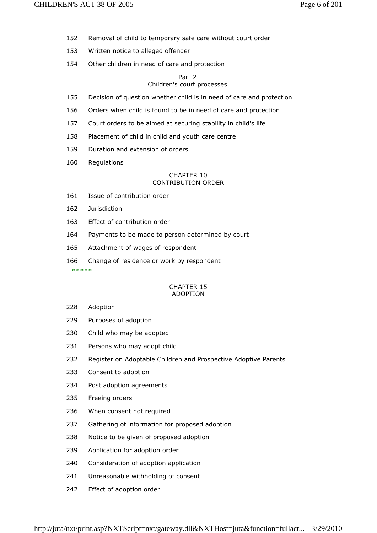- 152 Removal of child to temporary safe care without court order
- 153 Written notice to alleged offender
- 154 Other children in need of care and protection

#### *Part 2 Children's court processes*

- 155 Decision of question whether child is in need of care and protection
- 156 Orders when child is found to be in need of care and protection
- 157 Court orders to be aimed at securing stability in child's life
- 158 Placement of child in child and youth care centre
- 159 Duration and extension of orders
- 160 Regulations

#### CHAPTER 10 CONTRIBUTION ORDER

- 161 Issue of contribution order
- 162 Jurisdiction
- 163 Effect of contribution order
- 164 Payments to be made to person determined by court
- 165 Attachment of wages of respondent
- 166 Change of residence or work by respondent

**\*\*\*\*\***

#### CHAPTER 15 ADOPTION

- 228 Adoption
- 229 Purposes of adoption
- 230 Child who may be adopted
- 231 Persons who may adopt child
- 232 Register on Adoptable Children and Prospective Adoptive Parents
- 233 Consent to adoption
- 234 Post adoption agreements
- 235 Freeing orders
- 236 When consent not required
- 237 Gathering of information for proposed adoption
- 238 Notice to be given of proposed adoption
- 239 Application for adoption order
- 240 Consideration of adoption application
- 241 Unreasonable withholding of consent
- 242 Effect of adoption order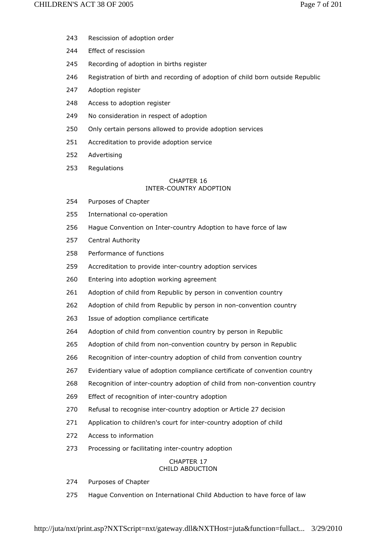- 243 Rescission of adoption order
- 244 Effect of rescission
- 245 Recording of adoption in births register
- 246 Registration of birth and recording of adoption of child born outside Republic
- 247 Adoption register
- 248 Access to adoption register
- 249 No consideration in respect of adoption
- 250 Only certain persons allowed to provide adoption services
- 251 Accreditation to provide adoption service
- 252 Advertising
- 253 Regulations

### CHAPTER 16 INTER-COUNTRY ADOPTION

- 254 Purposes of Chapter
- 255 International co-operation
- 256 Hague Convention on Inter-country Adoption to have force of law
- 257 Central Authority
- 258 Performance of functions
- 259 Accreditation to provide inter-country adoption services
- 260 Entering into adoption working agreement
- 261 Adoption of child from Republic by person in convention country
- 262 Adoption of child from Republic by person in non-convention country
- 263 Issue of adoption compliance certificate
- 264 Adoption of child from convention country by person in Republic
- 265 Adoption of child from non-convention country by person in Republic
- 266 Recognition of inter-country adoption of child from convention country
- 267 Evidentiary value of adoption compliance certificate of convention country
- 268 Recognition of inter-country adoption of child from non-convention country
- 269 Effect of recognition of inter-country adoption
- 270 Refusal to recognise inter-country adoption or Article 27 decision
- 271 Application to children's court for inter-country adoption of child
- 272 Access to information
- 273 Processing or facilitating inter-country adoption

### CHAPTER 17 CHILD ABDUCTION

- 274 Purposes of Chapter
- 275 Hague Convention on International Child Abduction to have force of law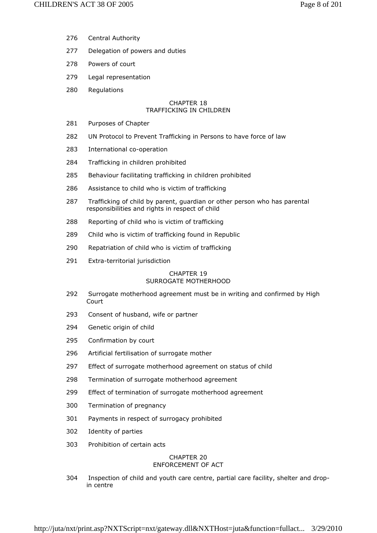- 276 Central Authority
- 277 Delegation of powers and duties
- 278 Powers of court
- 279 Legal representation
- 280 Regulations

#### CHAPTER 18 TRAFFICKING IN CHILDREN

- 281 Purposes of Chapter
- 282 UN Protocol to Prevent Trafficking in Persons to have force of law
- 283 International co-operation
- 284 Trafficking in children prohibited
- 285 Behaviour facilitating trafficking in children prohibited
- 286 Assistance to child who is victim of trafficking
- 287 Trafficking of child by parent, guardian or other person who has parental responsibilities and rights in respect of child
- 288 Reporting of child who is victim of trafficking
- 289 Child who is victim of trafficking found in Republic
- 290 Repatriation of child who is victim of trafficking
- 291 Extra-territorial jurisdiction

### CHAPTER 19 SURROGATE MOTHERHOOD

- 292 Surrogate motherhood agreement must be in writing and confirmed by High Court
- 293 Consent of husband, wife or partner
- 294 Genetic origin of child
- 295 Confirmation by court
- 296 Artificial fertilisation of surrogate mother
- 297 Effect of surrogate motherhood agreement on status of child
- 298 Termination of surrogate motherhood agreement
- 299 Effect of termination of surrogate motherhood agreement
- 300 Termination of pregnancy
- 301 Payments in respect of surrogacy prohibited
- 302 Identity of parties
- 303 Prohibition of certain acts

### CHAPTER 20 ENFORCEMENT OF ACT

 304 Inspection of child and youth care centre, partial care facility, shelter and dropin centre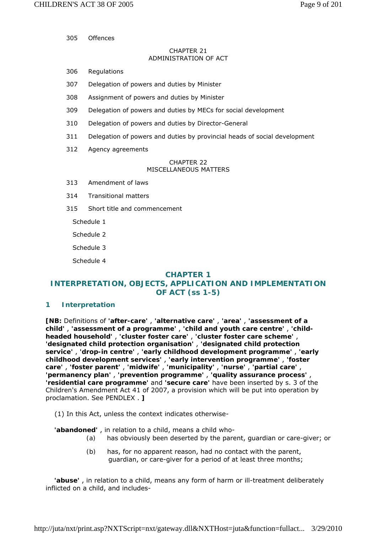305 Offences

#### CHAPTER 21 ADMINISTRATION OF ACT

- 306 Regulations
- 307 Delegation of powers and duties by Minister
- 308 Assignment of powers and duties by Minister
- 309 Delegation of powers and duties by MECs for social development
- 310 Delegation of powers and duties by Director-General
- 311 Delegation of powers and duties by provincial heads of social development
- 312 Agency agreements

#### CHAPTER 22 MISCELLANEOUS MATTERS

- 313 Amendment of laws
- 314 Transitional matters
- 315 Short title and commencement
	- Schedule 1
	- Schedule 2
	- Schedule 3

Schedule 4

# **CHAPTER 1 INTERPRETATION, OBJECTS, APPLICATION AND IMPLEMENTATION OF ACT (ss 1-5)**

### **1 Interpretation**

**[NB:** Definitions of **'after-care'** , **'alternative care'** , **'area'** , **'assessment of a child'** , **'assessment of a programme'** , **'child and youth care centre'** , **'childheaded household'** , **'cluster foster care'** , **'cluster foster care scheme'** , **'designated child protection organisation'** , **'designated child protection service'** , **'drop-in centre'** , **'early childhood development programme'** , **'early childhood development services'** , **'early intervention programme'** , **'foster care'** , **'foster parent'** , **'midwife'** , **'municipality'** , **'nurse'** , **'partial care'** , **'permanency plan'** , **'prevention programme'** , **'quality assurance process'** , **'residential care programme'** and **'secure care'** have been inserted by s. 3 of the Children's Amendment Act 41 of 2007, a provision which will be put into operation by proclamation. See PENDLEX . **]** 

(1) In this Act, unless the context indicates otherwise-

 **'abandoned'** , in relation to a child, means a child who-

- *(a)* has obviously been deserted by the parent, guardian or care-giver; or
- *(b)* has, for no apparent reason, had no contact with the parent, guardian, or care-giver for a period of at least three months;

 **'abuse'** , in relation to a child, means any form of harm or ill-treatment deliberately inflicted on a child, and includes-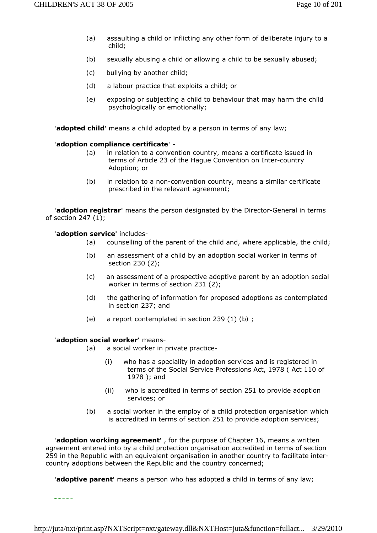- *(a)* assaulting a child or inflicting any other form of deliberate injury to a child;
- *(b)* sexually abusing a child or allowing a child to be sexually abused;
- *(c)* bullying by another child;
- *(d)* a labour practice that exploits a child; or
- *(e)* exposing or subjecting a child to behaviour that may harm the child psychologically or emotionally;

 **'adopted child'** means a child adopted by a person in terms of any law;

### **'adoption compliance certificate'** -

- *(a)* in relation to a convention country, means a certificate issued in terms of Article 23 of the Hague Convention on Inter-country Adoption; or
- *(b)* in relation to a non-convention country, means a similar certificate prescribed in the relevant agreement;

 **'adoption registrar'** means the person designated by the Director-General in terms of section 247 (1);

#### **'adoption service'** includes-

- *(a)* counselling of the parent of the child and, where applicable, the child;
- *(b)* an assessment of a child by an adoption social worker in terms of section 230 (2);
- *(c)* an assessment of a prospective adoptive parent by an adoption social worker in terms of section 231 (2);
- *(d)* the gathering of information for proposed adoptions as contemplated in section 237; and
- *(e)* a report contemplated in section 239 (1) *(b)* ;

#### **'adoption social worker'** means-

- *(a)* a social worker in private practice-
	- (i) who has a speciality in adoption services and is registered in terms of the Social Service Professions Act, 1978 ( Act 110 of 1978 ); and
	- (ii) who is accredited in terms of section 251 to provide adoption services; or
- *(b)* a social worker in the employ of a child protection organisation which is accredited in terms of section 251 to provide adoption services;

 **'adoption working agreement'** , for the purpose of Chapter 16, means a written agreement entered into by a child protection organisation accredited in terms of section 259 in the Republic with an equivalent organisation in another country to facilitate intercountry adoptions between the Republic and the country concerned;

 **'adoptive parent'** means a person who has adopted a child in terms of any law;

**\*\*\*\*\***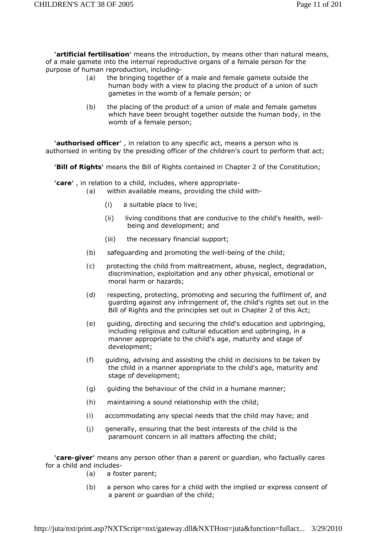**'artificial fertilisation'** means the introduction, by means other than natural means, of a male gamete into the internal reproductive organs of a female person for the purpose of human reproduction, including-

- *(a)* the bringing together of a male and female gamete outside the human body with a view to placing the product of a union of such gametes in the womb of a female person; or
- *(b)* the placing of the product of a union of male and female gametes which have been brought together outside the human body, in the womb of a female person;

 **'authorised officer'** , in relation to any specific act, means a person who is authorised in writing by the presiding officer of the children's court to perform that act;

 **'Bill of Rights'** means the Bill of Rights contained in Chapter 2 of the Constitution;

 **'care'** , in relation to a child, includes, where appropriate-

*(a)* within available means, providing the child with-

- (i) a suitable place to live;
- (ii) living conditions that are conducive to the child's health, wellbeing and development; and
- (iii) the necessary financial support;
- *(b)* safeguarding and promoting the well-being of the child;
- *(c)* protecting the child from maltreatment, abuse, neglect, degradation, discrimination, exploitation and any other physical, emotional or moral harm or hazards;
- *(d)* respecting, protecting, promoting and securing the fulfilment of, and guarding against any infringement of, the child's rights set out in the Bill of Rights and the principles set out in Chapter 2 of this Act;
- *(e)* guiding, directing and securing the child's education and upbringing, including religious and cultural education and upbringing, in a manner appropriate to the child's age, maturity and stage of development;
- *(f)* guiding, advising and assisting the child in decisions to be taken by the child in a manner appropriate to the child's age, maturity and stage of development;
- *(g)* guiding the behaviour of the child in a humane manner;
- *(h)* maintaining a sound relationship with the child;
- *(i)* accommodating any special needs that the child may have; and
- *(j)* generally, ensuring that the best interests of the child is the paramount concern in all matters affecting the child;

 **'care-giver'** means any person other than a parent or guardian, who factually cares for a child and includes-

- *(a)* a foster parent;
- *(b)* a person who cares for a child with the implied or express consent of a parent or guardian of the child;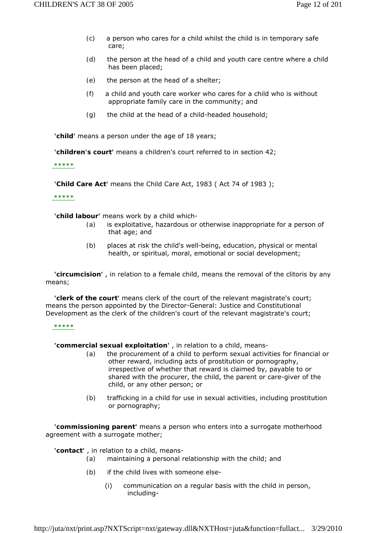- *(c)* a person who cares for a child whilst the child is in temporary safe care;
- *(d)* the person at the head of a child and youth care centre where a child has been placed;
- *(e)* the person at the head of a shelter;
- *(f)* a child and youth care worker who cares for a child who is without appropriate family care in the community; and
- *(g)* the child at the head of a child-headed household;

 **'child'** means a person under the age of 18 years;

 **'children's court'** means a children's court referred to in section 42;

**\*\*\*\*\***

 **'Child Care Act'** means the Child Care Act, 1983 ( Act 74 of 1983 );

**\*\*\*\*\***

 **'child labour'** means work by a child which-

- *(a)* is exploitative, hazardous or otherwise inappropriate for a person of that age; and
- *(b)* places at risk the child's well-being, education, physical or mental health, or spiritual, moral, emotional or social development;

 **'circumcision'** , in relation to a female child, means the removal of the clitoris by any means;

 **'clerk of the court'** means clerk of the court of the relevant magistrate's court; means the person appointed by the Director-General: Justice and Constitutional Development as the clerk of the children's court of the relevant magistrate's court;

**\*\*\*\*\***

 **'commercial sexual exploitation'** , in relation to a child, means-

- *(a)* the procurement of a child to perform sexual activities for financial or other reward, including acts of prostitution or pornography, irrespective of whether that reward is claimed by, payable to or shared with the procurer, the child, the parent or care-giver of the child, or any other person; or
- *(b)* trafficking in a child for use in sexual activities, including prostitution or pornography;

 **'commissioning parent'** means a person who enters into a surrogate motherhood agreement with a surrogate mother;

 **'contact'** , in relation to a child, means-

- *(a)* maintaining a personal relationship with the child; and
- *(b)* if the child lives with someone else-
	- (i) communication on a regular basis with the child in person, including-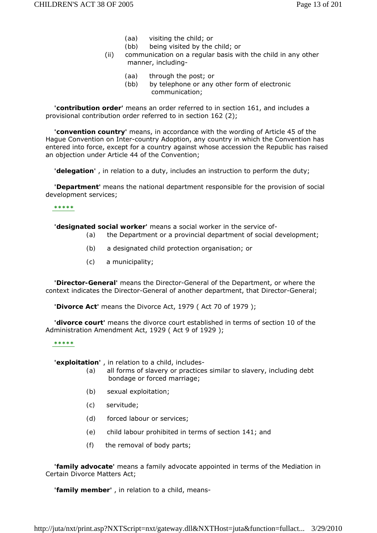- *(aa)* visiting the child; or
- *(bb)* being visited by the child; or
- (ii) communication on a regular basis with the child in any other manner, including-
	- *(aa)* through the post; or
	- *(bb)* by telephone or any other form of electronic communication;

 **'contribution order'** means an order referred to in section 161, and includes a provisional contribution order referred to in section 162 (2);

 **'convention country'** means, in accordance with the wording of Article 45 of the Hague Convention on Inter-country Adoption, any country in which the Convention has entered into force, except for a country against whose accession the Republic has raised an objection under Article 44 of the Convention;

 **'delegation'** , in relation to a duty, includes an instruction to perform the duty;

 **'Department'** means the national department responsible for the provision of social development services;

**\*\*\*\*\***

 **'designated social worker'** means a social worker in the service of-

- *(a)* the Department or a provincial department of social development;
- *(b)* a designated child protection organisation; or
- *(c)* a municipality;

 **'Director-General'** means the Director-General of the Department, or where the context indicates the Director-General of another department, that Director-General;

 **'Divorce Act'** means the Divorce Act, 1979 ( Act 70 of 1979 );

 **'divorce court'** means the divorce court established in terms of section 10 of the Administration Amendment Act, 1929 ( Act 9 of 1929 );

#### **\*\*\*\*\***

 **'exploitation'** , in relation to a child, includes-

- *(a)* all forms of slavery or practices similar to slavery, including debt bondage or forced marriage;
- *(b)* sexual exploitation;
- *(c)* servitude;
- *(d)* forced labour or services;
- *(e)* child labour prohibited in terms of section 141; and
- *(f)* the removal of body parts;

 **'family advocate'** means a family advocate appointed in terms of the Mediation in Certain Divorce Matters Act;

 **'family member'** , in relation to a child, means-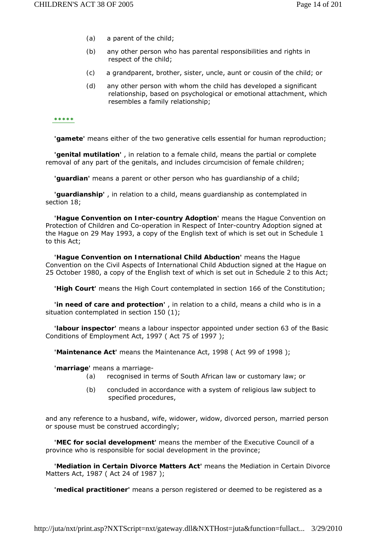- *(a)* a parent of the child;
- *(b)* any other person who has parental responsibilities and rights in respect of the child;
- *(c)* a grandparent, brother, sister, uncle, aunt or cousin of the child; or
- *(d)* any other person with whom the child has developed a significant relationship, based on psychological or emotional attachment, which resembles a family relationship;

**\*\*\*\*\***

 **'gamete'** means either of the two generative cells essential for human reproduction;

 **'genital mutilation'** , in relation to a female child, means the partial or complete removal of any part of the genitals, and includes circumcision of female children;

 **'guardian'** means a parent or other person who has guardianship of a child;

 **'guardianship'** , in relation to a child, means guardianship as contemplated in section 18;

 **'Hague Convention on Inter-country Adoption'** means the Hague Convention on Protection of Children and Co-operation in Respect of Inter-country Adoption signed at the Hague on 29 May 1993, a copy of the English text of which is set out in Schedule 1 to this Act;

 **'Hague Convention on International Child Abduction'** means the Hague Convention on the Civil Aspects of International Child Abduction signed at the Hague on 25 October 1980, a copy of the English text of which is set out in Schedule 2 to this Act;

 **'High Court'** means the High Court contemplated in section 166 of the Constitution;

 **'in need of care and protection'** , in relation to a child, means a child who is in a situation contemplated in section 150 (1);

 **'labour inspector'** means a labour inspector appointed under section 63 of the Basic Conditions of Employment Act, 1997 ( Act 75 of 1997 );

 **'Maintenance Act'** means the Maintenance Act, 1998 ( Act 99 of 1998 );

 **'marriage'** means a marriage-

- *(a)* recognised in terms of South African law or customary law; or
- *(b)* concluded in accordance with a system of religious law subject to specified procedures,

and any reference to a husband, wife, widower, widow, divorced person, married person or spouse must be construed accordingly;

 **'MEC for social development'** means the member of the Executive Council of a province who is responsible for social development in the province;

 **'Mediation in Certain Divorce Matters Act'** means the Mediation in Certain Divorce Matters Act, 1987 ( Act 24 of 1987 );

 **'medical practitioner'** means a person registered or deemed to be registered as a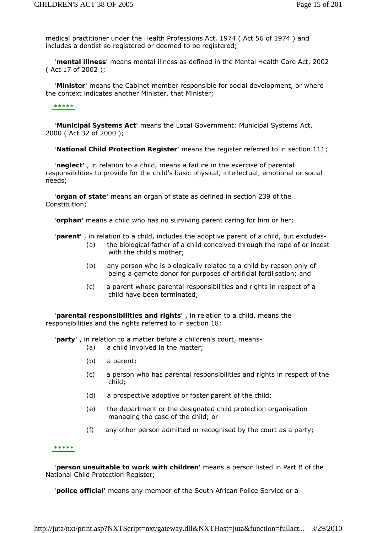medical practitioner under the Health Professions Act, 1974 ( Act 56 of 1974 ) and includes a dentist so registered or deemed to be registered;

 **'mental illness'** means mental illness as defined in the Mental Health Care Act, 2002 ( Act 17 of 2002 );

 **'Minister'** means the Cabinet member responsible for social development, or where the context indicates another Minister, that Minister;

**\*\*\*\*\***

 **'Municipal Systems Act'** means the Local Government: Municipal Systems Act, 2000 ( Act 32 of 2000 );

 **'National Child Protection Register'** means the register referred to in section 111;

 **'neglect'** , in relation to a child, means a failure in the exercise of parental responsibilities to provide for the child's basic physical, intellectual, emotional or social needs;

 **'organ of state'** means an organ of state as defined in section 239 of the Constitution;

 **'orphan'** means a child who has no surviving parent caring for him or her;

- **'parent'** , in relation to a child, includes the adoptive parent of a child, but excludes-
	- *(a)* the biological father of a child conceived through the rape of or incest with the child's mother;
		- *(b)* any person who is biologically related to a child by reason only of being a gamete donor for purposes of artificial fertilisation; and
	- *(c)* a parent whose parental responsibilities and rights in respect of a child have been terminated;

 **'parental responsibilities and rights'** , in relation to a child, means the responsibilities and the rights referred to in section 18;

 **'party'** , in relation to a matter before a children's court, means-

- *(a)* a child involved in the matter;
- *(b)* a parent;
- *(c)* a person who has parental responsibilities and rights in respect of the child;
- *(d)* a prospective adoptive or foster parent of the child;
- *(e)* the department or the designated child protection organisation managing the case of the child; or
- *(f)* any other person admitted or recognised by the court as a party;

**\*\*\*\*\***

 **'person unsuitable to work with children'** means a person listed in Part B of the National Child Protection Register;

 **'police official'** means any member of the South African Police Service or a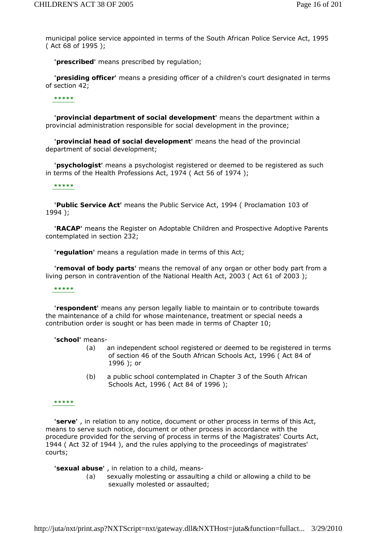municipal police service appointed in terms of the South African Police Service Act, 1995 ( Act 68 of 1995 );

 **'prescribed'** means prescribed by regulation;

 **'presiding officer'** means a presiding officer of a children's court designated in terms of section 42;

**\*\*\*\*\***

 **'provincial department of social development'** means the department within a provincial administration responsible for social development in the province;

 **'provincial head of social development'** means the head of the provincial department of social development;

 **'psychologist'** means a psychologist registered or deemed to be registered as such in terms of the Health Professions Act, 1974 ( Act 56 of 1974 );

**\*\*\*\*\***

 **'Public Service Act'** means the Public Service Act, 1994 ( Proclamation 103 of 1994 );

 **'RACAP'** means the Register on Adoptable Children and Prospective Adoptive Parents contemplated in section 232;

 **'regulation'** means a regulation made in terms of this Act;

 **'removal of body parts'** means the removal of any organ or other body part from a living person in contravention of the National Health Act, 2003 ( Act 61 of 2003 );

**\*\*\*\*\***

 **'respondent'** means any person legally liable to maintain or to contribute towards the maintenance of a child for whose maintenance, treatment or special needs a contribution order is sought or has been made in terms of Chapter 10;

 **'school'** means-

- *(a)* an independent school registered or deemed to be registered in terms of section 46 of the South African Schools Act, 1996 ( Act 84 of 1996 ); or
- *(b)* a public school contemplated in Chapter 3 of the South African Schools Act, 1996 ( Act 84 of 1996 );

#### **\*\*\*\*\***

 **'serve'** , in relation to any notice, document or other process in terms of this Act, means to serve such notice, document or other process in accordance with the procedure provided for the serving of process in terms of the Magistrates' Courts Act, 1944 ( Act 32 of 1944 ), and the rules applying to the proceedings of magistrates' courts;

 **'sexual abuse'** , in relation to a child, means-

 *(a)* sexually molesting or assaulting a child or allowing a child to be sexually molested or assaulted;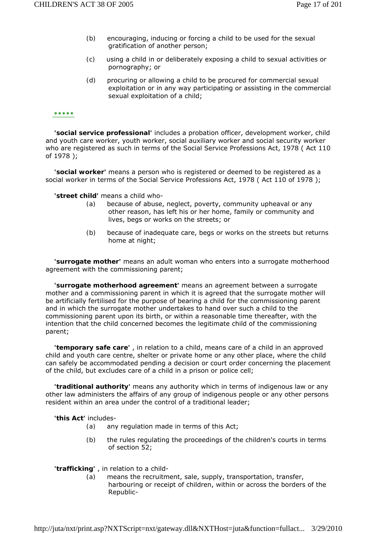- *(b)* encouraging, inducing or forcing a child to be used for the sexual gratification of another person;
- *(c)* using a child in or deliberately exposing a child to sexual activities or pornography; or
- *(d)* procuring or allowing a child to be procured for commercial sexual exploitation or in any way participating or assisting in the commercial sexual exploitation of a child;

#### **\*\*\*\*\***

 **'social service professional'** includes a probation officer, development worker, child and youth care worker, youth worker, social auxiliary worker and social security worker who are registered as such in terms of the Social Service Professions Act, 1978 ( Act 110 of 1978 );

 **'social worker'** means a person who is registered or deemed to be registered as a social worker in terms of the Social Service Professions Act, 1978 ( Act 110 of 1978 );

 **'street child'** means a child who-

- *(a)* because of abuse, neglect, poverty, community upheaval or any other reason, has left his or her home, family or community and lives, begs or works on the streets; or
- *(b)* because of inadequate care, begs or works on the streets but returns home at night;

 **'surrogate mother'** means an adult woman who enters into a surrogate motherhood agreement with the commissioning parent;

 **'surrogate motherhood agreement'** means an agreement between a surrogate mother and a commissioning parent in which it is agreed that the surrogate mother will be artificially fertilised for the purpose of bearing a child for the commissioning parent and in which the surrogate mother undertakes to hand over such a child to the commissioning parent upon its birth, or within a reasonable time thereafter, with the intention that the child concerned becomes the legitimate child of the commissioning parent;

 **'temporary safe care'** , in relation to a child, means care of a child in an approved child and youth care centre, shelter or private home or any other place, where the child can safely be accommodated pending a decision or court order concerning the placement of the child, but excludes care of a child in a prison or police cell;

 **'traditional authority'** means any authority which in terms of indigenous law or any other law administers the affairs of any group of indigenous people or any other persons resident within an area under the control of a traditional leader;

 **'this Act'** includes-

- *(a)* any regulation made in terms of this Act;
- *(b)* the rules regulating the proceedings of the children's courts in terms of section 52;

 **'trafficking'** , in relation to a child-

 *(a)* means the recruitment, sale, supply, transportation, transfer, harbouring or receipt of children, within or across the borders of the Republic-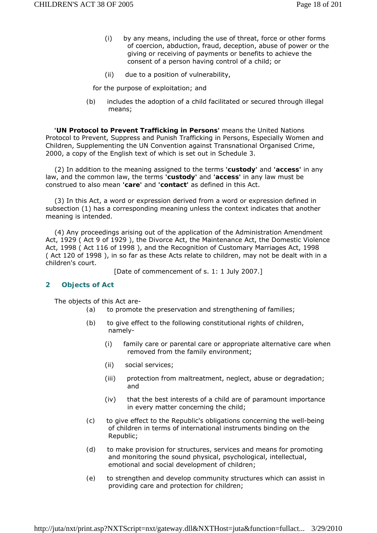- (i) by any means, including the use of threat, force or other forms of coercion, abduction, fraud, deception, abuse of power or the giving or receiving of payments or benefits to achieve the consent of a person having control of a child; or
- (ii) due to a position of vulnerability,

for the purpose of exploitation; and

 *(b)* includes the adoption of a child facilitated or secured through illegal means;

 **'UN Protocol to Prevent Trafficking in Persons'** means the United Nations Protocol to Prevent, Suppress and Punish Trafficking in Persons, Especially Women and Children, Supplementing the UN Convention against Transnational Organised Crime, 2000, a copy of the English text of which is set out in Schedule 3.

 (2) In addition to the meaning assigned to the terms **'custody'** and **'access'** in any law, and the common law, the terms **'custody'** and **'access'** in any law must be construed to also mean **'care'** and **'contact'** as defined in this Act.

 (3) In this Act, a word or expression derived from a word or expression defined in subsection (1) has a corresponding meaning unless the context indicates that another meaning is intended.

 (4) Any proceedings arising out of the application of the Administration Amendment Act, 1929 ( Act 9 of 1929 ), the Divorce Act, the Maintenance Act, the Domestic Violence Act, 1998 ( Act 116 of 1998 ), and the Recognition of Customary Marriages Act, 1998 ( Act 120 of 1998 ), in so far as these Acts relate to children, may not be dealt with in a children's court.

[Date of commencement of s. 1: 1 July 2007.]

### **2 Objects of Act**

The objects of this Act are-

- *(a)* to promote the preservation and strengthening of families;
- *(b)* to give effect to the following constitutional rights of children, namely-
	- (i) family care or parental care or appropriate alternative care when removed from the family environment;
	- (ii) social services;
	- (iii) protection from maltreatment, neglect, abuse or degradation; and
	- (iv) that the best interests of a child are of paramount importance in every matter concerning the child;
- *(c)* to give effect to the Republic's obligations concerning the well-being of children in terms of international instruments binding on the Republic;
- *(d)* to make provision for structures, services and means for promoting and monitoring the sound physical, psychological, intellectual, emotional and social development of children;
- *(e)* to strengthen and develop community structures which can assist in providing care and protection for children;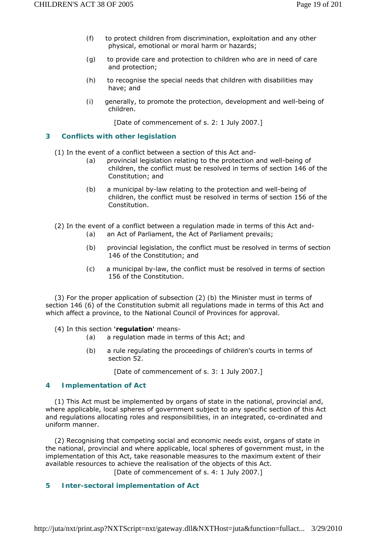- *(f)* to protect children from discrimination, exploitation and any other physical, emotional or moral harm or hazards;
- *(g)* to provide care and protection to children who are in need of care and protection;
- *(h)* to recognise the special needs that children with disabilities may have; and
- *(i)* generally, to promote the protection, development and well-being of children.

[Date of commencement of s. 2: 1 July 2007.]

## **3 Conflicts with other legislation**

(1) In the event of a conflict between a section of this Act and-

- *(a)* provincial legislation relating to the protection and well-being of children, the conflict must be resolved in terms of section 146 of the Constitution; and
- *(b)* a municipal by-law relating to the protection and well-being of children, the conflict must be resolved in terms of section 156 of the Constitution.

(2) In the event of a conflict between a regulation made in terms of this Act and-

- *(a)* an Act of Parliament, the Act of Parliament prevails;
- *(b)* provincial legislation, the conflict must be resolved in terms of section 146 of the Constitution; and
- *(c)* a municipal by-law, the conflict must be resolved in terms of section 156 of the Constitution.

 (3) For the proper application of subsection (2) *(b)* the Minister must in terms of section 146 (6) of the Constitution submit all regulations made in terms of this Act and which affect a province, to the National Council of Provinces for approval.

(4) In this section **'regulation'** means-

- *(a)* a regulation made in terms of this Act; and
- *(b)* a rule regulating the proceedings of children's courts in terms of section 52.

[Date of commencement of s. 3: 1 July 2007.]

## **4 Implementation of Act**

 (1) This Act must be implemented by organs of state in the national, provincial and, where applicable, local spheres of government subject to any specific section of this Act and regulations allocating roles and responsibilities, in an integrated, co-ordinated and uniform manner.

 (2) Recognising that competing social and economic needs exist, organs of state in the national, provincial and where applicable, local spheres of government must, in the implementation of this Act, take reasonable measures to the maximum extent of their available resources to achieve the realisation of the objects of this Act.

[Date of commencement of s. 4: 1 July 2007.]

## **5 Inter-sectoral implementation of Act**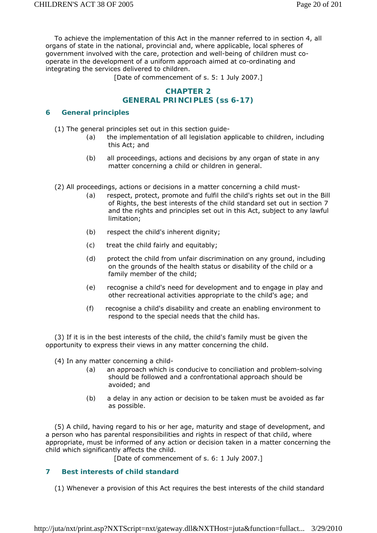To achieve the implementation of this Act in the manner referred to in section 4, all organs of state in the national, provincial and, where applicable, local spheres of government involved with the care, protection and well-being of children must cooperate in the development of a uniform approach aimed at co-ordinating and integrating the services delivered to children.

[Date of commencement of s. 5: 1 July 2007.]

## **CHAPTER 2 GENERAL PRINCIPLES (ss 6-17)**

### **6 General principles**

- (1) The general principles set out in this section guide-
	- *(a)* the implementation of all legislation applicable to children, including this Act; and
	- *(b)* all proceedings, actions and decisions by any organ of state in any matter concerning a child or children in general.
- (2) All proceedings, actions or decisions in a matter concerning a child must-
	- *(a)* respect, protect, promote and fulfil the child's rights set out in the Bill of Rights, the best interests of the child standard set out in section 7 and the rights and principles set out in this Act, subject to any lawful limitation;
	- *(b)* respect the child's inherent dignity;
	- *(c)* treat the child fairly and equitably;
	- *(d)* protect the child from unfair discrimination on any ground, including on the grounds of the health status or disability of the child or a family member of the child;
	- *(e)* recognise a child's need for development and to engage in play and other recreational activities appropriate to the child's age; and
	- *(f)* recognise a child's disability and create an enabling environment to respond to the special needs that the child has.

 (3) If it is in the best interests of the child, the child's family must be given the opportunity to express their views in any matter concerning the child.

- (4) In any matter concerning a child-
	- *(a)* an approach which is conducive to conciliation and problem-solving should be followed and a confrontational approach should be avoided; and
	- *(b)* a delay in any action or decision to be taken must be avoided as far as possible.

 (5) A child, having regard to his or her age, maturity and stage of development, and a person who has parental responsibilities and rights in respect of that child, where appropriate, must be informed of any action or decision taken in a matter concerning the child which significantly affects the child.

[Date of commencement of s. 6: 1 July 2007.]

## **7 Best interests of child standard**

(1) Whenever a provision of this Act requires the best interests of the child standard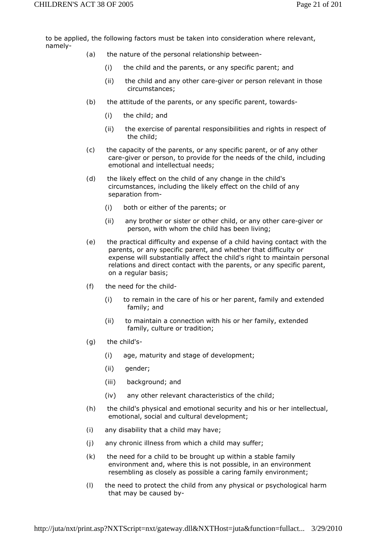to be applied, the following factors must be taken into consideration where relevant, namely-

- *(a)* the nature of the personal relationship between-
	- (i) the child and the parents, or any specific parent; and
	- (ii) the child and any other care-giver or person relevant in those circumstances;
- *(b)* the attitude of the parents, or any specific parent, towards-
	- (i) the child; and
	- (ii) the exercise of parental responsibilities and rights in respect of the child;
- *(c)* the capacity of the parents, or any specific parent, or of any other care-giver or person, to provide for the needs of the child, including emotional and intellectual needs;
- *(d)* the likely effect on the child of any change in the child's circumstances, including the likely effect on the child of any separation from-
	- (i) both or either of the parents; or
	- (ii) any brother or sister or other child, or any other care-giver or person, with whom the child has been living;
- *(e)* the practical difficulty and expense of a child having contact with the parents, or any specific parent, and whether that difficulty or expense will substantially affect the child's right to maintain personal relations and direct contact with the parents, or any specific parent, on a regular basis;
- *(f)* the need for the child-
	- (i) to remain in the care of his or her parent, family and extended family; and
	- (ii) to maintain a connection with his or her family, extended family, culture or tradition;
- *(g)* the child's-
	- (i) age, maturity and stage of development;
	- (ii) gender;
	- (iii) background; and
	- (iv) any other relevant characteristics of the child;
- *(h)* the child's physical and emotional security and his or her intellectual, emotional, social and cultural development;
- *(i)* any disability that a child may have;
- *(j)* any chronic illness from which a child may suffer;
- *(k)* the need for a child to be brought up within a stable family environment and, where this is not possible, in an environment resembling as closely as possible a caring family environment;
- *(l)* the need to protect the child from any physical or psychological harm that may be caused by-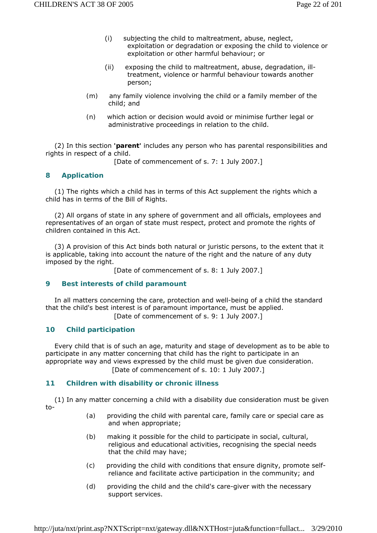- (i) subjecting the child to maltreatment, abuse, neglect, exploitation or degradation or exposing the child to violence or exploitation or other harmful behaviour; or
- (ii) exposing the child to maltreatment, abuse, degradation, illtreatment, violence or harmful behaviour towards another person;
- *(m)* any family violence involving the child or a family member of the child; and
- *(n)* which action or decision would avoid or minimise further legal or administrative proceedings in relation to the child.

 (2) In this section **'parent'** includes any person who has parental responsibilities and rights in respect of a child.

[Date of commencement of s. 7: 1 July 2007.]

## **8 Application**

 (1) The rights which a child has in terms of this Act supplement the rights which a child has in terms of the Bill of Rights.

 (2) All organs of state in any sphere of government and all officials, employees and representatives of an organ of state must respect, protect and promote the rights of children contained in this Act.

 (3) A provision of this Act binds both natural or juristic persons, to the extent that it is applicable, taking into account the nature of the right and the nature of any duty imposed by the right.

[Date of commencement of s. 8: 1 July 2007.]

### **9 Best interests of child paramount**

 In all matters concerning the care, protection and well-being of a child the standard that the child's best interest is of paramount importance, must be applied.

[Date of commencement of s. 9: 1 July 2007.]

## **10 Child participation**

 Every child that is of such an age, maturity and stage of development as to be able to participate in any matter concerning that child has the right to participate in an appropriate way and views expressed by the child must be given due consideration. [Date of commencement of s. 10: 1 July 2007.]

## **11 Children with disability or chronic illness**

 (1) In any matter concerning a child with a disability due consideration must be given to-

- *(a)* providing the child with parental care, family care or special care as and when appropriate;
- *(b)* making it possible for the child to participate in social, cultural, religious and educational activities, recognising the special needs that the child may have;
- *(c)* providing the child with conditions that ensure dignity, promote selfreliance and facilitate active participation in the community; and
- *(d)* providing the child and the child's care-giver with the necessary support services.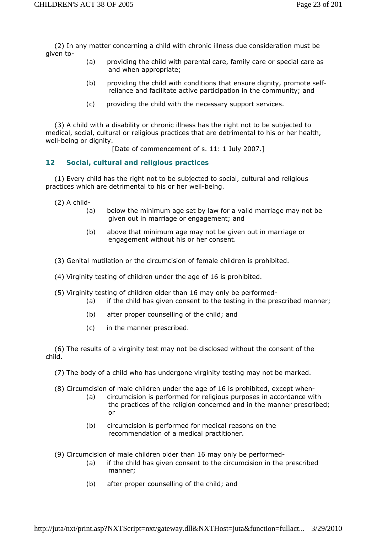(2) In any matter concerning a child with chronic illness due consideration must be given to-

- *(a)* providing the child with parental care, family care or special care as and when appropriate;
- *(b)* providing the child with conditions that ensure dignity, promote selfreliance and facilitate active participation in the community; and
- *(c)* providing the child with the necessary support services.

 (3) A child with a disability or chronic illness has the right not to be subjected to medical, social, cultural or religious practices that are detrimental to his or her health, well-being or dignity.

[Date of commencement of s. 11: 1 July 2007.]

## **12 Social, cultural and religious practices**

 (1) Every child has the right not to be subjected to social, cultural and religious practices which are detrimental to his or her well-being.

(2) A child-

- *(a)* below the minimum age set by law for a valid marriage may not be given out in marriage or engagement; and
- *(b)* above that minimum age may not be given out in marriage or engagement without his or her consent.

(3) Genital mutilation or the circumcision of female children is prohibited.

- (4) Virginity testing of children under the age of 16 is prohibited.
- (5) Virginity testing of children older than 16 may only be performed-
	- *(a)* if the child has given consent to the testing in the prescribed manner;
		- *(b)* after proper counselling of the child; and
		- *(c)* in the manner prescribed.

 (6) The results of a virginity test may not be disclosed without the consent of the child.

- (7) The body of a child who has undergone virginity testing may not be marked.
- (8) Circumcision of male children under the age of 16 is prohibited, except when-
	- *(a)* circumcision is performed for religious purposes in accordance with the practices of the religion concerned and in the manner prescribed; or
		- *(b)* circumcision is performed for medical reasons on the recommendation of a medical practitioner.
- (9) Circumcision of male children older than 16 may only be performed-
	- *(a)* if the child has given consent to the circumcision in the prescribed manner;
	- *(b)* after proper counselling of the child; and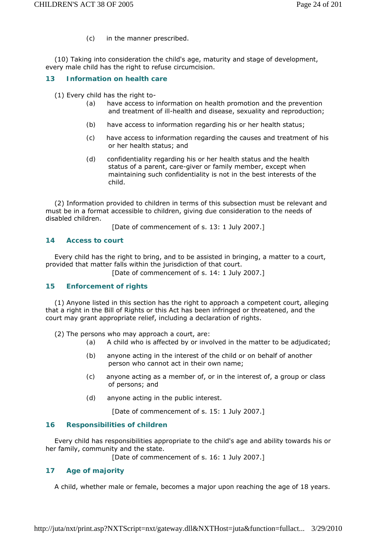*(c)* in the manner prescribed.

 (10) Taking into consideration the child's age, maturity and stage of development, every male child has the right to refuse circumcision.

### **13 Information on health care**

- (1) Every child has the right to-
	- *(a)* have access to information on health promotion and the prevention and treatment of ill-health and disease, sexuality and reproduction;
	- *(b)* have access to information regarding his or her health status;
	- *(c)* have access to information regarding the causes and treatment of his or her health status; and
	- *(d)* confidentiality regarding his or her health status and the health status of a parent, care-giver or family member, except when maintaining such confidentiality is not in the best interests of the child.

 (2) Information provided to children in terms of this subsection must be relevant and must be in a format accessible to children, giving due consideration to the needs of disabled children.

[Date of commencement of s. 13: 1 July 2007.]

### **14 Access to court**

 Every child has the right to bring, and to be assisted in bringing, a matter to a court, provided that matter falls within the jurisdiction of that court.

[Date of commencement of s. 14: 1 July 2007.]

### **15 Enforcement of rights**

 (1) Anyone listed in this section has the right to approach a competent court, alleging that a right in the Bill of Rights or this Act has been infringed or threatened, and the court may grant appropriate relief, including a declaration of rights.

(2) The persons who may approach a court, are:

- *(a)* A child who is affected by or involved in the matter to be adjudicated;
- *(b)* anyone acting in the interest of the child or on behalf of another person who cannot act in their own name;
- *(c)* anyone acting as a member of, or in the interest of, a group or class of persons; and
- *(d)* anyone acting in the public interest.

[Date of commencement of s. 15: 1 July 2007.]

#### **16 Responsibilities of children**

 Every child has responsibilities appropriate to the child's age and ability towards his or her family, community and the state.

[Date of commencement of s. 16: 1 July 2007.]

#### **17 Age of majority**

A child, whether male or female, becomes a major upon reaching the age of 18 years.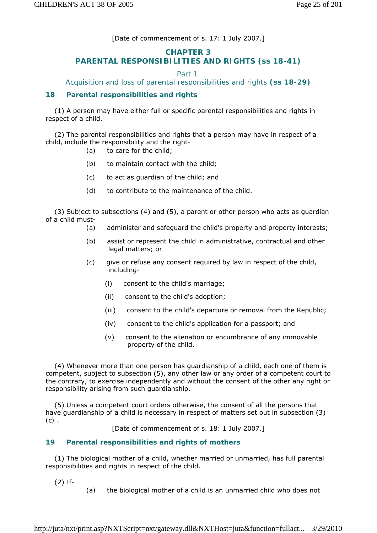[Date of commencement of s. 17: 1 July 2007.]

# **CHAPTER 3 PARENTAL RESPONSIBILITIES AND RIGHTS (ss 18-41)**

*Part 1 Acquisition and loss of parental responsibilities and rights* **(ss 18-29)** 

## **18 Parental responsibilities and rights**

 (1) A person may have either full or specific parental responsibilities and rights in respect of a child.

 (2) The parental responsibilities and rights that a person may have in respect of a child, include the responsibility and the right-

- *(a)* to care for the child;
- *(b)* to maintain contact with the child;
- *(c)* to act as guardian of the child; and
- *(d)* to contribute to the maintenance of the child.

 (3) Subject to subsections (4) and (5), a parent or other person who acts as guardian of a child must-

- *(a)* administer and safeguard the child's property and property interests;
- *(b)* assist or represent the child in administrative, contractual and other legal matters; or
- *(c)* give or refuse any consent required by law in respect of the child, including-
	- (i) consent to the child's marriage;
	- (ii) consent to the child's adoption;
	- (iii) consent to the child's departure or removal from the Republic;
	- (iv) consent to the child's application for a passport; and
	- (v) consent to the alienation or encumbrance of any immovable property of the child.

 (4) Whenever more than one person has guardianship of a child, each one of them is competent, subject to subsection (5), any other law or any order of a competent court to the contrary, to exercise independently and without the consent of the other any right or responsibility arising from such guardianship.

 (5) Unless a competent court orders otherwise, the consent of all the persons that have guardianship of a child is necessary in respect of matters set out in subsection (3) *(c)* .

[Date of commencement of s. 18: 1 July 2007.]

## **19 Parental responsibilities and rights of mothers**

 (1) The biological mother of a child, whether married or unmarried, has full parental responsibilities and rights in respect of the child.

(2) If-

*(a)* the biological mother of a child is an unmarried child who does not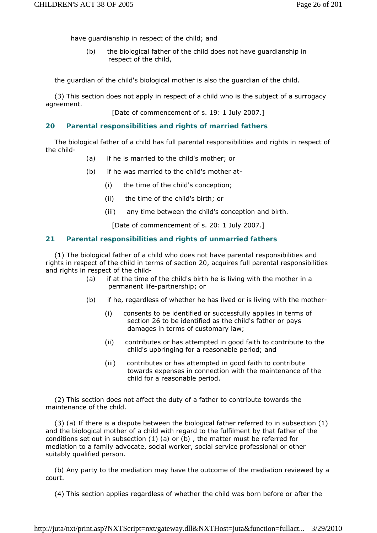have guardianship in respect of the child; and

 *(b)* the biological father of the child does not have guardianship in respect of the child,

the guardian of the child's biological mother is also the guardian of the child.

 (3) This section does not apply in respect of a child who is the subject of a surrogacy agreement.

[Date of commencement of s. 19: 1 July 2007.]

### **20 Parental responsibilities and rights of married fathers**

 The biological father of a child has full parental responsibilities and rights in respect of the child-

- *(a)* if he is married to the child's mother; or
- *(b)* if he was married to the child's mother at-
	- (i) the time of the child's conception;
	- (ii) the time of the child's birth; or
	- (iii) any time between the child's conception and birth.

[Date of commencement of s. 20: 1 July 2007.]

#### **21 Parental responsibilities and rights of unmarried fathers**

 (1) The biological father of a child who does not have parental responsibilities and rights in respect of the child in terms of section 20, acquires full parental responsibilities and rights in respect of the child-

- *(a)* if at the time of the child's birth he is living with the mother in a permanent life-partnership; or
- *(b)* if he, regardless of whether he has lived or is living with the mother-
	- (i) consents to be identified or successfully applies in terms of section 26 to be identified as the child's father or pays damages in terms of customary law;
	- (ii) contributes or has attempted in good faith to contribute to the child's upbringing for a reasonable period; and
	- (iii) contributes or has attempted in good faith to contribute towards expenses in connection with the maintenance of the child for a reasonable period.

 (2) This section does not affect the duty of a father to contribute towards the maintenance of the child.

 (3) *(a)* If there is a dispute between the biological father referred to in subsection (1) and the biological mother of a child with regard to the fulfilment by that father of the conditions set out in subsection (1) *(a)* or *(b)* , the matter must be referred for mediation to a family advocate, social worker, social service professional or other suitably qualified person.

 *(b)* Any party to the mediation may have the outcome of the mediation reviewed by a court.

(4) This section applies regardless of whether the child was born before or after the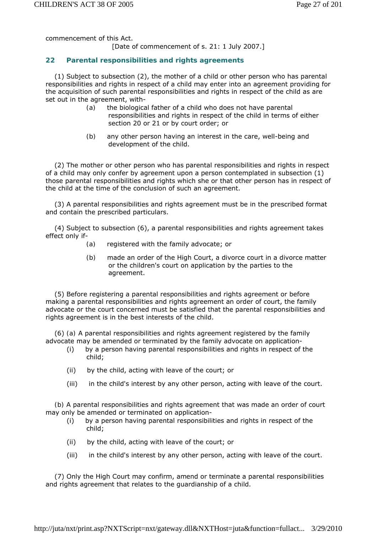commencement of this Act.

[Date of commencement of s. 21: 1 July 2007.]

## **22 Parental responsibilities and rights agreements**

 (1) Subject to subsection (2), the mother of a child or other person who has parental responsibilities and rights in respect of a child may enter into an agreement providing for the acquisition of such parental responsibilities and rights in respect of the child as are set out in the agreement, with-

- *(a)* the biological father of a child who does not have parental responsibilities and rights in respect of the child in terms of either section 20 or 21 or by court order; or
- *(b)* any other person having an interest in the care, well-being and development of the child.

 (2) The mother or other person who has parental responsibilities and rights in respect of a child may only confer by agreement upon a person contemplated in subsection (1) those parental responsibilities and rights which she or that other person has in respect of the child at the time of the conclusion of such an agreement.

 (3) A parental responsibilities and rights agreement must be in the prescribed format and contain the prescribed particulars.

 (4) Subject to subsection (6), a parental responsibilities and rights agreement takes effect only if-

- *(a)* registered with the family advocate; or
- *(b)* made an order of the High Court, a divorce court in a divorce matter or the children's court on application by the parties to the agreement.

 (5) Before registering a parental responsibilities and rights agreement or before making a parental responsibilities and rights agreement an order of court, the family advocate or the court concerned must be satisfied that the parental responsibilities and rights agreement is in the best interests of the child.

 (6) *(a)* A parental responsibilities and rights agreement registered by the family advocate may be amended or terminated by the family advocate on application-

- (i) by a person having parental responsibilities and rights in respect of the child;
- (ii) by the child, acting with leave of the court; or
- (iii) in the child's interest by any other person, acting with leave of the court.

 *(b)* A parental responsibilities and rights agreement that was made an order of court may only be amended or terminated on application-

- (i) by a person having parental responsibilities and rights in respect of the child;
- (ii) by the child, acting with leave of the court; or
- (iii) in the child's interest by any other person, acting with leave of the court.

 (7) Only the High Court may confirm, amend or terminate a parental responsibilities and rights agreement that relates to the guardianship of a child.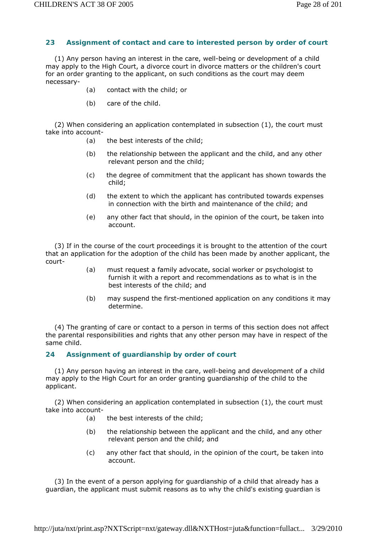## **23 Assignment of contact and care to interested person by order of court**

 (1) Any person having an interest in the care, well-being or development of a child may apply to the High Court, a divorce court in divorce matters or the children's court for an order granting to the applicant, on such conditions as the court may deem necessary-

- *(a)* contact with the child; or
- *(b)* care of the child.

 (2) When considering an application contemplated in subsection (1), the court must take into account-

- *(a)* the best interests of the child;
- *(b)* the relationship between the applicant and the child, and any other relevant person and the child;
- *(c)* the degree of commitment that the applicant has shown towards the child;
- *(d)* the extent to which the applicant has contributed towards expenses in connection with the birth and maintenance of the child; and
- *(e)* any other fact that should, in the opinion of the court, be taken into account.

 (3) If in the course of the court proceedings it is brought to the attention of the court that an application for the adoption of the child has been made by another applicant, the court-

- *(a)* must request a family advocate, social worker or psychologist to furnish it with a report and recommendations as to what is in the best interests of the child; and
- *(b)* may suspend the first-mentioned application on any conditions it may determine.

 (4) The granting of care or contact to a person in terms of this section does not affect the parental responsibilities and rights that any other person may have in respect of the same child.

## **24 Assignment of guardianship by order of court**

 (1) Any person having an interest in the care, well-being and development of a child may apply to the High Court for an order granting guardianship of the child to the applicant.

 (2) When considering an application contemplated in subsection (1), the court must take into account-

- *(a)* the best interests of the child;
- *(b)* the relationship between the applicant and the child, and any other relevant person and the child; and
- *(c)* any other fact that should, in the opinion of the court, be taken into account.

 (3) In the event of a person applying for guardianship of a child that already has a guardian, the applicant must submit reasons as to why the child's existing guardian is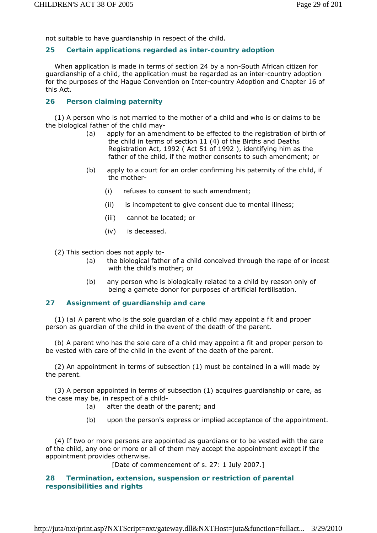not suitable to have guardianship in respect of the child.

# **25 Certain applications regarded as inter-country adoption**

 When application is made in terms of section 24 by a non-South African citizen for guardianship of a child, the application must be regarded as an inter-country adoption for the purposes of the Hague Convention on Inter-country Adoption and Chapter 16 of this Act.

# **26 Person claiming paternity**

 (1) A person who is not married to the mother of a child and who is or claims to be the biological father of the child may-

- *(a)* apply for an amendment to be effected to the registration of birth of the child in terms of section 11 (4) of the Births and Deaths Registration Act, 1992 ( Act 51 of 1992 ), identifying him as the father of the child, if the mother consents to such amendment; or
- *(b)* apply to a court for an order confirming his paternity of the child, if the mother-
	- (i) refuses to consent to such amendment;
	- (ii) is incompetent to give consent due to mental illness;
	- (iii) cannot be located; or
	- (iv) is deceased.

(2) This section does not apply to-

- *(a)* the biological father of a child conceived through the rape of or incest with the child's mother; or
- *(b)* any person who is biologically related to a child by reason only of being a gamete donor for purposes of artificial fertilisation.

## **27 Assignment of guardianship and care**

 (1) *(a)* A parent who is the sole guardian of a child may appoint a fit and proper person as guardian of the child in the event of the death of the parent.

 *(b)* A parent who has the sole care of a child may appoint a fit and proper person to be vested with care of the child in the event of the death of the parent.

 (2) An appointment in terms of subsection (1) must be contained in a will made by the parent.

 (3) A person appointed in terms of subsection (1) acquires guardianship or care, as the case may be, in respect of a child-

- *(a)* after the death of the parent; and
- *(b)* upon the person's express or implied acceptance of the appointment.

 (4) If two or more persons are appointed as guardians or to be vested with the care of the child, any one or more or all of them may accept the appointment except if the appointment provides otherwise.

[Date of commencement of s. 27: 1 July 2007.]

## **28 Termination, extension, suspension or restriction of parental responsibilities and rights**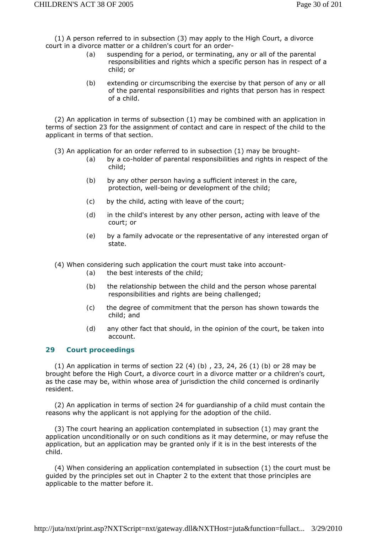(1) A person referred to in subsection (3) may apply to the High Court, a divorce court in a divorce matter or a children's court for an order-

- *(a)* suspending for a period, or terminating, any or all of the parental responsibilities and rights which a specific person has in respect of a child; or
- *(b)* extending or circumscribing the exercise by that person of any or all of the parental responsibilities and rights that person has in respect of a child.

 (2) An application in terms of subsection (1) may be combined with an application in terms of section 23 for the assignment of contact and care in respect of the child to the applicant in terms of that section.

(3) An application for an order referred to in subsection (1) may be brought-

- *(a)* by a co-holder of parental responsibilities and rights in respect of the child;
- *(b)* by any other person having a sufficient interest in the care, protection, well-being or development of the child;
- *(c)* by the child, acting with leave of the court;
- *(d)* in the child's interest by any other person, acting with leave of the court; or
- *(e)* by a family advocate or the representative of any interested organ of state.

(4) When considering such application the court must take into account-

- *(a)* the best interests of the child;
- *(b)* the relationship between the child and the person whose parental responsibilities and rights are being challenged;
- *(c)* the degree of commitment that the person has shown towards the child; and
- *(d)* any other fact that should, in the opinion of the court, be taken into account.

## **29 Court proceedings**

 (1) An application in terms of section 22 (4) *(b)* , 23, 24, 26 (1) *(b)* or 28 may be brought before the High Court, a divorce court in a divorce matter or a children's court, as the case may be, within whose area of jurisdiction the child concerned is ordinarily resident.

 (2) An application in terms of section 24 for guardianship of a child must contain the reasons why the applicant is not applying for the adoption of the child.

 (3) The court hearing an application contemplated in subsection (1) may grant the application unconditionally or on such conditions as it may determine, or may refuse the application, but an application may be granted only if it is in the best interests of the child.

 (4) When considering an application contemplated in subsection (1) the court must be guided by the principles set out in Chapter 2 to the extent that those principles are applicable to the matter before it.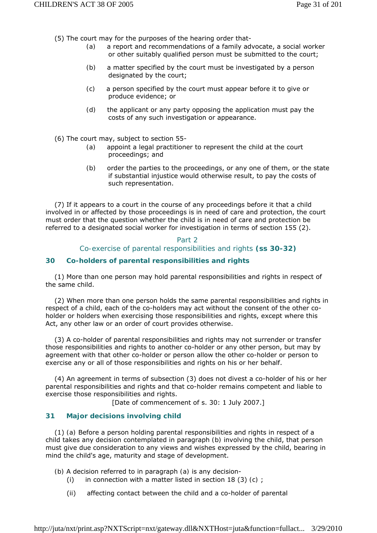(5) The court may for the purposes of the hearing order that-

- *(a)* a report and recommendations of a family advocate, a social worker or other suitably qualified person must be submitted to the court;
- *(b)* a matter specified by the court must be investigated by a person designated by the court;
- *(c)* a person specified by the court must appear before it to give or produce evidence; or
- *(d)* the applicant or any party opposing the application must pay the costs of any such investigation or appearance.

(6) The court may, subject to section 55-

- *(a)* appoint a legal practitioner to represent the child at the court proceedings; and
- *(b)* order the parties to the proceedings, or any one of them, or the state if substantial injustice would otherwise result, to pay the costs of such representation.

 (7) If it appears to a court in the course of any proceedings before it that a child involved in or affected by those proceedings is in need of care and protection, the court must order that the question whether the child is in need of care and protection be referred to a designated social worker for investigation in terms of section 155 (2).

> *Part 2 Co-exercise of parental responsibilities and rights* **(ss 30-32)**

### **30 Co-holders of parental responsibilities and rights**

 (1) More than one person may hold parental responsibilities and rights in respect of the same child.

 (2) When more than one person holds the same parental responsibilities and rights in respect of a child, each of the co-holders may act without the consent of the other coholder or holders when exercising those responsibilities and rights, except where this Act, any other law or an order of court provides otherwise.

 (3) A co-holder of parental responsibilities and rights may not surrender or transfer those responsibilities and rights to another co-holder or any other person, but may by agreement with that other co-holder or person allow the other co-holder or person to exercise any or all of those responsibilities and rights on his or her behalf.

 (4) An agreement in terms of subsection (3) does not divest a co-holder of his or her parental responsibilities and rights and that co-holder remains competent and liable to exercise those responsibilities and rights.

[Date of commencement of s. 30: 1 July 2007.]

## **31 Major decisions involving child**

 (1) *(a)* Before a person holding parental responsibilities and rights in respect of a child takes any decision contemplated in paragraph *(b)* involving the child, that person must give due consideration to any views and wishes expressed by the child, bearing in mind the child's age, maturity and stage of development.

- *(b)* A decision referred to in paragraph *(a)* is any decision-
	- (i) in connection with a matter listed in section 18 (3) *(c)* ;
	- (ii) affecting contact between the child and a co-holder of parental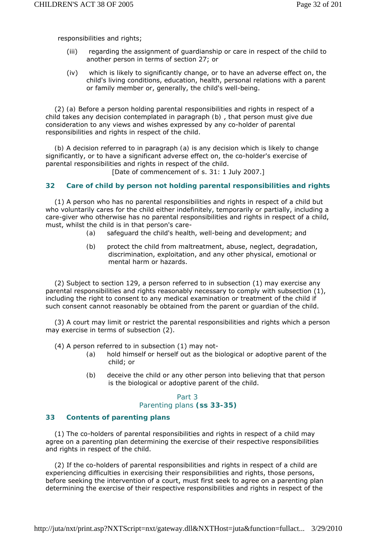responsibilities and rights;

- (iii) regarding the assignment of guardianship or care in respect of the child to another person in terms of section 27; or
- (iv) which is likely to significantly change, or to have an adverse effect on, the child's living conditions, education, health, personal relations with a parent or family member or, generally, the child's well-being.

 (2) *(a)* Before a person holding parental responsibilities and rights in respect of a child takes any decision contemplated in paragraph *(b)* , that person must give due consideration to any views and wishes expressed by any co-holder of parental responsibilities and rights in respect of the child.

 *(b)* A decision referred to in paragraph *(a)* is any decision which is likely to change significantly, or to have a significant adverse effect on, the co-holder's exercise of parental responsibilities and rights in respect of the child.

[Date of commencement of s. 31: 1 July 2007.]

### **32 Care of child by person not holding parental responsibilities and rights**

 (1) A person who has no parental responsibilities and rights in respect of a child but who voluntarily cares for the child either indefinitely, temporarily or partially, including a care-giver who otherwise has no parental responsibilities and rights in respect of a child, must, whilst the child is in that person's care-

- *(a)* safeguard the child's health, well-being and development; and
- *(b)* protect the child from maltreatment, abuse, neglect, degradation, discrimination, exploitation, and any other physical, emotional or mental harm or hazards.

 (2) Subject to section 129, a person referred to in subsection (1) may exercise any parental responsibilities and rights reasonably necessary to comply with subsection (1), including the right to consent to any medical examination or treatment of the child if such consent cannot reasonably be obtained from the parent or guardian of the child.

 (3) A court may limit or restrict the parental responsibilities and rights which a person may exercise in terms of subsection (2).

(4) A person referred to in subsection (1) may not-

- *(a)* hold himself or herself out as the biological or adoptive parent of the child; or
- *(b)* deceive the child or any other person into believing that that person is the biological or adoptive parent of the child.

## *Part 3 Parenting plans* **(ss 33-35)**

#### **33 Contents of parenting plans**

 (1) The co-holders of parental responsibilities and rights in respect of a child may agree on a parenting plan determining the exercise of their respective responsibilities and rights in respect of the child.

 (2) If the co-holders of parental responsibilities and rights in respect of a child are experiencing difficulties in exercising their responsibilities and rights, those persons, before seeking the intervention of a court, must first seek to agree on a parenting plan determining the exercise of their respective responsibilities and rights in respect of the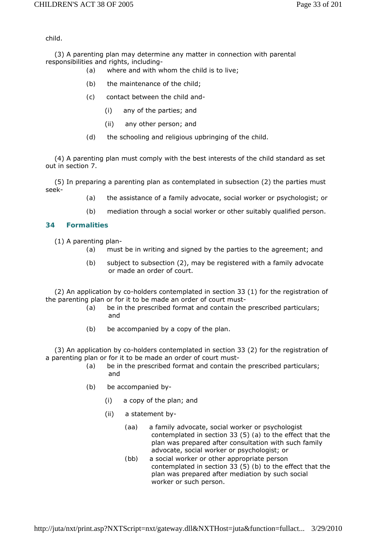child.

 (3) A parenting plan may determine any matter in connection with parental responsibilities and rights, including-

- *(a)* where and with whom the child is to live;
- *(b)* the maintenance of the child;
- *(c)* contact between the child and-
	- (i) any of the parties; and
	- (ii) any other person; and
- *(d)* the schooling and religious upbringing of the child.

 (4) A parenting plan must comply with the best interests of the child standard as set out in section 7.

 (5) In preparing a parenting plan as contemplated in subsection (2) the parties must seek-

- *(a)* the assistance of a family advocate, social worker or psychologist; or
- *(b)* mediation through a social worker or other suitably qualified person.

## **34 Formalities**

(1) A parenting plan-

- *(a)* must be in writing and signed by the parties to the agreement; and
- *(b)* subject to subsection (2), may be registered with a family advocate or made an order of court.

 (2) An application by co-holders contemplated in section 33 (1) for the registration of the parenting plan or for it to be made an order of court must-

- *(a)* be in the prescribed format and contain the prescribed particulars; and
- *(b)* be accompanied by a copy of the plan.

 (3) An application by co-holders contemplated in section 33 (2) for the registration of a parenting plan or for it to be made an order of court must-

- *(a)* be in the prescribed format and contain the prescribed particulars; and
- *(b)* be accompanied by-
	- (i) a copy of the plan; and
	- (ii) a statement by-
		- *(aa)* a family advocate, social worker or psychologist contemplated in section 33 (5) *(a)* to the effect that the plan was prepared after consultation with such family advocate, social worker or psychologist; or
		- *(bb)* a social worker or other appropriate person contemplated in section 33 (5) *(b)* to the effect that the plan was prepared after mediation by such social worker or such person.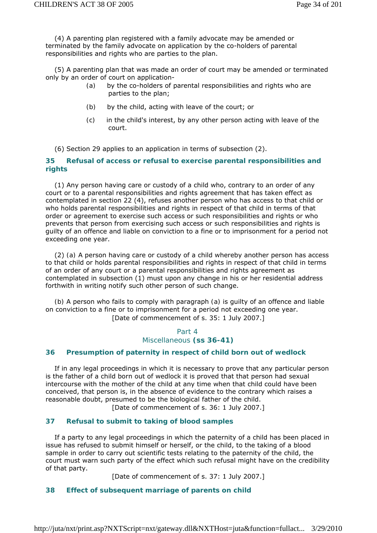(4) A parenting plan registered with a family advocate may be amended or terminated by the family advocate on application by the co-holders of parental responsibilities and rights who are parties to the plan.

 (5) A parenting plan that was made an order of court may be amended or terminated only by an order of court on application-

- *(a)* by the co-holders of parental responsibilities and rights who are parties to the plan;
- *(b)* by the child, acting with leave of the court; or
- *(c)* in the child's interest, by any other person acting with leave of the court.

(6) Section 29 applies to an application in terms of subsection (2).

## **35 Refusal of access or refusal to exercise parental responsibilities and rights**

 (1) Any person having care or custody of a child who, contrary to an order of any court or to a parental responsibilities and rights agreement that has taken effect as contemplated in section 22 (4), refuses another person who has access to that child or who holds parental responsibilities and rights in respect of that child in terms of that order or agreement to exercise such access or such responsibilities and rights or who prevents that person from exercising such access or such responsibilities and rights is guilty of an offence and liable on conviction to a fine or to imprisonment for a period not exceeding one year.

 (2) *(a)* A person having care or custody of a child whereby another person has access to that child or holds parental responsibilities and rights in respect of that child in terms of an order of any court or a parental responsibilities and rights agreement as contemplated in subsection (1) must upon any change in his or her residential address forthwith in writing notify such other person of such change.

 *(b)* A person who fails to comply with paragraph *(a)* is guilty of an offence and liable on conviction to a fine or to imprisonment for a period not exceeding one year. [Date of commencement of s. 35: 1 July 2007.]

> *Part 4 Miscellaneous* **(ss 36-41)**

### **36 Presumption of paternity in respect of child born out of wedlock**

 If in any legal proceedings in which it is necessary to prove that any particular person is the father of a child born out of wedlock it is proved that that person had sexual intercourse with the mother of the child at any time when that child could have been conceived, that person is, in the absence of evidence to the contrary which raises a reasonable doubt, presumed to be the biological father of the child.

[Date of commencement of s. 36: 1 July 2007.]

## **37 Refusal to submit to taking of blood samples**

 If a party to any legal proceedings in which the paternity of a child has been placed in issue has refused to submit himself or herself, or the child, to the taking of a blood sample in order to carry out scientific tests relating to the paternity of the child, the court must warn such party of the effect which such refusal might have on the credibility of that party.

[Date of commencement of s. 37: 1 July 2007.]

## **38 Effect of subsequent marriage of parents on child**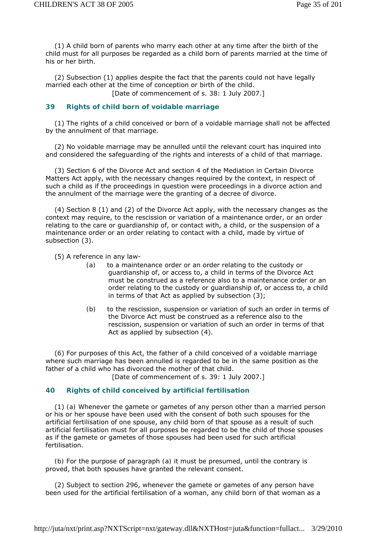(1) A child born of parents who marry each other at any time after the birth of the child must for all purposes be regarded as a child born of parents married at the time of his or her birth.

 (2) Subsection (1) applies despite the fact that the parents could not have legally married each other at the time of conception or birth of the child. [Date of commencement of s. 38: 1 July 2007.]

#### **39 Rights of child born of voidable marriage**

 (1) The rights of a child conceived or born of a voidable marriage shall not be affected by the annulment of that marriage.

 (2) No voidable marriage may be annulled until the relevant court has inquired into and considered the safeguarding of the rights and interests of a child of that marriage.

 (3) Section 6 of the Divorce Act and section 4 of the Mediation in Certain Divorce Matters Act apply, with the necessary changes required by the context, in respect of such a child as if the proceedings in question were proceedings in a divorce action and the annulment of the marriage were the granting of a decree of divorce.

 (4) Section 8 (1) and (2) of the Divorce Act apply, with the necessary changes as the context may require, to the rescission or variation of a maintenance order, or an order relating to the care or guardianship of, or contact with, a child, or the suspension of a maintenance order or an order relating to contact with a child, made by virtue of subsection (3).

(5) A reference in any law-

- *(a)* to a maintenance order or an order relating to the custody or guardianship of, or access to, a child in terms of the Divorce Act must be construed as a reference also to a maintenance order or an order relating to the custody or guardianship of, or access to, a child in terms of that Act as applied by subsection (3);
- *(b)* to the rescission, suspension or variation of such an order in terms of the Divorce Act must be construed as a reference also to the rescission, suspension or variation of such an order in terms of that Act as applied by subsection (4).

 (6) For purposes of this Act, the father of a child conceived of a voidable marriage where such marriage has been annulled is regarded to be in the same position as the father of a child who has divorced the mother of that child.

[Date of commencement of s. 39: 1 July 2007.]

#### **40 Rights of child conceived by artificial fertilisation**

 (1) *(a)* Whenever the gamete or gametes of any person other than a married person or his or her spouse have been used with the consent of both such spouses for the artificial fertilisation of one spouse, any child born of that spouse as a result of such artificial fertilisation must for all purposes be regarded to be the child of those spouses as if the gamete or gametes of those spouses had been used for such artificial fertilisation.

 *(b)* For the purpose of paragraph *(a)* it must be presumed, until the contrary is proved, that both spouses have granted the relevant consent.

 (2) Subject to section 296, whenever the gamete or gametes of any person have been used for the artificial fertilisation of a woman, any child born of that woman as a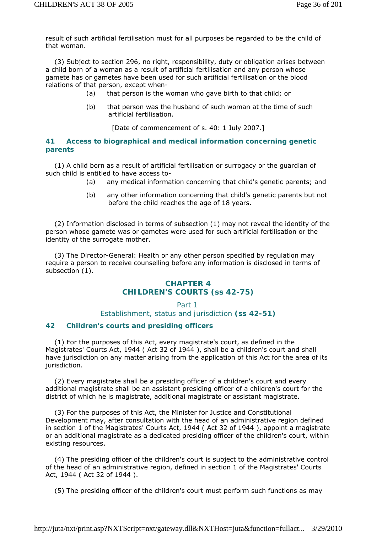result of such artificial fertilisation must for all purposes be regarded to be the child of that woman.

 (3) Subject to section 296, no right, responsibility, duty or obligation arises between a child born of a woman as a result of artificial fertilisation and any person whose gamete has or gametes have been used for such artificial fertilisation or the blood relations of that person, except when-

- *(a)* that person is the woman who gave birth to that child; or
- *(b)* that person was the husband of such woman at the time of such artificial fertilisation.

[Date of commencement of s. 40: 1 July 2007.]

### **41 Access to biographical and medical information concerning genetic parents**

 (1) A child born as a result of artificial fertilisation or surrogacy or the guardian of such child is entitled to have access to-

- *(a)* any medical information concerning that child's genetic parents; and
- *(b)* any other information concerning that child's genetic parents but not before the child reaches the age of 18 years.

 (2) Information disclosed in terms of subsection (1) may not reveal the identity of the person whose gamete was or gametes were used for such artificial fertilisation or the identity of the surrogate mother.

 (3) The Director-General: Health or any other person specified by regulation may require a person to receive counselling before any information is disclosed in terms of subsection (1).

## **CHAPTER 4 CHILDREN'S COURTS (ss 42-75)**

## *Part 1 Establishment, status and jurisdiction* **(ss 42-51)**

### **42 Children's courts and presiding officers**

 (1) For the purposes of this Act, every magistrate's court, as defined in the Magistrates' Courts Act, 1944 ( Act 32 of 1944 ), shall be a children's court and shall have jurisdiction on any matter arising from the application of this Act for the area of its jurisdiction.

 (2) Every magistrate shall be a presiding officer of a children's court and every additional magistrate shall be an assistant presiding officer of a children's court for the district of which he is magistrate, additional magistrate or assistant magistrate.

 (3) For the purposes of this Act, the Minister for Justice and Constitutional Development may, after consultation with the head of an administrative region defined in section 1 of the Magistrates' Courts Act, 1944 ( Act 32 of 1944 ), appoint a magistrate or an additional magistrate as a dedicated presiding officer of the children's court, within existing resources.

 (4) The presiding officer of the children's court is subject to the administrative control of the head of an administrative region, defined in section 1 of the Magistrates' Courts Act, 1944 ( Act 32 of 1944 ).

(5) The presiding officer of the children's court must perform such functions as may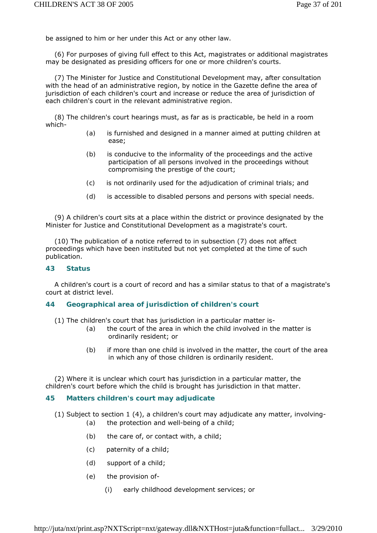be assigned to him or her under this Act or any other law.

 (6) For purposes of giving full effect to this Act, magistrates or additional magistrates may be designated as presiding officers for one or more children's courts.

 (7) The Minister for Justice and Constitutional Development may, after consultation with the head of an administrative region, by notice in the *Gazette* define the area of jurisdiction of each children's court and increase or reduce the area of jurisdiction of each children's court in the relevant administrative region.

 (8) The children's court hearings must, as far as is practicable, be held in a room which-

- *(a)* is furnished and designed in a manner aimed at putting children at ease;
- *(b)* is conducive to the informality of the proceedings and the active participation of all persons involved in the proceedings without compromising the prestige of the court;
- *(c)* is not ordinarily used for the adjudication of criminal trials; and
- *(d)* is accessible to disabled persons and persons with special needs.

 (9) A children's court sits at a place within the district or province designated by the Minister for Justice and Constitutional Development as a magistrate's court.

 (10) The publication of a notice referred to in subsection (7) does not affect proceedings which have been instituted but not yet completed at the time of such publication.

#### **43 Status**

 A children's court is a court of record and has a similar status to that of a magistrate's court at district level.

#### **44 Geographical area of jurisdiction of children's court**

- (1) The children's court that has jurisdiction in a particular matter is-
	- *(a)* the court of the area in which the child involved in the matter is ordinarily resident; or
	- *(b)* if more than one child is involved in the matter, the court of the area in which any of those children is ordinarily resident.

 (2) Where it is unclear which court has jurisdiction in a particular matter, the children's court before which the child is brought has jurisdiction in that matter.

# **45 Matters children's court may adjudicate**

- (1) Subject to section 1 (4), a children's court may adjudicate any matter, involving- *(a)* the protection and well-being of a child;
	- *(b)* the care of, or contact with, a child;
	- *(c)* paternity of a child;
	- *(d)* support of a child;
	- *(e)* the provision of-
		- (i) early childhood development services; or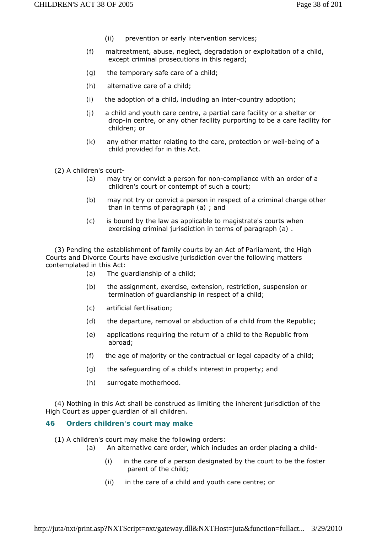- (ii) prevention or early intervention services;
- *(f)* maltreatment, abuse, neglect, degradation or exploitation of a child, except criminal prosecutions in this regard;
- *(g)* the temporary safe care of a child;
- *(h)* alternative care of a child;
- *(i)* the adoption of a child, including an inter-country adoption;
- *(j)* a child and youth care centre, a partial care facility or a shelter or drop-in centre, or any other facility purporting to be a care facility for children; or
- *(k)* any other matter relating to the care, protection or well-being of a child provided for in this Act.
- (2) A children's court-
	- *(a)* may try or convict a person for non-compliance with an order of a children's court or contempt of such a court;
	- *(b)* may not try or convict a person in respect of a criminal charge other than in terms of paragraph *(a)* ; and
	- *(c)* is bound by the law as applicable to magistrate's courts when exercising criminal jurisdiction in terms of paragraph *(a)* .

 (3) Pending the establishment of family courts by an Act of Parliament, the High Courts and Divorce Courts have exclusive jurisdiction over the following matters contemplated in this Act:

- *(a)* The guardianship of a child;
- *(b)* the assignment, exercise, extension, restriction, suspension or termination of guardianship in respect of a child;
- *(c)* artificial fertilisation;
- *(d)* the departure, removal or abduction of a child from the Republic;
- *(e)* applications requiring the return of a child to the Republic from abroad;
- *(f)* the age of majority or the contractual or legal capacity of a child;
- *(g)* the safeguarding of a child's interest in property; and
- *(h)* surrogate motherhood.

 (4) Nothing in this Act shall be construed as limiting the inherent jurisdiction of the High Court as upper guardian of all children.

#### **46 Orders children's court may make**

(1) A children's court may make the following orders:

- *(a)* An alternative care order, which includes an order placing a child-
	- (i) in the care of a person designated by the court to be the foster parent of the child;
	- (ii) in the care of a child and youth care centre; or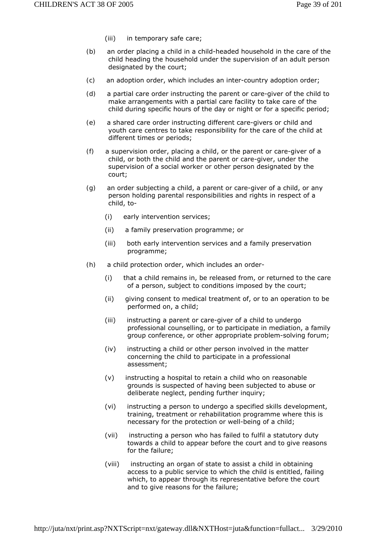- (iii) in temporary safe care;
- *(b)* an order placing a child in a child-headed household in the care of the child heading the household under the supervision of an adult person designated by the court;
- *(c)* an adoption order, which includes an inter-country adoption order;
- *(d)* a partial care order instructing the parent or care-giver of the child to make arrangements with a partial care facility to take care of the child during specific hours of the day or night or for a specific period;
- *(e)* a shared care order instructing different care-givers or child and youth care centres to take responsibility for the care of the child at different times or periods;
- *(f)* a supervision order, placing a child, or the parent or care-giver of a child, or both the child and the parent or care-giver, under the supervision of a social worker or other person designated by the court;
- *(g)* an order subjecting a child, a parent or care-giver of a child, or any person holding parental responsibilities and rights in respect of a child, to-
	- (i) early intervention services;
	- (ii) a family preservation programme; or
	- (iii) both early intervention services and a family preservation programme;
- *(h)* a child protection order, which includes an order-
	- (i) that a child remains in, be released from, or returned to the care of a person, subject to conditions imposed by the court;
	- (ii) giving consent to medical treatment of, or to an operation to be performed on, a child;
	- (iii) instructing a parent or care-giver of a child to undergo professional counselling, or to participate in mediation, a family group conference, or other appropriate problem-solving forum;
	- (iv) instructing a child or other person involved in the matter concerning the child to participate in a professional assessment;
	- (v) instructing a hospital to retain a child who on reasonable grounds is suspected of having been subjected to abuse or deliberate neglect, pending further inquiry;
	- (vi) instructing a person to undergo a specified skills development, training, treatment or rehabilitation programme where this is necessary for the protection or well-being of a child;
	- (vii) instructing a person who has failed to fulfil a statutory duty towards a child to appear before the court and to give reasons for the failure;
	- (viii) instructing an organ of state to assist a child in obtaining access to a public service to which the child is entitled, failing which, to appear through its representative before the court and to give reasons for the failure;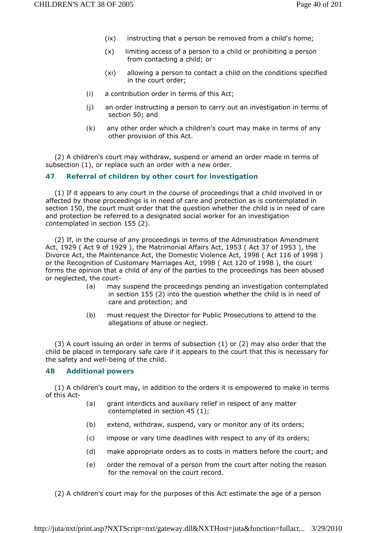- (ix) instructing that a person be removed from a child's home;
- (x) limiting access of a person to a child or prohibiting a person from contacting a child; or
- (xi) allowing a person to contact a child on the conditions specified in the court order;
- *(i)* a contribution order in terms of this Act;
- *(j)* an order instructing a person to carry out an investigation in terms of section 50; and
- *(k)* any other order which a children's court may make in terms of any other provision of this Act.

 (2) A children's court may withdraw, suspend or amend an order made in terms of subsection (1), or replace such an order with a new order.

## **47 Referral of children by other court for investigation**

 (1) If it appears to any court in the course of proceedings that a child involved in or affected by those proceedings is in need of care and protection as is contemplated in section 150, the court must order that the question whether the child is in need of care and protection be referred to a designated social worker for an investigation contemplated in section 155 (2).

 (2) If, in the course of any proceedings in terms of the Administration Amendment Act, 1929 ( Act 9 of 1929 ), the Matrimonial Affairs Act, 1953 ( Act 37 of 1953 ), the Divorce Act, the Maintenance Act, the Domestic Violence Act, 1998 ( Act 116 of 1998 ) or the Recognition of Customary Marriages Act, 1998 ( Act 120 of 1998 ), the court forms the opinion that a child of any of the parties to the proceedings has been abused or neglected, the court-

- *(a)* may suspend the proceedings pending an investigation contemplated in section 155 (2) into the question whether the child is in need of care and protection; and
- *(b)* must request the Director for Public Prosecutions to attend to the allegations of abuse or neglect.

 (3) A court issuing an order in terms of subsection (1) or (2) may also order that the child be placed in temporary safe care if it appears to the court that this is necessary for the safety and well-being of the child.

#### **48 Additional powers**

 (1) A children's court may, in addition to the orders it is empowered to make in terms of this Act-

- *(a)* grant interdicts and auxiliary relief in respect of any matter contemplated in section 45 (1);
- *(b)* extend, withdraw, suspend, vary or monitor any of its orders;
- *(c)* impose or vary time deadlines with respect to any of its orders;
- *(d)* make appropriate orders as to costs in matters before the court; and
- *(e)* order the removal of a person from the court after noting the reason for the removal on the court record.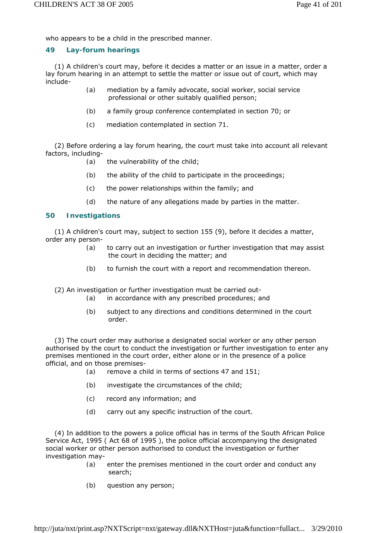who appears to be a child in the prescribed manner.

## **49 Lay-forum hearings**

 (1) A children's court may, before it decides a matter or an issue in a matter, order a lay forum hearing in an attempt to settle the matter or issue out of court, which may include-

- *(a)* mediation by a family advocate, social worker, social service professional or other suitably qualified person;
- *(b)* a family group conference contemplated in section 70; or
- *(c)* mediation contemplated in section 71.

 (2) Before ordering a lay forum hearing, the court must take into account all relevant factors, including-

- *(a)* the vulnerability of the child;
- *(b)* the ability of the child to participate in the proceedings;
- *(c)* the power relationships within the family; and
- *(d)* the nature of any allegations made by parties in the matter.

### **50 Investigations**

 (1) A children's court may, subject to section 155 (9), before it decides a matter, order any person-

- *(a)* to carry out an investigation or further investigation that may assist the court in deciding the matter; and
- *(b)* to furnish the court with a report and recommendation thereon.
- (2) An investigation or further investigation must be carried out-
	- *(a)* in accordance with any prescribed procedures; and
	- *(b)* subject to any directions and conditions determined in the court order.

 (3) The court order may authorise a designated social worker or any other person authorised by the court to conduct the investigation or further investigation to enter any premises mentioned in the court order, either alone or in the presence of a police official, and on those premises-

- *(a)* remove a child in terms of sections 47 and 151;
- *(b)* investigate the circumstances of the child;
- *(c)* record any information; and
- *(d)* carry out any specific instruction of the court.

 (4) In addition to the powers a police official has in terms of the South African Police Service Act, 1995 ( Act 68 of 1995 ), the police official accompanying the designated social worker or other person authorised to conduct the investigation or further investigation may-

- *(a)* enter the premises mentioned in the court order and conduct any search;
- *(b)* question any person;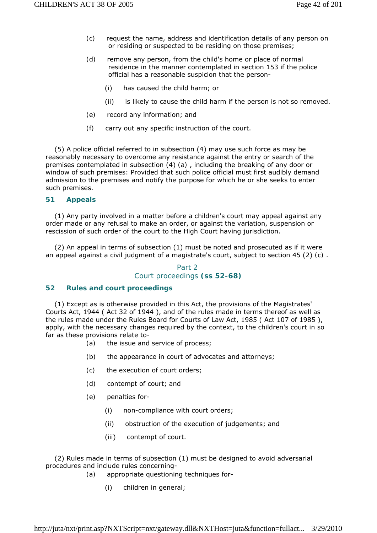- *(c)* request the name, address and identification details of any person on or residing or suspected to be residing on those premises;
- *(d)* remove any person, from the child's home or place of normal residence in the manner contemplated in section 153 if the police official has a reasonable suspicion that the person-
	- (i) has caused the child harm; or
	- (ii) is likely to cause the child harm if the person is not so removed.
- *(e)* record any information; and
- *(f)* carry out any specific instruction of the court.

 (5) A police official referred to in subsection (4) may use such force as may be reasonably necessary to overcome any resistance against the entry or search of the premises contemplated in subsection (4) *(a)* , including the breaking of any door or window of such premises: Provided that such police official must first audibly demand admission to the premises and notify the purpose for which he or she seeks to enter such premises.

### **51 Appeals**

 (1) Any party involved in a matter before a children's court may appeal against any order made or any refusal to make an order, or against the variation, suspension or rescission of such order of the court to the High Court having jurisdiction.

 (2) An appeal in terms of subsection (1) must be noted and prosecuted as if it were an appeal against a civil judgment of a magistrate's court, subject to section 45 (2) *(c)* .

# *Part 2 Court proceedings* **(ss 52-68)**

### **52 Rules and court proceedings**

 (1) Except as is otherwise provided in this Act, the provisions of the Magistrates' Courts Act, 1944 ( Act 32 of 1944 ), and of the rules made in terms thereof as well as the rules made under the Rules Board for Courts of Law Act, 1985 ( Act 107 of 1985 ), apply, with the necessary changes required by the context, to the children's court in so far as these provisions relate to-

- *(a)* the issue and service of process;
- *(b)* the appearance in court of advocates and attorneys;
- *(c)* the execution of court orders;
- *(d)* contempt of court; and
- *(e)* penalties for-
	- (i) non-compliance with court orders;
	- (ii) obstruction of the execution of judgements; and
	- (iii) contempt of court.

 (2) Rules made in terms of subsection (1) must be designed to avoid adversarial procedures and include rules concerning-

- *(a)* appropriate questioning techniques for-
	- (i) children in general;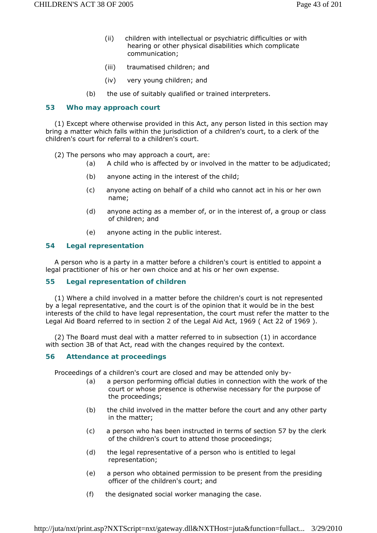- (ii) children with intellectual or psychiatric difficulties or with hearing or other physical disabilities which complicate communication;
- (iii) traumatised children; and
- (iv) very young children; and
- *(b)* the use of suitably qualified or trained interpreters.

#### **53 Who may approach court**

 (1) Except where otherwise provided in this Act, any person listed in this section may bring a matter which falls within the jurisdiction of a children's court, to a clerk of the children's court for referral to a children's court.

(2) The persons who may approach a court, are:

- *(a)* A child who is affected by or involved in the matter to be adjudicated;
- *(b)* anyone acting in the interest of the child;
- *(c)* anyone acting on behalf of a child who cannot act in his or her own name;
- *(d)* anyone acting as a member of, or in the interest of, a group or class of children; and
- *(e)* anyone acting in the public interest.

### **54 Legal representation**

 A person who is a party in a matter before a children's court is entitled to appoint a legal practitioner of his or her own choice and at his or her own expense.

## **55 Legal representation of children**

 (1) Where a child involved in a matter before the children's court is not represented by a legal representative, and the court is of the opinion that it would be in the best interests of the child to have legal representation, the court must refer the matter to the Legal Aid Board referred to in section 2 of the Legal Aid Act, 1969 ( Act 22 of 1969 ).

 (2) The Board must deal with a matter referred to in subsection (1) in accordance with section 3B of that Act, read with the changes required by the context.

### **56 Attendance at proceedings**

Proceedings of a children's court are closed and may be attended only by-

- *(a)* a person performing official duties in connection with the work of the court or whose presence is otherwise necessary for the purpose of the proceedings;
- *(b)* the child involved in the matter before the court and any other party in the matter;
- *(c)* a person who has been instructed in terms of section 57 by the clerk of the children's court to attend those proceedings;
- *(d)* the legal representative of a person who is entitled to legal representation;
- *(e)* a person who obtained permission to be present from the presiding officer of the children's court; and
- *(f)* the designated social worker managing the case.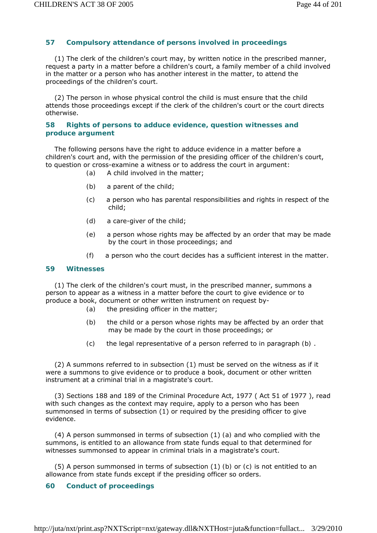# **57 Compulsory attendance of persons involved in proceedings**

 (1) The clerk of the children's court may, by written notice in the prescribed manner, request a party in a matter before a children's court, a family member of a child involved in the matter or a person who has another interest in the matter, to attend the proceedings of the children's court.

 (2) The person in whose physical control the child is must ensure that the child attends those proceedings except if the clerk of the children's court or the court directs otherwise.

### **58 Rights of persons to adduce evidence, question witnesses and produce argument**

 The following persons have the right to adduce evidence in a matter before a children's court and, with the permission of the presiding officer of the children's court, to question or cross-examine a witness or to address the court in argument:

- *(a)* A child involved in the matter;
- *(b)* a parent of the child;
- *(c)* a person who has parental responsibilities and rights in respect of the child;
- *(d)* a care-giver of the child;
- *(e)* a person whose rights may be affected by an order that may be made by the court in those proceedings; and
- *(f)* a person who the court decides has a sufficient interest in the matter.

#### **59 Witnesses**

 (1) The clerk of the children's court must, in the prescribed manner, summons a person to appear as a witness in a matter before the court to give evidence or to produce a book, document or other written instrument on request by-

- *(a)* the presiding officer in the matter;
- *(b)* the child or a person whose rights may be affected by an order that may be made by the court in those proceedings; or
- *(c)* the legal representative of a person referred to in paragraph *(b)* .

 (2) A summons referred to in subsection (1) must be served on the witness as if it were a summons to give evidence or to produce a book, document or other written instrument at a criminal trial in a magistrate's court.

 (3) Sections 188 and 189 of the Criminal Procedure Act, 1977 ( Act 51 of 1977 ), read with such changes as the context may require, apply to a person who has been summonsed in terms of subsection (1) or required by the presiding officer to give evidence.

 (4) A person summonsed in terms of subsection (1) *(a)* and who complied with the summons, is entitled to an allowance from state funds equal to that determined for witnesses summonsed to appear in criminal trials in a magistrate's court.

 (5) A person summonsed in terms of subsection (1) *(b)* or *(c)* is not entitled to an allowance from state funds except if the presiding officer so orders.

### **60 Conduct of proceedings**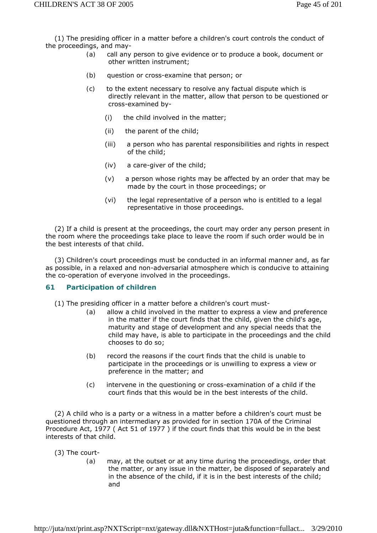(1) The presiding officer in a matter before a children's court controls the conduct of the proceedings, and may-

- *(a)* call any person to give evidence or to produce a book, document or other written instrument;
- *(b)* question or cross-examine that person; or
- *(c)* to the extent necessary to resolve any factual dispute which is directly relevant in the matter, allow that person to be questioned or cross-examined by-
	- (i) the child involved in the matter;
	- (ii) the parent of the child;
	- (iii) a person who has parental responsibilities and rights in respect of the child;
	- (iv) a care-giver of the child;
	- (v) a person whose rights may be affected by an order that may be made by the court in those proceedings; or
	- (vi) the legal representative of a person who is entitled to a legal representative in those proceedings.

 (2) If a child is present at the proceedings, the court may order any person present in the room where the proceedings take place to leave the room if such order would be in the best interests of that child.

 (3) Children's court proceedings must be conducted in an informal manner and, as far as possible, in a relaxed and non-adversarial atmosphere which is conducive to attaining the co-operation of everyone involved in the proceedings.

#### **61 Participation of children**

- (1) The presiding officer in a matter before a children's court must-
	- *(a)* allow a child involved in the matter to express a view and preference in the matter if the court finds that the child, given the child's age, maturity and stage of development and any special needs that the child may have, is able to participate in the proceedings and the child chooses to do so;
	- *(b)* record the reasons if the court finds that the child is unable to participate in the proceedings or is unwilling to express a view or preference in the matter; and
	- *(c)* intervene in the questioning or cross-examination of a child if the court finds that this would be in the best interests of the child.

 (2) A child who is a party or a witness in a matter before a children's court must be questioned through an intermediary as provided for in section 170A of the Criminal Procedure Act, 1977 ( Act 51 of 1977 ) if the court finds that this would be in the best interests of that child.

(3) The court-

 *(a)* may, at the outset or at any time during the proceedings, order that the matter, or any issue in the matter, be disposed of separately and in the absence of the child, if it is in the best interests of the child; and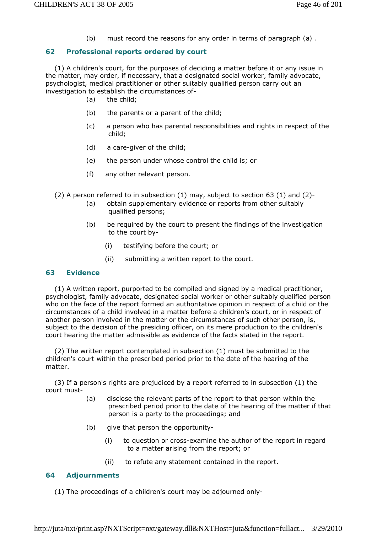*(b)* must record the reasons for any order in terms of paragraph *(a)* .

## **62 Professional reports ordered by court**

 (1) A children's court, for the purposes of deciding a matter before it or any issue in the matter, may order, if necessary, that a designated social worker, family advocate, psychologist, medical practitioner or other suitably qualified person carry out an investigation to establish the circumstances of-

- *(a)* the child;
- *(b)* the parents or a parent of the child;
- *(c)* a person who has parental responsibilities and rights in respect of the child;
- *(d)* a care-giver of the child;
- *(e)* the person under whose control the child is; or
- *(f)* any other relevant person.
- (2) A person referred to in subsection (1) may, subject to section 63 (1) and (2)-
	- *(a)* obtain supplementary evidence or reports from other suitably qualified persons;
	- *(b)* be required by the court to present the findings of the investigation to the court by-
		- (i) testifying before the court; or
		- (ii) submitting a written report to the court.

### **63 Evidence**

 (1) A written report, purported to be compiled and signed by a medical practitioner, psychologist, family advocate, designated social worker or other suitably qualified person who on the face of the report formed an authoritative opinion in respect of a child or the circumstances of a child involved in a matter before a children's court, or in respect of another person involved in the matter or the circumstances of such other person, is, subject to the decision of the presiding officer, on its mere production to the children's court hearing the matter admissible as evidence of the facts stated in the report.

 (2) The written report contemplated in subsection (1) must be submitted to the children's court within the prescribed period prior to the date of the hearing of the matter.

 (3) If a person's rights are prejudiced by a report referred to in subsection (1) the court must-

- *(a)* disclose the relevant parts of the report to that person within the prescribed period prior to the date of the hearing of the matter if that person is a party to the proceedings; and
- *(b)* give that person the opportunity-
	- (i) to question or cross-examine the author of the report in regard to a matter arising from the report; or
	- (ii) to refute any statement contained in the report.

### **64 Adjournments**

(1) The proceedings of a children's court may be adjourned only-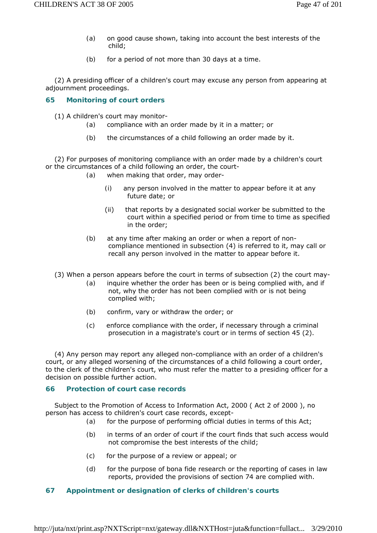- *(a)* on good cause shown, taking into account the best interests of the child;
- *(b)* for a period of not more than 30 days at a time.

 (2) A presiding officer of a children's court may excuse any person from appearing at adjournment proceedings.

## **65 Monitoring of court orders**

- (1) A children's court may monitor-
	- *(a)* compliance with an order made by it in a matter; or
	- *(b)* the circumstances of a child following an order made by it.

 (2) For purposes of monitoring compliance with an order made by a children's court or the circumstances of a child following an order, the court-

- *(a)* when making that order, may order-
	- *(i)* any person involved in the matter to appear before it at any future date; or
	- (ii) that reports by a designated social worker be submitted to the court within a specified period or from time to time as specified in the order;
- *(b)* at any time after making an order or when a report of noncompliance mentioned in subsection (4) is referred to it, may call or recall any person involved in the matter to appear before it.
- (3) When a person appears before the court in terms of subsection (2) the court may-
	- *(a)* inquire whether the order has been or is being complied with, and if not, why the order has not been complied with or is not being complied with;
	- *(b)* confirm, vary or withdraw the order; or
	- *(c)* enforce compliance with the order, if necessary through a criminal prosecution in a magistrate's court or in terms of section 45 (2).

 (4) Any person may report any alleged non-compliance with an order of a children's court, or any alleged worsening of the circumstances of a child following a court order, to the clerk of the children's court, who must refer the matter to a presiding officer for a decision on possible further action.

# **66 Protection of court case records**

 Subject to the Promotion of Access to Information Act, 2000 ( Act 2 of 2000 ), no person has access to children's court case records, except-

- *(a)* for the purpose of performing official duties in terms of this Act;
- *(b)* in terms of an order of court if the court finds that such access would not compromise the best interests of the child;
- *(c)* for the purpose of a review or appeal; or
- *(d)* for the purpose of *bona fide* research or the reporting of cases in law reports, provided the provisions of section 74 are complied with.

# **67 Appointment or designation of clerks of children's courts**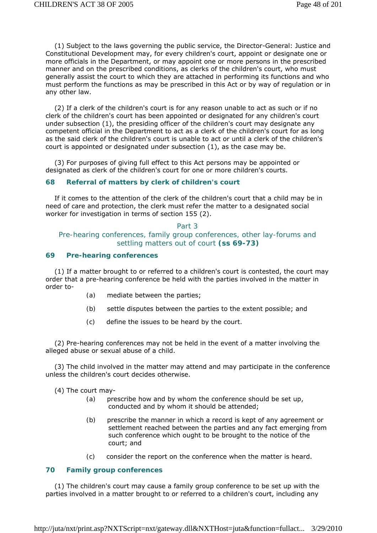(1) Subject to the laws governing the public service, the Director-General: Justice and Constitutional Development may, for every children's court, appoint or designate one or more officials in the Department, or may appoint one or more persons in the prescribed manner and on the prescribed conditions, as clerks of the children's court, who must generally assist the court to which they are attached in performing its functions and who must perform the functions as may be prescribed in this Act or by way of regulation or in any other law.

 (2) If a clerk of the children's court is for any reason unable to act as such or if no clerk of the children's court has been appointed or designated for any children's court under subsection (1), the presiding officer of the children's court may designate any competent official in the Department to act as a clerk of the children's court for as long as the said clerk of the children's court is unable to act or until a clerk of the children's court is appointed or designated under subsection (1), as the case may be.

 (3) For purposes of giving full effect to this Act persons may be appointed or designated as clerk of the children's court for one or more children's courts.

#### **68 Referral of matters by clerk of children's court**

 If it comes to the attention of the clerk of the children's court that a child may be in need of care and protection, the clerk must refer the matter to a designated social worker for investigation in terms of section 155 (2).

# *Part 3 Pre-hearing conferences, family group conferences, other lay-forums and settling matters out of court* **(ss 69-73)**

#### **69 Pre-hearing conferences**

 (1) If a matter brought to or referred to a children's court is contested, the court may order that a pre-hearing conference be held with the parties involved in the matter in order to-

- *(a)* mediate between the parties;
- *(b)* settle disputes between the parties to the extent possible; and
- *(c)* define the issues to be heard by the court.

 (2) Pre-hearing conferences may not be held in the event of a matter involving the alleged abuse or sexual abuse of a child.

 (3) The child involved in the matter may attend and may participate in the conference unless the children's court decides otherwise.

(4) The court may-

- *(a)* prescribe how and by whom the conference should be set up, conducted and by whom it should be attended;
- *(b)* prescribe the manner in which a record is kept of any agreement or settlement reached between the parties and any fact emerging from such conference which ought to be brought to the notice of the court; and
- *(c)* consider the report on the conference when the matter is heard.

#### **70 Family group conferences**

 (1) The children's court may cause a family group conference to be set up with the parties involved in a matter brought to or referred to a children's court, including any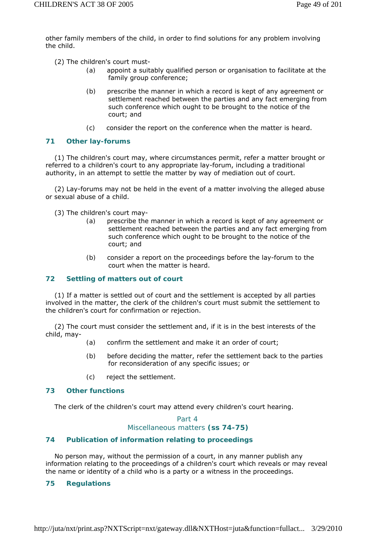other family members of the child, in order to find solutions for any problem involving the child.

(2) The children's court must-

- *(a)* appoint a suitably qualified person or organisation to facilitate at the family group conference;
- *(b)* prescribe the manner in which a record is kept of any agreement or settlement reached between the parties and any fact emerging from such conference which ought to be brought to the notice of the court; and
- *(c)* consider the report on the conference when the matter is heard.

## **71 Other lay-forums**

 (1) The children's court may, where circumstances permit, refer a matter brought or referred to a children's court to any appropriate lay-forum, including a traditional authority, in an attempt to settle the matter by way of mediation out of court.

 (2) Lay-forums may not be held in the event of a matter involving the alleged abuse or sexual abuse of a child.

(3) The children's court may-

- *(a)* prescribe the manner in which a record is kept of any agreement or settlement reached between the parties and any fact emerging from such conference which ought to be brought to the notice of the court; and
- *(b)* consider a report on the proceedings before the lay-forum to the court when the matter is heard.

### **72 Settling of matters out of court**

 (1) If a matter is settled out of court and the settlement is accepted by all parties involved in the matter, the clerk of the children's court must submit the settlement to the children's court for confirmation or rejection.

 (2) The court must consider the settlement and, if it is in the best interests of the child, may-

- *(a)* confirm the settlement and make it an order of court;
- *(b)* before deciding the matter, refer the settlement back to the parties for reconsideration of any specific issues; or
- *(c)* reject the settlement.

### **73 Other functions**

The clerk of the children's court may attend every children's court hearing.

# *Part 4 Miscellaneous matters* **(ss 74-75)**

# **74 Publication of information relating to proceedings**

 No person may, without the permission of a court, in any manner publish any information relating to the proceedings of a children's court which reveals or may reveal the name or identity of a child who is a party or a witness in the proceedings.

### **75 Regulations**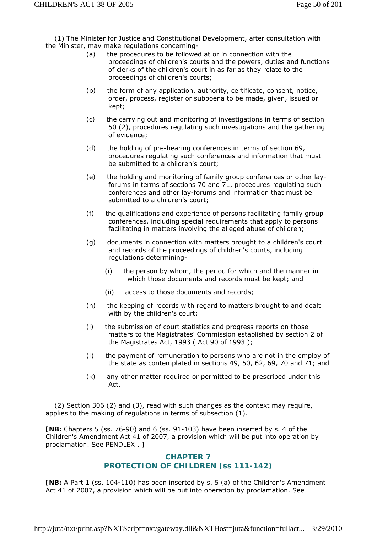(1) The Minister for Justice and Constitutional Development, after consultation with the Minister, may make regulations concerning-

- *(a)* the procedures to be followed at or in connection with the proceedings of children's courts and the powers, duties and functions of clerks of the children's court in as far as they relate to the proceedings of children's courts;
- *(b)* the form of any application, authority, certificate, consent, notice, order, process, register or subpoena to be made, given, issued or kept;
- *(c)* the carrying out and monitoring of investigations in terms of section 50 (2), procedures regulating such investigations and the gathering of evidence;
- *(d)* the holding of pre-hearing conferences in terms of section 69, procedures regulating such conferences and information that must be submitted to a children's court;
- *(e)* the holding and monitoring of family group conferences or other layforums in terms of sections 70 and 71, procedures regulating such conferences and other lay-forums and information that must be submitted to a children's court;
- *(f)* the qualifications and experience of persons facilitating family group conferences, including special requirements that apply to persons facilitating in matters involving the alleged abuse of children;
- *(g)* documents in connection with matters brought to a children's court and records of the proceedings of children's courts, including regulations determining-
	- (i) the person by whom, the period for which and the manner in which those documents and records must be kept; and
	- (ii) access to those documents and records;
- *(h)* the keeping of records with regard to matters brought to and dealt with by the children's court;
- *(i)* the submission of court statistics and progress reports on those matters to the Magistrates' Commission established by section 2 of the Magistrates Act, 1993 ( Act 90 of 1993 );
- *(j)* the payment of remuneration to persons who are not in the employ of the state as contemplated in sections 49, 50, 62, 69, 70 and 71; and
- *(k)* any other matter required or permitted to be prescribed under this Act.

 (2) Section 306 (2) and (3), read with such changes as the context may require, applies to the making of regulations in terms of subsection (1).

**[NB:** Chapters 5 (ss. 76-90) and 6 (ss. 91-103) have been inserted by s. 4 of the Children's Amendment Act 41 of 2007, a provision which will be put into operation by proclamation. See PENDLEX . **]** 

# **CHAPTER 7 PROTECTION OF CHILDREN (ss 111-142)**

**[NB:** A Part 1 (ss. 104-110) has been inserted by s. 5 *(a)* of the Children's Amendment Act 41 of 2007, a provision which will be put into operation by proclamation. See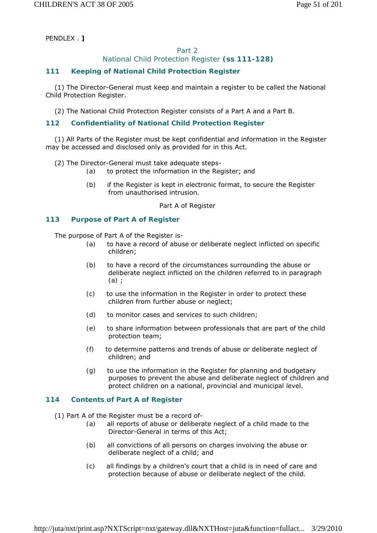PENDLEX . **]** 

# *Part 2 National Child Protection Register* **(ss 111-128)**

# **111 Keeping of National Child Protection Register**

 (1) The Director-General must keep and maintain a register to be called the National Child Protection Register.

(2) The National Child Protection Register consists of a Part A and a Part B.

# **112 Confidentiality of National Child Protection Register**

 (1) All Parts of the Register must be kept confidential and information in the Register may be accessed and disclosed only as provided for in this Act.

- (2) The Director-General must take adequate steps-
	- *(a)* to protect the information in the Register; and
	- *(b)* if the Register is kept in electronic format, to secure the Register from unauthorised intrusion.

### *Part A of Register*

## **113 Purpose of Part A of Register**

The purpose of Part A of the Register is-

- *(a)* to have a record of abuse or deliberate neglect inflicted on specific children;
- *(b)* to have a record of the circumstances surrounding the abuse or deliberate neglect inflicted on the children referred to in paragraph *(a)* ;
- *(c)* to use the information in the Register in order to protect these children from further abuse or neglect;
- *(d)* to monitor cases and services to such children;
- *(e)* to share information between professionals that are part of the child protection team;
- *(f)* to determine patterns and trends of abuse or deliberate neglect of children; and
- *(g)* to use the information in the Register for planning and budgetary purposes to prevent the abuse and deliberate neglect of children and protect children on a national, provincial and municipal level.

## **114 Contents of Part A of Register**

(1) Part A of the Register must be a record of-

- *(a)* all reports of abuse or deliberate neglect of a child made to the Director-General in terms of this Act;
- *(b)* all convictions of all persons on charges involving the abuse or deliberate neglect of a child; and
- *(c)* all findings by a children's court that a child is in need of care and protection because of abuse or deliberate neglect of the child.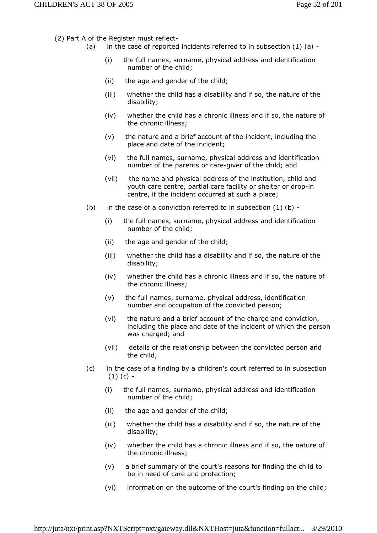(2) Part A of the Register must reflect-

- *(a)* in the case of reported incidents referred to in subsection (1) *(a)* 
	- (i) the full names, surname, physical address and identification number of the child;
	- (ii) the age and gender of the child;
	- (iii) whether the child has a disability and if so, the nature of the disability;
	- (iv) whether the child has a chronic illness and if so, the nature of the chronic illness;
	- (v) the nature and a brief account of the incident, including the place and date of the incident;
	- (vi) the full names, surname, physical address and identification number of the parents or care-giver of the child; and
	- (vii) the name and physical address of the institution, child and youth care centre, partial care facility or shelter or drop-in centre, if the incident occurred at such a place;
- *(b)* in the case of a conviction referred to in subsection (1) *(b)* 
	- (i) the full names, surname, physical address and identification number of the child;
	- (ii) the age and gender of the child;
	- (iii) whether the child has a disability and if so, the nature of the disability;
	- (iv) whether the child has a chronic illness and if so, the nature of the chronic illness;
	- (v) the full names, surname, physical address, identification number and occupation of the convicted person;
	- (vi) the nature and a brief account of the charge and conviction, including the place and date of the incident of which the person was charged; and
	- (vii) details of the relationship between the convicted person and the child;
- *(c)* in the case of a finding by a children's court referred to in subsection (1) *(c)* -
	- (i) the full names, surname, physical address and identification number of the child;
	- (ii) the age and gender of the child;
	- (iii) whether the child has a disability and if so, the nature of the disability;
	- (iv) whether the child has a chronic illness and if so, the nature of the chronic illness;
	- (v) a brief summary of the court's reasons for finding the child to be in need of care and protection;
	- (vi) information on the outcome of the court's finding on the child;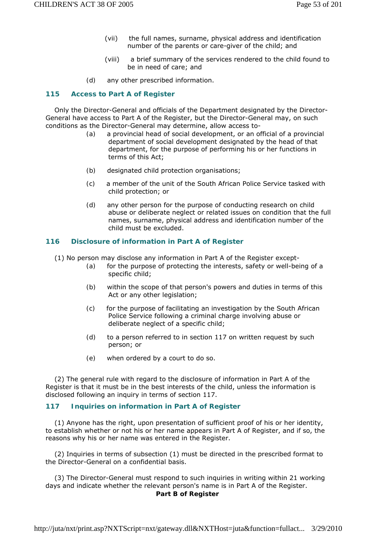- (vii) the full names, surname, physical address and identification number of the parents or care-giver of the child; and
- (viii) a brief summary of the services rendered to the child found to be in need of care; and
- *(d)* any other prescribed information.

### **115 Access to Part A of Register**

 Only the Director-General and officials of the Department designated by the Director-General have access to Part A of the Register, but the Director-General may, on such conditions as the Director-General may determine, allow access to-

- *(a)* a provincial head of social development, or an official of a provincial department of social development designated by the head of that department, for the purpose of performing his or her functions in terms of this Act;
- *(b)* designated child protection organisations;
- *(c)* a member of the unit of the South African Police Service tasked with child protection; or
- *(d)* any other person for the purpose of conducting research on child abuse or deliberate neglect or related issues on condition that the full names, surname, physical address and identification number of the child must be excluded.

# **116 Disclosure of information in Part A of Register**

(1) No person may disclose any information in Part A of the Register except-

- *(a)* for the purpose of protecting the interests, safety or well-being of a specific child;
- *(b)* within the scope of that person's powers and duties in terms of this Act or any other legislation;
- *(c)* for the purpose of facilitating an investigation by the South African Police Service following a criminal charge involving abuse or deliberate neglect of a specific child;
- *(d)* to a person referred to in section 117 on written request by such person; or
- *(e)* when ordered by a court to do so.

 (2) The general rule with regard to the disclosure of information in Part A of the Register is that it must be in the best interests of the child, unless the information is disclosed following an inquiry in terms of section 117.

#### **117 Inquiries on information in Part A of Register**

 (1) Anyone has the right, upon presentation of sufficient proof of his or her identity, to establish whether or not his or her name appears in Part A of Register, and if so, the reasons why his or her name was entered in the Register.

 (2) Inquiries in terms of subsection (1) must be directed in the prescribed format to the Director-General on a confidential basis.

 (3) The Director-General must respond to such inquiries in writing within 21 working days and indicate whether the relevant person's name is in Part A of the Register. *Part B of Register*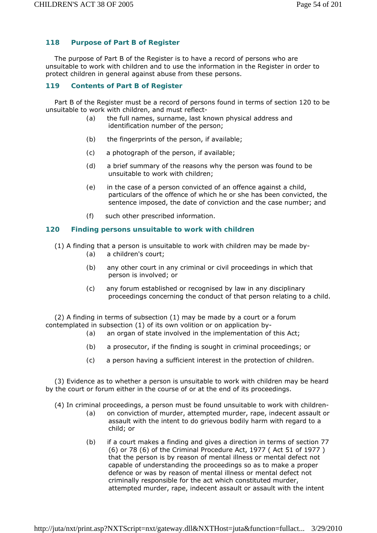# **118 Purpose of Part B of Register**

 The purpose of Part B of the Register is to have a record of persons who are unsuitable to work with children and to use the information in the Register in order to protect children in general against abuse from these persons.

### **119 Contents of Part B of Register**

 Part B of the Register must be a record of persons found in terms of section 120 to be unsuitable to work with children, and must reflect-

- *(a)* the full names, surname, last known physical address and identification number of the person;
- *(b)* the fingerprints of the person, if available;
- *(c)* a photograph of the person, if available;
- *(d)* a brief summary of the reasons why the person was found to be unsuitable to work with children;
- *(e)* in the case of a person convicted of an offence against a child, particulars of the offence of which he or she has been convicted, the sentence imposed, the date of conviction and the case number; and
- *(f)* such other prescribed information.

#### **120 Finding persons unsuitable to work with children**

- (1) A finding that a person is unsuitable to work with children may be made by-
	- *(a)* a children's court;
	- *(b)* any other court in any criminal or civil proceedings in which that person is involved; or
	- *(c)* any forum established or recognised by law in any disciplinary proceedings concerning the conduct of that person relating to a child.

 (2) A finding in terms of subsection (1) may be made by a court or a forum contemplated in subsection (1) of its own volition or on application by-

- *(a)* an organ of state involved in the implementation of this Act;
- *(b)* a prosecutor, if the finding is sought in criminal proceedings; or
- *(c)* a person having a sufficient interest in the protection of children.

 (3) Evidence as to whether a person is unsuitable to work with children may be heard by the court or forum either in the course of or at the end of its proceedings.

(4) In criminal proceedings, a person must be found unsuitable to work with children-

- *(a)* on conviction of murder, attempted murder, rape, indecent assault or assault with the intent to do grievous bodily harm with regard to a child; or
- *(b)* if a court makes a finding and gives a direction in terms of section 77 (6) or 78 (6) of the Criminal Procedure Act, 1977 ( Act 51 of 1977 ) that the person is by reason of mental illness or mental defect not capable of understanding the proceedings so as to make a proper defence or was by reason of mental illness or mental defect not criminally responsible for the act which constituted murder, attempted murder, rape, indecent assault or assault with the intent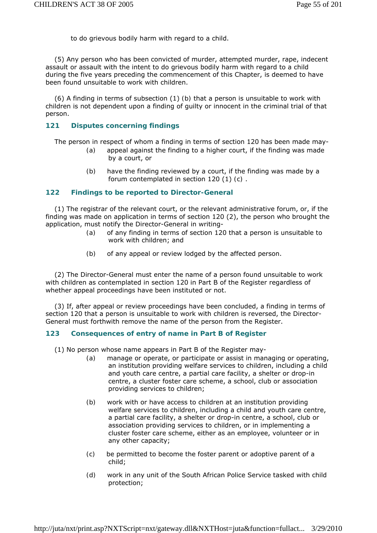to do grievous bodily harm with regard to a child.

 (5) Any person who has been convicted of murder, attempted murder, rape, indecent assault or assault with the intent to do grievous bodily harm with regard to a child during the five years preceding the commencement of this Chapter, is deemed to have been found unsuitable to work with children.

 (6) A finding in terms of subsection (1) *(b)* that a person is unsuitable to work with children is not dependent upon a finding of guilty or innocent in the criminal trial of that person.

## **121 Disputes concerning findings**

The person in respect of whom a finding in terms of section 120 has been made may-

- *(a)* appeal against the finding to a higher court, if the finding was made by a court, or
- *(b)* have the finding reviewed by a court, if the finding was made by a forum contemplated in section 120 (1) *(c)* .

### **122 Findings to be reported to Director-General**

 (1) The registrar of the relevant court, or the relevant administrative forum, or, if the finding was made on application in terms of section 120 (2), the person who brought the application, must notify the Director-General in writing-

- *(a)* of any finding in terms of section 120 that a person is unsuitable to work with children; and
- *(b)* of any appeal or review lodged by the affected person.

 (2) The Director-General must enter the name of a person found unsuitable to work with children as contemplated in section 120 in Part B of the Register regardless of whether appeal proceedings have been instituted or not.

 (3) If, after appeal or review proceedings have been concluded, a finding in terms of section 120 that a person is unsuitable to work with children is reversed, the Director-General must forthwith remove the name of the person from the Register.

# **123 Consequences of entry of name in Part B of Register**

(1) No person whose name appears in Part B of the Register may-

- *(a)* manage or operate, or participate or assist in managing or operating, an institution providing welfare services to children, including a child and youth care centre, a partial care facility, a shelter or drop-in centre, a cluster foster care scheme, a school, club or association providing services to children;
- *(b)* work with or have access to children at an institution providing welfare services to children, including a child and youth care centre, a partial care facility, a shelter or drop-in centre, a school, club or association providing services to children, or in implementing a cluster foster care scheme, either as an employee, volunteer or in any other capacity;
- *(c)* be permitted to become the foster parent or adoptive parent of a child;
- *(d)* work in any unit of the South African Police Service tasked with child protection;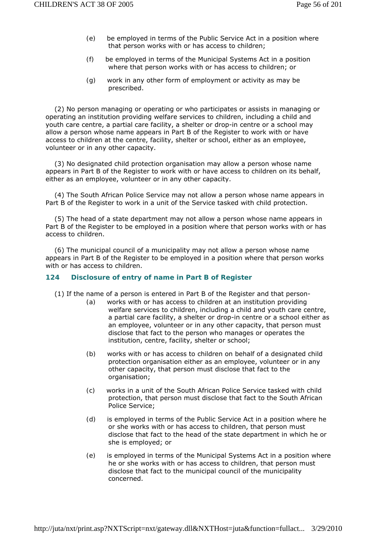- *(e)* be employed in terms of the Public Service Act in a position where that person works with or has access to children;
- *(f)* be employed in terms of the Municipal Systems Act in a position where that person works with or has access to children; or
- *(g)* work in any other form of employment or activity as may be prescribed.

 (2) No person managing or operating or who participates or assists in managing or operating an institution providing welfare services to children, including a child and youth care centre, a partial care facility, a shelter or drop-in centre or a school may allow a person whose name appears in Part B of the Register to work with or have access to children at the centre, facility, shelter or school, either as an employee, volunteer or in any other capacity.

 (3) No designated child protection organisation may allow a person whose name appears in Part B of the Register to work with or have access to children on its behalf, either as an employee, volunteer or in any other capacity.

 (4) The South African Police Service may not allow a person whose name appears in Part B of the Register to work in a unit of the Service tasked with child protection.

 (5) The head of a state department may not allow a person whose name appears in Part B of the Register to be employed in a position where that person works with or has access to children.

 (6) The municipal council of a municipality may not allow a person whose name appears in Part B of the Register to be employed in a position where that person works with or has access to children.

### **124 Disclosure of entry of name in Part B of Register**

- (1) If the name of a person is entered in Part B of the Register and that person-
	- *(a)* works with or has access to children at an institution providing welfare services to children, including a child and youth care centre, a partial care facility, a shelter or drop-in centre or a school either as an employee, volunteer or in any other capacity, that person must disclose that fact to the person who manages or operates the institution, centre, facility, shelter or school;
	- *(b)* works with or has access to children on behalf of a designated child protection organisation either as an employee, volunteer or in any other capacity, that person must disclose that fact to the organisation;
	- *(c)* works in a unit of the South African Police Service tasked with child protection, that person must disclose that fact to the South African Police Service;
	- *(d)* is employed in terms of the Public Service Act in a position where he or she works with or has access to children, that person must disclose that fact to the head of the state department in which he or she is employed; or
	- *(e)* is employed in terms of the Municipal Systems Act in a position where he or she works with or has access to children, that person must disclose that fact to the municipal council of the municipality concerned.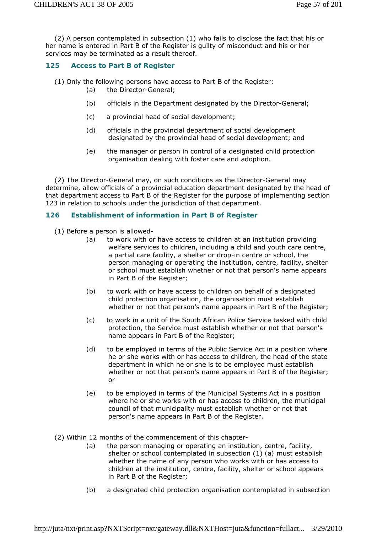(2) A person contemplated in subsection (1) who fails to disclose the fact that his or her name is entered in Part B of the Register is guilty of misconduct and his or her services may be terminated as a result thereof.

# **125 Access to Part B of Register**

(1) Only the following persons have access to Part B of the Register:

- *(a)* the Director-General;
- *(b)* officials in the Department designated by the Director-General;
- *(c)* a provincial head of social development;
- *(d)* officials in the provincial department of social development designated by the provincial head of social development; and
- *(e)* the manager or person in control of a designated child protection organisation dealing with foster care and adoption.

 (2) The Director-General may, on such conditions as the Director-General may determine, allow officials of a provincial education department designated by the head of that department access to Part B of the Register for the purpose of implementing section 123 in relation to schools under the jurisdiction of that department.

### **126 Establishment of information in Part B of Register**

- (1) Before a person is allowed-
	- *(a)* to work with or have access to children at an institution providing welfare services to children, including a child and youth care centre, a partial care facility, a shelter or drop-in centre or school, the person managing or operating the institution, centre, facility, shelter or school must establish whether or not that person's name appears in Part B of the Register;
	- *(b)* to work with or have access to children on behalf of a designated child protection organisation, the organisation must establish whether or not that person's name appears in Part B of the Register;
	- *(c)* to work in a unit of the South African Police Service tasked with child protection, the Service must establish whether or not that person's name appears in Part B of the Register;
	- *(d)* to be employed in terms of the Public Service Act in a position where he or she works with or has access to children, the head of the state department in which he or she is to be employed must establish whether or not that person's name appears in Part B of the Register; or
	- *(e)* to be employed in terms of the Municipal Systems Act in a position where he or she works with or has access to children, the municipal council of that municipality must establish whether or not that person's name appears in Part B of the Register.
- (2) Within 12 months of the commencement of this chapter-
	- *(a)* the person managing or operating an institution, centre, facility, shelter or school contemplated in subsection (1) *(a)* must establish whether the name of any person who works with or has access to children at the institution, centre, facility, shelter or school appears in Part B of the Register;
	- *(b)* a designated child protection organisation contemplated in subsection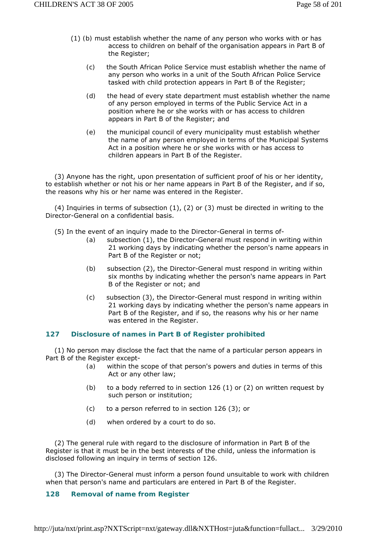- (1) *(b)* must establish whether the name of any person who works with or has access to children on behalf of the organisation appears in Part B of the Register;
	- *(c)* the South African Police Service must establish whether the name of any person who works in a unit of the South African Police Service tasked with child protection appears in Part B of the Register;
	- *(d)* the head of every state department must establish whether the name of any person employed in terms of the Public Service Act in a position where he or she works with or has access to children appears in Part B of the Register; and
	- *(e)* the municipal council of every municipality must establish whether the name of any person employed in terms of the Municipal Systems Act in a position where he or she works with or has access to children appears in Part B of the Register.

 (3) Anyone has the right, upon presentation of sufficient proof of his or her identity, to establish whether or not his or her name appears in Part B of the Register, and if so, the reasons why his or her name was entered in the Register.

(4) Inquiries in terms of subsection  $(1)$ ,  $(2)$  or  $(3)$  must be directed in writing to the Director-General on a confidential basis.

- (5) In the event of an inquiry made to the Director-General in terms of-
	- *(a)* subsection (1), the Director-General must respond in writing within 21 working days by indicating whether the person's name appears in Part B of the Register or not;
	- *(b)* subsection (2), the Director-General must respond in writing within six months by indicating whether the person's name appears in Part B of the Register or not; and
	- *(c)* subsection (3), the Director-General must respond in writing within 21 working days by indicating whether the person's name appears in Part B of the Register, and if so, the reasons why his or her name was entered in the Register.

### **127 Disclosure of names in Part B of Register prohibited**

 (1) No person may disclose the fact that the name of a particular person appears in Part B of the Register except-

- *(a)* within the scope of that person's powers and duties in terms of this Act or any other law;
- *(b)* to a body referred to in section 126 (1) or (2) on written request by such person or institution;
- *(c)* to a person referred to in section 126 (3); or
- *(d)* when ordered by a court to do so.

 (2) The general rule with regard to the disclosure of information in Part B of the Register is that it must be in the best interests of the child, unless the information is disclosed following an inquiry in terms of section 126.

 (3) The Director-General must inform a person found unsuitable to work with children when that person's name and particulars are entered in Part B of the Register.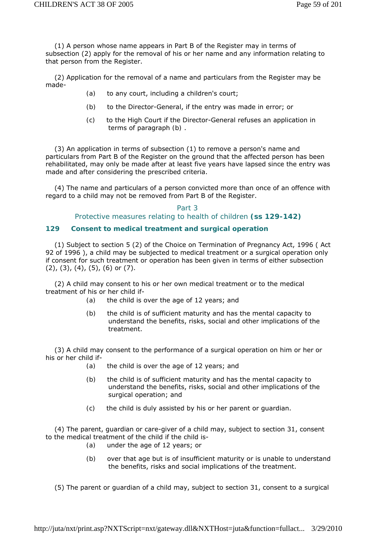(1) A person whose name appears in Part B of the Register may in terms of subsection (2) apply for the removal of his or her name and any information relating to that person from the Register.

 (2) Application for the removal of a name and particulars from the Register may be made-

- *(a)* to any court, including a children's court;
- *(b)* to the Director-General, if the entry was made in error; or
- *(c)* to the High Court if the Director-General refuses an application in terms of paragraph *(b)* .

 (3) An application in terms of subsection (1) to remove a person's name and particulars from Part B of the Register on the ground that the affected person has been rehabilitated, may only be made after at least five years have lapsed since the entry was made and after considering the prescribed criteria.

 (4) The name and particulars of a person convicted more than once of an offence with regard to a child may not be removed from Part B of the Register.

# *Part 3 Protective measures relating to health of children* **(ss 129-142)**

## **129 Consent to medical treatment and surgical operation**

 (1) Subject to section 5 (2) of the Choice on Termination of Pregnancy Act, 1996 ( Act 92 of 1996 ), a child may be subjected to medical treatment or a surgical operation only if consent for such treatment or operation has been given in terms of either subsection  $(2)$ ,  $(3)$ ,  $(4)$ ,  $(5)$ ,  $(6)$  or  $(7)$ .

 (2) A child may consent to his or her own medical treatment or to the medical treatment of his or her child if-

- *(a)* the child is over the age of 12 years; and
- *(b)* the child is of sufficient maturity and has the mental capacity to understand the benefits, risks, social and other implications of the treatment.

 (3) A child may consent to the performance of a surgical operation on him or her or his or her child if-

- *(a)* the child is over the age of 12 years; and
- *(b)* the child is of sufficient maturity and has the mental capacity to understand the benefits, risks, social and other implications of the surgical operation; and
- *(c)* the child is duly assisted by his or her parent or guardian.

 (4) The parent, guardian or care-giver of a child may, subject to section 31, consent to the medical treatment of the child if the child is-

- *(a)* under the age of 12 years; or
- *(b)* over that age but is of insufficient maturity or is unable to understand the benefits, risks and social implications of the treatment.
- (5) The parent or guardian of a child may, subject to section 31, consent to a surgical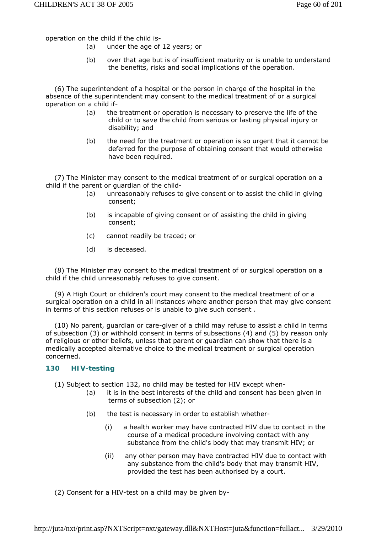operation on the child if the child is-

- *(a)* under the age of 12 years; or
- *(b)* over that age but is of insufficient maturity or is unable to understand the benefits, risks and social implications of the operation.

 (6) The superintendent of a hospital or the person in charge of the hospital in the absence of the superintendent may consent to the medical treatment of or a surgical operation on a child if-

- *(a)* the treatment or operation is necessary to preserve the life of the child or to save the child from serious or lasting physical injury or disability; and
- *(b)* the need for the treatment or operation is so urgent that it cannot be deferred for the purpose of obtaining consent that would otherwise have been required.

 (7) The Minister may consent to the medical treatment of or surgical operation on a child if the parent or guardian of the child-

- *(a)* unreasonably refuses to give consent or to assist the child in giving consent;
- *(b)* is incapable of giving consent or of assisting the child in giving consent;
- *(c)* cannot readily be traced; or
- *(d)* is deceased.

 (8) The Minister may consent to the medical treatment of or surgical operation on a child if the child unreasonably refuses to give consent.

 (9) A High Court or children's court may consent to the medical treatment of or a surgical operation on a child in all instances where another person that may give consent in terms of this section refuses or is unable to give such consent .

 (10) No parent, guardian or care-giver of a child may refuse to assist a child in terms of subsection (3) or withhold consent in terms of subsections (4) and (5) by reason only of religious or other beliefs, unless that parent or guardian can show that there is a medically accepted alternative choice to the medical treatment or surgical operation concerned.

# **130 HIV-testing**

(1) Subject to section 132, no child may be tested for HIV except when-

- *(a)* it is in the best interests of the child and consent has been given in terms of subsection (2); or
- *(b)* the test is necessary in order to establish whether-
	- (i) a health worker may have contracted HIV due to contact in the course of a medical procedure involving contact with any substance from the child's body that may transmit HIV; or
	- (ii) any other person may have contracted HIV due to contact with any substance from the child's body that may transmit HIV, provided the test has been authorised by a court.
- (2) Consent for a HIV-test on a child may be given by-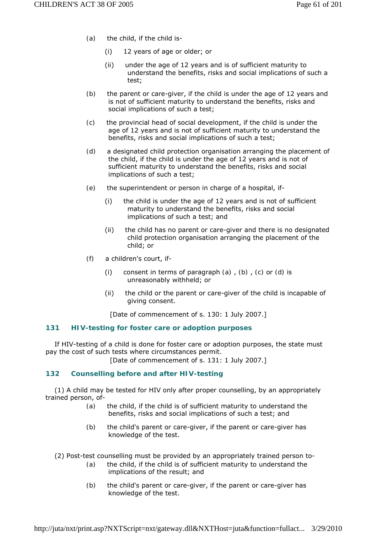- *(a)* the child, if the child is-
	- (i) 12 years of age or older; or
	- (ii) under the age of 12 years and is of sufficient maturity to understand the benefits, risks and social implications of such a test;
- *(b)* the parent or care-giver, if the child is under the age of 12 years and is not of sufficient maturity to understand the benefits, risks and social implications of such a test;
- *(c)* the provincial head of social development, if the child is under the age of 12 years and is not of sufficient maturity to understand the benefits, risks and social implications of such a test;
- *(d)* a designated child protection organisation arranging the placement of the child, if the child is under the age of 12 years and is not of sufficient maturity to understand the benefits, risks and social implications of such a test;
- *(e)* the superintendent or person in charge of a hospital, if-
	- (i) the child is under the age of 12 years and is not of sufficient maturity to understand the benefits, risks and social implications of such a test; and
	- (ii) the child has no parent or care-giver and there is no designated child protection organisation arranging the placement of the child; or
- *(f)* a children's court, if-
	- (i) consent in terms of paragraph *(a)* , *(b)* , *(c)* or *(d)* is unreasonably withheld; or
	- (ii) the child or the parent or care-giver of the child is incapable of giving consent.

[Date of commencement of s. 130: 1 July 2007.]

# **131 HIV-testing for foster care or adoption purposes**

 If HIV-testing of a child is done for foster care or adoption purposes, the state must pay the cost of such tests where circumstances permit.

[Date of commencement of s. 131: 1 July 2007.]

# **132 Counselling before and after HIV-testing**

 (1) A child may be tested for HIV only after proper counselling, by an appropriately trained person, of-

- *(a)* the child, if the child is of sufficient maturity to understand the benefits, risks and social implications of such a test; and
- *(b)* the child's parent or care-giver, if the parent or care-giver has knowledge of the test.
- (2) Post-test counselling must be provided by an appropriately trained person to-
	- *(a)* the child, if the child is of sufficient maturity to understand the implications of the result; and
	- *(b)* the child's parent or care-giver, if the parent or care-giver has knowledge of the test.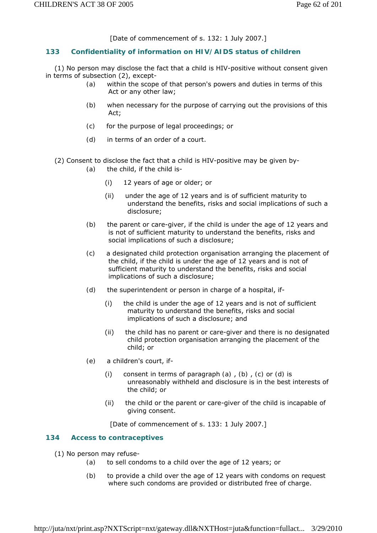[Date of commencement of s. 132: 1 July 2007.]

# **133 Confidentiality of information on HIV/AIDS status of children**

 (1) No person may disclose the fact that a child is HIV-positive without consent given in terms of subsection (2), except-

- *(a)* within the scope of that person's powers and duties in terms of this Act or any other law;
- *(b)* when necessary for the purpose of carrying out the provisions of this Act;
- *(c)* for the purpose of legal proceedings; or
- *(d)* in terms of an order of a court.
- (2) Consent to disclose the fact that a child is HIV-positive may be given by-
	- *(a)* the child, if the child is-
		- (i) 12 years of age or older; or
		- (ii) under the age of 12 years and is of sufficient maturity to understand the benefits, risks and social implications of such a disclosure;
	- *(b)* the parent or care-giver, if the child is under the age of 12 years and is not of sufficient maturity to understand the benefits, risks and social implications of such a disclosure;
	- *(c)* a designated child protection organisation arranging the placement of the child, if the child is under the age of 12 years and is not of sufficient maturity to understand the benefits, risks and social implications of such a disclosure;
	- *(d)* the superintendent or person in charge of a hospital, if-
		- (i) the child is under the age of 12 years and is not of sufficient maturity to understand the benefits, risks and social implications of such a disclosure; and
		- (ii) the child has no parent or care-giver and there is no designated child protection organisation arranging the placement of the child; or
	- *(e)* a children's court, if-
		- (i) consent in terms of paragraph *(a)* , *(b)* , *(c)* or *(d)* is unreasonably withheld and disclosure is in the best interests of the child; or
		- (ii) the child or the parent or care-giver of the child is incapable of giving consent.

[Date of commencement of s. 133: 1 July 2007.]

### **134 Access to contraceptives**

- (1) No person may refuse-
	- *(a)* to sell condoms to a child over the age of 12 years; or
	- *(b)* to provide a child over the age of 12 years with condoms on request where such condoms are provided or distributed free of charge.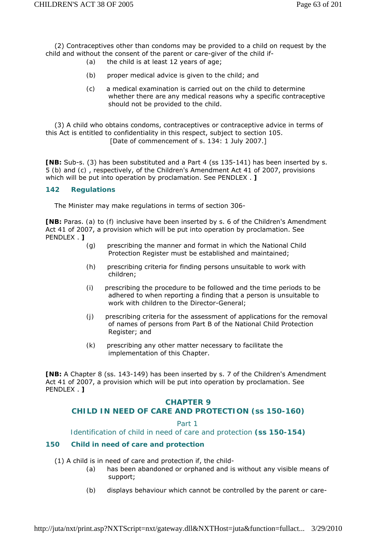(2) Contraceptives other than condoms may be provided to a child on request by the child and without the consent of the parent or care-giver of the child if-

- *(a)* the child is at least 12 years of age;
- *(b)* proper medical advice is given to the child; and
- *(c)* a medical examination is carried out on the child to determine whether there are any medical reasons why a specific contraceptive should not be provided to the child.

 (3) A child who obtains condoms, contraceptives or contraceptive advice in terms of this Act is entitled to confidentiality in this respect, subject to section 105. [Date of commencement of s. 134: 1 July 2007.]

**[NB:** Sub-s. (3) has been substituted and a Part 4 (ss 135-141) has been inserted by s. 5 *(b)* and *(c)* , respectively, of the Children's Amendment Act 41 of 2007, provisions which will be put into operation by proclamation. See PENDLEX . **]** 

## **142 Regulations**

The Minister may make regulations in terms of section 306-

**[NB:** Paras. *(a)* to *(f)* inclusive have been inserted by s. 6 of the Children's Amendment Act 41 of 2007, a provision which will be put into operation by proclamation. See PENDLEX . **]** 

- *(g)* prescribing the manner and format in which the National Child Protection Register must be established and maintained;
- *(h)* prescribing criteria for finding persons unsuitable to work with children;
- *(i)* prescribing the procedure to be followed and the time periods to be adhered to when reporting a finding that a person is unsuitable to work with children to the Director-General;
- *(j)* prescribing criteria for the assessment of applications for the removal of names of persons from Part B of the National Child Protection Register; and
- *(k)* prescribing any other matter necessary to facilitate the implementation of this Chapter.

**[NB:** A Chapter 8 (ss. 143-149) has been inserted by s. 7 of the Children's Amendment Act 41 of 2007, a provision which will be put into operation by proclamation. See PENDLEX . **]** 

# **CHAPTER 9 CHILD IN NEED OF CARE AND PROTECTION (ss 150-160)**

*Part 1* 

*Identification of child in need of care and protection* **(ss 150-154)** 

# **150 Child in need of care and protection**

(1) A child is in need of care and protection if, the child-

- *(a)* has been abandoned or orphaned and is without any visible means of support;
- *(b)* displays behaviour which cannot be controlled by the parent or care-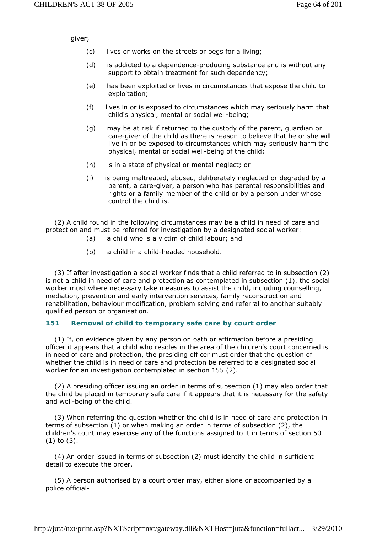giver;

- *(c)* lives or works on the streets or begs for a living;
- *(d)* is addicted to a dependence-producing substance and is without any support to obtain treatment for such dependency;
- *(e)* has been exploited or lives in circumstances that expose the child to exploitation;
- *(f)* lives in or is exposed to circumstances which may seriously harm that child's physical, mental or social well-being;
- *(g)* may be at risk if returned to the custody of the parent, guardian or care-giver of the child as there is reason to believe that he or she will live in or be exposed to circumstances which may seriously harm the physical, mental or social well-being of the child;
- *(h)* is in a state of physical or mental neglect; or
- *(i)* is being maltreated, abused, deliberately neglected or degraded by a parent, a care-giver, a person who has parental responsibilities and rights or a family member of the child or by a person under whose control the child is.

 (2) A child found in the following circumstances may be a child in need of care and protection and must be referred for investigation by a designated social worker:

- *(a)* a child who is a victim of child labour; and
- *(b)* a child in a child-headed household.

 (3) If after investigation a social worker finds that a child referred to in subsection (2) is not a child in need of care and protection as contemplated in subsection (1), the social worker must where necessary take measures to assist the child, including counselling, mediation, prevention and early intervention services, family reconstruction and rehabilitation, behaviour modification, problem solving and referral to another suitably qualified person or organisation.

# **151 Removal of child to temporary safe care by court order**

 (1) If, on evidence given by any person on oath or affirmation before a presiding officer it appears that a child who resides in the area of the children's court concerned is in need of care and protection, the presiding officer must order that the question of whether the child is in need of care and protection be referred to a designated social worker for an investigation contemplated in section 155 (2).

 (2) A presiding officer issuing an order in terms of subsection (1) may also order that the child be placed in temporary safe care if it appears that it is necessary for the safety and well-being of the child.

 (3) When referring the question whether the child is in need of care and protection in terms of subsection (1) or when making an order in terms of subsection (2), the children's court may exercise any of the functions assigned to it in terms of section 50 (1) to (3).

 (4) An order issued in terms of subsection (2) must identify the child in sufficient detail to execute the order.

 (5) A person authorised by a court order may, either alone or accompanied by a police official-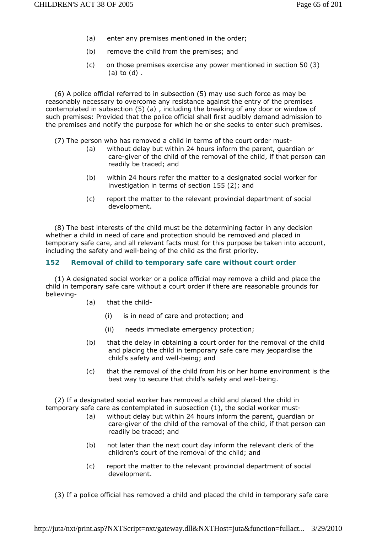- *(a)* enter any premises mentioned in the order;
- *(b)* remove the child from the premises; and
- *(c)* on those premises exercise any power mentioned in section 50 (3) *(a)* to *(d)* .

 (6) A police official referred to in subsection (5) may use such force as may be reasonably necessary to overcome any resistance against the entry of the premises contemplated in subsection (5) *(a)* , including the breaking of any door or window of such premises: Provided that the police official shall first audibly demand admission to the premises and notify the purpose for which he or she seeks to enter such premises.

- (7) The person who has removed a child in terms of the court order must-
	- *(a)* without delay but within 24 hours inform the parent, guardian or care-giver of the child of the removal of the child, if that person can readily be traced; and
	- *(b)* within 24 hours refer the matter to a designated social worker for investigation in terms of section 155 (2); and
	- *(c)* report the matter to the relevant provincial department of social development.

 (8) The best interests of the child must be the determining factor in any decision whether a child in need of care and protection should be removed and placed in temporary safe care, and all relevant facts must for this purpose be taken into account, including the safety and well-being of the child as the first priority.

# **152 Removal of child to temporary safe care without court order**

 (1) A designated social worker or a police official may remove a child and place the child in temporary safe care without a court order if there are reasonable grounds for believing-

- *(a)* that the child-
	- (i) is in need of care and protection; and
	- (ii) needs immediate emergency protection;
- *(b)* that the delay in obtaining a court order for the removal of the child and placing the child in temporary safe care may jeopardise the child's safety and well-being; and
- *(c)* that the removal of the child from his or her home environment is the best way to secure that child's safety and well-being.

 (2) If a designated social worker has removed a child and placed the child in temporary safe care as contemplated in subsection (1), the social worker must-

- *(a)* without delay but within 24 hours inform the parent, guardian or care-giver of the child of the removal of the child, if that person can readily be traced; and
- *(b)* not later than the next court day inform the relevant clerk of the children's court of the removal of the child; and
- *(c)* report the matter to the relevant provincial department of social development.

(3) If a police official has removed a child and placed the child in temporary safe care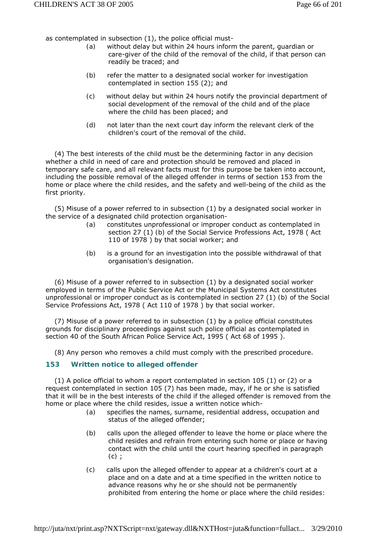as contemplated in subsection (1), the police official must-

- *(a)* without delay but within 24 hours inform the parent, guardian or care-giver of the child of the removal of the child, if that person can readily be traced; and
- *(b)* refer the matter to a designated social worker for investigation contemplated in section 155 (2); and
- *(c)* without delay but within 24 hours notify the provincial department of social development of the removal of the child and of the place where the child has been placed; and
- *(d)* not later than the next court day inform the relevant clerk of the children's court of the removal of the child.

 (4) The best interests of the child must be the determining factor in any decision whether a child in need of care and protection should be removed and placed in temporary safe care, and all relevant facts must for this purpose be taken into account, including the possible removal of the alleged offender in terms of section 153 from the home or place where the child resides, and the safety and well-being of the child as the first priority.

 (5) Misuse of a power referred to in subsection (1) by a designated social worker in the service of a designated child protection organisation-

- *(a)* constitutes unprofessional or improper conduct as contemplated in section 27 (1) *(b)* of the Social Service Professions Act, 1978 ( Act 110 of 1978 ) by that social worker; and
- *(b)* is a ground for an investigation into the possible withdrawal of that organisation's designation.

 (6) Misuse of a power referred to in subsection (1) by a designated social worker employed in terms of the Public Service Act or the Municipal Systems Act constitutes unprofessional or improper conduct as is contemplated in section 27 (1) *(b)* of the Social Service Professions Act, 1978 ( Act 110 of 1978 ) by that social worker.

 (7) Misuse of a power referred to in subsection (1) by a police official constitutes grounds for disciplinary proceedings against such police official as contemplated in section 40 of the South African Police Service Act, 1995 ( Act 68 of 1995 ).

(8) Any person who removes a child must comply with the prescribed procedure.

### **153 Written notice to alleged offender**

 (1) A police official to whom a report contemplated in section 105 (1) or (2) or a request contemplated in section 105 (7) has been made, may, if he or she is satisfied that it will be in the best interests of the child if the alleged offender is removed from the home or place where the child resides, issue a written notice which-

- *(a)* specifies the names, surname, residential address, occupation and status of the alleged offender;
- *(b)* calls upon the alleged offender to leave the home or place where the child resides and refrain from entering such home or place or having contact with the child until the court hearing specified in paragraph *(c)* ;
- *(c)* calls upon the alleged offender to appear at a children's court at a place and on a date and at a time specified in the written notice to advance reasons why he or she should not be permanently prohibited from entering the home or place where the child resides: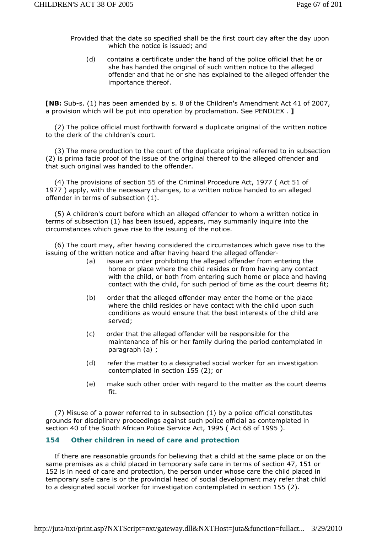- Provided that the date so specified shall be the first court day after the day upon which the notice is issued; and
	- *(d)* contains a certificate under the hand of the police official that he or she has handed the original of such written notice to the alleged offender and that he or she has explained to the alleged offender the importance thereof.

**[NB:** Sub-s. (1) has been amended by s. 8 of the Children's Amendment Act 41 of 2007, a provision which will be put into operation by proclamation. See PENDLEX . **]** 

 (2) The police official must forthwith forward a duplicate original of the written notice to the clerk of the children's court.

 (3) The mere production to the court of the duplicate original referred to in subsection (2) is *prima facie* proof of the issue of the original thereof to the alleged offender and that such original was handed to the offender.

 (4) The provisions of section 55 of the Criminal Procedure Act, 1977 ( Act 51 of 1977 ) apply, with the necessary changes, to a written notice handed to an alleged offender in terms of subsection (1).

 (5) A children's court before which an alleged offender to whom a written notice in terms of subsection (1) has been issued, appears, may summarily inquire into the circumstances which gave rise to the issuing of the notice.

 (6) The court may, after having considered the circumstances which gave rise to the issuing of the written notice and after having heard the alleged offender-

- *(a)* issue an order prohibiting the alleged offender from entering the home or place where the child resides or from having any contact with the child, or both from entering such home or place and having contact with the child, for such period of time as the court deems fit;
- *(b)* order that the alleged offender may enter the home or the place where the child resides or have contact with the child upon such conditions as would ensure that the best interests of the child are served;
- *(c)* order that the alleged offender will be responsible for the maintenance of his or her family during the period contemplated in paragraph *(a)* ;
- *(d)* refer the matter to a designated social worker for an investigation contemplated in section 155 (2); or
- *(e)* make such other order with regard to the matter as the court deems fit.

 (7) Misuse of a power referred to in subsection (1) by a police official constitutes grounds for disciplinary proceedings against such police official as contemplated in section 40 of the South African Police Service Act, 1995 ( Act 68 of 1995 ).

### **154 Other children in need of care and protection**

 If there are reasonable grounds for believing that a child at the same place or on the same premises as a child placed in temporary safe care in terms of section 47, 151 or 152 is in need of care and protection, the person under whose care the child placed in temporary safe care is or the provincial head of social development may refer that child to a designated social worker for investigation contemplated in section 155 (2).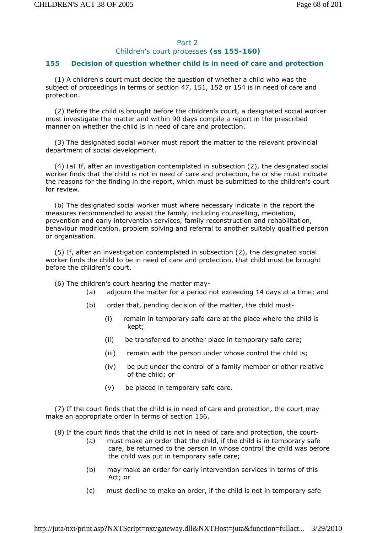#### *Part 2*

# *Children's court processes* **(ss 155-160)**

#### **155 Decision of question whether child is in need of care and protection**

 (1) A children's court must decide the question of whether a child who was the subject of proceedings in terms of section 47, 151, 152 or 154 is in need of care and protection.

 (2) Before the child is brought before the children's court, a designated social worker must investigate the matter and within 90 days compile a report in the prescribed manner on whether the child is in need of care and protection.

 (3) The designated social worker must report the matter to the relevant provincial department of social development.

 (4) *(a)* If, after an investigation contemplated in subsection (2), the designated social worker finds that the child is not in need of care and protection, he or she must indicate the reasons for the finding in the report, which must be submitted to the children's court for review.

 *(b)* The designated social worker must where necessary indicate in the report the measures recommended to assist the family, including counselling, mediation, prevention and early intervention services, family reconstruction and rehabilitation, behaviour modification, problem solving and referral to another suitably qualified person or organisation.

 (5) If, after an investigation contemplated in subsection (2), the designated social worker finds the child to be in need of care and protection, that child must be brought before the children's court.

(6) The children's court hearing the matter may-

- *(a)* adjourn the matter for a period not exceeding 14 days at a time; and
- *(b)* order that, pending decision of the matter, the child must-
	- (i) remain in temporary safe care at the place where the child is kept;
	- (ii) be transferred to another place in temporary safe care;
	- (iii) remain with the person under whose control the child is;
	- (iv) be put under the control of a family member or other relative of the child; or
	- (v) be placed in temporary safe care.

 (7) If the court finds that the child is in need of care and protection, the court may make an appropriate order in terms of section 156.

- (8) If the court finds that the child is not in need of care and protection, the court-
	- *(a)* must make an order that the child, if the child is in temporary safe care, be returned to the person in whose control the child was before the child was put in temporary safe care;
	- *(b)* may make an order for early intervention services in terms of this Act; or
	- *(c)* must decline to make an order, if the child is not in temporary safe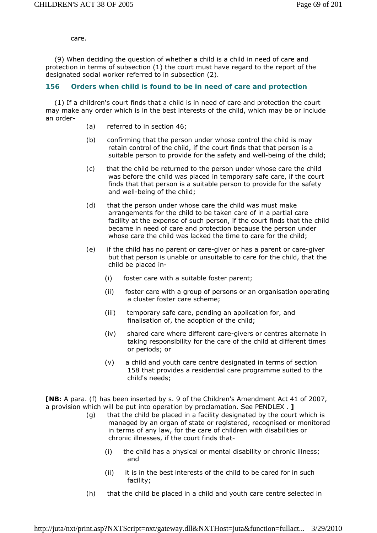care.

 (9) When deciding the question of whether a child is a child in need of care and protection in terms of subsection (1) the court must have regard to the report of the designated social worker referred to in subsection (2).

### **156 Orders when child is found to be in need of care and protection**

 (1) If a children's court finds that a child is in need of care and protection the court may make any order which is in the best interests of the child, which may be or include an order-

- *(a)* referred to in section 46;
- *(b)* confirming that the person under whose control the child is may retain control of the child, if the court finds that that person is a suitable person to provide for the safety and well-being of the child;
- *(c)* that the child be returned to the person under whose care the child was before the child was placed in temporary safe care, if the court finds that that person is a suitable person to provide for the safety and well-being of the child;
- *(d)* that the person under whose care the child was must make arrangements for the child to be taken care of in a partial care facility at the expense of such person, if the court finds that the child became in need of care and protection because the person under whose care the child was lacked the time to care for the child;
- *(e)* if the child has no parent or care-giver or has a parent or care-giver but that person is unable or unsuitable to care for the child, that the child be placed in-
	- (i) foster care with a suitable foster parent;
	- (ii) foster care with a group of persons or an organisation operating a cluster foster care scheme;
	- (iii) temporary safe care, pending an application for, and finalisation of, the adoption of the child;
	- (iv) shared care where different care-givers or centres alternate in taking responsibility for the care of the child at different times or periods; or
	- (v) a child and youth care centre designated in terms of section 158 that provides a residential care programme suited to the child's needs;

**[NB:** A para. *(f)* has been inserted by s. 9 of the Children's Amendment Act 41 of 2007, a provision which will be put into operation by proclamation. See PENDLEX . **]** 

- *(g)* that the child be placed in a facility designated by the court which is managed by an organ of state or registered, recognised or monitored in terms of any law, for the care of children with disabilities or chronic illnesses, if the court finds that-
	- (i) the child has a physical or mental disability or chronic illness; and
	- (ii) it is in the best interests of the child to be cared for in such facility;
- *(h)* that the child be placed in a child and youth care centre selected in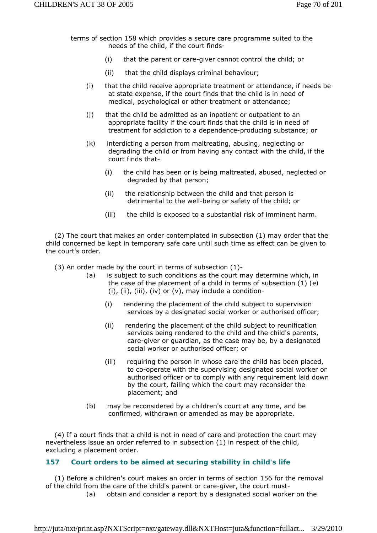terms of section 158 which provides a secure care programme suited to the needs of the child, if the court finds-

- (i) that the parent or care-giver cannot control the child; or
- (ii) that the child displays criminal behaviour;
- *(i)* that the child receive appropriate treatment or attendance, if needs be at state expense, if the court finds that the child is in need of medical, psychological or other treatment or attendance;
- *(j)* that the child be admitted as an inpatient or outpatient to an appropriate facility if the court finds that the child is in need of treatment for addiction to a dependence-producing substance; or
- *(k)* interdicting a person from maltreating, abusing, neglecting or degrading the child or from having any contact with the child, if the court finds that-
	- (i) the child has been or is being maltreated, abused, neglected or degraded by that person;
	- (ii) the relationship between the child and that person is detrimental to the well-being or safety of the child; or
	- (iii) the child is exposed to a substantial risk of imminent harm.

 (2) The court that makes an order contemplated in subsection (1) may order that the child concerned be kept in temporary safe care until such time as effect can be given to the court's order.

(3) An order made by the court in terms of subsection (1)-

- *(a)* is subject to such conditions as the court may determine which, in the case of the placement of a child in terms of subsection (1) *(e)*   $(i)$ ,  $(ii)$ ,  $(iii)$ ,  $(iv)$  or  $(v)$ , may include a condition-
	- (i) rendering the placement of the child subject to supervision services by a designated social worker or authorised officer;
	- (ii) rendering the placement of the child subject to reunification services being rendered to the child and the child's parents, care-giver or guardian, as the case may be, by a designated social worker or authorised officer; or
	- (iii) requiring the person in whose care the child has been placed, to co-operate with the supervising designated social worker or authorised officer or to comply with any requirement laid down by the court, failing which the court may reconsider the placement; and
- *(b)* may be reconsidered by a children's court at any time, and be confirmed, withdrawn or amended as may be appropriate.

 (4) If a court finds that a child is not in need of care and protection the court may nevertheless issue an order referred to in subsection (1) in respect of the child, excluding a placement order.

### **157 Court orders to be aimed at securing stability in child's life**

 (1) Before a children's court makes an order in terms of section 156 for the removal of the child from the care of the child's parent or care-giver, the court must-

*(a)* obtain and consider a report by a designated social worker on the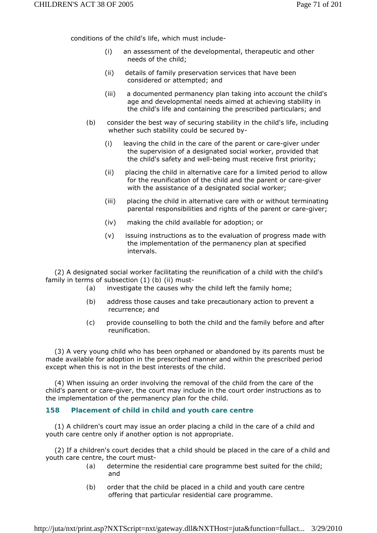conditions of the child's life, which must include-

- (i) an assessment of the developmental, therapeutic and other needs of the child;
- (ii) details of family preservation services that have been considered or attempted; and
- (iii) a documented permanency plan taking into account the child's age and developmental needs aimed at achieving stability in the child's life and containing the prescribed particulars; and
- *(b)* consider the best way of securing stability in the child's life, including whether such stability could be secured by-
	- (i) leaving the child in the care of the parent or care-giver under the supervision of a designated social worker, provided that the child's safety and well-being must receive first priority;
	- (ii) placing the child in alternative care for a limited period to allow for the reunification of the child and the parent or care-giver with the assistance of a designated social worker;
	- (iii) placing the child in alternative care with or without terminating parental responsibilities and rights of the parent or care-giver;
	- (iv) making the child available for adoption; or
	- (v) issuing instructions as to the evaluation of progress made with the implementation of the permanency plan at specified intervals.

 (2) A designated social worker facilitating the reunification of a child with the child's family in terms of subsection (1) *(b)* (ii) must-

- *(a)* investigate the causes why the child left the family home;
- *(b)* address those causes and take precautionary action to prevent a recurrence; and
- *(c)* provide counselling to both the child and the family before and after reunification.

 (3) A very young child who has been orphaned or abandoned by its parents must be made available for adoption in the prescribed manner and within the prescribed period except when this is not in the best interests of the child.

 (4) When issuing an order involving the removal of the child from the care of the child's parent or care-giver, the court may include in the court order instructions as to the implementation of the permanency plan for the child.

# **158 Placement of child in child and youth care centre**

 (1) A children's court may issue an order placing a child in the care of a child and youth care centre only if another option is not appropriate.

 (2) If a children's court decides that a child should be placed in the care of a child and youth care centre, the court must-

- *(a)* determine the residential care programme best suited for the child; and
- *(b)* order that the child be placed in a child and youth care centre offering that particular residential care programme.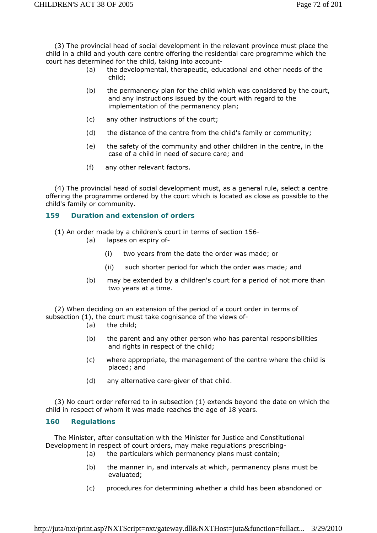(3) The provincial head of social development in the relevant province must place the child in a child and youth care centre offering the residential care programme which the court has determined for the child, taking into account-

- *(a)* the developmental, therapeutic, educational and other needs of the child;
- *(b)* the permanency plan for the child which was considered by the court, and any instructions issued by the court with regard to the implementation of the permanency plan;
- *(c)* any other instructions of the court;
- *(d)* the distance of the centre from the child's family or community;
- *(e)* the safety of the community and other children in the centre, in the case of a child in need of secure care; and
- *(f)* any other relevant factors.

 (4) The provincial head of social development must, as a general rule, select a centre offering the programme ordered by the court which is located as close as possible to the child's family or community.

## **159 Duration and extension of orders**

- (1) An order made by a children's court in terms of section 156-
	- *(a)* lapses on expiry of-
		- (i) two years from the date the order was made; or
		- (ii) such shorter period for which the order was made; and
	- *(b)* may be extended by a children's court for a period of not more than two years at a time.

 (2) When deciding on an extension of the period of a court order in terms of subsection (1), the court must take cognisance of the views of-

- *(a)* the child;
- *(b)* the parent and any other person who has parental responsibilities and rights in respect of the child;
- *(c)* where appropriate, the management of the centre where the child is placed; and
- *(d)* any alternative care-giver of that child.

 (3) No court order referred to in subsection (1) extends beyond the date on which the child in respect of whom it was made reaches the age of 18 years.

### **160 Regulations**

 The Minister, after consultation with the Minister for Justice and Constitutional Development in respect of court orders, may make regulations prescribing-

- *(a)* the particulars which permanency plans must contain;
- *(b)* the manner in, and intervals at which, permanency plans must be evaluated;
- *(c)* procedures for determining whether a child has been abandoned or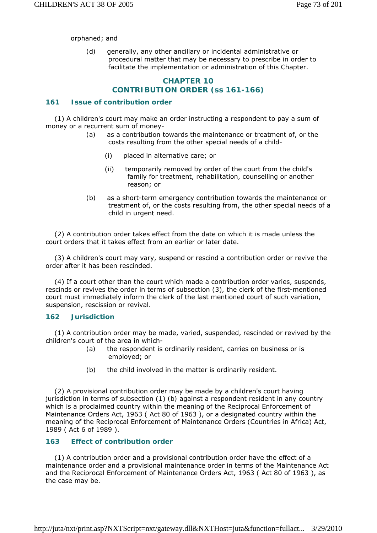orphaned; and

 *(d)* generally, any other ancillary or incidental administrative or procedural matter that may be necessary to prescribe in order to facilitate the implementation or administration of this Chapter.

# **CHAPTER 10 CONTRIBUTION ORDER (ss 161-166)**

### **161 Issue of contribution order**

 (1) A children's court may make an order instructing a respondent to pay a sum of money or a recurrent sum of money-

- *(a)* as a contribution towards the maintenance or treatment of, or the costs resulting from the other special needs of a child-
	- (i) placed in alternative care; or
	- (ii) temporarily removed by order of the court from the child's family for treatment, rehabilitation, counselling or another reason; or
- *(b)* as a short-term emergency contribution towards the maintenance or treatment of, or the costs resulting from, the other special needs of a child in urgent need.

 (2) A contribution order takes effect from the date on which it is made unless the court orders that it takes effect from an earlier or later date.

 (3) A children's court may vary, suspend or rescind a contribution order or revive the order after it has been rescinded.

 (4) If a court other than the court which made a contribution order varies, suspends, rescinds or revives the order in terms of subsection (3), the clerk of the first-mentioned court must immediately inform the clerk of the last mentioned court of such variation, suspension, rescission or revival.

### **162 Jurisdiction**

 (1) A contribution order may be made, varied, suspended, rescinded or revived by the children's court of the area in which-

- *(a)* the respondent is ordinarily resident, carries on business or is employed; or
- *(b)* the child involved in the matter is ordinarily resident.

 (2) A provisional contribution order may be made by a children's court having jurisdiction in terms of subsection (1) *(b)* against a respondent resident in any country which is a proclaimed country within the meaning of the Reciprocal Enforcement of Maintenance Orders Act, 1963 ( Act 80 of 1963 ), or a designated country within the meaning of the Reciprocal Enforcement of Maintenance Orders (Countries in Africa) Act, 1989 ( Act 6 of 1989 ).

# **163 Effect of contribution order**

 (1) A contribution order and a provisional contribution order have the effect of a maintenance order and a provisional maintenance order in terms of the Maintenance Act and the Reciprocal Enforcement of Maintenance Orders Act, 1963 ( Act 80 of 1963 ), as the case may be.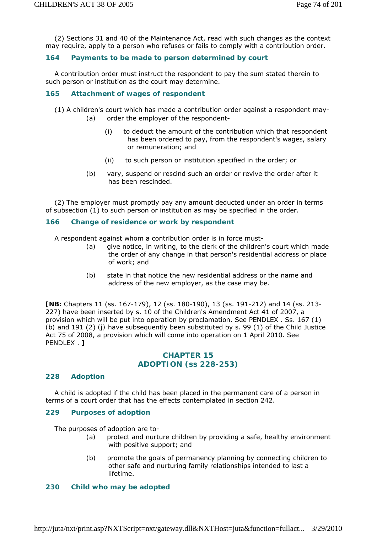(2) Sections 31 and 40 of the Maintenance Act, read with such changes as the context may require, apply to a person who refuses or fails to comply with a contribution order.

# **164 Payments to be made to person determined by court**

 A contribution order must instruct the respondent to pay the sum stated therein to such person or institution as the court may determine.

# **165 Attachment of wages of respondent**

- (1) A children's court which has made a contribution order against a respondent may- *(a)* order the employer of the respondent-
	- (i) to deduct the amount of the contribution which that respondent has been ordered to pay, from the respondent's wages, salary or remuneration; and
	- (ii) to such person or institution specified in the order; or
	- *(b)* vary, suspend or rescind such an order or revive the order after it has been rescinded.

 (2) The employer must promptly pay any amount deducted under an order in terms of subsection (1) to such person or institution as may be specified in the order.

### **166 Change of residence or work by respondent**

A respondent against whom a contribution order is in force must-

- *(a)* give notice, in writing, to the clerk of the children's court which made the order of any change in that person's residential address or place of work; and
- *(b)* state in that notice the new residential address or the name and address of the new employer, as the case may be.

**[NB:** Chapters 11 (ss. 167-179), 12 (ss. 180-190), 13 (ss. 191-212) and 14 (ss. 213- 227) have been inserted by s. 10 of the Children's Amendment Act 41 of 2007, a provision which will be put into operation by proclamation. See PENDLEX . Ss. 167 (1) *(b)* and 191 (2) *(j)* have subsequently been substituted by s. 99 (1) of the Child Justice Act 75 of 2008, a provision which will come into operation on 1 April 2010. See PENDLEX . **]** 

# **CHAPTER 15 ADOPTION (ss 228-253)**

### **228 Adoption**

 A child is adopted if the child has been placed in the permanent care of a person in terms of a court order that has the effects contemplated in section 242.

# **229 Purposes of adoption**

The purposes of adoption are to-

- *(a)* protect and nurture children by providing a safe, healthy environment with positive support; and
- *(b)* promote the goals of permanency planning by connecting children to other safe and nurturing family relationships intended to last a lifetime.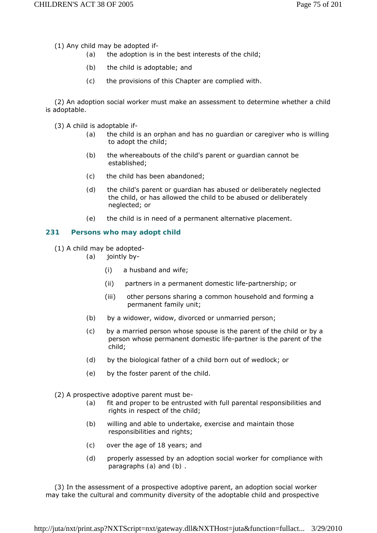(1) Any child may be adopted if-

- *(a)* the adoption is in the best interests of the child;
- *(b)* the child is adoptable; and
- *(c)* the provisions of this Chapter are complied with.

 (2) An adoption social worker must make an assessment to determine whether a child is adoptable.

(3) A child is adoptable if-

- *(a)* the child is an orphan and has no guardian or caregiver who is willing to adopt the child;
- *(b)* the whereabouts of the child's parent or guardian cannot be established;
- *(c)* the child has been abandoned;
- *(d)* the child's parent or guardian has abused or deliberately neglected the child, or has allowed the child to be abused or deliberately neglected; or
- *(e)* the child is in need of a permanent alternative placement.

### **231 Persons who may adopt child**

(1) A child may be adopted-

- *(a)* jointly by-
	- (i) a husband and wife;
	- (ii) partners in a permanent domestic life-partnership; or
	- (iii) other persons sharing a common household and forming a permanent family unit;
- *(b)* by a widower, widow, divorced or unmarried person;
- *(c)* by a married person whose spouse is the parent of the child or by a person whose permanent domestic life-partner is the parent of the child;
- *(d)* by the biological father of a child born out of wedlock; or
- *(e)* by the foster parent of the child.
- (2) A prospective adoptive parent must be-
	- *(a)* fit and proper to be entrusted with full parental responsibilities and rights in respect of the child;
	- *(b)* willing and able to undertake, exercise and maintain those responsibilities and rights;
	- *(c)* over the age of 18 years; and
	- *(d)* properly assessed by an adoption social worker for compliance with paragraphs *(a)* and *(b)* .

 (3) In the assessment of a prospective adoptive parent, an adoption social worker may take the cultural and community diversity of the adoptable child and prospective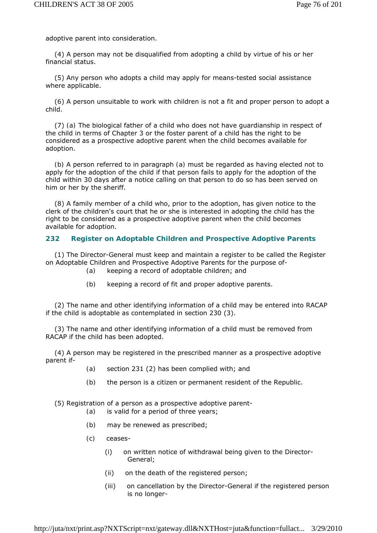adoptive parent into consideration.

 (4) A person may not be disqualified from adopting a child by virtue of his or her financial status.

 (5) Any person who adopts a child may apply for means-tested social assistance where applicable.

 (6) A person unsuitable to work with children is not a fit and proper person to adopt a child.

 (7) *(a)* The biological father of a child who does not have guardianship in respect of the child in terms of Chapter 3 or the foster parent of a child has the right to be considered as a prospective adoptive parent when the child becomes available for adoption.

 *(b)* A person referred to in paragraph *(a)* must be regarded as having elected not to apply for the adoption of the child if that person fails to apply for the adoption of the child within 30 days after a notice calling on that person to do so has been served on him or her by the sheriff.

 (8) A family member of a child who, prior to the adoption, has given notice to the clerk of the children's court that he or she is interested in adopting the child has the right to be considered as a prospective adoptive parent when the child becomes available for adoption.

### **232 Register on Adoptable Children and Prospective Adoptive Parents**

 (1) The Director-General must keep and maintain a register to be called the Register on Adoptable Children and Prospective Adoptive Parents for the purpose of-

- *(a)* keeping a record of adoptable children; and
- *(b)* keeping a record of fit and proper adoptive parents.

 (2) The name and other identifying information of a child may be entered into RACAP if the child is adoptable as contemplated in section 230 (3).

 (3) The name and other identifying information of a child must be removed from RACAP if the child has been adopted.

 (4) A person may be registered in the prescribed manner as a prospective adoptive parent if-

- *(a)* section 231 (2) has been complied with; and
- *(b)* the person is a citizen or permanent resident of the Republic.

(5) Registration of a person as a prospective adoptive parent-

- *(a)* is valid for a period of three years;
- *(b)* may be renewed as prescribed;
- *(c)* ceases-
	- (i) on written notice of withdrawal being given to the Director-General;
	- (ii) on the death of the registered person;
	- (iii) on cancellation by the Director-General if the registered person is no longer-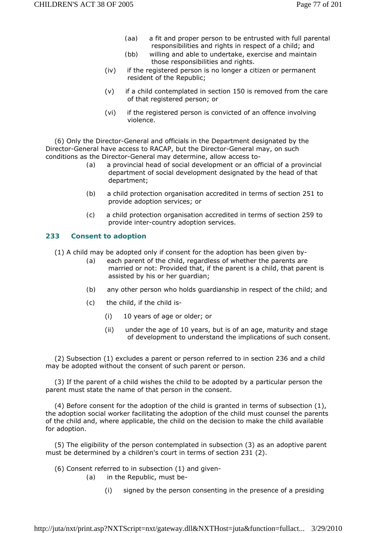- *(aa)* a fit and proper person to be entrusted with full parental responsibilities and rights in respect of a child; and
- *(bb)* willing and able to undertake, exercise and maintain those responsibilities and rights.
- (iv) if the registered person is no longer a citizen or permanent resident of the Republic;
- (v) if a child contemplated in section 150 is removed from the care of that registered person; or
- (vi) if the registered person is convicted of an offence involving violence.

 (6) Only the Director-General and officials in the Department designated by the Director-General have access to RACAP, but the Director-General may, on such conditions as the Director-General may determine, allow access to-

- *(a)* a provincial head of social development or an official of a provincial department of social development designated by the head of that department;
- *(b)* a child protection organisation accredited in terms of section 251 to provide adoption services; or
- *(c)* a child protection organisation accredited in terms of section 259 to provide inter-country adoption services.

### **233 Consent to adoption**

(1) A child may be adopted only if consent for the adoption has been given by-

- *(a)* each parent of the child, regardless of whether the parents are married or not: Provided that, if the parent is a child, that parent is assisted by his or her guardian;
- *(b)* any other person who holds guardianship in respect of the child; and
- *(c)* the child, if the child is-
	- (i) 10 years of age or older; or
	- (ii) under the age of 10 years, but is of an age, maturity and stage of development to understand the implications of such consent.

 (2) Subsection (1) excludes a parent or person referred to in section 236 and a child may be adopted without the consent of such parent or person.

 (3) If the parent of a child wishes the child to be adopted by a particular person the parent must state the name of that person in the consent.

 (4) Before consent for the adoption of the child is granted in terms of subsection (1), the adoption social worker facilitating the adoption of the child must counsel the parents of the child and, where applicable, the child on the decision to make the child available for adoption.

 (5) The eligibility of the person contemplated in subsection (3) as an adoptive parent must be determined by a children's court in terms of section 231 (2).

- (6) Consent referred to in subsection (1) and given-
	- *(a)* in the Republic, must be-
		- (i) signed by the person consenting in the presence of a presiding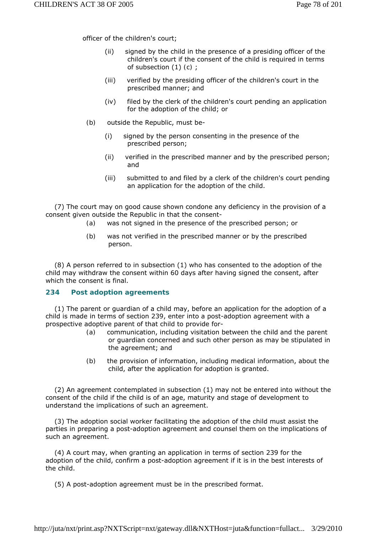officer of the children's court;

- (ii) signed by the child in the presence of a presiding officer of the children's court if the consent of the child is required in terms of subsection (1) *(c)* ;
- (iii) verified by the presiding officer of the children's court in the prescribed manner; and
- (iv) filed by the clerk of the children's court pending an application for the adoption of the child; or
- *(b)* outside the Republic, must be-
	- (i) signed by the person consenting in the presence of the prescribed person;
	- (ii) verified in the prescribed manner and by the prescribed person; and
	- (iii) submitted to and filed by a clerk of the children's court pending an application for the adoption of the child.

 (7) The court may on good cause shown condone any deficiency in the provision of a consent given outside the Republic in that the consent-

- *(a)* was not signed in the presence of the prescribed person; or
- *(b)* was not verified in the prescribed manner or by the prescribed person.

 (8) A person referred to in subsection (1) who has consented to the adoption of the child may withdraw the consent within 60 days after having signed the consent, after which the consent is final.

# **234 Post adoption agreements**

 (1) The parent or guardian of a child may, before an application for the adoption of a child is made in terms of section 239, enter into a post-adoption agreement with a prospective adoptive parent of that child to provide for-

- *(a)* communication, including visitation between the child and the parent or guardian concerned and such other person as may be stipulated in the agreement; and
- *(b)* the provision of information, including medical information, about the child, after the application for adoption is granted.

 (2) An agreement contemplated in subsection (1) may not be entered into without the consent of the child if the child is of an age, maturity and stage of development to understand the implications of such an agreement.

 (3) The adoption social worker facilitating the adoption of the child must assist the parties in preparing a post-adoption agreement and counsel them on the implications of such an agreement.

 (4) A court may, when granting an application in terms of section 239 for the adoption of the child, confirm a post-adoption agreement if it is in the best interests of the child.

(5) A post-adoption agreement must be in the prescribed format.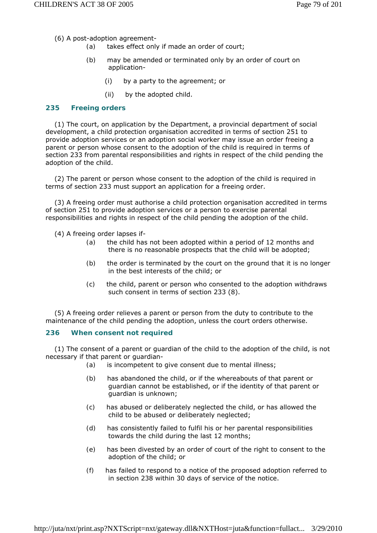(6) A post-adoption agreement-

- *(a)* takes effect only if made an order of court;
- *(b)* may be amended or terminated only by an order of court on application-
	- (i) by a party to the agreement; or
	- (ii) by the adopted child.

### **235 Freeing orders**

 (1) The court, on application by the Department, a provincial department of social development, a child protection organisation accredited in terms of section 251 to provide adoption services or an adoption social worker may issue an order freeing a parent or person whose consent to the adoption of the child is required in terms of section 233 from parental responsibilities and rights in respect of the child pending the adoption of the child.

 (2) The parent or person whose consent to the adoption of the child is required in terms of section 233 must support an application for a freeing order.

 (3) A freeing order must authorise a child protection organisation accredited in terms of section 251 to provide adoption services or a person to exercise parental responsibilities and rights in respect of the child pending the adoption of the child.

(4) A freeing order lapses if-

- *(a)* the child has not been adopted within a period of 12 months and there is no reasonable prospects that the child will be adopted;
- *(b)* the order is terminated by the court on the ground that it is no longer in the best interests of the child; or
- *(c)* the child, parent or person who consented to the adoption withdraws such consent in terms of section 233 (8).

 (5) A freeing order relieves a parent or person from the duty to contribute to the maintenance of the child pending the adoption, unless the court orders otherwise.

# **236 When consent not required**

 (1) The consent of a parent or guardian of the child to the adoption of the child, is not necessary if that parent or guardian-

- *(a)* is incompetent to give consent due to mental illness;
- *(b)* has abandoned the child, or if the whereabouts of that parent or guardian cannot be established, or if the identity of that parent or guardian is unknown;
- *(c)* has abused or deliberately neglected the child, or has allowed the child to be abused or deliberately neglected;
- *(d)* has consistently failed to fulfil his or her parental responsibilities towards the child during the last 12 months;
- *(e)* has been divested by an order of court of the right to consent to the adoption of the child; or
- *(f)* has failed to respond to a notice of the proposed adoption referred to in section 238 within 30 days of service of the notice.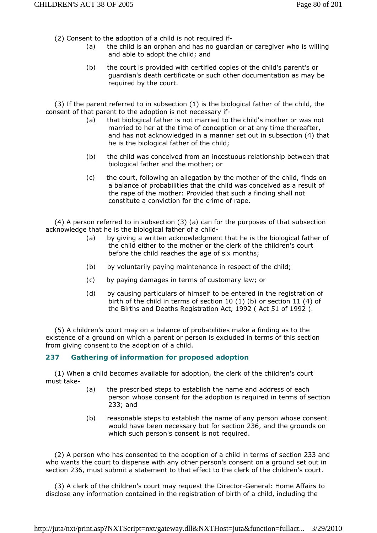(2) Consent to the adoption of a child is not required if-

- *(a)* the child is an orphan and has no guardian or caregiver who is willing and able to adopt the child; and
- *(b)* the court is provided with certified copies of the child's parent's or guardian's death certificate or such other documentation as may be required by the court.

 (3) If the parent referred to in subsection (1) is the biological father of the child, the consent of that parent to the adoption is not necessary if-

- *(a)* that biological father is not married to the child's mother or was not married to her at the time of conception or at any time thereafter, and has not acknowledged in a manner set out in subsection (4) that he is the biological father of the child;
- *(b)* the child was conceived from an incestuous relationship between that biological father and the mother; or
- *(c)* the court, following an allegation by the mother of the child, finds on a balance of probabilities that the child was conceived as a result of the rape of the mother: Provided that such a finding shall not constitute a conviction for the crime of rape.

 (4) A person referred to in subsection (3) *(a)* can for the purposes of that subsection acknowledge that he is the biological father of a child-

- *(a)* by giving a written acknowledgment that he is the biological father of the child either to the mother or the clerk of the children's court before the child reaches the age of six months;
- *(b)* by voluntarily paying maintenance in respect of the child;
- *(c)* by paying damages in terms of customary law; or
- *(d)* by causing particulars of himself to be entered in the registration of birth of the child in terms of section 10 (1) *(b)* or section 11 (4) of the Births and Deaths Registration Act, 1992 ( Act 51 of 1992 ).

 (5) A children's court may on a balance of probabilities make a finding as to the existence of a ground on which a parent or person is excluded in terms of this section from giving consent to the adoption of a child.

### **237 Gathering of information for proposed adoption**

 (1) When a child becomes available for adoption, the clerk of the children's court must take-

- *(a)* the prescribed steps to establish the name and address of each person whose consent for the adoption is required in terms of section 233; and
- *(b)* reasonable steps to establish the name of any person whose consent would have been necessary but for section 236, and the grounds on which such person's consent is not required.

 (2) A person who has consented to the adoption of a child in terms of section 233 and who wants the court to dispense with any other person's consent on a ground set out in section 236, must submit a statement to that effect to the clerk of the children's court.

 (3) A clerk of the children's court may request the Director-General: Home Affairs to disclose any information contained in the registration of birth of a child, including the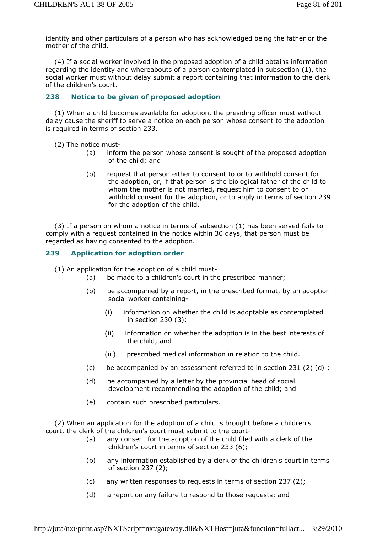identity and other particulars of a person who has acknowledged being the father or the mother of the child.

 (4) If a social worker involved in the proposed adoption of a child obtains information regarding the identity and whereabouts of a person contemplated in subsection (1), the social worker must without delay submit a report containing that information to the clerk of the children's court.

### **238 Notice to be given of proposed adoption**

 (1) When a child becomes available for adoption, the presiding officer must without delay cause the sheriff to serve a notice on each person whose consent to the adoption is required in terms of section 233.

(2) The notice must-

- *(a)* inform the person whose consent is sought of the proposed adoption of the child; and
- *(b)* request that person either to consent to or to withhold consent for the adoption, or, if that person is the biological father of the child to whom the mother is not married, request him to consent to or withhold consent for the adoption, or to apply in terms of section 239 for the adoption of the child.

 (3) If a person on whom a notice in terms of subsection (1) has been served fails to comply with a request contained in the notice within 30 days, that person must be regarded as having consented to the adoption.

### **239 Application for adoption order**

- (1) An application for the adoption of a child must-
	- *(a)* be made to a children's court in the prescribed manner;
	- *(b)* be accompanied by a report, in the prescribed format, by an adoption social worker containing-
		- (i) information on whether the child is adoptable as contemplated in section 230 (3);
		- (ii) information on whether the adoption is in the best interests of the child; and
		- (iii) prescribed medical information in relation to the child.
	- *(c)* be accompanied by an assessment referred to in section 231 (2) *(d)* ;
	- *(d)* be accompanied by a letter by the provincial head of social development recommending the adoption of the child; and
	- *(e)* contain such prescribed particulars.

 (2) When an application for the adoption of a child is brought before a children's court, the clerk of the children's court must submit to the court-

- *(a)* any consent for the adoption of the child filed with a clerk of the children's court in terms of section 233 (6);
- *(b)* any information established by a clerk of the children's court in terms of section 237 (2);
- *(c)* any written responses to requests in terms of section 237 (2);
- *(d)* a report on any failure to respond to those requests; and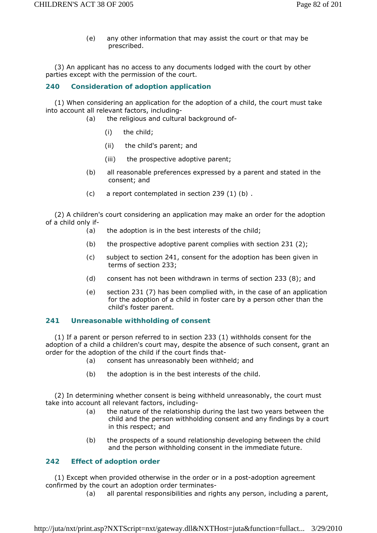*(e)* any other information that may assist the court or that may be prescribed.

 (3) An applicant has no access to any documents lodged with the court by other parties except with the permission of the court.

# **240 Consideration of adoption application**

 (1) When considering an application for the adoption of a child, the court must take into account all relevant factors, including-

- *(a)* the religious and cultural background of-
	- (i) the child;
	- (ii) the child's parent; and
	- (iii) the prospective adoptive parent;
- *(b)* all reasonable preferences expressed by a parent and stated in the consent; and
- *(c)* a report contemplated in section 239 (1) *(b)* .

 (2) A children's court considering an application may make an order for the adoption of a child only if-

- *(a)* the adoption is in the best interests of the child;
- *(b)* the prospective adoptive parent complies with section 231 (2);
- *(c)* subject to section 241, consent for the adoption has been given in terms of section 233;
- *(d)* consent has not been withdrawn in terms of section 233 (8); and
- *(e)* section 231 (7) has been complied with, in the case of an application for the adoption of a child in foster care by a person other than the child's foster parent.

### **241 Unreasonable withholding of consent**

 (1) If a parent or person referred to in section 233 (1) withholds consent for the adoption of a child a children's court may, despite the absence of such consent, grant an order for the adoption of the child if the court finds that-

- *(a)* consent has unreasonably been withheld; and
- *(b)* the adoption is in the best interests of the child.

 (2) In determining whether consent is being withheld unreasonably, the court must take into account all relevant factors, including-

- *(a)* the nature of the relationship during the last two years between the child and the person withholding consent and any findings by a court in this respect; and
- *(b)* the prospects of a sound relationship developing between the child and the person withholding consent in the immediate future.

### **242 Effect of adoption order**

 (1) Except when provided otherwise in the order or in a post-adoption agreement confirmed by the court an adoption order terminates-

*(a)* all parental responsibilities and rights any person, including a parent,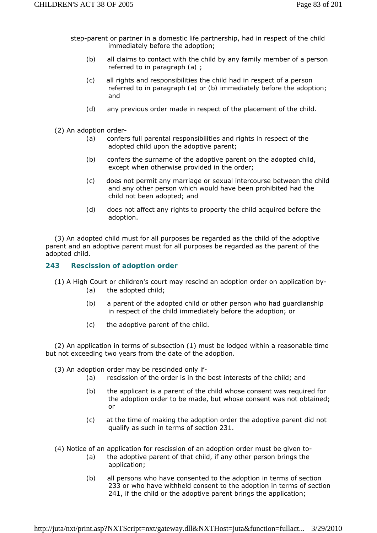- step-parent or partner in a domestic life partnership, had in respect of the child immediately before the adoption;
	- *(b)* all claims to contact with the child by any family member of a person referred to in paragraph *(a)* ;
	- *(c)* all rights and responsibilities the child had in respect of a person referred to in paragraph *(a)* or *(b)* immediately before the adoption; and
	- *(d)* any previous order made in respect of the placement of the child.
- (2) An adoption order-
	- *(a)* confers full parental responsibilities and rights in respect of the adopted child upon the adoptive parent;
	- *(b)* confers the surname of the adoptive parent on the adopted child, except when otherwise provided in the order;
	- *(c)* does not permit any marriage or sexual intercourse between the child and any other person which would have been prohibited had the child not been adopted; and
	- *(d)* does not affect any rights to property the child acquired before the adoption.

 (3) An adopted child must for all purposes be regarded as the child of the adoptive parent and an adoptive parent must for all purposes be regarded as the parent of the adopted child.

# **243 Rescission of adoption order**

- (1) A High Court or children's court may rescind an adoption order on application by- *(a)* the adopted child;
	- *(b)* a parent of the adopted child or other person who had guardianship in respect of the child immediately before the adoption; or
	- *(c)* the adoptive parent of the child.

 (2) An application in terms of subsection (1) must be lodged within a reasonable time but not exceeding two years from the date of the adoption.

(3) An adoption order may be rescinded only if-

- *(a)* rescission of the order is in the best interests of the child; and
- *(b)* the applicant is a parent of the child whose consent was required for the adoption order to be made, but whose consent was not obtained; or
- *(c)* at the time of making the adoption order the adoptive parent did not qualify as such in terms of section 231.
- (4) Notice of an application for rescission of an adoption order must be given to-
	- *(a)* the adoptive parent of that child, if any other person brings the application;
	- *(b)* all persons who have consented to the adoption in terms of section 233 or who have withheld consent to the adoption in terms of section 241, if the child or the adoptive parent brings the application;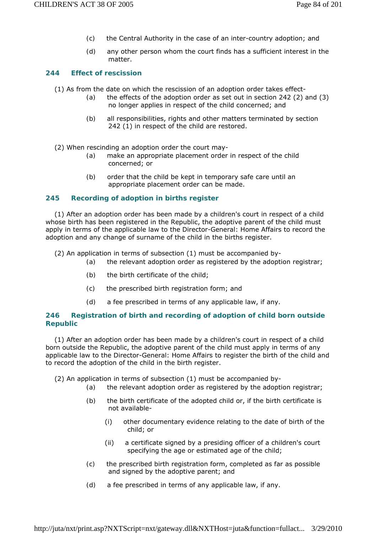- *(c)* the Central Authority in the case of an inter-country adoption; and
- *(d)* any other person whom the court finds has a sufficient interest in the matter.

# **244 Effect of rescission**

(1) As from the date on which the rescission of an adoption order takes effect-

- *(a)* the effects of the adoption order as set out in section 242 (2) and (3) no longer applies in respect of the child concerned; and
- *(b)* all responsibilities, rights and other matters terminated by section 242 (1) in respect of the child are restored.
- (2) When rescinding an adoption order the court may-
	- *(a)* make an appropriate placement order in respect of the child concerned; or
	- *(b)* order that the child be kept in temporary safe care until an appropriate placement order can be made.

# **245 Recording of adoption in births register**

 (1) After an adoption order has been made by a children's court in respect of a child whose birth has been registered in the Republic, the adoptive parent of the child must apply in terms of the applicable law to the Director-General: Home Affairs to record the adoption and any change of surname of the child in the births register.

(2) An application in terms of subsection (1) must be accompanied by-

- *(a)* the relevant adoption order as registered by the adoption registrar;
- *(b)* the birth certificate of the child;
- *(c)* the prescribed birth registration form; and
- *(d)* a fee prescribed in terms of any applicable law, if any.

### **246 Registration of birth and recording of adoption of child born outside Republic**

 (1) After an adoption order has been made by a children's court in respect of a child born outside the Republic, the adoptive parent of the child must apply in terms of any applicable law to the Director-General: Home Affairs to register the birth of the child and to record the adoption of the child in the birth register.

(2) An application in terms of subsection (1) must be accompanied by-

- *(a)* the relevant adoption order as registered by the adoption registrar;
- *(b)* the birth certificate of the adopted child or, if the birth certificate is not available-
	- (i) other documentary evidence relating to the date of birth of the child; or
	- (ii) a certificate signed by a presiding officer of a children's court specifying the age or estimated age of the child;
- *(c)* the prescribed birth registration form, completed as far as possible and signed by the adoptive parent; and
- *(d)* a fee prescribed in terms of any applicable law, if any.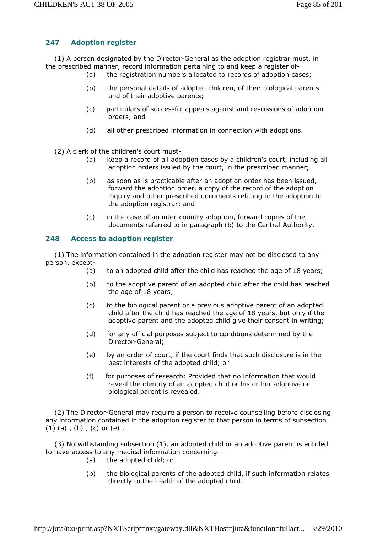# **247 Adoption register**

 (1) A person designated by the Director-General as the adoption registrar must, in the prescribed manner, record information pertaining to and keep a register of-

- *(a)* the registration numbers allocated to records of adoption cases;
- *(b)* the personal details of adopted children, of their biological parents and of their adoptive parents;
- *(c)* particulars of successful appeals against and rescissions of adoption orders; and
- *(d)* all other prescribed information in connection with adoptions.

(2) A clerk of the children's court must-

- *(a)* keep a record of all adoption cases by a children's court, including all adoption orders issued by the court, in the prescribed manner;
- *(b)* as soon as is practicable after an adoption order has been issued, forward the adoption order, a copy of the record of the adoption inquiry and other prescribed documents relating to the adoption to the adoption registrar; and
- *(c)* in the case of an inter-country adoption, forward copies of the documents referred to in paragraph *(b)* to the Central Authority.

#### **248 Access to adoption register**

 (1) The information contained in the adoption register may not be disclosed to any person, except-

- *(a)* to an adopted child after the child has reached the age of 18 years;
- *(b)* to the adoptive parent of an adopted child after the child has reached the age of 18 years;
- *(c)* to the biological parent or a previous adoptive parent of an adopted child after the child has reached the age of 18 years, but only if the adoptive parent and the adopted child give their consent in writing;
- *(d)* for any official purposes subject to conditions determined by the Director-General;
- *(e)* by an order of court, if the court finds that such disclosure is in the best interests of the adopted child; or
- *(f)* for purposes of research: Provided that no information that would reveal the identity of an adopted child or his or her adoptive or biological parent is revealed.

 (2) The Director-General may require a person to receive counselling before disclosing any information contained in the adoption register to that person in terms of subsection (1) *(a)* , *(b)* , *(c)* or *(e)* .

 (3) Notwithstanding subsection (1), an adopted child or an adoptive parent is entitled to have access to any medical information concerning-

- *(a)* the adopted child; or
- *(b)* the biological parents of the adopted child, if such information relates directly to the health of the adopted child.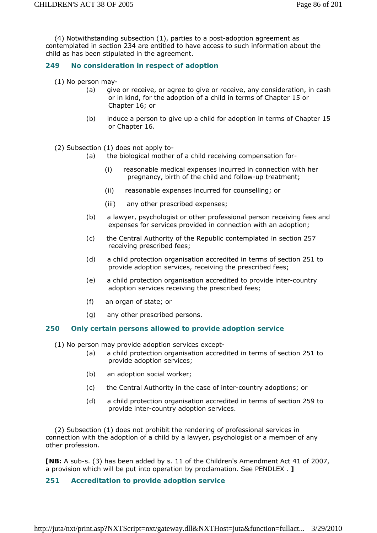(4) Notwithstanding subsection (1), parties to a post-adoption agreement as contemplated in section 234 are entitled to have access to such information about the child as has been stipulated in the agreement.

### **249 No consideration in respect of adoption**

- (1) No person may-
	- *(a)* give or receive, or agree to give or receive, any consideration, in cash or in kind, for the adoption of a child in terms of Chapter 15 or Chapter 16; or
	- *(b)* induce a person to give up a child for adoption in terms of Chapter 15 or Chapter 16.

(2) Subsection (1) does not apply to-

- *(a)* the biological mother of a child receiving compensation for-
	- (i) reasonable medical expenses incurred in connection with her pregnancy, birth of the child and follow-up treatment;
	- (ii) reasonable expenses incurred for counselling; or
	- (iii) any other prescribed expenses;
- *(b)* a lawyer, psychologist or other professional person receiving fees and expenses for services provided in connection with an adoption;
- *(c)* the Central Authority of the Republic contemplated in section 257 receiving prescribed fees;
- *(d)* a child protection organisation accredited in terms of section 251 to provide adoption services, receiving the prescribed fees;
- *(e)* a child protection organisation accredited to provide inter-country adoption services receiving the prescribed fees;
- *(f)* an organ of state; or
- *(g)* any other prescribed persons.

### **250 Only certain persons allowed to provide adoption service**

- (1) No person may provide adoption services except-
	- *(a)* a child protection organisation accredited in terms of section 251 to provide adoption services;
	- *(b)* an adoption social worker;
	- *(c)* the Central Authority in the case of inter-country adoptions; or
	- *(d)* a child protection organisation accredited in terms of section 259 to provide inter-country adoption services.

 (2) Subsection (1) does not prohibit the rendering of professional services in connection with the adoption of a child by a lawyer, psychologist or a member of any other profession.

**[NB:** A sub-s. (3) has been added by s. 11 of the Children's Amendment Act 41 of 2007, a provision which will be put into operation by proclamation. See PENDLEX . **]** 

### **251 Accreditation to provide adoption service**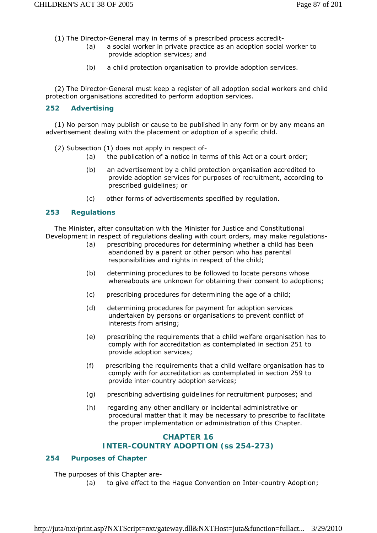(1) The Director-General may in terms of a prescribed process accredit-

- *(a)* a social worker in private practice as an adoption social worker to provide adoption services; and
- *(b)* a child protection organisation to provide adoption services.

 (2) The Director-General must keep a register of all adoption social workers and child protection organisations accredited to perform adoption services.

### **252 Advertising**

 (1) No person may publish or cause to be published in any form or by any means an advertisement dealing with the placement or adoption of a specific child.

- (2) Subsection (1) does not apply in respect of-
	- *(a)* the publication of a notice in terms of this Act or a court order;
	- *(b)* an advertisement by a child protection organisation accredited to provide adoption services for purposes of recruitment, according to prescribed guidelines; or
	- *(c)* other forms of advertisements specified by regulation.

### **253 Regulations**

 The Minister, after consultation with the Minister for Justice and Constitutional Development in respect of regulations dealing with court orders, may make regulations-

- *(a)* prescribing procedures for determining whether a child has been abandoned by a parent or other person who has parental responsibilities and rights in respect of the child;
- *(b)* determining procedures to be followed to locate persons whose whereabouts are unknown for obtaining their consent to adoptions;
- *(c)* prescribing procedures for determining the age of a child;
- *(d)* determining procedures for payment for adoption services undertaken by persons or organisations to prevent conflict of interests from arising;
- *(e)* prescribing the requirements that a child welfare organisation has to comply with for accreditation as contemplated in section 251 to provide adoption services;
- *(f)* prescribing the requirements that a child welfare organisation has to comply with for accreditation as contemplated in section 259 to provide inter-country adoption services;
- *(g)* prescribing advertising guidelines for recruitment purposes; and
- *(h)* regarding any other ancillary or incidental administrative or procedural matter that it may be necessary to prescribe to facilitate the proper implementation or administration of this Chapter.

# **CHAPTER 16 INTER-COUNTRY ADOPTION (ss 254-273)**

### **254 Purposes of Chapter**

The purposes of this Chapter are-

*(a)* to give effect to the Hague Convention on Inter-country Adoption;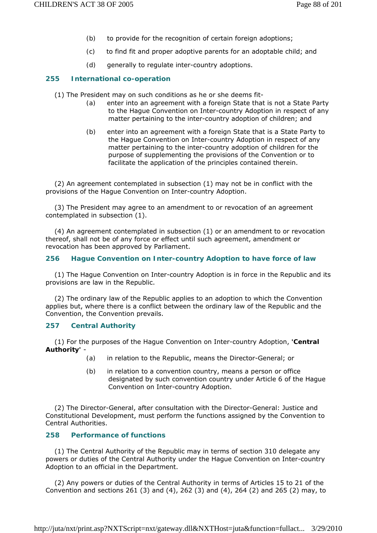- *(b)* to provide for the recognition of certain foreign adoptions;
- *(c)* to find fit and proper adoptive parents for an adoptable child; and
- *(d)* generally to regulate inter-country adoptions.

# **255 International co-operation**

(1) The President may on such conditions as he or she deems fit-

- *(a)* enter into an agreement with a foreign State that is not a State Party to the Hague Convention on Inter-country Adoption in respect of any matter pertaining to the inter-country adoption of children; and
- *(b)* enter into an agreement with a foreign State that is a State Party to the Hague Convention on Inter-country Adoption in respect of any matter pertaining to the inter-country adoption of children for the purpose of supplementing the provisions of the Convention or to facilitate the application of the principles contained therein.

 (2) An agreement contemplated in subsection (1) may not be in conflict with the provisions of the Hague Convention on Inter-country Adoption.

 (3) The President may agree to an amendment to or revocation of an agreement contemplated in subsection (1).

 (4) An agreement contemplated in subsection (1) or an amendment to or revocation thereof, shall not be of any force or effect until such agreement, amendment or revocation has been approved by Parliament.

### **256 Hague Convention on Inter-country Adoption to have force of law**

 (1) The Hague Convention on Inter-country Adoption is in force in the Republic and its provisions are law in the Republic.

 (2) The ordinary law of the Republic applies to an adoption to which the Convention applies but, where there is a conflict between the ordinary law of the Republic and the Convention, the Convention prevails.

### **257 Central Authority**

 (1) For the purposes of the Hague Convention on Inter-country Adoption, **'Central Authority'** -

- *(a)* in relation to the Republic, means the Director-General; or
- *(b)* in relation to a convention country, means a person or office designated by such convention country under Article 6 of the Hague Convention on Inter-country Adoption.

 (2) The Director-General, after consultation with the Director-General: Justice and Constitutional Development, must perform the functions assigned by the Convention to Central Authorities.

### **258 Performance of functions**

 (1) The Central Authority of the Republic may in terms of section 310 delegate any powers or duties of the Central Authority under the Hague Convention on Inter-country Adoption to an official in the Department.

 (2) Any powers or duties of the Central Authority in terms of Articles 15 to 21 of the Convention and sections 261 (3) and (4), 262 (3) and (4), 264 (2) and 265 (2) may, to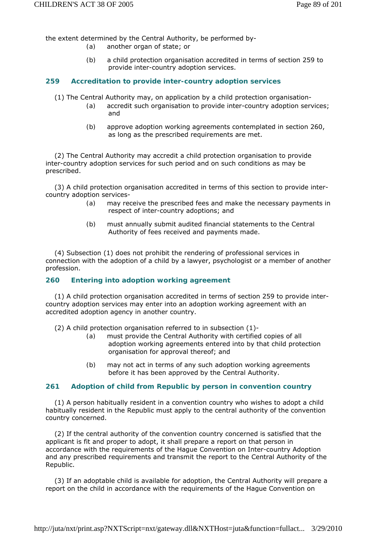the extent determined by the Central Authority, be performed by-

- *(a)* another organ of state; or
- *(b)* a child protection organisation accredited in terms of section 259 to provide inter-country adoption services.

#### **259 Accreditation to provide inter-country adoption services**

(1) The Central Authority may, on application by a child protection organisation-

- *(a)* accredit such organisation to provide inter-country adoption services; and
- *(b)* approve adoption working agreements contemplated in section 260, as long as the prescribed requirements are met.

 (2) The Central Authority may accredit a child protection organisation to provide inter-country adoption services for such period and on such conditions as may be prescribed.

 (3) A child protection organisation accredited in terms of this section to provide intercountry adoption services-

- *(a)* may receive the prescribed fees and make the necessary payments in respect of inter-country adoptions; and
- *(b)* must annually submit audited financial statements to the Central Authority of fees received and payments made.

 (4) Subsection (1) does not prohibit the rendering of professional services in connection with the adoption of a child by a lawyer, psychologist or a member of another profession.

#### **260 Entering into adoption working agreement**

 (1) A child protection organisation accredited in terms of section 259 to provide intercountry adoption services may enter into an adoption working agreement with an accredited adoption agency in another country.

(2) A child protection organisation referred to in subsection (1)-

- *(a)* must provide the Central Authority with certified copies of all adoption working agreements entered into by that child protection organisation for approval thereof; and
- *(b)* may not act in terms of any such adoption working agreements before it has been approved by the Central Authority.

### **261 Adoption of child from Republic by person in convention country**

 (1) A person habitually resident in a convention country who wishes to adopt a child habitually resident in the Republic must apply to the central authority of the convention country concerned.

 (2) If the central authority of the convention country concerned is satisfied that the applicant is fit and proper to adopt, it shall prepare a report on that person in accordance with the requirements of the Hague Convention on Inter-country Adoption and any prescribed requirements and transmit the report to the Central Authority of the Republic.

 (3) If an adoptable child is available for adoption, the Central Authority will prepare a report on the child in accordance with the requirements of the Hague Convention on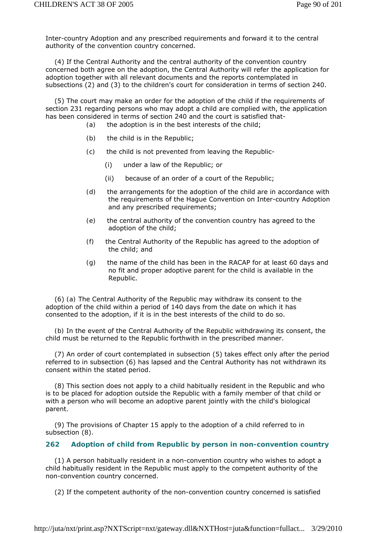Inter-country Adoption and any prescribed requirements and forward it to the central authority of the convention country concerned.

 (4) If the Central Authority and the central authority of the convention country concerned both agree on the adoption, the Central Authority will refer the application for adoption together with all relevant documents and the reports contemplated in subsections (2) and (3) to the children's court for consideration in terms of section 240.

 (5) The court may make an order for the adoption of the child if the requirements of section 231 regarding persons who may adopt a child are complied with, the application has been considered in terms of section 240 and the court is satisfied that-

- *(a)* the adoption is in the best interests of the child;
- *(b)* the child is in the Republic;
- *(c)* the child is not prevented from leaving the Republic-
	- (i) under a law of the Republic; or
	- (ii) because of an order of a court of the Republic;
- *(d)* the arrangements for the adoption of the child are in accordance with the requirements of the Hague Convention on Inter-country Adoption and any prescribed requirements;
- *(e)* the central authority of the convention country has agreed to the adoption of the child;
- *(f)* the Central Authority of the Republic has agreed to the adoption of the child; and
- *(g)* the name of the child has been in the RACAP for at least 60 days and no fit and proper adoptive parent for the child is available in the Republic.

 (6) *(a)* The Central Authority of the Republic may withdraw its consent to the adoption of the child within a period of 140 days from the date on which it has consented to the adoption, if it is in the best interests of the child to do so.

 *(b)* In the event of the Central Authority of the Republic withdrawing its consent, the child must be returned to the Republic forthwith in the prescribed manner.

 (7) An order of court contemplated in subsection (5) takes effect only after the period referred to in subsection (6) has lapsed and the Central Authority has not withdrawn its consent within the stated period.

 (8) This section does not apply to a child habitually resident in the Republic and who is to be placed for adoption outside the Republic with a family member of that child or with a person who will become an adoptive parent jointly with the child's biological parent.

 (9) The provisions of Chapter 15 apply to the adoption of a child referred to in subsection (8).

#### **262 Adoption of child from Republic by person in non-convention country**

 (1) A person habitually resident in a non-convention country who wishes to adopt a child habitually resident in the Republic must apply to the competent authority of the non-convention country concerned.

(2) If the competent authority of the non-convention country concerned is satisfied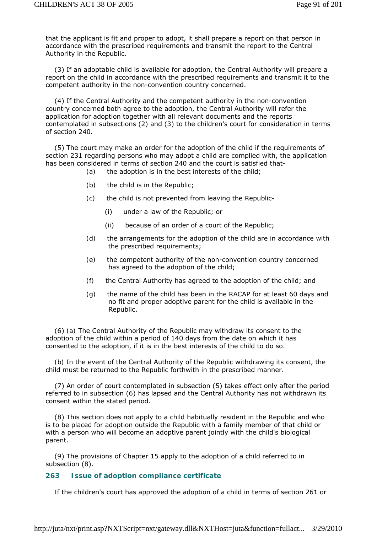that the applicant is fit and proper to adopt, it shall prepare a report on that person in accordance with the prescribed requirements and transmit the report to the Central Authority in the Republic.

 (3) If an adoptable child is available for adoption, the Central Authority will prepare a report on the child in accordance with the prescribed requirements and transmit it to the competent authority in the non-convention country concerned.

 (4) If the Central Authority and the competent authority in the non-convention country concerned both agree to the adoption, the Central Authority will refer the application for adoption together with all relevant documents and the reports contemplated in subsections (2) and (3) to the children's court for consideration in terms of section 240.

 (5) The court may make an order for the adoption of the child if the requirements of section 231 regarding persons who may adopt a child are complied with, the application has been considered in terms of section 240 and the court is satisfied that-

- *(a)* the adoption is in the best interests of the child;
- *(b)* the child is in the Republic;
- *(c)* the child is not prevented from leaving the Republic-
	- (i) under a law of the Republic; or
	- (ii) because of an order of a court of the Republic;
- *(d)* the arrangements for the adoption of the child are in accordance with the prescribed requirements;
- *(e)* the competent authority of the non-convention country concerned has agreed to the adoption of the child;
- *(f)* the Central Authority has agreed to the adoption of the child; and
- *(g)* the name of the child has been in the RACAP for at least 60 days and no fit and proper adoptive parent for the child is available in the Republic.

 (6) *(a)* The Central Authority of the Republic may withdraw its consent to the adoption of the child within a period of 140 days from the date on which it has consented to the adoption, if it is in the best interests of the child to do so.

 *(b)* In the event of the Central Authority of the Republic withdrawing its consent, the child must be returned to the Republic forthwith in the prescribed manner.

 (7) An order of court contemplated in subsection (5) takes effect only after the period referred to in subsection (6) has lapsed and the Central Authority has not withdrawn its consent within the stated period.

 (8) This section does not apply to a child habitually resident in the Republic and who is to be placed for adoption outside the Republic with a family member of that child or with a person who will become an adoptive parent jointly with the child's biological parent.

 (9) The provisions of Chapter 15 apply to the adoption of a child referred to in subsection (8).

#### **263 Issue of adoption compliance certificate**

If the children's court has approved the adoption of a child in terms of section 261 or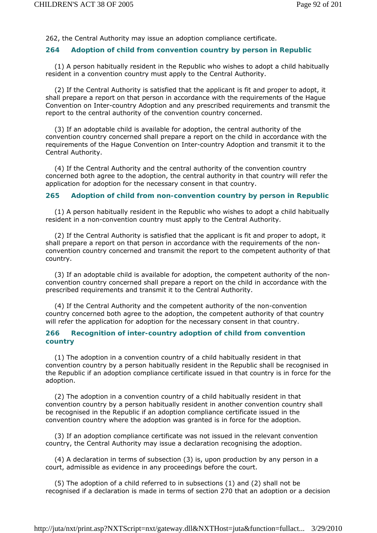262, the Central Authority may issue an adoption compliance certificate.

#### **264 Adoption of child from convention country by person in Republic**

 (1) A person habitually resident in the Republic who wishes to adopt a child habitually resident in a convention country must apply to the Central Authority.

 (2) If the Central Authority is satisfied that the applicant is fit and proper to adopt, it shall prepare a report on that person in accordance with the requirements of the Hague Convention on Inter-country Adoption and any prescribed requirements and transmit the report to the central authority of the convention country concerned.

 (3) If an adoptable child is available for adoption, the central authority of the convention country concerned shall prepare a report on the child in accordance with the requirements of the Hague Convention on Inter-country Adoption and transmit it to the Central Authority.

 (4) If the Central Authority and the central authority of the convention country concerned both agree to the adoption, the central authority in that country will refer the application for adoption for the necessary consent in that country.

### **265 Adoption of child from non-convention country by person in Republic**

 (1) A person habitually resident in the Republic who wishes to adopt a child habitually resident in a non-convention country must apply to the Central Authority.

 (2) If the Central Authority is satisfied that the applicant is fit and proper to adopt, it shall prepare a report on that person in accordance with the requirements of the nonconvention country concerned and transmit the report to the competent authority of that country.

 (3) If an adoptable child is available for adoption, the competent authority of the nonconvention country concerned shall prepare a report on the child in accordance with the prescribed requirements and transmit it to the Central Authority.

 (4) If the Central Authority and the competent authority of the non-convention country concerned both agree to the adoption, the competent authority of that country will refer the application for adoption for the necessary consent in that country.

### **266 Recognition of inter-country adoption of child from convention country**

 (1) The adoption in a convention country of a child habitually resident in that convention country by a person habitually resident in the Republic shall be recognised in the Republic if an adoption compliance certificate issued in that country is in force for the adoption.

 (2) The adoption in a convention country of a child habitually resident in that convention country by a person habitually resident in another convention country shall be recognised in the Republic if an adoption compliance certificate issued in the convention country where the adoption was granted is in force for the adoption.

 (3) If an adoption compliance certificate was not issued in the relevant convention country, the Central Authority may issue a declaration recognising the adoption.

 (4) A declaration in terms of subsection (3) is, upon production by any person in a court, admissible as evidence in any proceedings before the court.

 (5) The adoption of a child referred to in subsections (1) and (2) shall not be recognised if a declaration is made in terms of section 270 that an adoption or a decision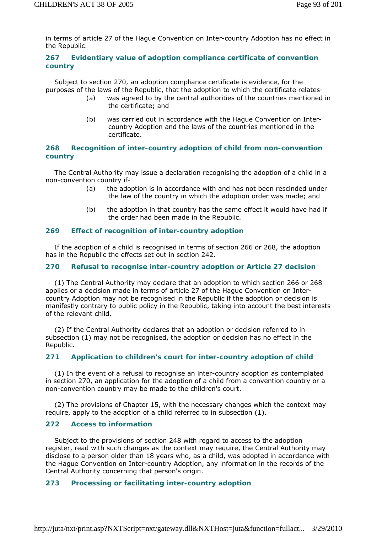in terms of article 27 of the Hague Convention on Inter-country Adoption has no effect in the Republic.

# **267 Evidentiary value of adoption compliance certificate of convention country**

 Subject to section 270, an adoption compliance certificate is evidence, for the purposes of the laws of the Republic, that the adoption to which the certificate relates-

- *(a)* was agreed to by the central authorities of the countries mentioned in the certificate; and
- *(b)* was carried out in accordance with the Hague Convention on Intercountry Adoption and the laws of the countries mentioned in the certificate.

# **268 Recognition of inter-country adoption of child from non-convention country**

 The Central Authority may issue a declaration recognising the adoption of a child in a non-convention country if-

- *(a)* the adoption is in accordance with and has not been rescinded under the law of the country in which the adoption order was made; and
- *(b)* the adoption in that country has the same effect it would have had if the order had been made in the Republic.

# **269 Effect of recognition of inter-country adoption**

 If the adoption of a child is recognised in terms of section 266 or 268, the adoption has in the Republic the effects set out in section 242.

### **270 Refusal to recognise inter-country adoption or Article 27 decision**

 (1) The Central Authority may declare that an adoption to which section 266 or 268 applies or a decision made in terms of article 27 of the Hague Convention on Intercountry Adoption may not be recognised in the Republic if the adoption or decision is manifestly contrary to public policy in the Republic, taking into account the best interests of the relevant child.

 (2) If the Central Authority declares that an adoption or decision referred to in subsection (1) may not be recognised, the adoption or decision has no effect in the Republic.

# **271 Application to children's court for inter-country adoption of child**

 (1) In the event of a refusal to recognise an inter-country adoption as contemplated in section 270, an application for the adoption of a child from a convention country or a non-convention country may be made to the children's court.

 (2) The provisions of Chapter 15, with the necessary changes which the context may require, apply to the adoption of a child referred to in subsection (1).

# **272 Access to information**

 Subject to the provisions of section 248 with regard to access to the adoption register, read with such changes as the context may require, the Central Authority may disclose to a person older than 18 years who, as a child, was adopted in accordance with the Hague Convention on Inter-country Adoption, any information in the records of the Central Authority concerning that person's origin.

# **273 Processing or facilitating inter-country adoption**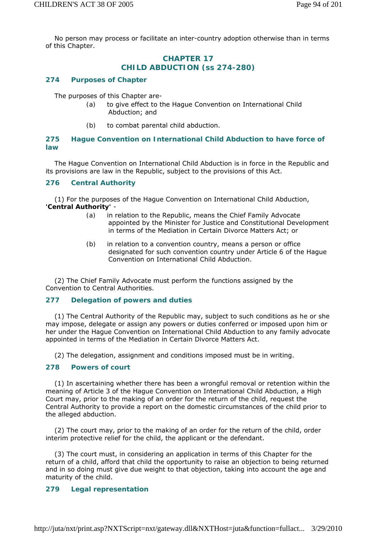No person may process or facilitate an inter-country adoption otherwise than in terms of this Chapter.

# **CHAPTER 17 CHILD ABDUCTION (ss 274-280)**

### **274 Purposes of Chapter**

The purposes of this Chapter are-

- *(a)* to give effect to the Hague Convention on International Child Abduction; and
- *(b)* to combat parental child abduction.

# **275 Hague Convention on International Child Abduction to have force of law**

 The Hague Convention on International Child Abduction is in force in the Republic and its provisions are law in the Republic, subject to the provisions of this Act.

### **276 Central Authority**

 (1) For the purposes of the Hague Convention on International Child Abduction, **'Central Authority'** -

- *(a)* in relation to the Republic, means the Chief Family Advocate appointed by the Minister for Justice and Constitutional Development in terms of the Mediation in Certain Divorce Matters Act; or
- *(b)* in relation to a convention country, means a person or office designated for such convention country under Article 6 of the Hague Convention on International Child Abduction.

 (2) The Chief Family Advocate must perform the functions assigned by the Convention to Central Authorities.

### **277 Delegation of powers and duties**

 (1) The Central Authority of the Republic may, subject to such conditions as he or she may impose, delegate or assign any powers or duties conferred or imposed upon him or her under the Hague Convention on International Child Abduction to any family advocate appointed in terms of the Mediation in Certain Divorce Matters Act.

(2) The delegation, assignment and conditions imposed must be in writing.

### **278 Powers of court**

 (1) In ascertaining whether there has been a wrongful removal or retention within the meaning of Article 3 of the Hague Convention on International Child Abduction, a High Court may, prior to the making of an order for the return of the child, request the Central Authority to provide a report on the domestic circumstances of the child prior to the alleged abduction.

 (2) The court may, prior to the making of an order for the return of the child, order interim protective relief for the child, the applicant or the defendant.

 (3) The court must, in considering an application in terms of this Chapter for the return of a child, afford that child the opportunity to raise an objection to being returned and in so doing must give due weight to that objection, taking into account the age and maturity of the child.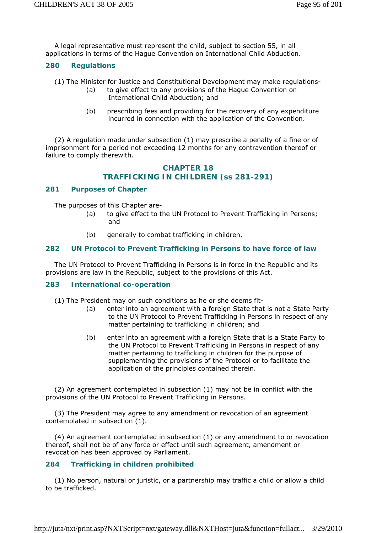A legal representative must represent the child, subject to section 55, in all applications in terms of the Hague Convention on International Child Abduction.

### **280 Regulations**

(1) The Minister for Justice and Constitutional Development may make regulations-

- *(a)* to give effect to any provisions of the Hague Convention on International Child Abduction; and
- *(b)* prescribing fees and providing for the recovery of any expenditure incurred in connection with the application of the Convention.

 (2) A regulation made under subsection (1) may prescribe a penalty of a fine or of imprisonment for a period not exceeding 12 months for any contravention thereof or failure to comply therewith.

# **CHAPTER 18 TRAFFICKING IN CHILDREN (ss 281-291)**

### **281 Purposes of Chapter**

The purposes of this Chapter are-

- *(a)* to give effect to the UN Protocol to Prevent Trafficking in Persons; and
- *(b)* generally to combat trafficking in children.

### **282 UN Protocol to Prevent Trafficking in Persons to have force of law**

 The UN Protocol to Prevent Trafficking in Persons is in force in the Republic and its provisions are law in the Republic, subject to the provisions of this Act.

### **283 International co-operation**

(1) The President may on such conditions as he or she deems fit-

- *(a)* enter into an agreement with a foreign State that is not a State Party to the UN Protocol to Prevent Trafficking in Persons in respect of any matter pertaining to trafficking in children; and
- *(b)* enter into an agreement with a foreign State that is a State Party to the UN Protocol to Prevent Trafficking in Persons in respect of any matter pertaining to trafficking in children for the purpose of supplementing the provisions of the Protocol or to facilitate the application of the principles contained therein.

 (2) An agreement contemplated in subsection (1) may not be in conflict with the provisions of the UN Protocol to Prevent Trafficking in Persons.

 (3) The President may agree to any amendment or revocation of an agreement contemplated in subsection (1).

 (4) An agreement contemplated in subsection (1) or any amendment to or revocation thereof, shall not be of any force or effect until such agreement, amendment or revocation has been approved by Parliament.

# **284 Trafficking in children prohibited**

 (1) No person, natural or juristic, or a partnership may traffic a child or allow a child to be trafficked.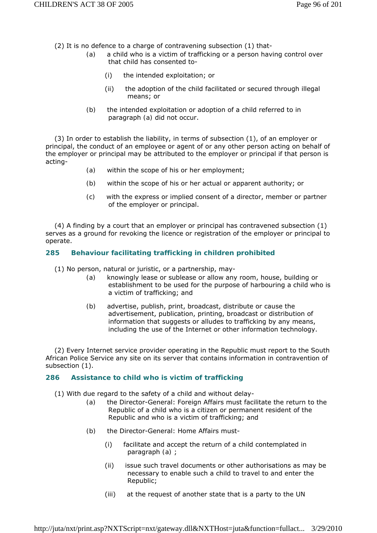(2) It is no defence to a charge of contravening subsection (1) that-

- *(a)* a child who is a victim of trafficking or a person having control over that child has consented to-
	- (i) the intended exploitation; or
	- (ii) the adoption of the child facilitated or secured through illegal means; or
- *(b)* the intended exploitation or adoption of a child referred to in paragraph *(a)* did not occur.

 (3) In order to establish the liability, in terms of subsection (1), of an employer or principal, the conduct of an employee or agent of or any other person acting on behalf of the employer or principal may be attributed to the employer or principal if that person is acting-

- *(a)* within the scope of his or her employment;
- *(b)* within the scope of his or her actual or apparent authority; or
- *(c)* with the express or implied consent of a director, member or partner of the employer or principal.

 (4) A finding by a court that an employer or principal has contravened subsection (1) serves as a ground for revoking the licence or registration of the employer or principal to operate.

### **285 Behaviour facilitating trafficking in children prohibited**

- (1) No person, natural or juristic, or a partnership, may-
	- *(a)* knowingly lease or sublease or allow any room, house, building or establishment to be used for the purpose of harbouring a child who is a victim of trafficking; and
	- *(b)* advertise, publish, print, broadcast, distribute or cause the advertisement, publication, printing, broadcast or distribution of information that suggests or alludes to trafficking by any means, including the use of the Internet or other information technology.

 (2) Every Internet service provider operating in the Republic must report to the South African Police Service any site on its server that contains information in contravention of subsection (1).

#### **286 Assistance to child who is victim of trafficking**

- (1) With due regard to the safety of a child and without delay-
	- *(a)* the Director-General: Foreign Affairs must facilitate the return to the Republic of a child who is a citizen or permanent resident of the Republic and who is a victim of trafficking; and
	- *(b)* the Director-General: Home Affairs must-
		- (i) facilitate and accept the return of a child contemplated in paragraph *(a)* ;
		- (ii) issue such travel documents or other authorisations as may be necessary to enable such a child to travel to and enter the Republic;
		- (iii) at the request of another state that is a party to the UN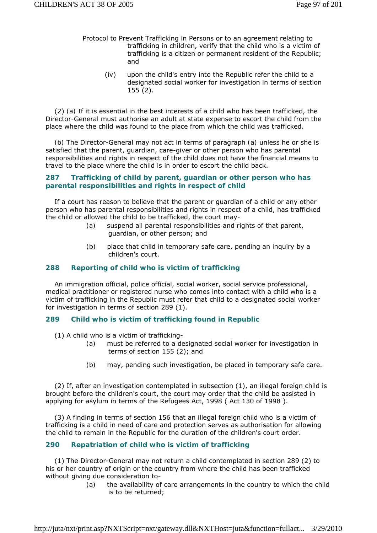- Protocol to Prevent Trafficking in Persons or to an agreement relating to trafficking in children, verify that the child who is a victim of trafficking is a citizen or permanent resident of the Republic; and
	- (iv) upon the child's entry into the Republic refer the child to a designated social worker for investigation in terms of section 155 (2).

 (2) *(a)* If it is essential in the best interests of a child who has been trafficked, the Director-General must authorise an adult at state expense to escort the child from the place where the child was found to the place from which the child was trafficked.

 *(b)* The Director-General may not act in terms of paragraph *(a)* unless he or she is satisfied that the parent, guardian, care-giver or other person who has parental responsibilities and rights in respect of the child does not have the financial means to travel to the place where the child is in order to escort the child back.

### **287 Trafficking of child by parent, guardian or other person who has parental responsibilities and rights in respect of child**

 If a court has reason to believe that the parent or guardian of a child or any other person who has parental responsibilities and rights in respect of a child, has trafficked the child or allowed the child to be trafficked, the court may-

- *(a)* suspend all parental responsibilities and rights of that parent, guardian, or other person; and
- *(b)* place that child in temporary safe care, pending an inquiry by a children's court.

# **288 Reporting of child who is victim of trafficking**

 An immigration official, police official, social worker, social service professional, medical practitioner or registered nurse who comes into contact with a child who is a victim of trafficking in the Republic must refer that child to a designated social worker for investigation in terms of section 289 (1).

# **289 Child who is victim of trafficking found in Republic**

(1) A child who is a victim of trafficking-

- *(a)* must be referred to a designated social worker for investigation in terms of section 155 (2); and
- *(b)* may, pending such investigation, be placed in temporary safe care.

 (2) If, after an investigation contemplated in subsection (1), an illegal foreign child is brought before the children's court, the court may order that the child be assisted in applying for asylum in terms of the Refugees Act, 1998 ( Act 130 of 1998 ).

 (3) A finding in terms of section 156 that an illegal foreign child who is a victim of trafficking is a child in need of care and protection serves as authorisation for allowing the child to remain in the Republic for the duration of the children's court order.

### **290 Repatriation of child who is victim of trafficking**

 (1) The Director-General may not return a child contemplated in section 289 (2) to his or her country of origin or the country from where the child has been trafficked without giving due consideration to-

> *(a)* the availability of care arrangements in the country to which the child is to be returned;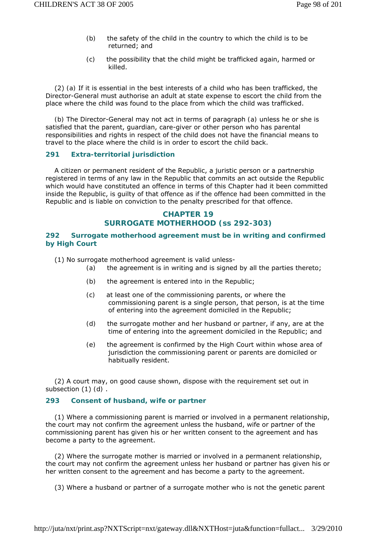- *(b)* the safety of the child in the country to which the child is to be returned; and
- *(c)* the possibility that the child might be trafficked again, harmed or killed.

 (2) *(a)* If it is essential in the best interests of a child who has been trafficked, the Director-General must authorise an adult at state expense to escort the child from the place where the child was found to the place from which the child was trafficked.

 *(b)* The Director-General may not act in terms of paragraph *(a)* unless he or she is satisfied that the parent, guardian, care-giver or other person who has parental responsibilities and rights in respect of the child does not have the financial means to travel to the place where the child is in order to escort the child back.

#### **291 Extra-territorial jurisdiction**

 A citizen or permanent resident of the Republic, a juristic person or a partnership registered in terms of any law in the Republic that commits an act outside the Republic which would have constituted an offence in terms of this Chapter had it been committed inside the Republic, is guilty of that offence as if the offence had been committed in the Republic and is liable on conviction to the penalty prescribed for that offence.

# **CHAPTER 19 SURROGATE MOTHERHOOD (ss 292-303)**

### **292 Surrogate motherhood agreement must be in writing and confirmed by High Court**

(1) No surrogate motherhood agreement is valid unless-

- *(a)* the agreement is in writing and is signed by all the parties thereto;
- *(b)* the agreement is entered into in the Republic;
- *(c)* at least one of the commissioning parents, or where the commissioning parent is a single person, that person, is at the time of entering into the agreement domiciled in the Republic;
- *(d)* the surrogate mother and her husband or partner, if any, are at the time of entering into the agreement domiciled in the Republic; and
- *(e)* the agreement is confirmed by the High Court within whose area of jurisdiction the commissioning parent or parents are domiciled or habitually resident.

 (2) A court may, on good cause shown, dispose with the requirement set out in subsection (1) *(d)* .

### **293 Consent of husband, wife or partner**

 (1) Where a commissioning parent is married or involved in a permanent relationship, the court may not confirm the agreement unless the husband, wife or partner of the commissioning parent has given his or her written consent to the agreement and has become a party to the agreement.

 (2) Where the surrogate mother is married or involved in a permanent relationship, the court may not confirm the agreement unless her husband or partner has given his or her written consent to the agreement and has become a party to the agreement.

(3) Where a husband or partner of a surrogate mother who is not the genetic parent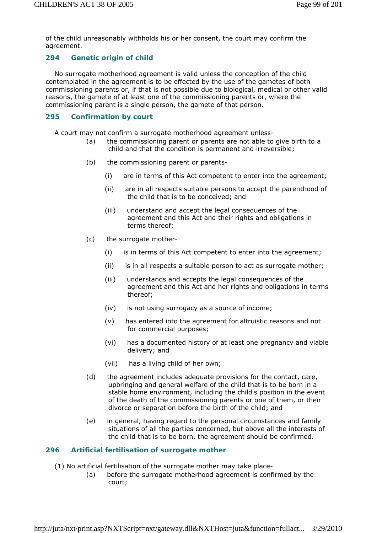of the child unreasonably withholds his or her consent, the court may confirm the agreement.

### **294 Genetic origin of child**

 No surrogate motherhood agreement is valid unless the conception of the child contemplated in the agreement is to be effected by the use of the gametes of both commissioning parents or, if that is not possible due to biological, medical or other valid reasons, the gamete of at least one of the commissioning parents or, where the commissioning parent is a single person, the gamete of that person.

#### **295 Confirmation by court**

A court may not confirm a surrogate motherhood agreement unless-

- *(a)* the commissioning parent or parents are not able to give birth to a child and that the condition is permanent and irreversible;
- *(b)* the commissioning parent or parents-
	- (i) are in terms of this Act competent to enter into the agreement;
	- (ii) are in all respects suitable persons to accept the parenthood of the child that is to be conceived; and
	- (iii) understand and accept the legal consequences of the agreement and this Act and their rights and obligations in terms thereof;
- *(c)* the surrogate mother-
	- (i) is in terms of this Act competent to enter into the agreement;
	- (ii) is in all respects a suitable person to act as surrogate mother;
	- (iii) understands and accepts the legal consequences of the agreement and this Act and her rights and obligations in terms thereof;
	- (iv) is not using surrogacy as a source of income;
	- (v) has entered into the agreement for altruistic reasons and not for commercial purposes;
	- (vi) has a documented history of at least one pregnancy and viable delivery; and
	- (vii) has a living child of her own;
- *(d)* the agreement includes adequate provisions for the contact, care, upbringing and general welfare of the child that is to be born in a stable home environment, including the child's position in the event of the death of the commissioning parents or one of them, or their divorce or separation before the birth of the child; and
- *(e)* in general, having regard to the personal circumstances and family situations of all the parties concerned, but above all the interests of the child that is to be born, the agreement should be confirmed.

### **296 Artificial fertilisation of surrogate mother**

- (1) No artificial fertilisation of the surrogate mother may take place-
	- *(a)* before the surrogate motherhood agreement is confirmed by the court;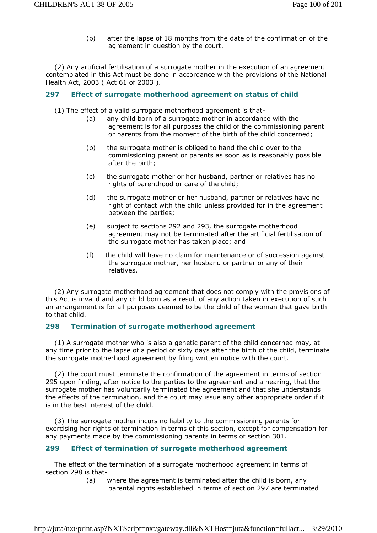*(b)* after the lapse of 18 months from the date of the confirmation of the agreement in question by the court.

 (2) Any artificial fertilisation of a surrogate mother in the execution of an agreement contemplated in this Act must be done in accordance with the provisions of the National Health Act, 2003 ( Act 61 of 2003 ).

### **297 Effect of surrogate motherhood agreement on status of child**

- (1) The effect of a valid surrogate motherhood agreement is that-
	- *(a)* any child born of a surrogate mother in accordance with the agreement is for all purposes the child of the commissioning parent or parents from the moment of the birth of the child concerned;
	- *(b)* the surrogate mother is obliged to hand the child over to the commissioning parent or parents as soon as is reasonably possible after the birth;
	- *(c)* the surrogate mother or her husband, partner or relatives has no rights of parenthood or care of the child;
	- *(d)* the surrogate mother or her husband, partner or relatives have no right of contact with the child unless provided for in the agreement between the parties;
	- *(e)* subject to sections 292 and 293, the surrogate motherhood agreement may not be terminated after the artificial fertilisation of the surrogate mother has taken place; and
	- *(f)* the child will have no claim for maintenance or of succession against the surrogate mother, her husband or partner or any of their relatives.

 (2) Any surrogate motherhood agreement that does not comply with the provisions of this Act is invalid and any child born as a result of any action taken in execution of such an arrangement is for all purposes deemed to be the child of the woman that gave birth to that child.

### **298 Termination of surrogate motherhood agreement**

 (1) A surrogate mother who is also a genetic parent of the child concerned may, at any time prior to the lapse of a period of sixty days after the birth of the child, terminate the surrogate motherhood agreement by filing written notice with the court.

 (2) The court must terminate the confirmation of the agreement in terms of section 295 upon finding, after notice to the parties to the agreement and a hearing, that the surrogate mother has voluntarily terminated the agreement and that she understands the effects of the termination, and the court may issue any other appropriate order if it is in the best interest of the child.

 (3) The surrogate mother incurs no liability to the commissioning parents for exercising her rights of termination in terms of this section, except for compensation for any payments made by the commissioning parents in terms of section 301.

# **299 Effect of termination of surrogate motherhood agreement**

 The effect of the termination of a surrogate motherhood agreement in terms of section 298 is that-

> *(a)* where the agreement is terminated after the child is born, any parental rights established in terms of section 297 are terminated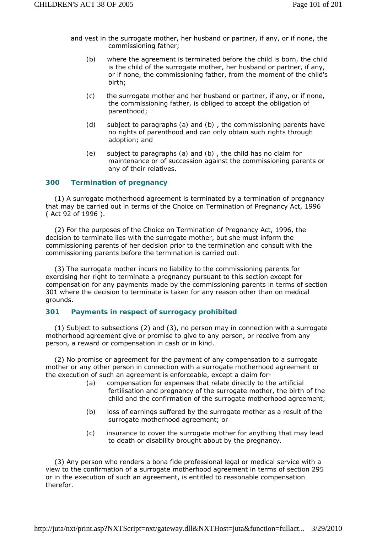- and vest in the surrogate mother, her husband or partner, if any, or if none, the commissioning father;
	- *(b)* where the agreement is terminated before the child is born, the child is the child of the surrogate mother, her husband or partner, if any, or if none, the commissioning father, from the moment of the child's birth;
	- *(c)* the surrogate mother and her husband or partner, if any, or if none, the commissioning father, is obliged to accept the obligation of parenthood;
	- *(d)* subject to paragraphs *(a)* and *(b)* , the commissioning parents have no rights of parenthood and can only obtain such rights through adoption; and
	- *(e)* subject to paragraphs *(a)* and *(b)* , the child has no claim for maintenance or of succession against the commissioning parents or any of their relatives.

### **300 Termination of pregnancy**

 (1) A surrogate motherhood agreement is terminated by a termination of pregnancy that may be carried out in terms of the Choice on Termination of Pregnancy Act, 1996 ( Act 92 of 1996 ).

 (2) For the purposes of the Choice on Termination of Pregnancy Act, 1996, the decision to terminate lies with the surrogate mother, but she must inform the commissioning parents of her decision prior to the termination and consult with the commissioning parents before the termination is carried out.

 (3) The surrogate mother incurs no liability to the commissioning parents for exercising her right to terminate a pregnancy pursuant to this section except for compensation for any payments made by the commissioning parents in terms of section 301 where the decision to terminate is taken for any reason other than on medical grounds.

# **301 Payments in respect of surrogacy prohibited**

 (1) Subject to subsections (2) and (3), no person may in connection with a surrogate motherhood agreement give or promise to give to any person, or receive from any person, a reward or compensation in cash or in kind.

 (2) No promise or agreement for the payment of any compensation to a surrogate mother or any other person in connection with a surrogate motherhood agreement or the execution of such an agreement is enforceable, except a claim for-

- *(a)* compensation for expenses that relate directly to the artificial fertilisation and pregnancy of the surrogate mother, the birth of the child and the confirmation of the surrogate motherhood agreement;
- *(b)* loss of earnings suffered by the surrogate mother as a result of the surrogate motherhood agreement; or
- *(c)* insurance to cover the surrogate mother for anything that may lead to death or disability brought about by the pregnancy.

 (3) Any person who renders a *bona fide* professional legal or medical service with a view to the confirmation of a surrogate motherhood agreement in terms of section 295 or in the execution of such an agreement, is entitled to reasonable compensation therefor.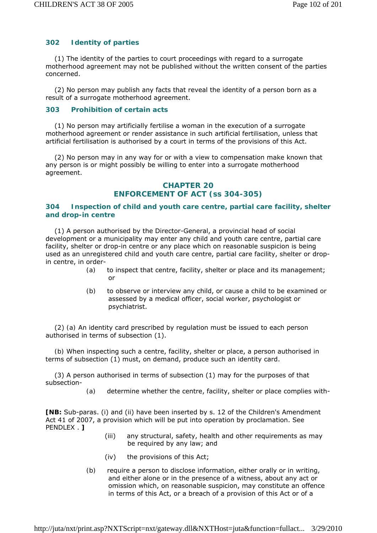### **302 Identity of parties**

 (1) The identity of the parties to court proceedings with regard to a surrogate motherhood agreement may not be published without the written consent of the parties concerned.

 (2) No person may publish any facts that reveal the identity of a person born as a result of a surrogate motherhood agreement.

### **303 Prohibition of certain acts**

 (1) No person may artificially fertilise a woman in the execution of a surrogate motherhood agreement or render assistance in such artificial fertilisation, unless that artificial fertilisation is authorised by a court in terms of the provisions of this Act.

 (2) No person may in any way for or with a view to compensation make known that any person is or might possibly be willing to enter into a surrogate motherhood agreement.

# **CHAPTER 20 ENFORCEMENT OF ACT (ss 304-305)**

### **304 Inspection of child and youth care centre, partial care facility, shelter and drop-in centre**

 (1) A person authorised by the Director-General, a provincial head of social development or a municipality may enter any child and youth care centre, partial care facility, shelter or drop-in centre or any place which on reasonable suspicion is being used as an unregistered child and youth care centre, partial care facility, shelter or dropin centre, in order-

- *(a)* to inspect that centre, facility, shelter or place and its management; or
- *(b)* to observe or interview any child, or cause a child to be examined or assessed by a medical officer, social worker, psychologist or psychiatrist.

 (2) *(a)* An identity card prescribed by regulation must be issued to each person authorised in terms of subsection (1).

 *(b)* When inspecting such a centre, facility, shelter or place, a person authorised in terms of subsection (1) must, on demand, produce such an identity card.

 (3) A person authorised in terms of subsection (1) may for the purposes of that subsection-

*(a)* determine whether the centre, facility, shelter or place complies with-

**[NB:** Sub-paras. (i) and (ii) have been inserted by s. 12 of the Children's Amendment Act 41 of 2007, a provision which will be put into operation by proclamation. See PENDLEX . **]** 

- (iii) any structural, safety, health and other requirements as may be required by any law; and
- (iv) the provisions of this Act;
- *(b)* require a person to disclose information, either orally or in writing, and either alone or in the presence of a witness, about any act or omission which, on reasonable suspicion, may constitute an offence in terms of this Act, or a breach of a provision of this Act or of a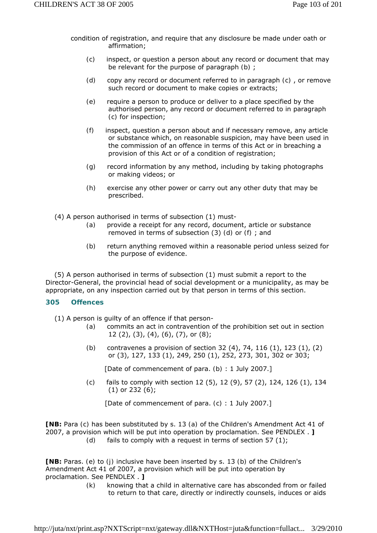condition of registration, and require that any disclosure be made under oath or affirmation;

- *(c)* inspect, or question a person about any record or document that may be relevant for the purpose of paragraph *(b)* ;
- *(d)* copy any record or document referred to in paragraph *(c)* , or remove such record or document to make copies or extracts;
- *(e)* require a person to produce or deliver to a place specified by the authorised person, any record or document referred to in paragraph *(c)* for inspection;
- *(f)* inspect, question a person about and if necessary remove, any article or substance which, on reasonable suspicion, may have been used in the commission of an offence in terms of this Act or in breaching a provision of this Act or of a condition of registration;
- *(g)* record information by any method, including by taking photographs or making videos; or
- *(h)* exercise any other power or carry out any other duty that may be prescribed.
- (4) A person authorised in terms of subsection (1) must-
	- *(a)* provide a receipt for any record, document, article or substance removed in terms of subsection (3) *(d)* or *(f)* ; and
	- *(b)* return anything removed within a reasonable period unless seized for the purpose of evidence.

 (5) A person authorised in terms of subsection (1) must submit a report to the Director-General, the provincial head of social development or a municipality, as may be appropriate, on any inspection carried out by that person in terms of this section.

### **305 Offences**

(1) A person is guilty of an offence if that person-

- *(a)* commits an act in contravention of the prohibition set out in section 12 (2), (3), (4), (6), (7), or (8);
- *(b)* contravenes a provision of section 32 (4), 74, 116 (1), 123 (1), (2) or (3), 127, 133 (1), 249, 250 (1), 252, 273, 301, 302 or 303;

[Date of commencement of para. *(b)* : 1 July 2007.]

 *(c)* fails to comply with section 12 (5), 12 (9), 57 (2), 124, 126 (1), 134 (1) or 232 (6);

[Date of commencement of para. *(c)* : 1 July 2007.]

**[NB:** Para *(c)* has been substituted by s. 13 *(a)* of the Children's Amendment Act 41 of 2007, a provision which will be put into operation by proclamation. See PENDLEX . **]**  *(d)* fails to comply with a request in terms of section 57 (1);

**[NB:** Paras. *(e)* to *(j)* inclusive have been inserted by s. 13 *(b)* of the Children's Amendment Act 41 of 2007, a provision which will be put into operation by proclamation. See PENDLEX . **]** 

> *(k)* knowing that a child in alternative care has absconded from or failed to return to that care, directly or indirectly counsels, induces or aids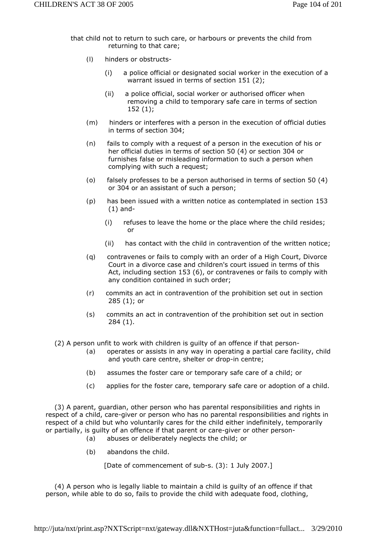that child not to return to such care, or harbours or prevents the child from returning to that care;

- *(l)* hinders or obstructs-
	- (i) a police official or designated social worker in the execution of a warrant issued in terms of section 151 (2);
	- (ii) a police official, social worker or authorised officer when removing a child to temporary safe care in terms of section  $152(1);$
- *(m)* hinders or interferes with a person in the execution of official duties in terms of section 304;
- *(n)* fails to comply with a request of a person in the execution of his or her official duties in terms of section 50 (4) or section 304 or furnishes false or misleading information to such a person when complying with such a request;
- *(o)* falsely professes to be a person authorised in terms of section 50 (4) or 304 or an assistant of such a person;
- *(p)* has been issued with a written notice as contemplated in section 153 (1) and-
	- (i) refuses to leave the home or the place where the child resides; or
	- (ii) has contact with the child in contravention of the written notice;
- *(q)* contravenes or fails to comply with an order of a High Court, Divorce Court in a divorce case and children's court issued in terms of this Act, including section 153 (6), or contravenes or fails to comply with any condition contained in such order;
- *(r)* commits an act in contravention of the prohibition set out in section 285 (1); or
- *(s)* commits an act in contravention of the prohibition set out in section 284 (1).
- (2) A person unfit to work with children is guilty of an offence if that person-
	- *(a)* operates or assists in any way in operating a partial care facility, child and youth care centre, shelter or drop-in centre;
	- *(b)* assumes the foster care or temporary safe care of a child; or
	- *(c)* applies for the foster care, temporary safe care or adoption of a child.

 (3) A parent, guardian, other person who has parental responsibilities and rights in respect of a child, care-giver or person who has no parental responsibilities and rights in respect of a child but who voluntarily cares for the child either indefinitely, temporarily or partially, is guilty of an offence if that parent or care-giver or other person-

- *(a)* abuses or deliberately neglects the child; or
- *(b)* abandons the child.

[Date of commencement of sub-s. (3): 1 July 2007.]

 (4) A person who is legally liable to maintain a child is guilty of an offence if that person, while able to do so, fails to provide the child with adequate food, clothing,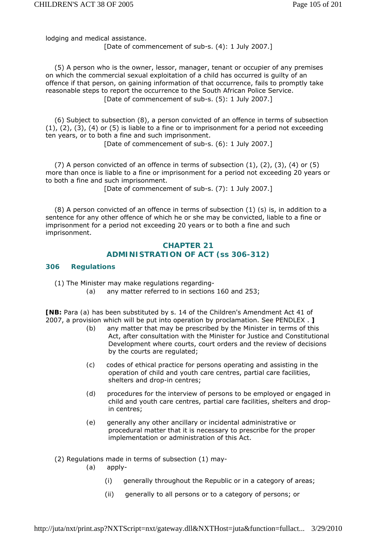lodging and medical assistance.

[Date of commencement of sub-s. (4): 1 July 2007.]

 (5) A person who is the owner, lessor, manager, tenant or occupier of any premises on which the commercial sexual exploitation of a child has occurred is guilty of an offence if that person, on gaining information of that occurrence, fails to promptly take reasonable steps to report the occurrence to the South African Police Service. [Date of commencement of sub-s. (5): 1 July 2007.]

 (6) Subject to subsection (8), a person convicted of an offence in terms of subsection  $(1)$ ,  $(2)$ ,  $(3)$ ,  $(4)$  or  $(5)$  is liable to a fine or to imprisonment for a period not exceeding ten years, or to both a fine and such imprisonment.

[Date of commencement of sub-s. (6): 1 July 2007.]

 $(7)$  A person convicted of an offence in terms of subsection  $(1)$ ,  $(2)$ ,  $(3)$ ,  $(4)$  or  $(5)$ more than once is liable to a fine or imprisonment for a period not exceeding 20 years or to both a fine and such imprisonment.

[Date of commencement of sub-s. (7): 1 July 2007.]

 (8) A person convicted of an offence in terms of subsection (1) *(s)* is, in addition to a sentence for any other offence of which he or she may be convicted, liable to a fine or imprisonment for a period not exceeding 20 years or to both a fine and such imprisonment.

# **CHAPTER 21 ADMINISTRATION OF ACT (ss 306-312)**

#### **306 Regulations**

(1) The Minister may make regulations regarding-

*(a)* any matter referred to in sections 160 and 253;

**[NB:** Para *(a)* has been substituted by s. 14 of the Children's Amendment Act 41 of 2007, a provision which will be put into operation by proclamation. See PENDLEX . **]** 

- *(b)* any matter that may be prescribed by the Minister in terms of this Act, after consultation with the Minister for Justice and Constitutional Development where courts, court orders and the review of decisions by the courts are regulated;
- *(c)* codes of ethical practice for persons operating and assisting in the operation of child and youth care centres, partial care facilities, shelters and drop-in centres;
- *(d)* procedures for the interview of persons to be employed or engaged in child and youth care centres, partial care facilities, shelters and dropin centres;
- *(e)* generally any other ancillary or incidental administrative or procedural matter that it is necessary to prescribe for the proper implementation or administration of this Act.

(2) Regulations made in terms of subsection (1) may-

- *(a)* apply-
	- (i) generally throughout the Republic or in a category of areas;
	- (ii) generally to all persons or to a category of persons; or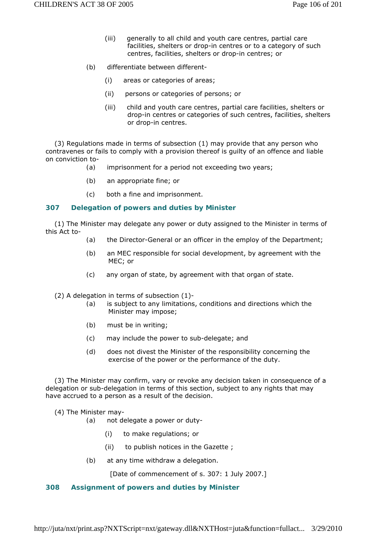- (iii) generally to all child and youth care centres, partial care facilities, shelters or drop-in centres or to a category of such centres, facilities, shelters or drop-in centres; or
- *(b)* differentiate between different-
	- (i) areas or categories of areas;
	- (ii) persons or categories of persons; or
	- (iii) child and youth care centres, partial care facilities, shelters or drop-in centres or categories of such centres, facilities, shelters or drop-in centres.

 (3) Regulations made in terms of subsection (1) may provide that any person who contravenes or fails to comply with a provision thereof is guilty of an offence and liable on conviction to-

- *(a)* imprisonment for a period not exceeding two years;
- *(b)* an appropriate fine; or
- *(c)* both a fine and imprisonment.

### **307 Delegation of powers and duties by Minister**

 (1) The Minister may delegate any power or duty assigned to the Minister in terms of this Act to-

- *(a)* the Director-General or an officer in the employ of the Department;
- *(b)* an MEC responsible for social development, by agreement with the MEC; or
- *(c)* any organ of state, by agreement with that organ of state.
- (2) A delegation in terms of subsection (1)-
	- *(a)* is subject to any limitations, conditions and directions which the Minister may impose;
	- *(b)* must be in writing;
	- *(c)* may include the power to sub-delegate; and
	- *(d)* does not divest the Minister of the responsibility concerning the exercise of the power or the performance of the duty.

 (3) The Minister may confirm, vary or revoke any decision taken in consequence of a delegation or sub-delegation in terms of this section, subject to any rights that may have accrued to a person as a result of the decision.

(4) The Minister may-

- *(a)* not delegate a power or duty-
	- (i) to make regulations; or
	- (ii) to publish notices in the *Gazette* ;
- *(b)* at any time withdraw a delegation.

[Date of commencement of s. 307: 1 July 2007.]

### **308 Assignment of powers and duties by Minister**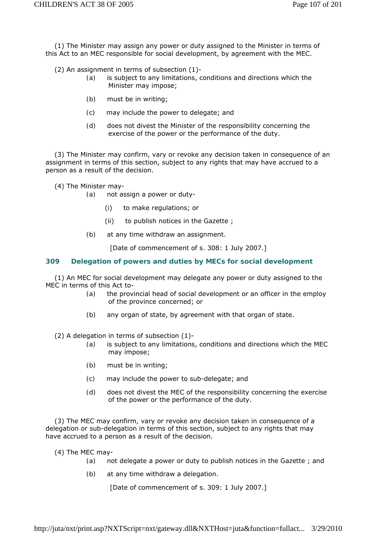(1) The Minister may assign any power or duty assigned to the Minister in terms of this Act to an MEC responsible for social development, by agreement with the MEC.

(2) An assignment in terms of subsection (1)-

- *(a)* is subject to any limitations, conditions and directions which the Minister may impose;
- *(b)* must be in writing;
- *(c)* may include the power to delegate; and
- *(d)* does not divest the Minister of the responsibility concerning the exercise of the power or the performance of the duty.

 (3) The Minister may confirm, vary or revoke any decision taken in consequence of an assignment in terms of this section, subject to any rights that may have accrued to a person as a result of the decision.

(4) The Minister may-

- *(a)* not assign a power or duty-
	- (i) to make regulations; or
	- (ii) to publish notices in the *Gazette* ;
- *(b)* at any time withdraw an assignment.

[Date of commencement of s. 308: 1 July 2007.]

#### **309 Delegation of powers and duties by MECs for social development**

 (1) An MEC for social development may delegate any power or duty assigned to the MEC in terms of this Act to-

- *(a)* the provincial head of social development or an officer in the employ of the province concerned; or
- *(b)* any organ of state, by agreement with that organ of state.

(2) A delegation in terms of subsection (1)-

- *(a)* is subject to any limitations, conditions and directions which the MEC may impose;
- *(b)* must be in writing;
- *(c)* may include the power to sub-delegate; and
- *(d)* does not divest the MEC of the responsibility concerning the exercise of the power or the performance of the duty.

 (3) The MEC may confirm, vary or revoke any decision taken in consequence of a delegation or sub-delegation in terms of this section, subject to any rights that may have accrued to a person as a result of the decision.

- (4) The MEC may-
	- *(a)* not delegate a power or duty to publish notices in the *Gazette* ; and
	- *(b)* at any time withdraw a delegation.

[Date of commencement of s. 309: 1 July 2007.]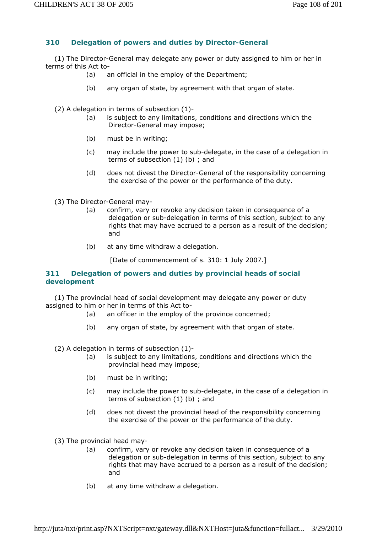# **310 Delegation of powers and duties by Director-General**

 (1) The Director-General may delegate any power or duty assigned to him or her in terms of this Act to-

- *(a)* an official in the employ of the Department;
- *(b)* any organ of state, by agreement with that organ of state.
- (2) A delegation in terms of subsection (1)-
	- *(a)* is subject to any limitations, conditions and directions which the Director-General may impose;
	- *(b)* must be in writing;
	- *(c)* may include the power to sub-delegate, in the case of a delegation in terms of subsection (1) *(b)* ; and
	- *(d)* does not divest the Director-General of the responsibility concerning the exercise of the power or the performance of the duty.
- (3) The Director-General may-
	- *(a)* confirm, vary or revoke any decision taken in consequence of a delegation or sub-delegation in terms of this section, subject to any rights that may have accrued to a person as a result of the decision; and
	- *(b)* at any time withdraw a delegation.

[Date of commencement of s. 310: 1 July 2007.]

# **311 Delegation of powers and duties by provincial heads of social development**

 (1) The provincial head of social development may delegate any power or duty assigned to him or her in terms of this Act to-

- *(a)* an officer in the employ of the province concerned;
- *(b)* any organ of state, by agreement with that organ of state.

(2) A delegation in terms of subsection (1)-

- *(a)* is subject to any limitations, conditions and directions which the provincial head may impose;
- *(b)* must be in writing;
- *(c)* may include the power to sub-delegate, in the case of a delegation in terms of subsection (1) *(b)* ; and
- *(d)* does not divest the provincial head of the responsibility concerning the exercise of the power or the performance of the duty.
- (3) The provincial head may-
	- *(a)* confirm, vary or revoke any decision taken in consequence of a delegation or sub-delegation in terms of this section, subject to any rights that may have accrued to a person as a result of the decision; and
	- *(b)* at any time withdraw a delegation.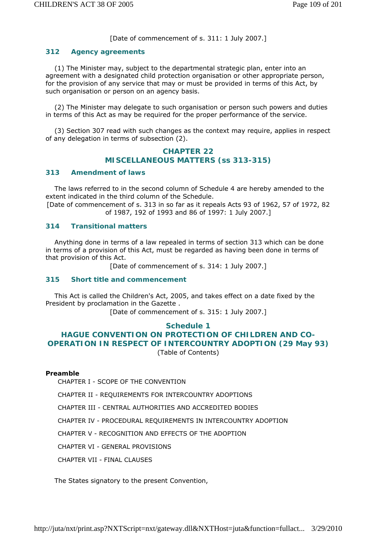[Date of commencement of s. 311: 1 July 2007.]

#### **312 Agency agreements**

 (1) The Minister may, subject to the departmental strategic plan, enter into an agreement with a designated child protection organisation or other appropriate person, for the provision of any service that may or must be provided in terms of this Act, by such organisation or person on an agency basis.

 (2) The Minister may delegate to such organisation or person such powers and duties in terms of this Act as may be required for the proper performance of the service.

 (3) Section 307 read with such changes as the context may require, applies in respect of any delegation in terms of subsection (2).

# **CHAPTER 22 MISCELLANEOUS MATTERS (ss 313-315)**

#### **313 Amendment of laws**

 The laws referred to in the second column of Schedule 4 are hereby amended to the extent indicated in the third column of the Schedule.

[Date of commencement of s. 313 in so far as it repeals Acts 93 of 1962, 57 of 1972, 82 of 1987, 192 of 1993 and 86 of 1997: 1 July 2007.]

#### **314 Transitional matters**

 Anything done in terms of a law repealed in terms of section 313 which can be done in terms of a provision of this Act, must be regarded as having been done in terms of that provision of this Act.

[Date of commencement of s. 314: 1 July 2007.]

#### **315 Short title and commencement**

 This Act is called the Children's Act, 2005, and takes effect on a date fixed by the President by proclamation in the *Gazette* .

[Date of commencement of s. 315: 1 July 2007.]

**Schedule 1 HAGUE CONVENTION ON PROTECTION OF CHILDREN AND CO-OPERATION IN RESPECT OF INTERCOUNTRY ADOPTION (29 May 93)**  (Table of Contents)

#### **Preamble**

CHAPTER I - SCOPE OF THE CONVENTION

CHAPTER II - REQUIREMENTS FOR INTERCOUNTRY ADOPTIONS

CHAPTER III - CENTRAL AUTHORITIES AND ACCREDITED BODIES

CHAPTER IV - PROCEDURAL REQUIREMENTS IN INTERCOUNTRY ADOPTION

CHAPTER V - RECOGNITION AND EFFECTS OF THE ADOPTION

CHAPTER VI - GENERAL PROVISIONS

CHAPTER VII - FINAL CLAUSES

The States signatory to the present Convention,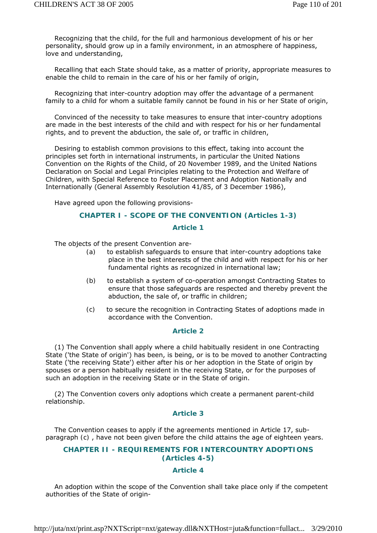Recognizing that the child, for the full and harmonious development of his or her personality, should grow up in a family environment, in an atmosphere of happiness, love and understanding,

 Recalling that each State should take, as a matter of priority, appropriate measures to enable the child to remain in the care of his or her family of origin,

 Recognizing that inter-country adoption may offer the advantage of a permanent family to a child for whom a suitable family cannot be found in his or her State of origin,

 Convinced of the necessity to take measures to ensure that inter-country adoptions are made in the best interests of the child and with respect for his or her fundamental rights, and to prevent the abduction, the sale of, or traffic in children,

 Desiring to establish common provisions to this effect, taking into account the principles set forth in international instruments, in particular the United Nations Convention on the Rights of the Child, of 20 November 1989, and the United Nations Declaration on Social and Legal Principles relating to the Protection and Welfare of Children, with Special Reference to Foster Placement and Adoption Nationally and Internationally (General Assembly Resolution 41/85, of 3 December 1986),

Have agreed upon the following provisions-

#### **CHAPTER I - SCOPE OF THE CONVENTION (Articles 1-3)**

#### **Article 1**

The objects of the present Convention are-

- *(a)* to establish safeguards to ensure that inter-country adoptions take place in the best interests of the child and with respect for his or her fundamental rights as recognized in international law;
- *(b)* to establish a system of co-operation amongst Contracting States to ensure that those safeguards are respected and thereby prevent the abduction, the sale of, or traffic in children;
- *(c)* to secure the recognition in Contracting States of adoptions made in accordance with the Convention.

#### **Article 2**

 (1) The Convention shall apply where a child habitually resident in one Contracting State ('the State of origin') has been, is being, or is to be moved to another Contracting State ('the receiving State') either after his or her adoption in the State of origin by spouses or a person habitually resident in the receiving State, or for the purposes of such an adoption in the receiving State or in the State of origin.

 (2) The Convention covers only adoptions which create a permanent parent-child relationship.

#### **Article 3**

 The Convention ceases to apply if the agreements mentioned in Article 17, subparagraph *(c)* , have not been given before the child attains the age of eighteen years.

#### **CHAPTER II - REQUIREMENTS FOR INTERCOUNTRY ADOPTIONS (Articles 4-5)**

#### **Article 4**

 An adoption within the scope of the Convention shall take place only if the competent authorities of the State of origin-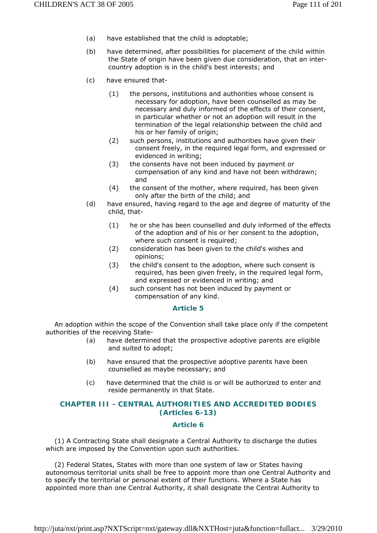- *(a)* have established that the child is adoptable;
- *(b)* have determined, after possibilities for placement of the child within the State of origin have been given due consideration, that an intercountry adoption is in the child's best interests; and
- *(c)* have ensured that-
	- (1) the persons, institutions and authorities whose consent is necessary for adoption, have been counselled as may be necessary and duly informed of the effects of their consent, in particular whether or not an adoption will result in the termination of the legal relationship between the child and his or her family of origin;
	- (2) such persons, institutions and authorities have given their consent freely, in the required legal form, and expressed or evidenced in writing;
	- (3) the consents have not been induced by payment or compensation of any kind and have not been withdrawn; and
	- (4) the consent of the mother, where required, has been given only after the birth of the child; and
- *(d)* have ensured, having regard to the age and degree of maturity of the child, that-
	- (1) he or she has been counselled and duly informed of the effects of the adoption and of his or her consent to the adoption, where such consent is required;
	- (2) consideration has been given to the child's wishes and opinions;
	- (3) the child's consent to the adoption, where such consent is required, has been given freely, in the required legal form, and expressed or evidenced in writing; and
	- (4) such consent has not been induced by payment or compensation of any kind.

#### **Article 5**

 An adoption within the scope of the Convention shall take place only if the competent authorities of the receiving State-

- *(a)* have determined that the prospective adoptive parents are eligible and suited to adopt;
- *(b)* have ensured that the prospective adoptive parents have been counselled as maybe necessary; and
- *(c)* have determined that the child is or will be authorized to enter and reside permanently in that State.

#### **CHAPTER III - CENTRAL AUTHORITIES AND ACCREDITED BODIES (Articles 6-13)**

#### **Article 6**

 (1) A Contracting State shall designate a Central Authority to discharge the duties which are imposed by the Convention upon such authorities.

 (2) Federal States, States with more than one system of law or States having autonomous territorial units shall be free to appoint more than one Central Authority and to specify the territorial or personal extent of their functions. Where a State has appointed more than one Central Authority, it shall designate the Central Authority to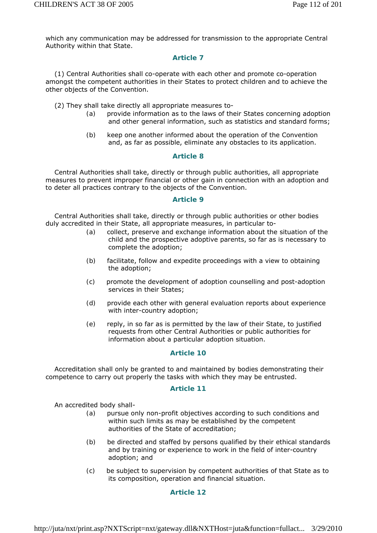which any communication may be addressed for transmission to the appropriate Central Authority within that State.

#### **Article 7**

 (1) Central Authorities shall co-operate with each other and promote co-operation amongst the competent authorities in their States to protect children and to achieve the other objects of the Convention.

(2) They shall take directly all appropriate measures to-

- *(a)* provide information as to the laws of their States concerning adoption and other general information, such as statistics and standard forms;
- *(b)* keep one another informed about the operation of the Convention and, as far as possible, eliminate any obstacles to its application.

#### **Article 8**

 Central Authorities shall take, directly or through public authorities, all appropriate measures to prevent improper financial or other gain in connection with an adoption and to deter all practices contrary to the objects of the Convention.

#### **Article 9**

 Central Authorities shall take, directly or through public authorities or other bodies duly accredited in their State, all appropriate measures, in particular to-

- *(a)* collect, preserve and exchange information about the situation of the child and the prospective adoptive parents, so far as is necessary to complete the adoption;
- *(b)* facilitate, follow and expedite proceedings with a view to obtaining the adoption;
- *(c)* promote the development of adoption counselling and post-adoption services in their States;
- *(d)* provide each other with general evaluation reports about experience with inter-country adoption;
- *(e)* reply, in so far as is permitted by the law of their State, to justified requests from other Central Authorities or public authorities for information about a particular adoption situation.

#### **Article 10**

 Accreditation shall only be granted to and maintained by bodies demonstrating their competence to carry out properly the tasks with which they may be entrusted.

#### **Article 11**

An accredited body shall-

- *(a)* pursue only non-profit objectives according to such conditions and within such limits as may be established by the competent authorities of the State of accreditation;
- *(b)* be directed and staffed by persons qualified by their ethical standards and by training or experience to work in the field of inter-country adoption; and
- *(c)* be subject to supervision by competent authorities of that State as to its composition, operation and financial situation.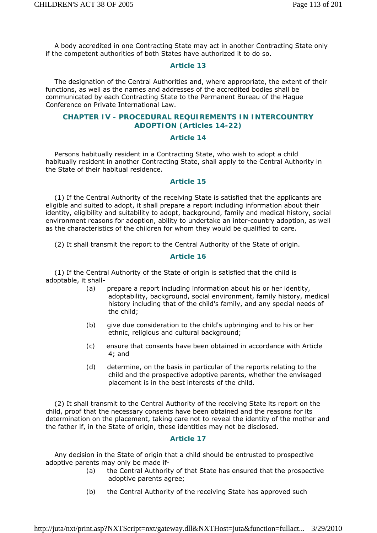A body accredited in one Contracting State may act in another Contracting State only if the competent authorities of both States have authorized it to do so.

#### **Article 13**

 The designation of the Central Authorities and, where appropriate, the extent of their functions, as well as the names and addresses of the accredited bodies shall be communicated by each Contracting State to the Permanent Bureau of the Hague Conference on Private International Law.

# **CHAPTER IV - PROCEDURAL REQUIREMENTS IN INTERCOUNTRY ADOPTION (Articles 14-22)**

#### **Article 14**

 Persons habitually resident in a Contracting State, who wish to adopt a child habitually resident in another Contracting State, shall apply to the Central Authority in the State of their habitual residence.

#### **Article 15**

 (1) If the Central Authority of the receiving State is satisfied that the applicants are eligible and suited to adopt, it shall prepare a report including information about their identity, eligibility and suitability to adopt, background, family and medical history, social environment reasons for adoption, ability to undertake an inter-country adoption, as well as the characteristics of the children for whom they would be qualified to care.

(2) It shall transmit the report to the Central Authority of the State of origin.

#### **Article 16**

 (1) If the Central Authority of the State of origin is satisfied that the child is adoptable, it shall-

- *(a)* prepare a report including information about his or her identity, adoptability, background, social environment, family history, medical history including that of the child's family, and any special needs of the child;
- *(b)* give due consideration to the child's upbringing and to his or her ethnic, religious and cultural background;
- *(c)* ensure that consents have been obtained in accordance with Article 4; and
- *(d)* determine, on the basis in particular of the reports relating to the child and the prospective adoptive parents, whether the envisaged placement is in the best interests of the child.

 (2) It shall transmit to the Central Authority of the receiving State its report on the child, proof that the necessary consents have been obtained and the reasons for its determination on the placement, taking care not to reveal the identity of the mother and the father if, in the State of origin, these identities may not be disclosed.

#### **Article 17**

 Any decision in the State of origin that a child should be entrusted to prospective adoptive parents may only be made if-

- *(a)* the Central Authority of that State has ensured that the prospective adoptive parents agree;
- *(b)* the Central Authority of the receiving State has approved such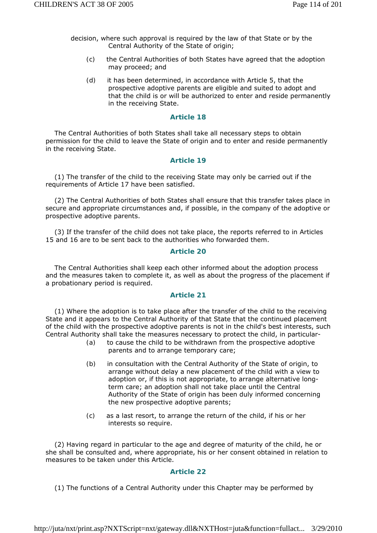decision, where such approval is required by the law of that State or by the Central Authority of the State of origin;

- *(c)* the Central Authorities of both States have agreed that the adoption may proceed; and
- *(d)* it has been determined, in accordance with Article 5, that the prospective adoptive parents are eligible and suited to adopt and that the child is or will be authorized to enter and reside permanently in the receiving State.

#### **Article 18**

 The Central Authorities of both States shall take all necessary steps to obtain permission for the child to leave the State of origin and to enter and reside permanently in the receiving State.

#### **Article 19**

 (1) The transfer of the child to the receiving State may only be carried out if the requirements of Article 17 have been satisfied.

 (2) The Central Authorities of both States shall ensure that this transfer takes place in secure and appropriate circumstances and, if possible, in the company of the adoptive or prospective adoptive parents.

 (3) If the transfer of the child does not take place, the reports referred to in Articles 15 and 16 are to be sent back to the authorities who forwarded them.

#### **Article 20**

 The Central Authorities shall keep each other informed about the adoption process and the measures taken to complete it, as well as about the progress of the placement if a probationary period is required.

#### **Article 21**

 (1) Where the adoption is to take place after the transfer of the child to the receiving State and it appears to the Central Authority of that State that the continued placement of the child with the prospective adoptive parents is not in the child's best interests, such Central Authority shall take the measures necessary to protect the child, in particular-

- *(a)* to cause the child to be withdrawn from the prospective adoptive parents and to arrange temporary care;
- *(b)* in consultation with the Central Authority of the State of origin, to arrange without delay a new placement of the child with a view to adoption or, if this is not appropriate, to arrange alternative longterm care; an adoption shall not take place until the Central Authority of the State of origin has been duly informed concerning the new prospective adoptive parents;
- *(c)* as a last resort, to arrange the return of the child, if his or her interests so require.

 (2) Having regard in particular to the age and degree of maturity of the child, he or she shall be consulted and, where appropriate, his or her consent obtained in relation to measures to be taken under this Article.

#### **Article 22**

(1) The functions of a Central Authority under this Chapter may be performed by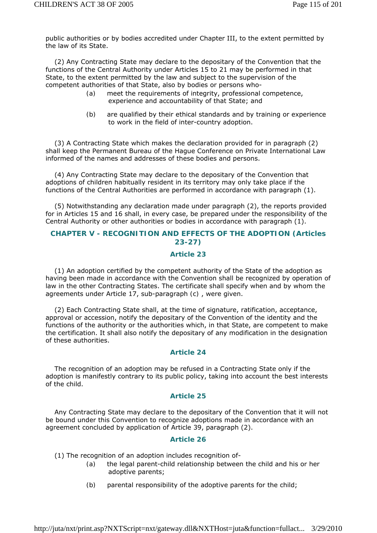public authorities or by bodies accredited under Chapter III, to the extent permitted by the law of its State.

 (2) Any Contracting State may declare to the depositary of the Convention that the functions of the Central Authority under Articles 15 to 21 may be performed in that State, to the extent permitted by the law and subject to the supervision of the competent authorities of that State, also by bodies or persons who-

- *(a)* meet the requirements of integrity, professional competence, experience and accountability of that State; and
- *(b)* are qualified by their ethical standards and by training or experience to work in the field of inter-country adoption.

 (3) A Contracting State which makes the declaration provided for in paragraph (2) shall keep the Permanent Bureau of the Hague Conference on Private International Law informed of the names and addresses of these bodies and persons.

 (4) Any Contracting State may declare to the depositary of the Convention that adoptions of children habitually resident in its territory may only take place if the functions of the Central Authorities are performed in accordance with paragraph (1).

 (5) Notwithstanding any declaration made under paragraph (2), the reports provided for in Articles 15 and 16 shall, in every case, be prepared under the responsibility of the Central Authority or other authorities or bodies in accordance with paragraph (1).

#### **CHAPTER V - RECOGNITION AND EFFECTS OF THE ADOPTION (Articles 23-27)**

#### **Article 23**

 (1) An adoption certified by the competent authority of the State of the adoption as having been made in accordance with the Convention shall be recognized by operation of law in the other Contracting States. The certificate shall specify when and by whom the agreements under Article 17, sub-paragraph *(c)* , were given.

 (2) Each Contracting State shall, at the time of signature, ratification, acceptance, approval or accession, notify the depositary of the Convention of the identity and the functions of the authority or the authorities which, in that State, are competent to make the certification. It shall also notify the depositary of any modification in the designation of these authorities.

#### **Article 24**

 The recognition of an adoption may be refused in a Contracting State only if the adoption is manifestly contrary to its public policy, taking into account the best interests of the child.

#### **Article 25**

 Any Contracting State may declare to the depositary of the Convention that it will not be bound under this Convention to recognize adoptions made in accordance with an agreement concluded by application of Article 39, paragraph (2).

#### **Article 26**

- (1) The recognition of an adoption includes recognition of-
	- *(a)* the legal parent-child relationship between the child and his or her adoptive parents;
	- *(b)* parental responsibility of the adoptive parents for the child;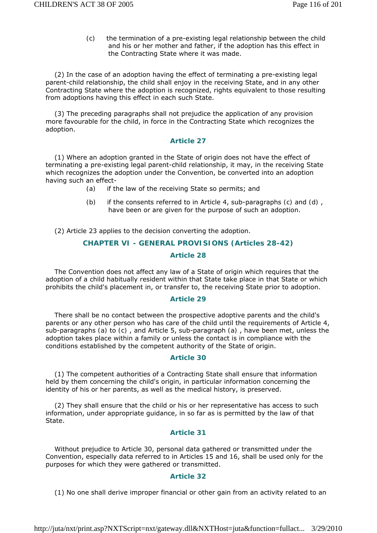*(c)* the termination of a pre-existing legal relationship between the child and his or her mother and father, if the adoption has this effect in the Contracting State where it was made.

 (2) In the case of an adoption having the effect of terminating a pre-existing legal parent-child relationship, the child shall enjoy in the receiving State, and in any other Contracting State where the adoption is recognized, rights equivalent to those resulting from adoptions having this effect in each such State.

 (3) The preceding paragraphs shall not prejudice the application of any provision more favourable for the child, in force in the Contracting State which recognizes the adoption.

#### **Article 27**

 (1) Where an adoption granted in the State of origin does not have the effect of terminating a pre-existing legal parent-child relationship, it may, in the receiving State which recognizes the adoption under the Convention, be converted into an adoption having such an effect-

- *(a)* if the law of the receiving State so permits; and
- *(b)* if the consents referred to in Article 4, sub-paragraphs *(c)* and *(d)* , have been or are given for the purpose of such an adoption.

(2) Article 23 applies to the decision converting the adoption.

# **CHAPTER VI - GENERAL PROVISIONS (Articles 28-42) Article 28**

 The Convention does not affect any law of a State of origin which requires that the adoption of a child habitually resident within that State take place in that State or which prohibits the child's placement in, or transfer to, the receiving State prior to adoption.

#### **Article 29**

 There shall be no contact between the prospective adoptive parents and the child's parents or any other person who has care of the child until the requirements of Article 4, sub-paragraphs *(a)* to *(c)* , and Article 5, sub-paragraph *(a)* , have been met, unless the adoption takes place within a family or unless the contact is in compliance with the conditions established by the competent authority of the State of origin.

#### **Article 30**

 (1) The competent authorities of a Contracting State shall ensure that information held by them concerning the child's origin, in particular information concerning the identity of his or her parents, as well as the medical history, is preserved.

 (2) They shall ensure that the child or his or her representative has access to such information, under appropriate guidance, in so far as is permitted by the law of that State.

#### **Article 31**

 Without prejudice to Article 30, personal data gathered or transmitted under the Convention, especially data referred to in Articles 15 and 16, shall be used only for the purposes for which they were gathered or transmitted.

#### **Article 32**

(1) No one shall derive improper financial or other gain from an activity related to an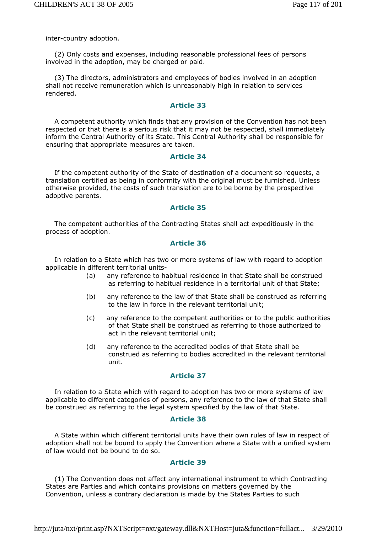inter-country adoption.

 (2) Only costs and expenses, including reasonable professional fees of persons involved in the adoption, may be charged or paid.

 (3) The directors, administrators and employees of bodies involved in an adoption shall not receive remuneration which is unreasonably high in relation to services rendered.

#### **Article 33**

 A competent authority which finds that any provision of the Convention has not been respected or that there is a serious risk that it may not be respected, shall immediately inform the Central Authority of its State. This Central Authority shall be responsible for ensuring that appropriate measures are taken.

#### **Article 34**

 If the competent authority of the State of destination of a document so requests, a translation certified as being in conformity with the original must be furnished. Unless otherwise provided, the costs of such translation are to be borne by the prospective adoptive parents.

#### **Article 35**

 The competent authorities of the Contracting States shall act expeditiously in the process of adoption.

### **Article 36**

 In relation to a State which has two or more systems of law with regard to adoption applicable in different territorial units-

- *(a)* any reference to habitual residence in that State shall be construed as referring to habitual residence in a territorial unit of that State;
- *(b)* any reference to the law of that State shall be construed as referring to the law in force in the relevant territorial unit;
- *(c)* any reference to the competent authorities or to the public authorities of that State shall be construed as referring to those authorized to act in the relevant territorial unit;
- *(d)* any reference to the accredited bodies of that State shall be construed as referring to bodies accredited in the relevant territorial unit.

#### **Article 37**

 In relation to a State which with regard to adoption has two or more systems of law applicable to different categories of persons, any reference to the law of that State shall be construed as referring to the legal system specified by the law of that State.

#### **Article 38**

 A State within which different territorial units have their own rules of law in respect of adoption shall not be bound to apply the Convention where a State with a unified system of law would not be bound to do so.

#### **Article 39**

 (1) The Convention does not affect any international instrument to which Contracting States are Parties and which contains provisions on matters governed by the Convention, unless a contrary declaration is made by the States Parties to such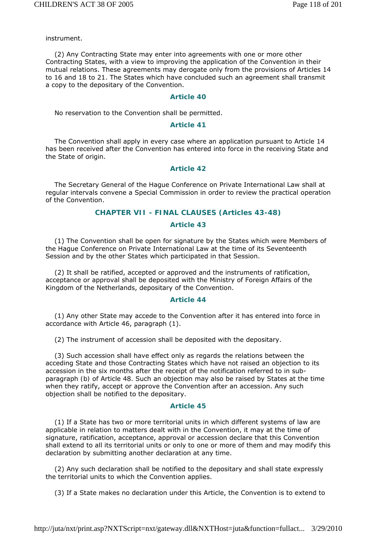#### instrument.

 (2) Any Contracting State may enter into agreements with one or more other Contracting States, with a view to improving the application of the Convention in their mutual relations. These agreements may derogate only from the provisions of Articles 14 to 16 and 18 to 21. The States which have concluded such an agreement shall transmit a copy to the depositary of the Convention.

#### **Article 40**

No reservation to the Convention shall be permitted.

#### **Article 41**

 The Convention shall apply in every case where an application pursuant to Article 14 has been received after the Convention has entered into force in the receiving State and the State of origin.

#### **Article 42**

 The Secretary General of the Hague Conference on Private International Law shall at regular intervals convene a Special Commission in order to review the practical operation of the Convention.

#### **CHAPTER VII - FINAL CLAUSES (Articles 43-48)**

#### **Article 43**

 (1) The Convention shall be open for signature by the States which were Members of the Hague Conference on Private International Law at the time of its Seventeenth Session and by the other States which participated in that Session.

 (2) It shall be ratified, accepted or approved and the instruments of ratification, acceptance or approval shall be deposited with the Ministry of Foreign Affairs of the Kingdom of the Netherlands, depositary of the Convention.

#### **Article 44**

 (1) Any other State may accede to the Convention after it has entered into force in accordance with Article 46, paragraph (1).

(2) The instrument of accession shall be deposited with the depositary.

 (3) Such accession shall have effect only as regards the relations between the acceding State and those Contracting States which have not raised an objection to its accession in the six months after the receipt of the notification referred to in subparagraph *(b)* of Article 48. Such an objection may also be raised by States at the time when they ratify, accept or approve the Convention after an accession. Any such objection shall be notified to the depositary.

#### **Article 45**

 (1) If a State has two or more territorial units in which different systems of law are applicable in relation to matters dealt with in the Convention, it may at the time of signature, ratification, acceptance, approval or accession declare that this Convention shall extend to all its territorial units or only to one or more of them and may modify this declaration by submitting another declaration at any time.

 (2) Any such declaration shall be notified to the depositary and shall state expressly the territorial units to which the Convention applies.

(3) If a State makes no declaration under this Article, the Convention is to extend to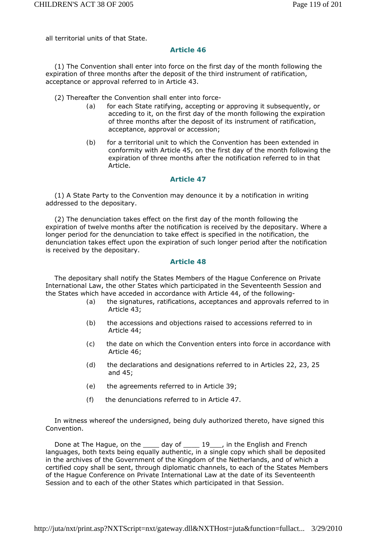all territorial units of that State.

#### **Article 46**

 (1) The Convention shall enter into force on the first day of the month following the expiration of three months after the deposit of the third instrument of ratification, acceptance or approval referred to in Article 43.

(2) Thereafter the Convention shall enter into force-

- *(a)* for each State ratifying, accepting or approving it subsequently, or acceding to it, on the first day of the month following the expiration of three months after the deposit of its instrument of ratification, acceptance, approval or accession;
- *(b)* for a territorial unit to which the Convention has been extended in conformity with Article 45, on the first day of the month following the expiration of three months after the notification referred to in that Article.

#### **Article 47**

 (1) A State Party to the Convention may denounce it by a notification in writing addressed to the depositary.

 (2) The denunciation takes effect on the first day of the month following the expiration of twelve months after the notification is received by the depositary. Where a longer period for the denunciation to take effect is specified in the notification, the denunciation takes effect upon the expiration of such longer period after the notification is received by the depositary.

#### **Article 48**

 The depositary shall notify the States Members of the Hague Conference on Private International Law, the other States which participated in the Seventeenth Session and the States which have acceded in accordance with Article 44, of the following-

- *(a)* the signatures, ratifications, acceptances and approvals referred to in Article 43;
- *(b)* the accessions and objections raised to accessions referred to in Article 44;
- *(c)* the date on which the Convention enters into force in accordance with Article 46;
- *(d)* the declarations and designations referred to in Articles 22, 23, 25 and 45;
- *(e)* the agreements referred to in Article 39;
- *(f)* the denunciations referred to in Article 47.

 In witness whereof the undersigned, being duly authorized thereto, have signed this Convention.

Done at The Hague, on the \_\_\_\_\_ day of \_\_\_\_\_ 19\_\_\_, in the English and French languages, both texts being equally authentic, in a single copy which shall be deposited in the archives of the Government of the Kingdom of the Netherlands, and of which a certified copy shall be sent, through diplomatic channels, to each of the States Members of the Hague Conference on Private International Law at the date of its Seventeenth Session and to each of the other States which participated in that Session.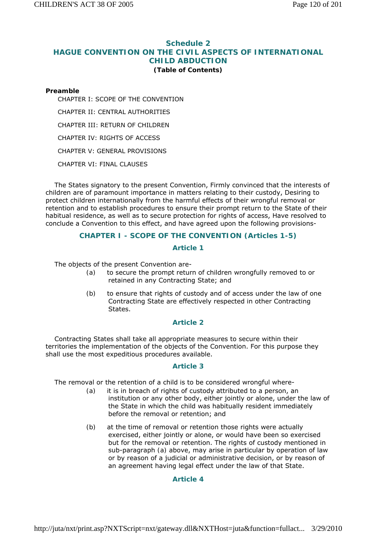# **Schedule 2 HAGUE CONVENTION ON THE CIVIL ASPECTS OF INTERNATIONAL CHILD ABDUCTION (Table of Contents)**

#### **Preamble**

CHAPTER I: SCOPE OF THE CONVENTION CHAPTER II: CENTRAL AUTHORITIES CHAPTER III: RETURN OF CHILDREN CHAPTER IV: RIGHTS OF ACCESS CHAPTER V: GENERAL PROVISIONS CHAPTER VI: FINAL CLAUSES

 The States signatory to the present Convention, Firmly convinced that the interests of children are of paramount importance in matters relating to their custody, Desiring to protect children internationally from the harmful effects of their wrongful removal or retention and to establish procedures to ensure their prompt return to the State of their habitual residence, as well as to secure protection for rights of access, Have resolved to conclude a Convention to this effect, and have agreed upon the following provisions-

### **CHAPTER I - SCOPE OF THE CONVENTION (Articles 1-5)**

#### **Article 1**

The objects of the present Convention are-

- *(a)* to secure the prompt return of children wrongfully removed to or retained in any Contracting State; and
- *(b)* to ensure that rights of custody and of access under the law of one Contracting State are effectively respected in other Contracting States.

#### **Article 2**

 Contracting States shall take all appropriate measures to secure within their territories the implementation of the objects of the Convention. For this purpose they shall use the most expeditious procedures available.

#### **Article 3**

The removal or the retention of a child is to be considered wrongful where-

- *(a)* it is in breach of rights of custody attributed to a person, an institution or any other body, either jointly or alone, under the law of the State in which the child was habitually resident immediately before the removal or retention; and
- *(b)* at the time of removal or retention those rights were actually exercised, either jointly or alone, or would have been so exercised but for the removal or retention. The rights of custody mentioned in sub-paragraph *(a)* above, may arise in particular by operation of law or by reason of a judicial or administrative decision, or by reason of an agreement having legal effect under the law of that State.

#### **Article 4**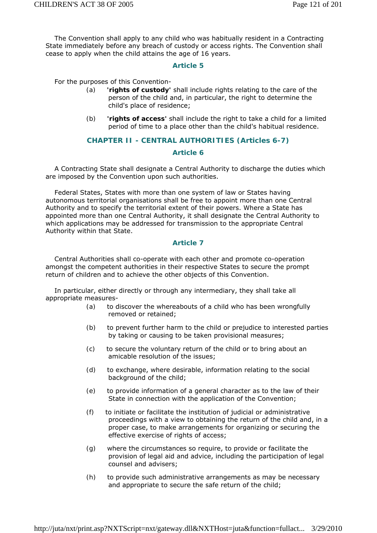The Convention shall apply to any child who was habitually resident in a Contracting State immediately before any breach of custody or access rights. The Convention shall cease to apply when the child attains the age of 16 years.

#### **Article 5**

For the purposes of this Convention-

- *(a)* **'rights of custody'** shall include rights relating to the care of the person of the child and, in particular, the right to determine the child's place of residence;
- *(b)* **'rights of access'** shall include the right to take a child for a limited period of time to a place other than the child's habitual residence.

#### **CHAPTER II - CENTRAL AUTHORITIES (Articles 6-7)**

#### **Article 6**

 A Contracting State shall designate a Central Authority to discharge the duties which are imposed by the Convention upon such authorities.

 Federal States, States with more than one system of law or States having autonomous territorial organisations shall be free to appoint more than one Central Authority and to specify the territorial extent of their powers. Where a State has appointed more than one Central Authority, it shall designate the Central Authority to which applications may be addressed for transmission to the appropriate Central Authority within that State.

#### **Article 7**

 Central Authorities shall co-operate with each other and promote co-operation amongst the competent authorities in their respective States to secure the prompt return of children and to achieve the other objects of this Convention.

 In particular, either directly or through any intermediary, they shall take all appropriate measures-

- *(a)* to discover the whereabouts of a child who has been wrongfully removed or retained;
- *(b)* to prevent further harm to the child or prejudice to interested parties by taking or causing to be taken provisional measures;
- *(c)* to secure the voluntary return of the child or to bring about an amicable resolution of the issues;
- *(d)* to exchange, where desirable, information relating to the social background of the child;
- *(e)* to provide information of a general character as to the law of their State in connection with the application of the Convention;
- *(f)* to initiate or facilitate the institution of judicial or administrative proceedings with a view to obtaining the return of the child and, in a proper case, to make arrangements for organizing or securing the effective exercise of rights of access;
- *(g)* where the circumstances so require, to provide or facilitate the provision of legal aid and advice, including the participation of legal counsel and advisers;
- *(h)* to provide such administrative arrangements as may be necessary and appropriate to secure the safe return of the child;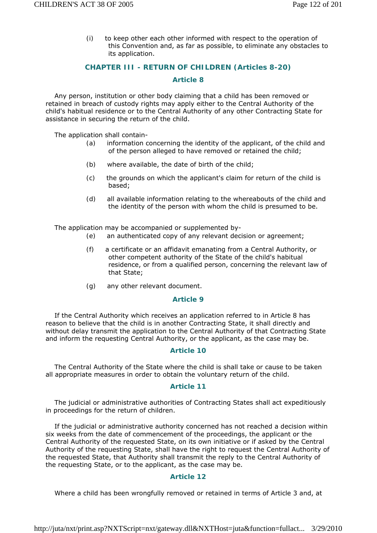*(i)* to keep other each other informed with respect to the operation of this Convention and, as far as possible, to eliminate any obstacles to its application.

# **CHAPTER III - RETURN OF CHILDREN (Articles 8-20) Article 8**

 Any person, institution or other body claiming that a child has been removed or retained in breach of custody rights may apply either to the Central Authority of the child's habitual residence or to the Central Authority of any other Contracting State for assistance in securing the return of the child.

The application shall contain-

- *(a)* information concerning the identity of the applicant, of the child and of the person alleged to have removed or retained the child;
- *(b)* where available, the date of birth of the child;
- *(c)* the grounds on which the applicant's claim for return of the child is based;
- *(d)* all available information relating to the whereabouts of the child and the identity of the person with whom the child is presumed to be.

The application may be accompanied or supplemented by-

- *(e)* an authenticated copy of any relevant decision or agreement;
- *(f)* a certificate or an affidavit emanating from a Central Authority, or other competent authority of the State of the child's habitual residence, or from a qualified person, concerning the relevant law of that State;
- *(g)* any other relevant document.

#### **Article 9**

 If the Central Authority which receives an application referred to in Article 8 has reason to believe that the child is in another Contracting State, it shall directly and without delay transmit the application to the Central Authority of that Contracting State and inform the requesting Central Authority, or the applicant, as the case may be.

#### **Article 10**

 The Central Authority of the State where the child is shall take or cause to be taken all appropriate measures in order to obtain the voluntary return of the child.

#### **Article 11**

 The judicial or administrative authorities of Contracting States shall act expeditiously in proceedings for the return of children.

 If the judicial or administrative authority concerned has not reached a decision within six weeks from the date of commencement of the proceedings, the applicant or the Central Authority of the requested State, on its own initiative or if asked by the Central Authority of the requesting State, shall have the right to request the Central Authority of the requested State, that Authority shall transmit the reply to the Central Authority of the requesting State, or to the applicant, as the case may be.

#### **Article 12**

Where a child has been wrongfully removed or retained in terms of Article 3 and, at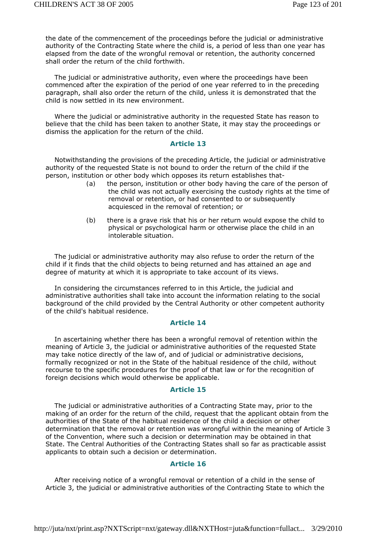the date of the commencement of the proceedings before the judicial or administrative authority of the Contracting State where the child is, a period of less than one year has elapsed from the date of the wrongful removal or retention, the authority concerned shall order the return of the child forthwith.

 The judicial or administrative authority, even where the proceedings have been commenced after the expiration of the period of one year referred to in the preceding paragraph, shall also order the return of the child, unless it is demonstrated that the child is now settled in its new environment.

 Where the judicial or administrative authority in the requested State has reason to believe that the child has been taken to another State, it may stay the proceedings or dismiss the application for the return of the child.

#### **Article 13**

 Notwithstanding the provisions of the preceding Article, the judicial or administrative authority of the requested State is not bound to order the return of the child if the person, institution or other body which opposes its return establishes that-

- *(a)* the person, institution or other body having the care of the person of the child was not actually exercising the custody rights at the time of removal or retention, or had consented to or subsequently acquiesced in the removal of retention; or
- *(b)* there is a grave risk that his or her return would expose the child to physical or psychological harm or otherwise place the child in an intolerable situation.

 The judicial or administrative authority may also refuse to order the return of the child if it finds that the child objects to being returned and has attained an age and degree of maturity at which it is appropriate to take account of its views.

 In considering the circumstances referred to in this Article, the judicial and administrative authorities shall take into account the information relating to the social background of the child provided by the Central Authority or other competent authority of the child's habitual residence.

#### **Article 14**

 In ascertaining whether there has been a wrongful removal of retention within the meaning of Article 3, the judicial or administrative authorities of the requested State may take notice directly of the law of, and of judicial or administrative decisions, formally recognized or not in the State of the habitual residence of the child, without recourse to the specific procedures for the proof of that law or for the recognition of foreign decisions which would otherwise be applicable.

#### **Article 15**

 The judicial or administrative authorities of a Contracting State may, prior to the making of an order for the return of the child, request that the applicant obtain from the authorities of the State of the habitual residence of the child a decision or other determination that the removal or retention was wrongful within the meaning of Article 3 of the Convention, where such a decision or determination may be obtained in that State. The Central Authorities of the Contracting States shall so far as practicable assist applicants to obtain such a decision or determination.

#### **Article 16**

 After receiving notice of a wrongful removal or retention of a child in the sense of Article 3, the judicial or administrative authorities of the Contracting State to which the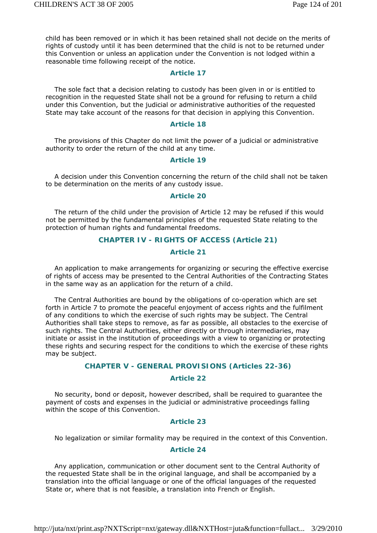child has been removed or in which it has been retained shall not decide on the merits of rights of custody until it has been determined that the child is not to be returned under this Convention or unless an application under the Convention is not lodged within a reasonable time following receipt of the notice.

#### **Article 17**

 The sole fact that a decision relating to custody has been given in or is entitled to recognition in the requested State shall not be a ground for refusing to return a child under this Convention, but the judicial or administrative authorities of the requested State may take account of the reasons for that decision in applying this Convention.

#### **Article 18**

 The provisions of this Chapter do not limit the power of a judicial or administrative authority to order the return of the child at any time.

#### **Article 19**

 A decision under this Convention concerning the return of the child shall not be taken to be determination on the merits of any custody issue.

#### **Article 20**

 The return of the child under the provision of Article 12 may be refused if this would not be permitted by the fundamental principles of the requested State relating to the protection of human rights and fundamental freedoms.

# **CHAPTER IV - RIGHTS OF ACCESS (Article 21)**

#### **Article 21**

 An application to make arrangements for organizing or securing the effective exercise of rights of access may be presented to the Central Authorities of the Contracting States in the same way as an application for the return of a child.

 The Central Authorities are bound by the obligations of co-operation which are set forth in Article 7 to promote the peaceful enjoyment of access rights and the fulfilment of any conditions to which the exercise of such rights may be subject. The Central Authorities shall take steps to remove, as far as possible, all obstacles to the exercise of such rights. The Central Authorities, either directly or through intermediaries, may initiate or assist in the institution of proceedings with a view to organizing or protecting these rights and securing respect for the conditions to which the exercise of these rights may be subject.

#### **CHAPTER V - GENERAL PROVISIONS (Articles 22-36)**

#### **Article 22**

 No security, bond or deposit, however described, shall be required to guarantee the payment of costs and expenses in the judicial or administrative proceedings falling within the scope of this Convention.

#### **Article 23**

No legalization or similar formality may be required in the context of this Convention.

#### **Article 24**

 Any application, communication or other document sent to the Central Authority of the requested State shall be in the original language, and shall be accompanied by a translation into the official language or one of the official languages of the requested State or, where that is not feasible, a translation into French or English.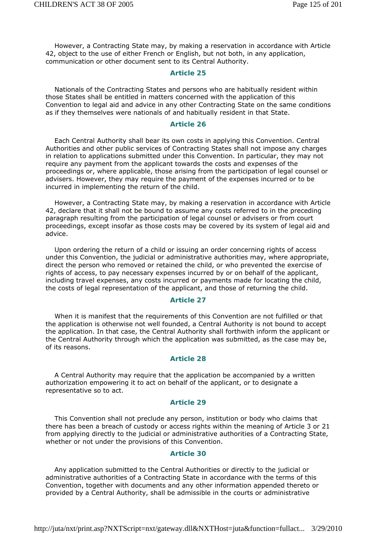However, a Contracting State may, by making a reservation in accordance with Article 42, object to the use of either French or English, but not both, in any application, communication or other document sent to its Central Authority.

#### **Article 25**

 Nationals of the Contracting States and persons who are habitually resident within those States shall be entitled in matters concerned with the application of this Convention to legal aid and advice in any other Contracting State on the same conditions as if they themselves were nationals of and habitually resident in that State.

#### **Article 26**

 Each Central Authority shall bear its own costs in applying this Convention. Central Authorities and other public services of Contracting States shall not impose any charges in relation to applications submitted under this Convention. In particular, they may not require any payment from the applicant towards the costs and expenses of the proceedings or, where applicable, those arising from the participation of legal counsel or advisers. However, they may require the payment of the expenses incurred or to be incurred in implementing the return of the child.

 However, a Contracting State may, by making a reservation in accordance with Article 42, declare that it shall not be bound to assume any costs referred to in the preceding paragraph resulting from the participation of legal counsel or advisers or from court proceedings, except insofar as those costs may be covered by its system of legal aid and advice.

 Upon ordering the return of a child or issuing an order concerning rights of access under this Convention, the judicial or administrative authorities may, where appropriate, direct the person who removed or retained the child, or who prevented the exercise of rights of access, to pay necessary expenses incurred by or on behalf of the applicant, including travel expenses, any costs incurred or payments made for locating the child, the costs of legal representation of the applicant, and those of returning the child.

#### **Article 27**

 When it is manifest that the requirements of this Convention are not fulfilled or that the application is otherwise not well founded, a Central Authority is not bound to accept the application. In that case, the Central Authority shall forthwith inform the applicant or the Central Authority through which the application was submitted, as the case may be, of its reasons.

#### **Article 28**

 A Central Authority may require that the application be accompanied by a written authorization empowering it to act on behalf of the applicant, or to designate a representative so to act.

#### **Article 29**

 This Convention shall not preclude any person, institution or body who claims that there has been a breach of custody or access rights within the meaning of Article 3 or 21 from applying directly to the judicial or administrative authorities of a Contracting State, whether or not under the provisions of this Convention.

#### **Article 30**

 Any application submitted to the Central Authorities or directly to the judicial or administrative authorities of a Contracting State in accordance with the terms of this Convention, together with documents and any other information appended thereto or provided by a Central Authority, shall be admissible in the courts or administrative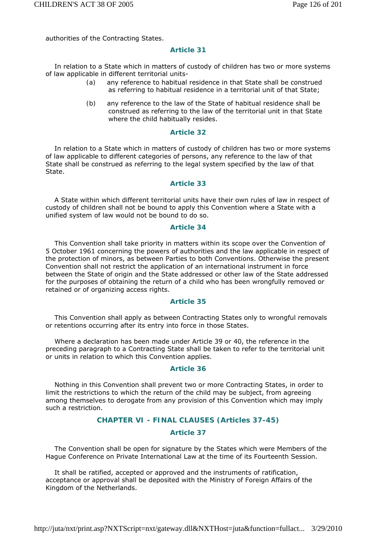authorities of the Contracting States.

#### **Article 31**

 In relation to a State which in matters of custody of children has two or more systems of law applicable in different territorial units-

- *(a)* any reference to habitual residence in that State shall be construed as referring to habitual residence in a territorial unit of that State;
- *(b)* any reference to the law of the State of habitual residence shall be construed as referring to the law of the territorial unit in that State where the child habitually resides.

#### **Article 32**

 In relation to a State which in matters of custody of children has two or more systems of law applicable to different categories of persons, any reference to the law of that State shall be construed as referring to the legal system specified by the law of that State.

#### **Article 33**

 A State within which different territorial units have their own rules of law in respect of custody of children shall not be bound to apply this Convention where a State with a unified system of law would not be bound to do so.

#### **Article 34**

 This Convention shall take priority in matters within its scope over the Convention of 5 October 1961 concerning the powers of authorities and the law applicable in respect of the protection of minors, as between Parties to both Conventions. Otherwise the present Convention shall not restrict the application of an international instrument in force between the State of origin and the State addressed or other law of the State addressed for the purposes of obtaining the return of a child who has been wrongfully removed or retained or of organizing access rights.

#### **Article 35**

 This Convention shall apply as between Contracting States only to wrongful removals or retentions occurring after its entry into force in those States.

 Where a declaration has been made under Article 39 or 40, the reference in the preceding paragraph to a Contracting State shall be taken to refer to the territorial unit or units in relation to which this Convention applies.

#### **Article 36**

 Nothing in this Convention shall prevent two or more Contracting States, in order to limit the restrictions to which the return of the child may be subject, from agreeing among themselves to derogate from any provision of this Convention which may imply such a restriction.

#### **CHAPTER VI - FINAL CLAUSES (Articles 37-45)**

#### **Article 37**

 The Convention shall be open for signature by the States which were Members of the Hague Conference on Private International Law at the time of its Fourteenth Session.

 It shall be ratified, accepted or approved and the instruments of ratification, acceptance or approval shall be deposited with the Ministry of Foreign Affairs of the Kingdom of the Netherlands.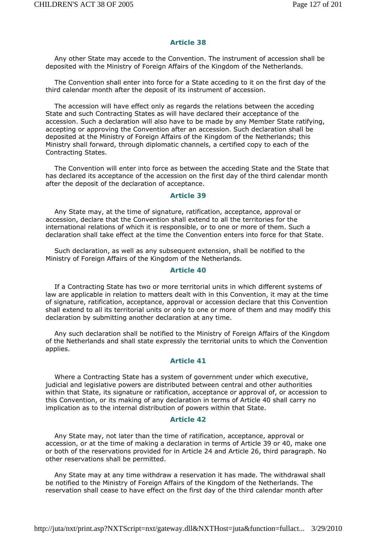#### **Article 38**

 Any other State may accede to the Convention. The instrument of accession shall be deposited with the Ministry of Foreign Affairs of the Kingdom of the Netherlands.

 The Convention shall enter into force for a State acceding to it on the first day of the third calendar month after the deposit of its instrument of accession.

 The accession will have effect only as regards the relations between the acceding State and such Contracting States as will have declared their acceptance of the accession. Such a declaration will also have to be made by any Member State ratifying, accepting or approving the Convention after an accession. Such declaration shall be deposited at the Ministry of Foreign Affairs of the Kingdom of the Netherlands; this Ministry shall forward, through diplomatic channels, a certified copy to each of the Contracting States.

 The Convention will enter into force as between the acceding State and the State that has declared its acceptance of the accession on the first day of the third calendar month after the deposit of the declaration of acceptance.

#### **Article 39**

 Any State may, at the time of signature, ratification, acceptance, approval or accession, declare that the Convention shall extend to all the territories for the international relations of which it is responsible, or to one or more of them. Such a declaration shall take effect at the time the Convention enters into force for that State.

 Such declaration, as well as any subsequent extension, shall be notified to the Ministry of Foreign Affairs of the Kingdom of the Netherlands.

#### **Article 40**

 If a Contracting State has two or more territorial units in which different systems of law are applicable in relation to matters dealt with in this Convention, it may at the time of signature, ratification, acceptance, approval or accession declare that this Convention shall extend to all its territorial units or only to one or more of them and may modify this declaration by submitting another declaration at any time.

 Any such declaration shall be notified to the Ministry of Foreign Affairs of the Kingdom of the Netherlands and shall state expressly the territorial units to which the Convention applies.

#### **Article 41**

 Where a Contracting State has a system of government under which executive, judicial and legislative powers are distributed between central and other authorities within that State, its signature or ratification, acceptance or approval of, or accession to this Convention, or its making of any declaration in terms of Article 40 shall carry no implication as to the internal distribution of powers within that State.

#### **Article 42**

 Any State may, not later than the time of ratification, acceptance, approval or accession, or at the time of making a declaration in terms of Article 39 or 40, make one or both of the reservations provided for in Article 24 and Article 26, third paragraph. No other reservations shall be permitted.

 Any State may at any time withdraw a reservation it has made. The withdrawal shall be notified to the Ministry of Foreign Affairs of the Kingdom of the Netherlands. The reservation shall cease to have effect on the first day of the third calendar month after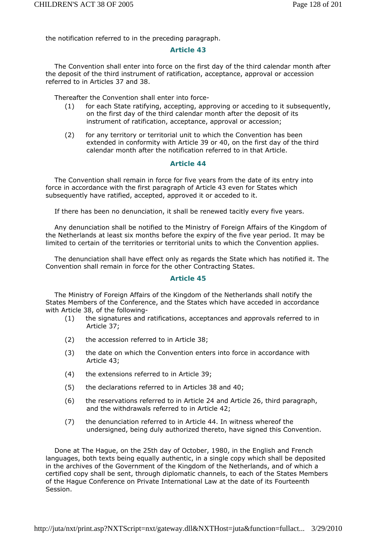the notification referred to in the preceding paragraph.

#### **Article 43**

 The Convention shall enter into force on the first day of the third calendar month after the deposit of the third instrument of ratification, acceptance, approval or accession referred to in Articles 37 and 38.

Thereafter the Convention shall enter into force-

- (1) for each State ratifying, accepting, approving or acceding to it subsequently, on the first day of the third calendar month after the deposit of its instrument of ratification, acceptance, approval or accession;
- (2) for any territory or territorial unit to which the Convention has been extended in conformity with Article 39 or 40, on the first day of the third calendar month after the notification referred to in that Article.

#### **Article 44**

 The Convention shall remain in force for five years from the date of its entry into force in accordance with the first paragraph of Article 43 even for States which subsequently have ratified, accepted, approved it or acceded to it.

If there has been no denunciation, it shall be renewed tacitly every five years.

 Any denunciation shall be notified to the Ministry of Foreign Affairs of the Kingdom of the Netherlands at least six months before the expiry of the five year period. It may be limited to certain of the territories or territorial units to which the Convention applies.

 The denunciation shall have effect only as regards the State which has notified it. The Convention shall remain in force for the other Contracting States.

#### **Article 45**

 The Ministry of Foreign Affairs of the Kingdom of the Netherlands shall notify the States Members of the Conference, and the States which have acceded in accordance with Article 38, of the following-

- (1) the signatures and ratifications, acceptances and approvals referred to in Article 37;
- (2) the accession referred to in Article 38;
- (3) the date on which the Convention enters into force in accordance with Article 43;
- (4) the extensions referred to in Article 39;
- (5) the declarations referred to in Articles 38 and 40;
- (6) the reservations referred to in Article 24 and Article 26, third paragraph, and the withdrawals referred to in Article 42;
- (7) the denunciation referred to in Article 44. In witness whereof the undersigned, being duly authorized thereto, have signed this Convention.

 Done at The Hague, on the 25th day of October, 1980, in the English and French languages, both texts being equally authentic, in a single copy which shall be deposited in the archives of the Government of the Kingdom of the Netherlands, and of which a certified copy shall be sent, through diplomatic channels, to each of the States Members of the Hague Conference on Private International Law at the date of its Fourteenth Session.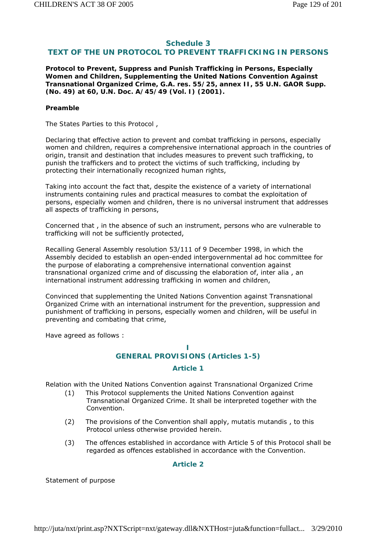# **Schedule 3 TEXT OF THE UN PROTOCOL TO PREVENT TRAFFICKING IN PERSONS**

**Protocol to Prevent, Suppress and Punish Trafficking in Persons, Especially Women and Children, Supplementing the United Nations Convention Against Transnational Organized Crime, G.A. res. 55/25, annex II, 55 U.N. GAOR Supp. (No. 49) at 60, U.N. Doc. A/45/49 (Vol. I) (2001).** 

#### **Preamble**

*The States Parties to this Protocol* ,

*Declaring* that effective action to prevent and combat trafficking in persons, especially women and children, requires a comprehensive international approach in the countries of origin, transit and destination that includes measures to prevent such trafficking, to punish the traffickers and to protect the victims of such trafficking, including by protecting their internationally recognized human rights,

*Taking into account* the fact that, despite the existence of a variety of international instruments containing rules and practical measures to combat the exploitation of persons, especially women and children, there is no universal instrument that addresses all aspects of trafficking in persons,

*Concerned that* , in the absence of such an instrument, persons who are vulnerable to trafficking will not be sufficiently protected,

*Recalling* General Assembly resolution 53/111 of 9 December 1998, in which the Assembly decided to establish an open-ended intergovernmental ad hoc committee for the purpose of elaborating a comprehensive international convention against transnational organized crime and of discussing the elaboration of, *inter alia* , an international instrument addressing trafficking in women and children,

*Convinced* that supplementing the United Nations Convention against Transnational Organized Crime with an international instrument for the prevention, suppression and punishment of trafficking in persons, especially women and children, will be useful in preventing and combating that crime,

*Have agreed as follows* :

# **I GENERAL PROVISIONS (Articles 1-5) Article 1**

*Relation with the United Nations Convention against Transnational Organized Crime* 

- (1) This Protocol supplements the United Nations Convention against Transnational Organized Crime. It shall be interpreted together with the Convention.
- (2) The provisions of the Convention shall apply, *mutatis mutandis* , to this Protocol unless otherwise provided herein.
- (3) The offences established in accordance with Article 5 of this Protocol shall be regarded as offences established in accordance with the Convention.

#### **Article 2**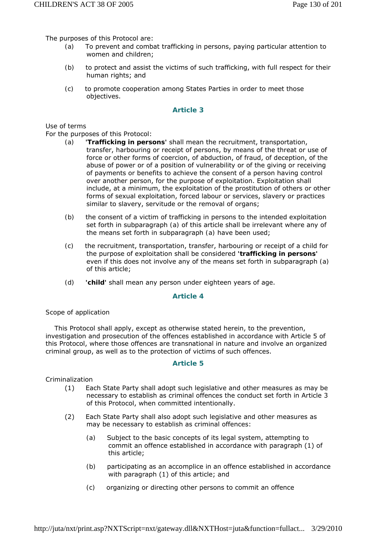The purposes of this Protocol are:

- *(a)* To prevent and combat trafficking in persons, paying particular attention to women and children;
- *(b)* to protect and assist the victims of such trafficking, with full respect for their human rights; and
- *(c)* to promote cooperation among States Parties in order to meet those objectives.

#### **Article 3**

#### *Use of terms*

For the purposes of this Protocol:

- *(a)* **'Trafficking in persons'** shall mean the recruitment, transportation, transfer, harbouring or receipt of persons, by means of the threat or use of force or other forms of coercion, of abduction, of fraud, of deception, of the abuse of power or of a position of vulnerability or of the giving or receiving of payments or benefits to achieve the consent of a person having control over another person, for the purpose of exploitation. Exploitation shall include, at a minimum, the exploitation of the prostitution of others or other forms of sexual exploitation, forced labour or services, slavery or practices similar to slavery, servitude or the removal of organs;
- *(b)* the consent of a victim of trafficking in persons to the intended exploitation set forth in subparagraph *(a)* of this article shall be irrelevant where any of the means set forth in subparagraph *(a)* have been used;
- *(c)* the recruitment, transportation, transfer, harbouring or receipt of a child for the purpose of exploitation shall be considered **'trafficking in persons'**  even if this does not involve any of the means set forth in subparagraph *(a)*  of this article;
- *(d)* **'child'** shall mean any person under eighteen years of age.

#### **Article 4**

#### *Scope of application*

 This Protocol shall apply, except as otherwise stated herein, to the prevention, investigation and prosecution of the offences established in accordance with Article 5 of this Protocol, where those offences are transnational in nature and involve an organized criminal group, as well as to the protection of victims of such offences.

#### **Article 5**

#### *Criminalization*

- (1) Each State Party shall adopt such legislative and other measures as may be necessary to establish as criminal offences the conduct set forth in Article 3 of this Protocol, when committed intentionally.
- (2) Each State Party shall also adopt such legislative and other measures as may be necessary to establish as criminal offences:
	- *(a)* Subject to the basic concepts of its legal system, attempting to commit an offence established in accordance with paragraph (1) of this article;
	- *(b)* participating as an accomplice in an offence established in accordance with paragraph (1) of this article; and
	- *(c)* organizing or directing other persons to commit an offence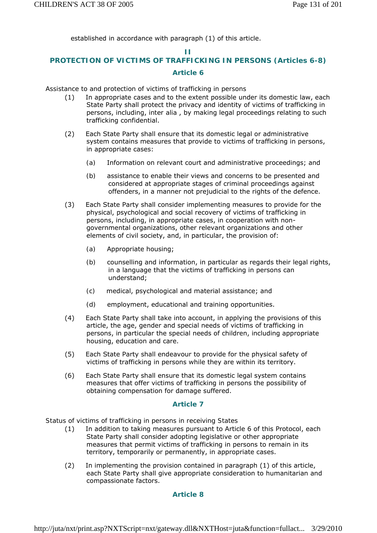established in accordance with paragraph (1) of this article.

#### **II**

# **PROTECTION OF VICTIMS OF TRAFFICKING IN PERSONS (Articles 6-8) Article 6**

*Assistance to and protection of victims of trafficking in persons* 

- (1) In appropriate cases and to the extent possible under its domestic law, each State Party shall protect the privacy and identity of victims of trafficking in persons, including, *inter alia* , by making legal proceedings relating to such trafficking confidential.
- (2) Each State Party shall ensure that its domestic legal or administrative system contains measures that provide to victims of trafficking in persons, in appropriate cases:
	- *(a)* Information on relevant court and administrative proceedings; and
	- *(b)* assistance to enable their views and concerns to be presented and considered at appropriate stages of criminal proceedings against offenders, in a manner not prejudicial to the rights of the defence.
- (3) Each State Party shall consider implementing measures to provide for the physical, psychological and social recovery of victims of trafficking in persons, including, in appropriate cases, in cooperation with nongovernmental organizations, other relevant organizations and other elements of civil society, and, in particular, the provision of:
	- *(a)* Appropriate housing;
	- *(b)* counselling and information, in particular as regards their legal rights, in a language that the victims of trafficking in persons can understand;
	- *(c)* medical, psychological and material assistance; and
	- *(d)* employment, educational and training opportunities.
- (4) Each State Party shall take into account, in applying the provisions of this article, the age, gender and special needs of victims of trafficking in persons, in particular the special needs of children, including appropriate housing, education and care.
- (5) Each State Party shall endeavour to provide for the physical safety of victims of trafficking in persons while they are within its territory.
- (6) Each State Party shall ensure that its domestic legal system contains measures that offer victims of trafficking in persons the possibility of obtaining compensation for damage suffered.

#### **Article 7**

*Status of victims of trafficking in persons in receiving States* 

- (1) In addition to taking measures pursuant to Article 6 of this Protocol, each State Party shall consider adopting legislative or other appropriate measures that permit victims of trafficking in persons to remain in its territory, temporarily or permanently, in appropriate cases.
- (2) In implementing the provision contained in paragraph (1) of this article, each State Party shall give appropriate consideration to humanitarian and compassionate factors.

#### **Article 8**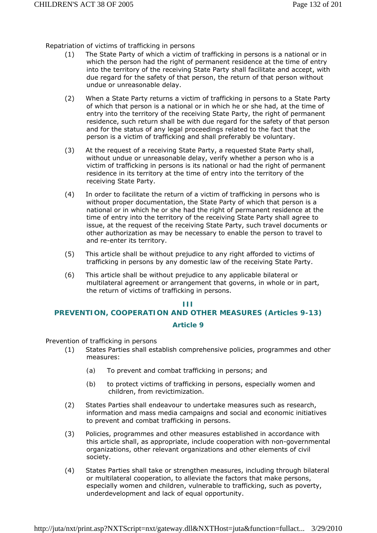#### *Repatriation of victims of trafficking in persons*

- (1) The State Party of which a victim of trafficking in persons is a national or in which the person had the right of permanent residence at the time of entry into the territory of the receiving State Party shall facilitate and accept, with due regard for the safety of that person, the return of that person without undue or unreasonable delay.
- (2) When a State Party returns a victim of trafficking in persons to a State Party of which that person is a national or in which he or she had, at the time of entry into the territory of the receiving State Party, the right of permanent residence, such return shall be with due regard for the safety of that person and for the status of any legal proceedings related to the fact that the person is a victim of trafficking and shall preferably be voluntary.
- (3) At the request of a receiving State Party, a requested State Party shall, without undue or unreasonable delay, verify whether a person who is a victim of trafficking in persons is its national or had the right of permanent residence in its territory at the time of entry into the territory of the receiving State Party.
- (4) In order to facilitate the return of a victim of trafficking in persons who is without proper documentation, the State Party of which that person is a national or in which he or she had the right of permanent residence at the time of entry into the territory of the receiving State Party shall agree to issue, at the request of the receiving State Party, such travel documents or other authorization as may be necessary to enable the person to travel to and re-enter its territory.
- (5) This article shall be without prejudice to any right afforded to victims of trafficking in persons by any domestic law of the receiving State Party.
- (6) This article shall be without prejudice to any applicable bilateral or multilateral agreement or arrangement that governs, in whole or in part, the return of victims of trafficking in persons.

#### **III**

# **PREVENTION, COOPERATION AND OTHER MEASURES (Articles 9-13)**

#### **Article 9**

#### *Prevention of trafficking in persons*

- (1) States Parties shall establish comprehensive policies, programmes and other measures:
	- *(a)* To prevent and combat trafficking in persons; and
	- *(b)* to protect victims of trafficking in persons, especially women and children, from revictimization.
- (2) States Parties shall endeavour to undertake measures such as research, information and mass media campaigns and social and economic initiatives to prevent and combat trafficking in persons.
- (3) Policies, programmes and other measures established in accordance with this article shall, as appropriate, include cooperation with non-governmental organizations, other relevant organizations and other elements of civil society.
- (4) States Parties shall take or strengthen measures, including through bilateral or multilateral cooperation, to alleviate the factors that make persons, especially women and children, vulnerable to trafficking, such as poverty, underdevelopment and lack of equal opportunity.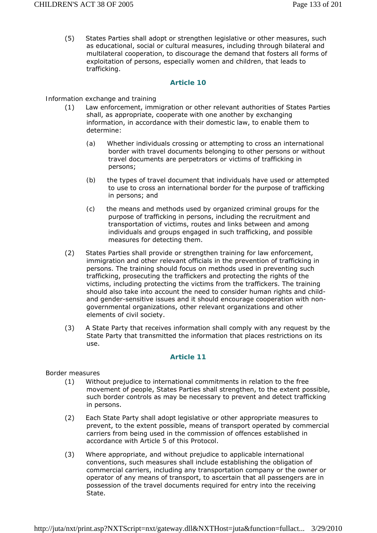(5) States Parties shall adopt or strengthen legislative or other measures, such as educational, social or cultural measures, including through bilateral and multilateral cooperation, to discourage the demand that fosters all forms of exploitation of persons, especially women and children, that leads to trafficking.

# **Article 10**

#### *Information exchange and training*

- (1) Law enforcement, immigration or other relevant authorities of States Parties shall, as appropriate, cooperate with one another by exchanging information, in accordance with their domestic law, to enable them to determine:
	- *(a)* Whether individuals crossing or attempting to cross an international border with travel documents belonging to other persons or without travel documents are perpetrators or victims of trafficking in persons;
	- *(b)* the types of travel document that individuals have used or attempted to use to cross an international border for the purpose of trafficking in persons; and
	- *(c)* the means and methods used by organized criminal groups for the purpose of trafficking in persons, including the recruitment and transportation of victims, routes and links between and among individuals and groups engaged in such trafficking, and possible measures for detecting them.
- (2) States Parties shall provide or strengthen training for law enforcement, immigration and other relevant officials in the prevention of trafficking in persons. The training should focus on methods used in preventing such trafficking, prosecuting the traffickers and protecting the rights of the victims, including protecting the victims from the traffickers. The training should also take into account the need to consider human rights and childand gender-sensitive issues and it should encourage cooperation with nongovernmental organizations, other relevant organizations and other elements of civil society.
- (3) A State Party that receives information shall comply with any request by the State Party that transmitted the information that places restrictions on its use.

#### **Article 11**

#### *Border measures*

- (1) Without prejudice to international commitments in relation to the free movement of people, States Parties shall strengthen, to the extent possible, such border controls as may be necessary to prevent and detect trafficking in persons.
- (2) Each State Party shall adopt legislative or other appropriate measures to prevent, to the extent possible, means of transport operated by commercial carriers from being used in the commission of offences established in accordance with Article 5 of this Protocol.
- (3) Where appropriate, and without prejudice to applicable international conventions, such measures shall include establishing the obligation of commercial carriers, including any transportation company or the owner or operator of any means of transport, to ascertain that all passengers are in possession of the travel documents required for entry into the receiving State.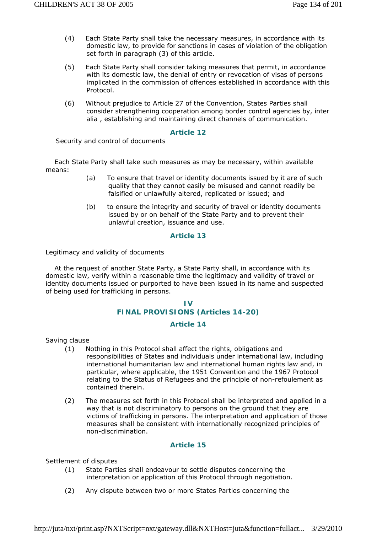- (4) Each State Party shall take the necessary measures, in accordance with its domestic law, to provide for sanctions in cases of violation of the obligation set forth in paragraph (3) of this article.
- (5) Each State Party shall consider taking measures that permit, in accordance with its domestic law, the denial of entry or revocation of visas of persons implicated in the commission of offences established in accordance with this Protocol.
- (6) Without prejudice to Article 27 of the Convention, States Parties shall consider strengthening cooperation among border control agencies by, *inter alia* , establishing and maintaining direct channels of communication.

#### **Article 12**

*Security and control of documents* 

 Each State Party shall take such measures as may be necessary, within available means:

- *(a)* To ensure that travel or identity documents issued by it are of such quality that they cannot easily be misused and cannot readily be falsified or unlawfully altered, replicated or issued; and
- *(b)* to ensure the integrity and security of travel or identity documents issued by or on behalf of the State Party and to prevent their unlawful creation, issuance and use.

#### **Article 13**

#### *Legitimacy and validity of documents*

 At the request of another State Party, a State Party shall, in accordance with its domestic law, verify within a reasonable time the legitimacy and validity of travel or identity documents issued or purported to have been issued in its name and suspected of being used for trafficking in persons.

# **IV FINAL PROVISIONS (Articles 14-20)**

#### **Article 14**

*Saving clause* 

- (1) Nothing in this Protocol shall affect the rights, obligations and responsibilities of States and individuals under international law, including international humanitarian law and international human rights law and, in particular, where applicable, the 1951 Convention and the 1967 Protocol relating to the Status of Refugees and the principle of non-refoulement as contained therein.
- (2) The measures set forth in this Protocol shall be interpreted and applied in a way that is not discriminatory to persons on the ground that they are victims of trafficking in persons. The interpretation and application of those measures shall be consistent with internationally recognized principles of non-discrimination.

### **Article 15**

#### *Settlement of disputes*

- (1) State Parties shall endeavour to settle disputes concerning the interpretation or application of this Protocol through negotiation.
- (2) Any dispute between two or more States Parties concerning the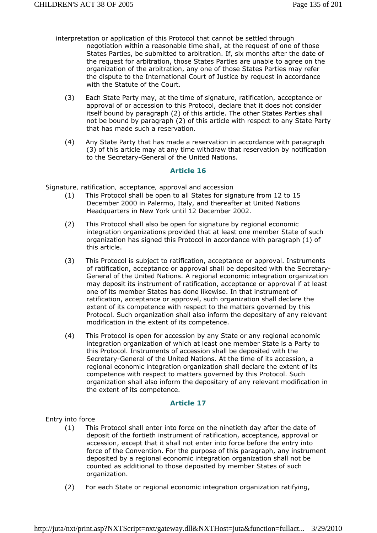- interpretation or application of this Protocol that cannot be settled through negotiation within a reasonable time shall, at the request of one of those States Parties, be submitted to arbitration. If, six months after the date of the request for arbitration, those States Parties are unable to agree on the organization of the arbitration, any one of those States Parties may refer the dispute to the International Court of Justice by request in accordance with the Statute of the Court.
	- (3) Each State Party may, at the time of signature, ratification, acceptance or approval of or accession to this Protocol, declare that it does not consider itself bound by paragraph (2) of this article. The other States Parties shall not be bound by paragraph (2) of this article with respect to any State Party that has made such a reservation.
	- (4) Any State Party that has made a reservation in accordance with paragraph (3) of this article may at any time withdraw that reservation by notification to the Secretary-General of the United Nations.

#### **Article 16**

*Signature, ratification, acceptance, approval and accession* 

- (1) This Protocol shall be open to all States for signature from 12 to 15 December 2000 in Palermo, Italy, and thereafter at United Nations Headquarters in New York until 12 December 2002.
- (2) This Protocol shall also be open for signature by regional economic integration organizations provided that at least one member State of such organization has signed this Protocol in accordance with paragraph (1) of this article.
- (3) This Protocol is subject to ratification, acceptance or approval. Instruments of ratification, acceptance or approval shall be deposited with the Secretary-General of the United Nations. A regional economic integration organization may deposit its instrument of ratification, acceptance or approval if at least one of its member States has done likewise. In that instrument of ratification, acceptance or approval, such organization shall declare the extent of its competence with respect to the matters governed by this Protocol. Such organization shall also inform the depositary of any relevant modification in the extent of its competence.
- (4) This Protocol is open for accession by any State or any regional economic integration organization of which at least one member State is a Party to this Protocol. Instruments of accession shall be deposited with the Secretary-General of the United Nations. At the time of its accession, a regional economic integration organization shall declare the extent of its competence with respect to matters governed by this Protocol. Such organization shall also inform the depositary of any relevant modification in the extent of its competence.

#### **Article 17**

#### *Entry into force*

- (1) This Protocol shall enter into force on the ninetieth day after the date of deposit of the fortieth instrument of ratification, acceptance, approval or accession, except that it shall not enter into force before the entry into force of the Convention. For the purpose of this paragraph, any instrument deposited by a regional economic integration organization shall not be counted as additional to those deposited by member States of such organization.
- (2) For each State or regional economic integration organization ratifying,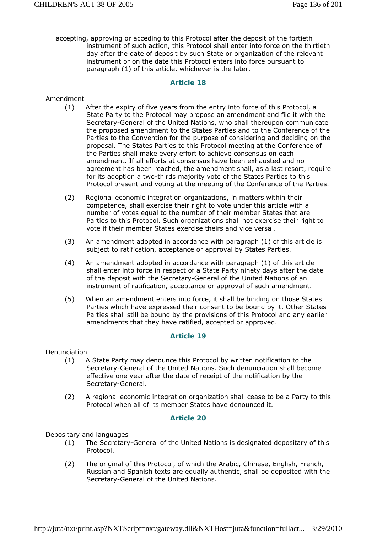accepting, approving or acceding to this Protocol after the deposit of the fortieth instrument of such action, this Protocol shall enter into force on the thirtieth day after the date of deposit by such State or organization of the relevant instrument or on the date this Protocol enters into force pursuant to paragraph (1) of this article, whichever is the later.

#### **Article 18**

#### *Amendment*

- (1) After the expiry of five years from the entry into force of this Protocol, a State Party to the Protocol may propose an amendment and file it with the Secretary-General of the United Nations, who shall thereupon communicate the proposed amendment to the States Parties and to the Conference of the Parties to the Convention for the purpose of considering and deciding on the proposal. The States Parties to this Protocol meeting at the Conference of the Parties shall make every effort to achieve consensus on each amendment. If all efforts at consensus have been exhausted and no agreement has been reached, the amendment shall, as a last resort, require for its adoption a two-thirds majority vote of the States Parties to this Protocol present and voting at the meeting of the Conference of the Parties.
- (2) Regional economic integration organizations, in matters within their competence, shall exercise their right to vote under this article with a number of votes equal to the number of their member States that are Parties to this Protocol. Such organizations shall not exercise their right to vote if their member States exercise theirs and *vice versa* .
- (3) An amendment adopted in accordance with paragraph (1) of this article is subject to ratification, acceptance or approval by States Parties.
- (4) An amendment adopted in accordance with paragraph (1) of this article shall enter into force in respect of a State Party ninety days after the date of the deposit with the Secretary-General of the United Nations of an instrument of ratification, acceptance or approval of such amendment.
- (5) When an amendment enters into force, it shall be binding on those States Parties which have expressed their consent to be bound by it. Other States Parties shall still be bound by the provisions of this Protocol and any earlier amendments that they have ratified, accepted or approved.

#### **Article 19**

*Denunciation* 

- (1) A State Party may denounce this Protocol by written notification to the Secretary-General of the United Nations. Such denunciation shall become effective one year after the date of receipt of the notification by the Secretary-General.
- (2) A regional economic integration organization shall cease to be a Party to this Protocol when all of its member States have denounced it.

#### **Article 20**

*Depositary and languages* 

- (1) The Secretary-General of the United Nations is designated depositary of this Protocol.
- (2) The original of this Protocol, of which the Arabic, Chinese, English, French, Russian and Spanish texts are equally authentic, shall be deposited with the Secretary-General of the United Nations.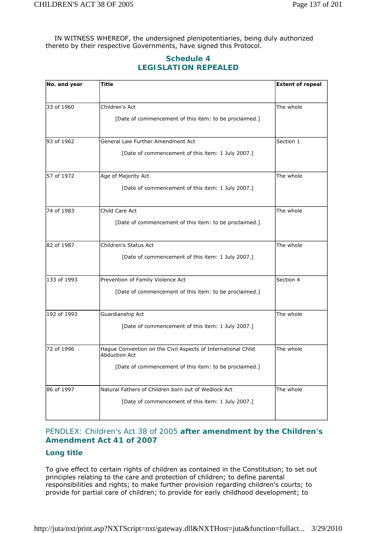IN WITNESS WHEREOF, the undersigned plenipotentiaries, being duly authorized thereto by their respective Governments, have signed this Protocol.

# **Schedule 4 LEGISLATION REPEALED**

| No. and year | <b>Title</b>                                                                                                                                   | <b>Extent of repeal</b> |
|--------------|------------------------------------------------------------------------------------------------------------------------------------------------|-------------------------|
| 33 of 1960   | Children's Act<br>[Date of commencement of this item: to be proclaimed.]                                                                       | The whole               |
| 93 of 1962   | General Law Further Amendment Act<br>[Date of commencement of this item: 1 July 2007.]                                                         | Section 1               |
| 57 of 1972   | Age of Majority Act<br>[Date of commencement of this item: 1 July 2007.]                                                                       | The whole               |
| 74 of 1983   | Child Care Act<br>[Date of commencement of this item: to be proclaimed.]                                                                       | The whole               |
| 82 of 1987   | Children's Status Act<br>[Date of commencement of this item: 1 July 2007.]                                                                     | The whole               |
| 133 of 1993  | Prevention of Family Violence Act<br>[Date of commencement of this item: to be proclaimed.]                                                    | Section 4               |
| 192 of 1993  | Guardianship Act<br>[Date of commencement of this item: 1 July 2007.]                                                                          | The whole               |
| 72 of 1996   | Hague Convention on the Civil Aspects of International Child<br><b>Abduction Act</b><br>[Date of commencement of this item: to be proclaimed.] | The whole               |
| 86 of 1997   | Natural Fathers of Children born out of Wedlock Act<br>[Date of commencement of this item: 1 July 2007.]                                       | The whole               |

# *PENDLEX: Children's Act 38 of 2005* **after amendment by the Children's Amendment Act 41 of 2007**

# **Long title**

To give effect to certain rights of children as contained in the Constitution; to set out principles relating to the care and protection of children; to define parental responsibilities and rights; to make further provision regarding children's courts; to provide for partial care of children; to provide for early childhood development; to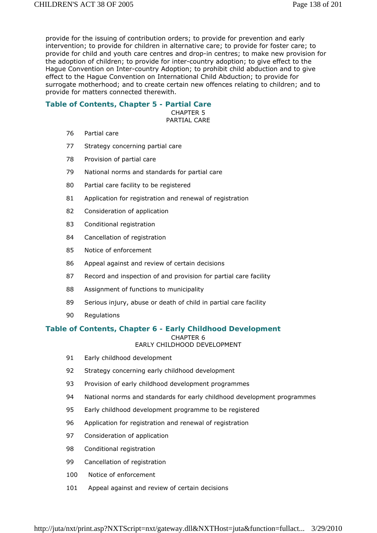provide for the issuing of contribution orders; to provide for prevention and early intervention; to provide for children in alternative care; to provide for foster care; to provide for child and youth care centres and drop-in centres; to make new provision for the adoption of children; to provide for inter-country adoption; to give effect to the Hague Convention on Inter-country Adoption; to prohibit child abduction and to give effect to the Hague Convention on International Child Abduction; to provide for surrogate motherhood; and to create certain new offences relating to children; and to provide for matters connected therewith.

#### **Table of Contents, Chapter 5 - Partial Care**  CHAPTER 5 PARTIAL CARE

- 76 Partial care
- 77 Strategy concerning partial care
- 78 Provision of partial care
- 79 National norms and standards for partial care
- 80 Partial care facility to be registered
- 81 Application for registration and renewal of registration
- 82 Consideration of application
- 83 Conditional registration
- 84 Cancellation of registration
- 85 Notice of enforcement
- 86 Appeal against and review of certain decisions
- 87 Record and inspection of and provision for partial care facility
- 88 Assignment of functions to municipality
- 89 Serious injury, abuse or death of child in partial care facility
- 90 Regulations

#### **Table of Contents, Chapter 6 - Early Childhood Development**  CHAPTER 6 EARLY CHILDHOOD DEVELOPMENT

- 91 Early childhood development
- 92 Strategy concerning early childhood development
- 93 Provision of early childhood development programmes
- 94 National norms and standards for early childhood development programmes
- 95 Early childhood development programme to be registered
- 96 Application for registration and renewal of registration
- 97 Consideration of application
- 98 Conditional registration
- 99 Cancellation of registration
- 100 Notice of enforcement
- 101 Appeal against and review of certain decisions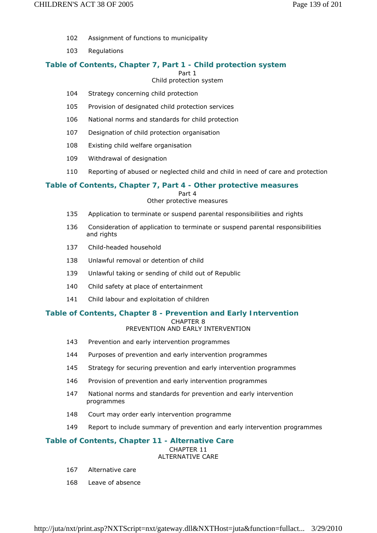- 102 Assignment of functions to municipality
- 103 Regulations

# **Table of Contents, Chapter 7, Part 1 - Child protection system**

#### *Part 1 Child protection system*

- 104 Strategy concerning child protection
- 105 Provision of designated child protection services
- 106 National norms and standards for child protection
- 107 Designation of child protection organisation
- 108 Existing child welfare organisation
- 109 Withdrawal of designation
- 110 Reporting of abused or neglected child and child in need of care and protection

### **Table of Contents, Chapter 7, Part 4 - Other protective measures**

#### *Part 4*

#### *Other protective measures*

- 135 Application to terminate or suspend parental responsibilities and rights
- 136 Consideration of application to terminate or suspend parental responsibilities and rights
- 137 Child-headed household
- 138 Unlawful removal or detention of child
- 139 Unlawful taking or sending of child out of Republic
- 140 Child safety at place of entertainment
- 141 Child labour and exploitation of children

#### **Table of Contents, Chapter 8 - Prevention and Early Intervention**  CHAPTER 8 PREVENTION AND EARLY INTERVENTION

- 143 Prevention and early intervention programmes
- 144 Purposes of prevention and early intervention programmes
- 145 Strategy for securing prevention and early intervention programmes
- 146 Provision of prevention and early intervention programmes
- 147 National norms and standards for prevention and early intervention programmes
- 148 Court may order early intervention programme
- 149 Report to include summary of prevention and early intervention programmes

#### **Table of Contents, Chapter 11 - Alternative Care**

CHAPTER 11 ALTERNATIVE CARE

- 167 Alternative care
- 168 Leave of absence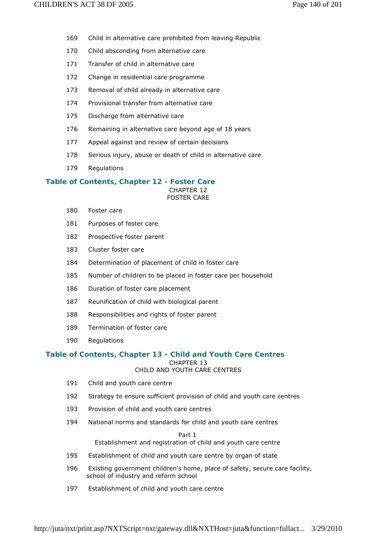- 169 Child in alternative care prohibited from leaving Republic
- 170 Child absconding from alternative care
- 171 Transfer of child in alternative care
- 172 Change in residential care programme
- 173 Removal of child already in alternative care
- 174 Provisional transfer from alternative care
- 175 Discharge from alternative care
- 176 Remaining in alternative care beyond age of 18 years
- 177 Appeal against and review of certain decisions
- 178 Serious injury, abuse or death of child in alternative care
- 179 Regulations

#### **Table of Contents, Chapter 12 - Foster Care**

CHAPTER 12 FOSTER CARE

- 180 Foster care
- 181 Purposes of foster care
- 182 Prospective foster parent
- 183 Cluster foster care
- 184 Determination of placement of child in foster care
- 185 Number of children to be placed in foster care per household
- 186 Duration of foster care placement
- 187 Reunification of child with biological parent
- 188 Responsibilities and rights of foster parent
- 189 Termination of foster care
- 190 Regulations

#### **Table of Contents, Chapter 13 - Child and Youth Care Centres**  CHAPTER 13 CHILD AND YOUTH CARE CENTRES

- 191 Child and youth care centre
- 192 Strategy to ensure sufficient provision of child and youth care centres
- 193 Provision of child and youth care centres
- 194 National norms and standards for child and youth care centres

*Part 1 Establishment and registration of child and youth care centre* 

- 195 Establishment of child and youth care centre by organ of state
- 196 Existing government children's home, place of safety, secure care facility, school of industry and reform school
- 197 Establishment of child and youth care centre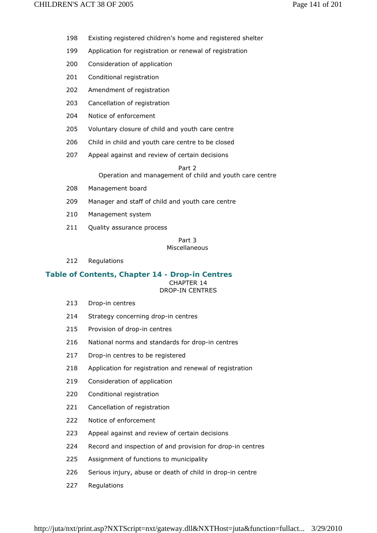- 198 Existing registered children's home and registered shelter
- 199 Application for registration or renewal of registration
- 200 Consideration of application
- 201 Conditional registration
- 202 Amendment of registration
- 203 Cancellation of registration
- 204 Notice of enforcement
- 205 Voluntary closure of child and youth care centre
- 206 Child in child and youth care centre to be closed
- 207 Appeal against and review of certain decisions

*Part 2 Operation and management of child and youth care centre* 

- 208 Management board
- 209 Manager and staff of child and youth care centre
- 210 Management system
- 211 Quality assurance process

*Part 3 Miscellaneous* 

212 Regulations

**Table of Contents, Chapter 14 - Drop-in Centres**  CHAPTER 14 DROP-IN CENTRES

- 213 Drop-in centres
- 214 Strategy concerning drop-in centres
- 215 Provision of drop-in centres
- 216 National norms and standards for drop-in centres
- 217 Drop-in centres to be registered
- 218 Application for registration and renewal of registration
- 219 Consideration of application
- 220 Conditional registration
- 221 Cancellation of registration
- 222 Notice of enforcement
- 223 Appeal against and review of certain decisions
- 224 Record and inspection of and provision for drop-in centres
- 225 Assignment of functions to municipality
- 226 Serious injury, abuse or death of child in drop-in centre
- 227 Regulations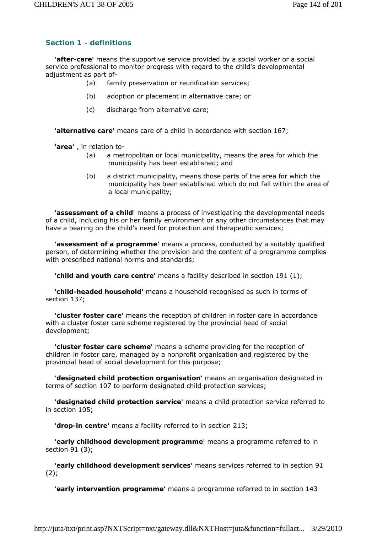# **Section 1 - definitions**

 **'after-care'** means the supportive service provided by a social worker or a social service professional to monitor progress with regard to the child's developmental adjustment as part of-

- *(a)* family preservation or reunification services;
- *(b)* adoption or placement in alternative care; or
- *(c)* discharge from alternative care;

**'alternative care'** means care of a child in accordance with section 167;

**'area'** , in relation to-

- *(a)* a metropolitan or local municipality, means the area for which the municipality has been established; and
- *(b)* a district municipality, means those parts of the area for which the municipality has been established which do not fall within the area of a local municipality;

 **'assessment of a child'** means a process of investigating the developmental needs of a child, including his or her family environment or any other circumstances that may have a bearing on the child's need for protection and therapeutic services;

 **'assessment of a programme'** means a process, conducted by a suitably qualified person, of determining whether the provision and the content of a programme complies with prescribed national norms and standards;

**'child and youth care centre'** means a facility described in section 191 (1);

 **'child-headed household'** means a household recognised as such in terms of section 137;

 **'cluster foster care'** means the reception of children in foster care in accordance with a cluster foster care scheme registered by the provincial head of social development;

 **'cluster foster care scheme'** means a scheme providing for the reception of children in foster care, managed by a nonprofit organisation and registered by the provincial head of social development for this purpose;

 **'designated child protection organisation'** means an organisation designated in terms of section 107 to perform designated child protection services;

 **'designated child protection service'** means a child protection service referred to in section 105;

**'drop-in centre'** means a facility referred to in section 213;

 **'early childhood development programme'** means a programme referred to in section 91 (3);

 **'early childhood development services'** means services referred to in section 91  $(2)$ ;

**'early intervention programme'** means a programme referred to in section 143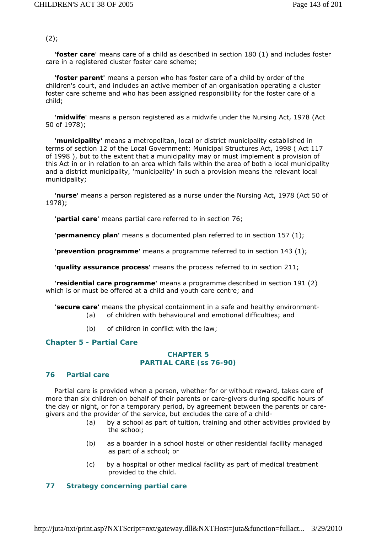$(2)$ ;

 **'foster care'** means care of a child as described in section 180 (1) and includes foster care in a registered cluster foster care scheme;

 **'foster parent'** means a person who has foster care of a child by order of the children's court, and includes an active member of an organisation operating a cluster foster care scheme and who has been assigned responsibility for the foster care of a child;

 **'midwife'** means a person registered as a midwife under the Nursing Act, 1978 (Act 50 of 1978);

 **'municipality'** means a metropolitan, local or district municipality established in terms of section 12 of the Local Government: Municipal Structures Act, 1998 ( Act 117 of 1998 ), but to the extent that a municipality may or must implement a provision of this Act in or in relation to an area which falls within the area of both a local municipality and a district municipality, 'municipality' in such a provision means the relevant local municipality;

 **'nurse'** means a person registered as a nurse under the Nursing Act, 1978 (Act 50 of 1978);

**'partial care'** means partial care referred to in section 76;

**'permanency plan'** means a documented plan referred to in section 157 (1);

**'prevention programme'** means a programme referred to in section 143 (1);

**'quality assurance process'** means the process referred to in section 211;

 **'residential care programme'** means a programme described in section 191 (2) which is or must be offered at a child and youth care centre; and

**'secure care'** means the physical containment in a safe and healthy environment-

- *(a)* of children with behavioural and emotional difficulties; and
- *(b)* of children in conflict with the law;

**Chapter 5 - Partial Care** 

#### **CHAPTER 5 PARTIAL CARE (ss 76-90)**

#### **76 Partial care**

 Partial care is provided when a person, whether for or without reward, takes care of more than six children on behalf of their parents or care-givers during specific hours of the day or night, or for a temporary period, by agreement between the parents or caregivers and the provider of the service, but excludes the care of a child-

- *(a)* by a school as part of tuition, training and other activities provided by the school;
- *(b)* as a boarder in a school hostel or other residential facility managed as part of a school; or
- *(c)* by a hospital or other medical facility as part of medical treatment provided to the child.

#### **77 Strategy concerning partial care**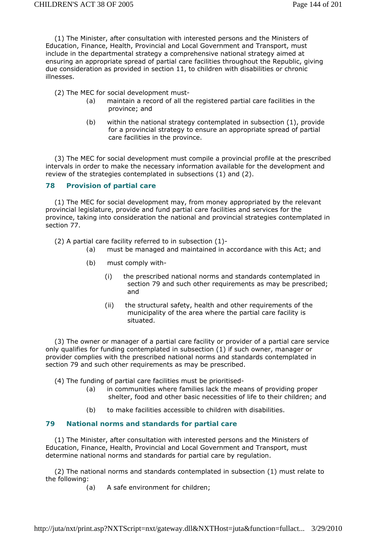(1) The Minister, after consultation with interested persons and the Ministers of Education, Finance, Health, Provincial and Local Government and Transport, must include in the departmental strategy a comprehensive national strategy aimed at ensuring an appropriate spread of partial care facilities throughout the Republic, giving due consideration as provided in section 11, to children with disabilities or chronic illnesses.

(2) The MEC for social development must-

- *(a)* maintain a record of all the registered partial care facilities in the province; and
- *(b)* within the national strategy contemplated in subsection (1), provide for a provincial strategy to ensure an appropriate spread of partial care facilities in the province.

 (3) The MEC for social development must compile a provincial profile at the prescribed intervals in order to make the necessary information available for the development and review of the strategies contemplated in subsections (1) and (2).

#### **78 Provision of partial care**

 (1) The MEC for social development may, from money appropriated by the relevant provincial legislature, provide and fund partial care facilities and services for the province, taking into consideration the national and provincial strategies contemplated in section 77.

(2) A partial care facility referred to in subsection (1)-

- *(a)* must be managed and maintained in accordance with this Act; and
- *(b)* must comply with-
	- (i) the prescribed national norms and standards contemplated in section 79 and such other requirements as may be prescribed; and
	- (ii) the structural safety, health and other requirements of the municipality of the area where the partial care facility is situated.

 (3) The owner or manager of a partial care facility or provider of a partial care service only qualifies for funding contemplated in subsection (1) if such owner, manager or provider complies with the prescribed national norms and standards contemplated in section 79 and such other requirements as may be prescribed.

(4) The funding of partial care facilities must be prioritised-

- *(a)* in communities where families lack the means of providing proper shelter, food and other basic necessities of life to their children; and
- *(b)* to make facilities accessible to children with disabilities.

#### **79 National norms and standards for partial care**

 (1) The Minister, after consultation with interested persons and the Ministers of Education, Finance, Health, Provincial and Local Government and Transport, must determine national norms and standards for partial care by regulation.

 (2) The national norms and standards contemplated in subsection (1) must relate to the following:

*(a)* A safe environment for children;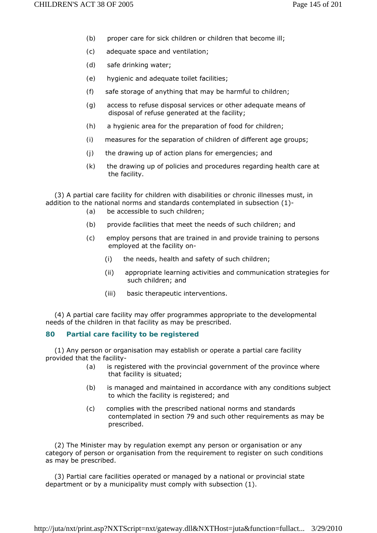- *(b)* proper care for sick children or children that become ill;
- *(c)* adequate space and ventilation;
- *(d)* safe drinking water;
- *(e)* hygienic and adequate toilet facilities;
- *(f)* safe storage of anything that may be harmful to children;
- *(g)* access to refuse disposal services or other adequate means of disposal of refuse generated at the facility;
- *(h)* a hygienic area for the preparation of food for children;
- *(i)* measures for the separation of children of different age groups;
- *(j)* the drawing up of action plans for emergencies; and
- *(k)* the drawing up of policies and procedures regarding health care at the facility.

 (3) A partial care facility for children with disabilities or chronic illnesses must, in addition to the national norms and standards contemplated in subsection (1)-

- *(a)* be accessible to such children;
- *(b)* provide facilities that meet the needs of such children; and
- *(c)* employ persons that are trained in and provide training to persons employed at the facility on-
	- (i) the needs, health and safety of such children;
	- (ii) appropriate learning activities and communication strategies for such children; and
	- (iii) basic therapeutic interventions.

 (4) A partial care facility may offer programmes appropriate to the developmental needs of the children in that facility as may be prescribed.

### **80 Partial care facility to be registered**

 (1) Any person or organisation may establish or operate a partial care facility provided that the facility-

- *(a)* is registered with the provincial government of the province where that facility is situated;
- *(b)* is managed and maintained in accordance with any conditions subject to which the facility is registered; and
- *(c)* complies with the prescribed national norms and standards contemplated in section 79 and such other requirements as may be prescribed.

 (2) The Minister may by regulation exempt any person or organisation or any category of person or organisation from the requirement to register on such conditions as may be prescribed.

 (3) Partial care facilities operated or managed by a national or provincial state department or by a municipality must comply with subsection (1).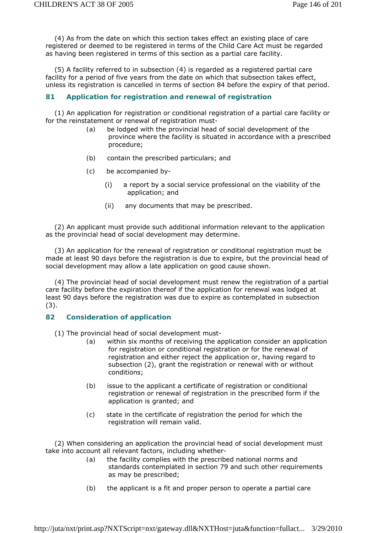(4) As from the date on which this section takes effect an existing place of care registered or deemed to be registered in terms of the Child Care Act must be regarded as having been registered in terms of this section as a partial care facility.

 (5) A facility referred to in subsection (4) is regarded as a registered partial care facility for a period of five years from the date on which that subsection takes effect, unless its registration is cancelled in terms of section 84 before the expiry of that period.

### **81 Application for registration and renewal of registration**

 (1) An application for registration or conditional registration of a partial care facility or for the reinstatement or renewal of registration must-

- *(a)* be lodged with the provincial head of social development of the province where the facility is situated in accordance with a prescribed procedure;
- *(b)* contain the prescribed particulars; and
- *(c)* be accompanied by-
	- (i) a report by a social service professional on the viability of the application; and
	- (ii) any documents that may be prescribed.

 (2) An applicant must provide such additional information relevant to the application as the provincial head of social development may determine.

 (3) An application for the renewal of registration or conditional registration must be made at least 90 days before the registration is due to expire, but the provincial head of social development may allow a late application on good cause shown.

 (4) The provincial head of social development must renew the registration of a partial care facility before the expiration thereof if the application for renewal was lodged at least 90 days before the registration was due to expire as contemplated in subsection (3).

#### **82 Consideration of application**

(1) The provincial head of social development must-

- *(a)* within six months of receiving the application consider an application for registration or conditional registration or for the renewal of registration and either reject the application or, having regard to subsection (2), grant the registration or renewal with or without conditions;
- *(b)* issue to the applicant a certificate of registration or conditional registration or renewal of registration in the prescribed form if the application is granted; and
- *(c)* state in the certificate of registration the period for which the registration will remain valid.

 (2) When considering an application the provincial head of social development must take into account all relevant factors, including whether-

- *(a)* the facility complies with the prescribed national norms and standards contemplated in section 79 and such other requirements as may be prescribed;
- *(b)* the applicant is a fit and proper person to operate a partial care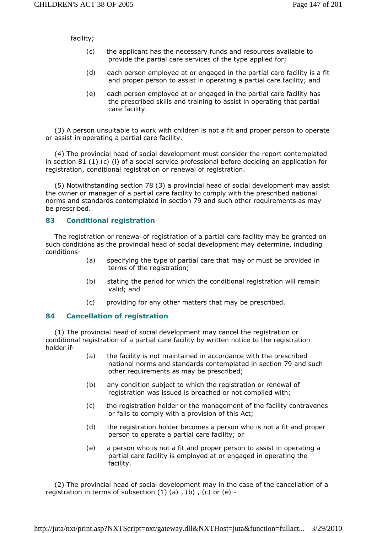facility;

- *(c)* the applicant has the necessary funds and resources available to provide the partial care services of the type applied for;
- *(d)* each person employed at or engaged in the partial care facility is a fit and proper person to assist in operating a partial care facility; and
- *(e)* each person employed at or engaged in the partial care facility has the prescribed skills and training to assist in operating that partial care facility.

 (3) A person unsuitable to work with children is not a fit and proper person to operate or assist in operating a partial care facility.

 (4) The provincial head of social development must consider the report contemplated in section 81 (1) *(c)* (i) of a social service professional before deciding an application for registration, conditional registration or renewal of registration.

 (5) Notwithstanding section 78 (3) a provincial head of social development may assist the owner or manager of a partial care facility to comply with the prescribed national norms and standards contemplated in section 79 and such other requirements as may be prescribed.

#### **83 Conditional registration**

 The registration or renewal of registration of a partial care facility may be granted on such conditions as the provincial head of social development may determine, including conditions-

- *(a)* specifying the type of partial care that may or must be provided in terms of the registration;
- *(b)* stating the period for which the conditional registration will remain valid; and
- *(c)* providing for any other matters that may be prescribed.

#### **84 Cancellation of registration**

 (1) The provincial head of social development may cancel the registration or conditional registration of a partial care facility by written notice to the registration holder if-

- *(a)* the facility is not maintained in accordance with the prescribed national norms and standards contemplated in section 79 and such other requirements as may be prescribed;
- *(b)* any condition subject to which the registration or renewal of registration was issued is breached or not complied with;
- *(c)* the registration holder or the management of the facility contravenes or fails to comply with a provision of this Act;
- *(d)* the registration holder becomes a person who is not a fit and proper person to operate a partial care facility; or
- *(e)* a person who is not a fit and proper person to assist in operating a partial care facility is employed at or engaged in operating the facility.

 (2) The provincial head of social development may in the case of the cancellation of a registration in terms of subsection (1) *(a)* , *(b)* , *(c)* or *(e)* -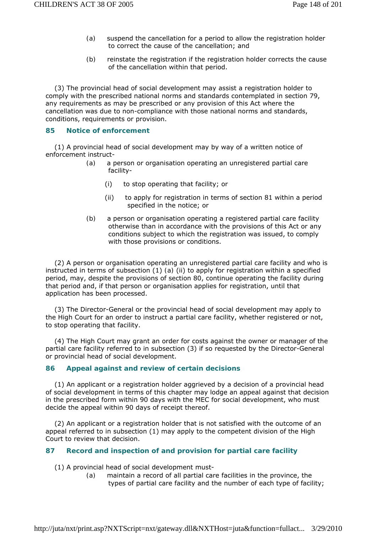- *(a)* suspend the cancellation for a period to allow the registration holder to correct the cause of the cancellation; and
- *(b)* reinstate the registration if the registration holder corrects the cause of the cancellation within that period.

 (3) The provincial head of social development may assist a registration holder to comply with the prescribed national norms and standards contemplated in section 79, any requirements as may be prescribed or any provision of this Act where the cancellation was due to non-compliance with those national norms and standards, conditions, requirements or provision.

#### **85 Notice of enforcement**

 (1) A provincial head of social development may by way of a written notice of enforcement instruct-

- *(a)* a person or organisation operating an unregistered partial care facility-
	- (i) to stop operating that facility; or
	- (ii) to apply for registration in terms of section 81 within a period specified in the notice; or
- *(b)* a person or organisation operating a registered partial care facility otherwise than in accordance with the provisions of this Act or any conditions subject to which the registration was issued, to comply with those provisions or conditions.

 (2) A person or organisation operating an unregistered partial care facility and who is instructed in terms of subsection (1) *(a)* (ii) to apply for registration within a specified period, may, despite the provisions of section 80, continue operating the facility during that period and, if that person or organisation applies for registration, until that application has been processed.

 (3) The Director-General or the provincial head of social development may apply to the High Court for an order to instruct a partial care facility, whether registered or not, to stop operating that facility.

 (4) The High Court may grant an order for costs against the owner or manager of the partial care facility referred to in subsection (3) if so requested by the Director-General or provincial head of social development.

#### **86 Appeal against and review of certain decisions**

 (1) An applicant or a registration holder aggrieved by a decision of a provincial head of social development in terms of this chapter may lodge an appeal against that decision in the prescribed form within 90 days with the MEC for social development, who must decide the appeal within 90 days of receipt thereof.

 (2) An applicant or a registration holder that is not satisfied with the outcome of an appeal referred to in subsection (1) may apply to the competent division of the High Court to review that decision.

#### **87 Record and inspection of and provision for partial care facility**

(1) A provincial head of social development must-

 *(a)* maintain a record of all partial care facilities in the province, the types of partial care facility and the number of each type of facility;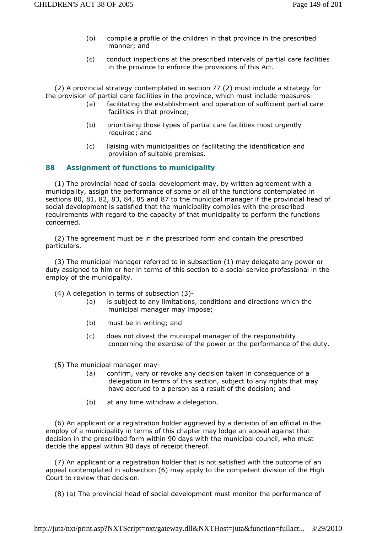- *(b)* compile a profile of the children in that province in the prescribed manner; and
- *(c)* conduct inspections at the prescribed intervals of partial care facilities in the province to enforce the provisions of this Act.

 (2) A provincial strategy contemplated in section 77 (2) must include a strategy for the provision of partial care facilities in the province, which must include measures-

- *(a)* facilitating the establishment and operation of sufficient partial care facilities in that province;
- *(b)* prioritising those types of partial care facilities most urgently required; and
- *(c)* liaising with municipalities on facilitating the identification and provision of suitable premises.

### **88 Assignment of functions to municipality**

 (1) The provincial head of social development may, by written agreement with a municipality, assign the performance of some or all of the functions contemplated in sections 80, 81, 82, 83, 84, 85 and 87 to the municipal manager if the provincial head of social development is satisfied that the municipality complies with the prescribed requirements with regard to the capacity of that municipality to perform the functions concerned.

 (2) The agreement must be in the prescribed form and contain the prescribed particulars.

 (3) The municipal manager referred to in subsection (1) may delegate any power or duty assigned to him or her in terms of this section to a social service professional in the employ of the municipality.

(4) A delegation in terms of subsection (3)-

- *(a)* is subject to any limitations, conditions and directions which the municipal manager may impose;
- *(b)* must be in writing; and
- *(c)* does not divest the municipal manager of the responsibility concerning the exercise of the power or the performance of the duty.

(5) The municipal manager may-

- *(a)* confirm, vary or revoke any decision taken in consequence of a delegation in terms of this section, subject to any rights that may have accrued to a person as a result of the decision; and
- *(b)* at any time withdraw a delegation.

 (6) An applicant or a registration holder aggrieved by a decision of an official in the employ of a municipality in terms of this chapter may lodge an appeal against that decision in the prescribed form within 90 days with the municipal council, who must decide the appeal within 90 days of receipt thereof.

 (7) An applicant or a registration holder that is not satisfied with the outcome of an appeal contemplated in subsection (6) may apply to the competent division of the High Court to review that decision.

(8) *(a)* The provincial head of social development must monitor the performance of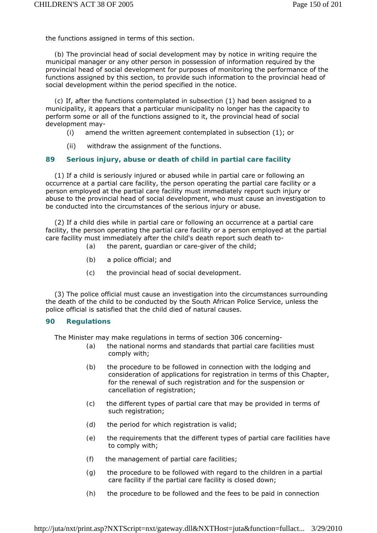the functions assigned in terms of this section.

 *(b)* The provincial head of social development may by notice in writing require the municipal manager or any other person in possession of information required by the provincial head of social development for purposes of monitoring the performance of the functions assigned by this section, to provide such information to the provincial head of social development within the period specified in the notice.

 *(c)* If, after the functions contemplated in subsection (1) had been assigned to a municipality, it appears that a particular municipality no longer has the capacity to perform some or all of the functions assigned to it, the provincial head of social development may-

- (i) amend the written agreement contemplated in subsection (1); or
- (ii) withdraw the assignment of the functions.

### **89 Serious injury, abuse or death of child in partial care facility**

 (1) If a child is seriously injured or abused while in partial care or following an occurrence at a partial care facility, the person operating the partial care facility or a person employed at the partial care facility must immediately report such injury or abuse to the provincial head of social development, who must cause an investigation to be conducted into the circumstances of the serious injury or abuse.

 (2) If a child dies while in partial care or following an occurrence at a partial care facility, the person operating the partial care facility or a person employed at the partial care facility must immediately after the child's death report such death to-

- *(a)* the parent, guardian or care-giver of the child;
- *(b)* a police official; and
- *(c)* the provincial head of social development.

 (3) The police official must cause an investigation into the circumstances surrounding the death of the child to be conducted by the South African Police Service, unless the police official is satisfied that the child died of natural causes.

#### **90 Regulations**

The Minister may make regulations in terms of section 306 concerning-

- *(a)* the national norms and standards that partial care facilities must comply with;
- *(b)* the procedure to be followed in connection with the lodging and consideration of applications for registration in terms of this Chapter, for the renewal of such registration and for the suspension or cancellation of registration;
- *(c)* the different types of partial care that may be provided in terms of such registration;
- *(d)* the period for which registration is valid;
- *(e)* the requirements that the different types of partial care facilities have to comply with;
- *(f)* the management of partial care facilities;
- *(g)* the procedure to be followed with regard to the children in a partial care facility if the partial care facility is closed down;
- *(h)* the procedure to be followed and the fees to be paid in connection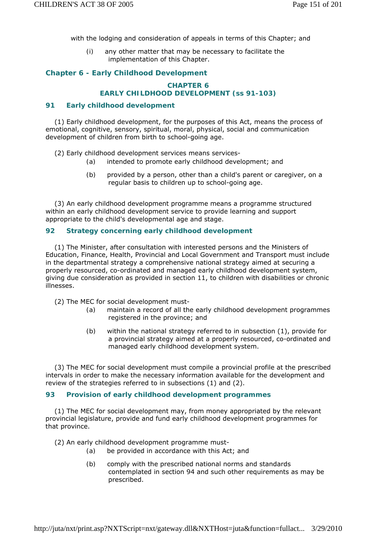with the lodging and consideration of appeals in terms of this Chapter; and

 *(i)* any other matter that may be necessary to facilitate the implementation of this Chapter.

### **Chapter 6 - Early Childhood Development**

### **CHAPTER 6 EARLY CHILDHOOD DEVELOPMENT (ss 91-103)**

#### **91 Early childhood development**

 (1) Early childhood development, for the purposes of this Act, means the process of emotional, cognitive, sensory, spiritual, moral, physical, social and communication development of children from birth to school-going age.

(2) Early childhood development services means services-

- *(a)* intended to promote early childhood development; and
- *(b)* provided by a person, other than a child's parent or caregiver, on a regular basis to children up to school-going age.

 (3) An early childhood development programme means a programme structured within an early childhood development service to provide learning and support appropriate to the child's developmental age and stage.

#### **92 Strategy concerning early childhood development**

 (1) The Minister, after consultation with interested persons and the Ministers of Education, Finance, Health, Provincial and Local Government and Transport must include in the departmental strategy a comprehensive national strategy aimed at securing a properly resourced, co-ordinated and managed early childhood development system, giving due consideration as provided in section 11, to children with disabilities or chronic illnesses.

(2) The MEC for social development must-

- *(a)* maintain a record of all the early childhood development programmes registered in the province; and
- *(b)* within the national strategy referred to in subsection (1), provide for a provincial strategy aimed at a properly resourced, co-ordinated and managed early childhood development system.

 (3) The MEC for social development must compile a provincial profile at the prescribed intervals in order to make the necessary information available for the development and review of the strategies referred to in subsections (1) and (2).

### **93 Provision of early childhood development programmes**

 (1) The MEC for social development may, from money appropriated by the relevant provincial legislature, provide and fund early childhood development programmes for that province.

(2) An early childhood development programme must-

- *(a)* be provided in accordance with this Act; and
- *(b)* comply with the prescribed national norms and standards contemplated in section 94 and such other requirements as may be prescribed.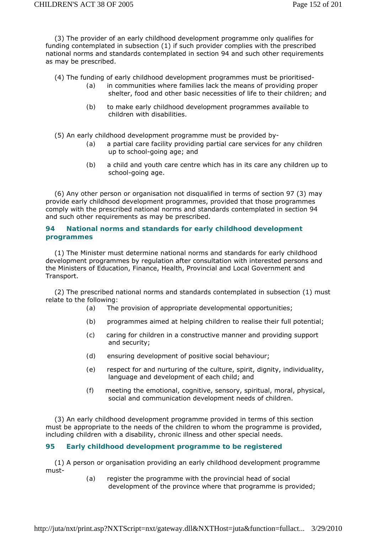(3) The provider of an early childhood development programme only qualifies for funding contemplated in subsection (1) if such provider complies with the prescribed national norms and standards contemplated in section 94 and such other requirements as may be prescribed.

(4) The funding of early childhood development programmes must be prioritised-

- *(a)* in communities where families lack the means of providing proper shelter, food and other basic necessities of life to their children; and
- *(b)* to make early childhood development programmes available to children with disabilities.

(5) An early childhood development programme must be provided by-

- *(a)* a partial care facility providing partial care services for any children up to school-going age; and
- *(b)* a child and youth care centre which has in its care any children up to school-going age.

 (6) Any other person or organisation not disqualified in terms of section 97 (3) may provide early childhood development programmes, provided that those programmes comply with the prescribed national norms and standards contemplated in section 94 and such other requirements as may be prescribed.

### **94 National norms and standards for early childhood development programmes**

 (1) The Minister must determine national norms and standards for early childhood development programmes by regulation after consultation with interested persons and the Ministers of Education, Finance, Health, Provincial and Local Government and Transport.

 (2) The prescribed national norms and standards contemplated in subsection (1) must relate to the following:

- *(a)* The provision of appropriate developmental opportunities;
- *(b)* programmes aimed at helping children to realise their full potential;
- *(c)* caring for children in a constructive manner and providing support and security;
- *(d)* ensuring development of positive social behaviour;
- *(e)* respect for and nurturing of the culture, spirit, dignity, individuality, language and development of each child; and
- *(f)* meeting the emotional, cognitive, sensory, spiritual, moral, physical, social and communication development needs of children.

 (3) An early childhood development programme provided in terms of this section must be appropriate to the needs of the children to whom the programme is provided, including children with a disability, chronic illness and other special needs.

### **95 Early childhood development programme to be registered**

 (1) A person or organisation providing an early childhood development programme must-

> *(a)* register the programme with the provincial head of social development of the province where that programme is provided;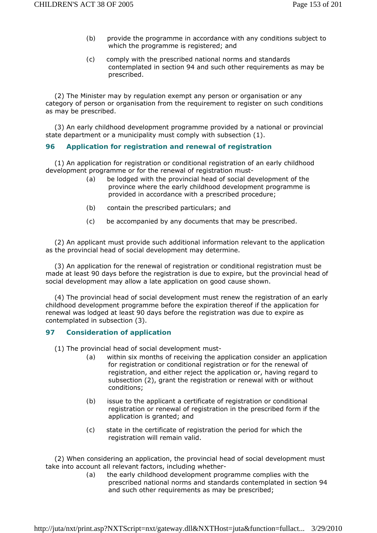- *(b)* provide the programme in accordance with any conditions subject to which the programme is registered; and
- *(c)* comply with the prescribed national norms and standards contemplated in section 94 and such other requirements as may be prescribed.

 (2) The Minister may by regulation exempt any person or organisation or any category of person or organisation from the requirement to register on such conditions as may be prescribed.

 (3) An early childhood development programme provided by a national or provincial state department or a municipality must comply with subsection (1).

### **96 Application for registration and renewal of registration**

 (1) An application for registration or conditional registration of an early childhood development programme or for the renewal of registration must-

- *(a)* be lodged with the provincial head of social development of the province where the early childhood development programme is provided in accordance with a prescribed procedure;
- *(b)* contain the prescribed particulars; and
- *(c)* be accompanied by any documents that may be prescribed.

 (2) An applicant must provide such additional information relevant to the application as the provincial head of social development may determine.

 (3) An application for the renewal of registration or conditional registration must be made at least 90 days before the registration is due to expire, but the provincial head of social development may allow a late application on good cause shown.

 (4) The provincial head of social development must renew the registration of an early childhood development programme before the expiration thereof if the application for renewal was lodged at least 90 days before the registration was due to expire as contemplated in subsection (3).

### **97 Consideration of application**

(1) The provincial head of social development must-

- *(a)* within six months of receiving the application consider an application for registration or conditional registration or for the renewal of registration, and either reject the application or, having regard to subsection (2), grant the registration or renewal with or without conditions;
- *(b)* issue to the applicant a certificate of registration or conditional registration or renewal of registration in the prescribed form if the application is granted; and
- *(c)* state in the certificate of registration the period for which the registration will remain valid.

 (2) When considering an application, the provincial head of social development must take into account all relevant factors, including whether-

> *(a)* the early childhood development programme complies with the prescribed national norms and standards contemplated in section 94 and such other requirements as may be prescribed;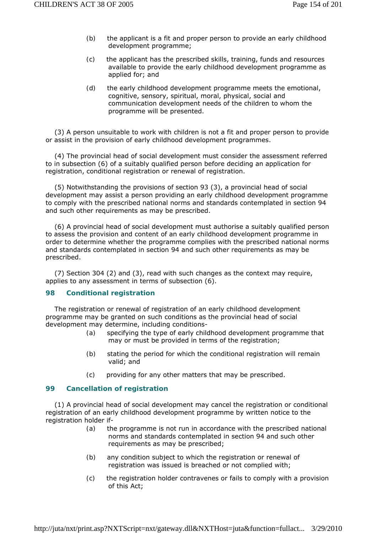- *(b)* the applicant is a fit and proper person to provide an early childhood development programme;
- *(c)* the applicant has the prescribed skills, training, funds and resources available to provide the early childhood development programme as applied for; and
- *(d)* the early childhood development programme meets the emotional, cognitive, sensory, spiritual, moral, physical, social and communication development needs of the children to whom the programme will be presented.

 (3) A person unsuitable to work with children is not a fit and proper person to provide or assist in the provision of early childhood development programmes.

 (4) The provincial head of social development must consider the assessment referred to in subsection (6) of a suitably qualified person before deciding an application for registration, conditional registration or renewal of registration.

 (5) Notwithstanding the provisions of section 93 (3), a provincial head of social development may assist a person providing an early childhood development programme to comply with the prescribed national norms and standards contemplated in section 94 and such other requirements as may be prescribed.

 (6) A provincial head of social development must authorise a suitably qualified person to assess the provision and content of an early childhood development programme in order to determine whether the programme complies with the prescribed national norms and standards contemplated in section 94 and such other requirements as may be prescribed.

 (7) Section 304 (2) and (3), read with such changes as the context may require, applies to any assessment in terms of subsection (6).

#### **98 Conditional registration**

 The registration or renewal of registration of an early childhood development programme may be granted on such conditions as the provincial head of social development may determine, including conditions-

- *(a)* specifying the type of early childhood development programme that may or must be provided in terms of the registration;
- *(b)* stating the period for which the conditional registration will remain valid; and
- *(c)* providing for any other matters that may be prescribed.

#### **99 Cancellation of registration**

 (1) A provincial head of social development may cancel the registration or conditional registration of an early childhood development programme by written notice to the registration holder if-

- *(a)* the programme is not run in accordance with the prescribed national norms and standards contemplated in section 94 and such other requirements as may be prescribed;
- *(b)* any condition subject to which the registration or renewal of registration was issued is breached or not complied with;
- *(c)* the registration holder contravenes or fails to comply with a provision of this Act;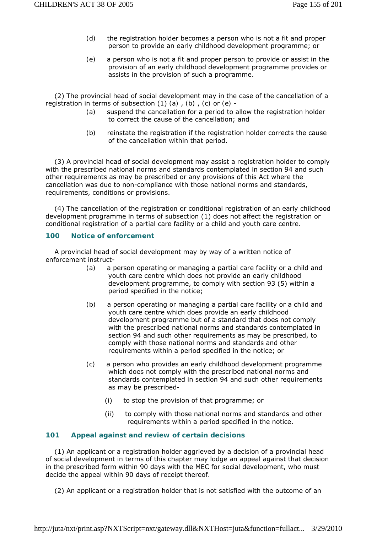- *(d)* the registration holder becomes a person who is not a fit and proper person to provide an early childhood development programme; or
- *(e)* a person who is not a fit and proper person to provide or assist in the provision of an early childhood development programme provides or assists in the provision of such a programme.

 (2) The provincial head of social development may in the case of the cancellation of a registration in terms of subsection (1) *(a)* , *(b)* , *(c)* or *(e)* -

- *(a)* suspend the cancellation for a period to allow the registration holder to correct the cause of the cancellation; and
- *(b)* reinstate the registration if the registration holder corrects the cause of the cancellation within that period.

 (3) A provincial head of social development may assist a registration holder to comply with the prescribed national norms and standards contemplated in section 94 and such other requirements as may be prescribed or any provisions of this Act where the cancellation was due to non-compliance with those national norms and standards, requirements, conditions or provisions.

 (4) The cancellation of the registration or conditional registration of an early childhood development programme in terms of subsection (1) does not affect the registration or conditional registration of a partial care facility or a child and youth care centre.

### **100 Notice of enforcement**

 A provincial head of social development may by way of a written notice of enforcement instruct-

- *(a)* a person operating or managing a partial care facility or a child and youth care centre which does not provide an early childhood development programme, to comply with section 93 (5) within a period specified in the notice;
- *(b)* a person operating or managing a partial care facility or a child and youth care centre which does provide an early childhood development programme but of a standard that does not comply with the prescribed national norms and standards contemplated in section 94 and such other requirements as may be prescribed, to comply with those national norms and standards and other requirements within a period specified in the notice; or
- *(c)* a person who provides an early childhood development programme which does not comply with the prescribed national norms and standards contemplated in section 94 and such other requirements as may be prescribed-
	- (i) to stop the provision of that programme; or
	- (ii) to comply with those national norms and standards and other requirements within a period specified in the notice.

### **101 Appeal against and review of certain decisions**

 (1) An applicant or a registration holder aggrieved by a decision of a provincial head of social development in terms of this chapter may lodge an appeal against that decision in the prescribed form within 90 days with the MEC for social development, who must decide the appeal within 90 days of receipt thereof.

(2) An applicant or a registration holder that is not satisfied with the outcome of an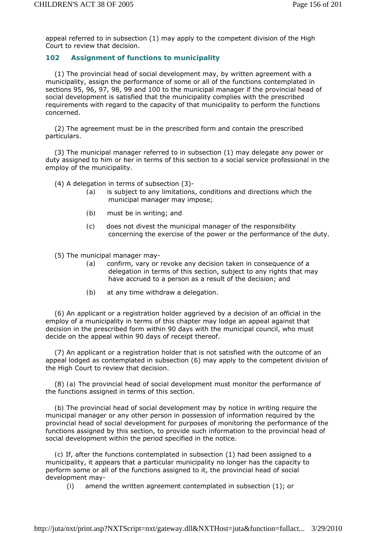appeal referred to in subsection (1) may apply to the competent division of the High Court to review that decision.

#### **102 Assignment of functions to municipality**

 (1) The provincial head of social development may, by written agreement with a municipality, assign the performance of some or all of the functions contemplated in sections 95, 96, 97, 98, 99 and 100 to the municipal manager if the provincial head of social development is satisfied that the municipality complies with the prescribed requirements with regard to the capacity of that municipality to perform the functions concerned.

 (2) The agreement must be in the prescribed form and contain the prescribed particulars.

 (3) The municipal manager referred to in subsection (1) may delegate any power or duty assigned to him or her in terms of this section to a social service professional in the employ of the municipality.

(4) A delegation in terms of subsection (3)-

- *(a)* is subject to any limitations, conditions and directions which the municipal manager may impose;
- *(b)* must be in writing; and
- *(c)* does not divest the municipal manager of the responsibility concerning the exercise of the power or the performance of the duty.

(5) The municipal manager may-

- *(a)* confirm, vary or revoke any decision taken in consequence of a delegation in terms of this section, subject to any rights that may have accrued to a person as a result of the decision; and
- *(b)* at any time withdraw a delegation.

 (6) An applicant or a registration holder aggrieved by a decision of an official in the employ of a municipality in terms of this chapter may lodge an appeal against that decision in the prescribed form within 90 days with the municipal council, who must decide on the appeal within 90 days of receipt thereof.

 (7) An applicant or a registration holder that is not satisfied with the outcome of an appeal lodged as contemplated in subsection (6) may apply to the competent division of the High Court to review that decision.

 (8) *(a)* The provincial head of social development must monitor the performance of the functions assigned in terms of this section.

 *(b)* The provincial head of social development may by notice in writing require the municipal manager or any other person in possession of information required by the provincial head of social development for purposes of monitoring the performance of the functions assigned by this section, to provide such information to the provincial head of social development within the period specified in the notice.

 *(c)* If, after the functions contemplated in subsection (1) had been assigned to a municipality, it appears that a particular municipality no longer has the capacity to perform some or all of the functions assigned to it, the provincial head of social development may-

(i) amend the written agreement contemplated in subsection (1); or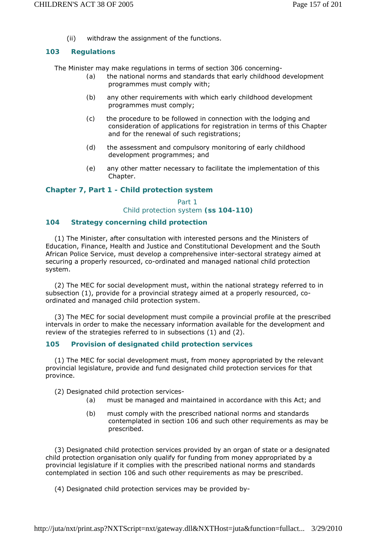(ii) withdraw the assignment of the functions.

### **103 Regulations**

The Minister may make regulations in terms of section 306 concerning-

- *(a)* the national norms and standards that early childhood development programmes must comply with;
- *(b)* any other requirements with which early childhood development programmes must comply;
- *(c)* the procedure to be followed in connection with the lodging and consideration of applications for registration in terms of this Chapter and for the renewal of such registrations;
- *(d)* the assessment and compulsory monitoring of early childhood development programmes; and
- *(e)* any other matter necessary to facilitate the implementation of this Chapter.

### **Chapter 7, Part 1 - Child protection system**

*Part 1 Child protection system* **(ss 104-110)** 

#### **104 Strategy concerning child protection**

 (1) The Minister, after consultation with interested persons and the Ministers of Education, Finance, Health and Justice and Constitutional Development and the South African Police Service, must develop a comprehensive inter-sectoral strategy aimed at securing a properly resourced, co-ordinated and managed national child protection system.

 (2) The MEC for social development must, within the national strategy referred to in subsection (1), provide for a provincial strategy aimed at a properly resourced, coordinated and managed child protection system.

 (3) The MEC for social development must compile a provincial profile at the prescribed intervals in order to make the necessary information available for the development and review of the strategies referred to in subsections (1) and (2).

#### **105 Provision of designated child protection services**

 (1) The MEC for social development must, from money appropriated by the relevant provincial legislature, provide and fund designated child protection services for that province.

(2) Designated child protection services-

- *(a)* must be managed and maintained in accordance with this Act; and
- *(b)* must comply with the prescribed national norms and standards contemplated in section 106 and such other requirements as may be prescribed.

 (3) Designated child protection services provided by an organ of state or a designated child protection organisation only qualify for funding from money appropriated by a provincial legislature if it complies with the prescribed national norms and standards contemplated in section 106 and such other requirements as may be prescribed.

(4) Designated child protection services may be provided by-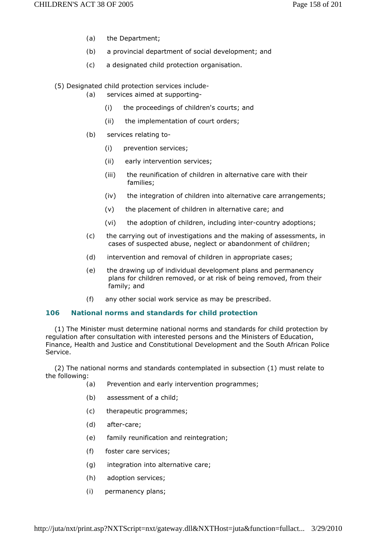- *(a)* the Department;
- *(b)* a provincial department of social development; and
- *(c)* a designated child protection organisation.

(5) Designated child protection services include-

- *(a)* services aimed at supporting-
	- (i) the proceedings of children's courts; and
	- (ii) the implementation of court orders;
- *(b)* services relating to-
	- (i) prevention services;
	- (ii) early intervention services;
	- (iii) the reunification of children in alternative care with their families;
	- (iv) the integration of children into alternative care arrangements;
	- (v) the placement of children in alternative care; and
	- (vi) the adoption of children, including inter-country adoptions;
- *(c)* the carrying out of investigations and the making of assessments, in cases of suspected abuse, neglect or abandonment of children;
- *(d)* intervention and removal of children in appropriate cases;
- *(e)* the drawing up of individual development plans and permanency plans for children removed, or at risk of being removed, from their family; and
- *(f)* any other social work service as may be prescribed.

### **106 National norms and standards for child protection**

 (1) The Minister must determine national norms and standards for child protection by regulation after consultation with interested persons and the Ministers of Education, Finance, Health and Justice and Constitutional Development and the South African Police Service.

 (2) The national norms and standards contemplated in subsection (1) must relate to the following:

- *(a)* Prevention and early intervention programmes;
- *(b)* assessment of a child;
- *(c)* therapeutic programmes;
- *(d)* after-care;
- *(e)* family reunification and reintegration;
- *(f)* foster care services;
- *(g)* integration into alternative care;
- *(h)* adoption services;
- *(i)* permanency plans;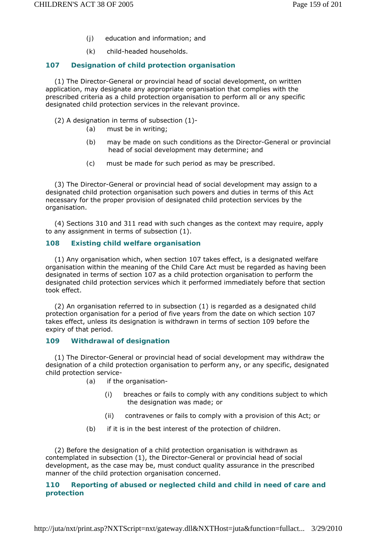- *(j)* education and information; and
- *(k)* child-headed households.

### **107 Designation of child protection organisation**

 (1) The Director-General or provincial head of social development, on written application, may designate any appropriate organisation that complies with the prescribed criteria as a child protection organisation to perform all or any specific designated child protection services in the relevant province.

- (2) A designation in terms of subsection (1)-
	- *(a)* must be in writing;
	- *(b)* may be made on such conditions as the Director-General or provincial head of social development may determine; and
	- *(c)* must be made for such period as may be prescribed.

 (3) The Director-General or provincial head of social development may assign to a designated child protection organisation such powers and duties in terms of this Act necessary for the proper provision of designated child protection services by the organisation.

 (4) Sections 310 and 311 read with such changes as the context may require, apply to any assignment in terms of subsection (1).

#### **108 Existing child welfare organisation**

 (1) Any organisation which, when section 107 takes effect, is a designated welfare organisation within the meaning of the Child Care Act must be regarded as having been designated in terms of section 107 as a child protection organisation to perform the designated child protection services which it performed immediately before that section took effect.

 (2) An organisation referred to in subsection (1) is regarded as a designated child protection organisation for a period of five years from the date on which section 107 takes effect, unless its designation is withdrawn in terms of section 109 before the expiry of that period.

#### **109 Withdrawal of designation**

 (1) The Director-General or provincial head of social development may withdraw the designation of a child protection organisation to perform any, or any specific, designated child protection service-

- *(a)* if the organisation-
	- (i) breaches or fails to comply with any conditions subject to which the designation was made; or
	- (ii) contravenes or fails to comply with a provision of this Act; or
- *(b)* if it is in the best interest of the protection of children.

 (2) Before the designation of a child protection organisation is withdrawn as contemplated in subsection (1), the Director-General or provincial head of social development, as the case may be, must conduct quality assurance in the prescribed manner of the child protection organisation concerned.

**110 Reporting of abused or neglected child and child in need of care and protection**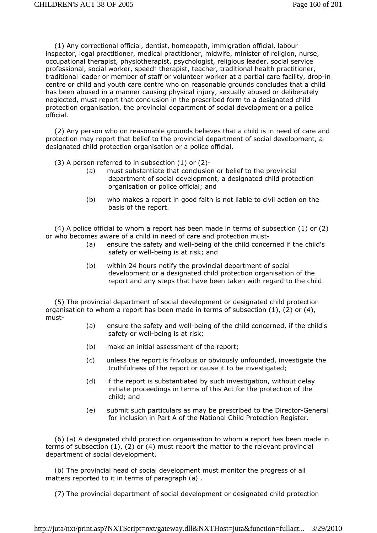(1) Any correctional official, dentist, homeopath, immigration official, labour inspector, legal practitioner, medical practitioner, midwife, minister of religion, nurse, occupational therapist, physiotherapist, psychologist, religious leader, social service professional, social worker, speech therapist, teacher, traditional health practitioner, traditional leader or member of staff or volunteer worker at a partial care facility, drop-in centre or child and youth care centre who on reasonable grounds concludes that a child has been abused in a manner causing physical injury, sexually abused or deliberately neglected, must report that conclusion in the prescribed form to a designated child protection organisation, the provincial department of social development or a police official.

 (2) Any person who on reasonable grounds believes that a child is in need of care and protection may report that belief to the provincial department of social development, a designated child protection organisation or a police official.

(3) A person referred to in subsection (1) or (2)-

- *(a)* must substantiate that conclusion or belief to the provincial department of social development, a designated child protection organisation or police official; and
- *(b)* who makes a report in good faith is not liable to civil action on the basis of the report.

 (4) A police official to whom a report has been made in terms of subsection (1) or (2) or who becomes aware of a child in need of care and protection must-

- *(a)* ensure the safety and well-being of the child concerned if the child's safety or well-being is at risk; and
- *(b)* within 24 hours notify the provincial department of social development or a designated child protection organisation of the report and any steps that have been taken with regard to the child.

 (5) The provincial department of social development or designated child protection organisation to whom a report has been made in terms of subsection (1), (2) or (4), must-

- *(a)* ensure the safety and well-being of the child concerned, if the child's safety or well-being is at risk;
- *(b)* make an initial assessment of the report;
- *(c)* unless the report is frivolous or obviously unfounded, investigate the truthfulness of the report or cause it to be investigated;
- *(d)* if the report is substantiated by such investigation, without delay initiate proceedings in terms of this Act for the protection of the child; and
- *(e)* submit such particulars as may be prescribed to the Director-General for inclusion in Part A of the National Child Protection Register.

 (6) *(a)* A designated child protection organisation to whom a report has been made in terms of subsection (1), (2) or (4) must report the matter to the relevant provincial department of social development.

 *(b)* The provincial head of social development must monitor the progress of all matters reported to it in terms of paragraph *(a)* .

(7) The provincial department of social development or designated child protection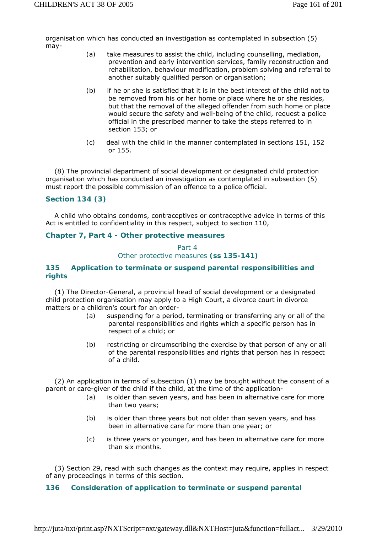organisation which has conducted an investigation as contemplated in subsection (5) may-

- *(a)* take measures to assist the child, including counselling, mediation, prevention and early intervention services, family reconstruction and rehabilitation, behaviour modification, problem solving and referral to another suitably qualified person or organisation;
- *(b)* if he or she is satisfied that it is in the best interest of the child not to be removed from his or her home or place where he or she resides, but that the removal of the alleged offender from such home or place would secure the safety and well-being of the child, request a police official in the prescribed manner to take the steps referred to in section 153; or
- *(c)* deal with the child in the manner contemplated in sections 151, 152 or 155.

 (8) The provincial department of social development or designated child protection organisation which has conducted an investigation as contemplated in subsection (5) must report the possible commission of an offence to a police official.

### **Section 134 (3)**

 A child who obtains condoms, contraceptives or contraceptive advice in terms of this Act is entitled to confidentiality in this respect, subject to section 110,

### **Chapter 7, Part 4 - Other protective measures**

# *Part 4 Other protective measures* **(ss 135-141)**

## **135 Application to terminate or suspend parental responsibilities and rights**

 (1) The Director-General, a provincial head of social development or a designated child protection organisation may apply to a High Court, a divorce court in divorce matters or a children's court for an order-

- *(a)* suspending for a period, terminating or transferring any or all of the parental responsibilities and rights which a specific person has in respect of a child; or
- *(b)* restricting or circumscribing the exercise by that person of any or all of the parental responsibilities and rights that person has in respect of a child.

 (2) An application in terms of subsection (1) may be brought without the consent of a parent or care-giver of the child if the child, at the time of the application-

- *(a)* is older than seven years, and has been in alternative care for more than two years;
- *(b)* is older than three years but not older than seven years, and has been in alternative care for more than one year; or
- *(c)* is three years or younger, and has been in alternative care for more than six months.

 (3) Section 29, read with such changes as the context may require, applies in respect of any proceedings in terms of this section.

### **136 Consideration of application to terminate or suspend parental**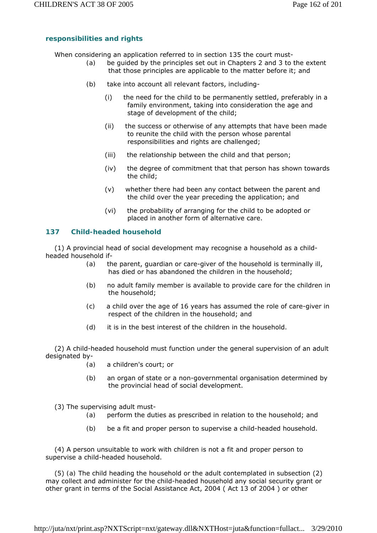#### **responsibilities and rights**

When considering an application referred to in section 135 the court must-

- *(a)* be guided by the principles set out in Chapters 2 and 3 to the extent that those principles are applicable to the matter before it; and
- *(b)* take into account all relevant factors, including-
	- (i) the need for the child to be permanently settled, preferably in a family environment, taking into consideration the age and stage of development of the child;
	- (ii) the success or otherwise of any attempts that have been made to reunite the child with the person whose parental responsibilities and rights are challenged;
	- (iii) the relationship between the child and that person;
	- (iv) the degree of commitment that that person has shown towards the child;
	- (v) whether there had been any contact between the parent and the child over the year preceding the application; and
	- (vi) the probability of arranging for the child to be adopted or placed in another form of alternative care.

### **137 Child-headed household**

 (1) A provincial head of social development may recognise a household as a childheaded household if-

- *(a)* the parent, guardian or care-giver of the household is terminally ill, has died or has abandoned the children in the household;
- *(b)* no adult family member is available to provide care for the children in the household;
- *(c)* a child over the age of 16 years has assumed the role of care-giver in respect of the children in the household; and
- *(d)* it is in the best interest of the children in the household.

 (2) A child-headed household must function under the general supervision of an adult designated by-

- *(a)* a children's court; or
- *(b)* an organ of state or a non-governmental organisation determined by the provincial head of social development.

(3) The supervising adult must-

- *(a)* perform the duties as prescribed in relation to the household; and
- *(b)* be a fit and proper person to supervise a child-headed household.

 (4) A person unsuitable to work with children is not a fit and proper person to supervise a child-headed household.

 (5) *(a)* The child heading the household or the adult contemplated in subsection (2) may collect and administer for the child-headed household any social security grant or other grant in terms of the Social Assistance Act, 2004 ( Act 13 of 2004 ) or other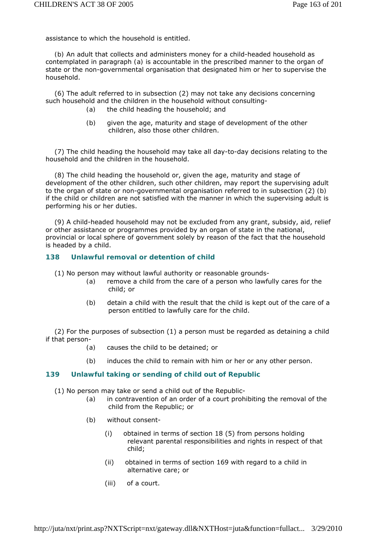assistance to which the household is entitled.

 *(b)* An adult that collects and administers money for a child-headed household as contemplated in paragraph *(a)* is accountable in the prescribed manner to the organ of state or the non-governmental organisation that designated him or her to supervise the household.

 (6) The adult referred to in subsection (2) may not take any decisions concerning such household and the children in the household without consulting-

- *(a)* the child heading the household; and
- *(b)* given the age, maturity and stage of development of the other children, also those other children.

 (7) The child heading the household may take all day-to-day decisions relating to the household and the children in the household.

 (8) The child heading the household or, given the age, maturity and stage of development of the other children, such other children, may report the supervising adult to the organ of state or non-governmental organisation referred to in subsection (2) *(b)*  if the child or children are not satisfied with the manner in which the supervising adult is performing his or her duties.

 (9) A child-headed household may not be excluded from any grant, subsidy, aid, relief or other assistance or programmes provided by an organ of state in the national, provincial or local sphere of government solely by reason of the fact that the household is headed by a child.

### **138 Unlawful removal or detention of child**

(1) No person may without lawful authority or reasonable grounds-

- *(a)* remove a child from the care of a person who lawfully cares for the child; or
- *(b)* detain a child with the result that the child is kept out of the care of a person entitled to lawfully care for the child.

 (2) For the purposes of subsection (1) a person must be regarded as detaining a child if that person-

- *(a)* causes the child to be detained; or
- *(b)* induces the child to remain with him or her or any other person.

#### **139 Unlawful taking or sending of child out of Republic**

(1) No person may take or send a child out of the Republic-

- *(a)* in contravention of an order of a court prohibiting the removal of the child from the Republic; or
- *(b)* without consent-
	- (i) obtained in terms of section 18 (5) from persons holding relevant parental responsibilities and rights in respect of that child;
	- (ii) obtained in terms of section 169 with regard to a child in alternative care; or
	- (iii) of a court.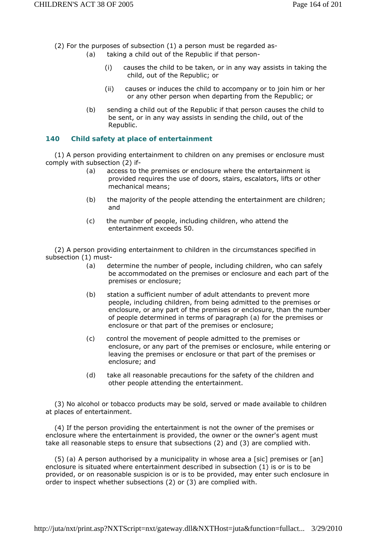(2) For the purposes of subsection (1) a person must be regarded as-

- *(a)* taking a child out of the Republic if that person-
	- (i) causes the child to be taken, or in any way assists in taking the child, out of the Republic; or
	- (ii) causes or induces the child to accompany or to join him or her or any other person when departing from the Republic; or
- *(b)* sending a child out of the Republic if that person causes the child to be sent, or in any way assists in sending the child, out of the Republic.

### **140 Child safety at place of entertainment**

 (1) A person providing entertainment to children on any premises or enclosure must comply with subsection (2) if-

- *(a)* access to the premises or enclosure where the entertainment is provided requires the use of doors, stairs, escalators, lifts or other mechanical means;
- *(b)* the majority of the people attending the entertainment are children; and
- *(c)* the number of people, including children, who attend the entertainment exceeds 50.

 (2) A person providing entertainment to children in the circumstances specified in subsection (1) must-

- *(a)* determine the number of people, including children, who can safely be accommodated on the premises or enclosure and each part of the premises or enclosure;
- *(b)* station a sufficient number of adult attendants to prevent more people, including children, from being admitted to the premises or enclosure, or any part of the premises or enclosure, than the number of people determined in terms of paragraph *(a)* for the premises or enclosure or that part of the premises or enclosure;
- *(c)* control the movement of people admitted to the premises or enclosure, or any part of the premises or enclosure, while entering or leaving the premises or enclosure or that part of the premises or enclosure; and
- *(d)* take all reasonable precautions for the safety of the children and other people attending the entertainment.

 (3) No alcohol or tobacco products may be sold, served or made available to children at places of entertainment.

 (4) If the person providing the entertainment is not the owner of the premises or enclosure where the entertainment is provided, the owner or the owner's agent must take all reasonable steps to ensure that subsections (2) and (3) are complied with.

 (5) *(a)* A person authorised by a municipality in whose area a [sic] premises or [an] enclosure is situated where entertainment described in subsection (1) is or is to be provided, or on reasonable suspicion is or is to be provided, may enter such enclosure in order to inspect whether subsections (2) or (3) are complied with.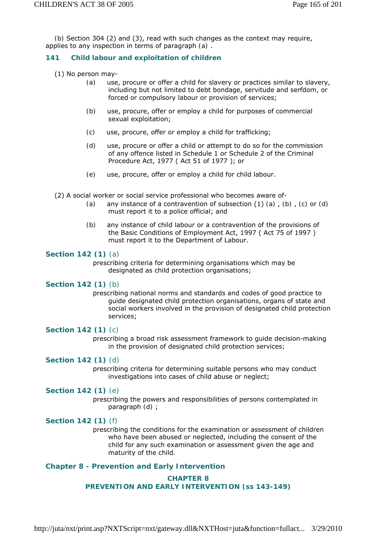*(b)* Section 304 (2) and (3), read with such changes as the context may require, applies to any inspection in terms of paragraph *(a)* .

### **141 Child labour and exploitation of children**

- (1) No person may-
	- *(a)* use, procure or offer a child for slavery or practices similar to slavery, including but not limited to debt bondage, servitude and serfdom, or forced or compulsory labour or provision of services;
	- *(b)* use, procure, offer or employ a child for purposes of commercial sexual exploitation;
	- *(c)* use, procure, offer or employ a child for trafficking;
	- *(d)* use, procure or offer a child or attempt to do so for the commission of any offence listed in Schedule 1 or Schedule 2 of the Criminal Procedure Act, 1977 ( Act 51 of 1977 ); or
	- *(e)* use, procure, offer or employ a child for child labour.
- (2) A social worker or social service professional who becomes aware of-
	- *(a)* any instance of a contravention of subsection (1) *(a)* , *(b)* , *(c)* or *(d)*  must report it to a police official; and
	- *(b)* any instance of child labour or a contravention of the provisions of the Basic Conditions of Employment Act, 1997 ( Act 75 of 1997 ) must report it to the Department of Labour.

#### **Section 142 (1)** *(a)*

 prescribing criteria for determining organisations which may be designated as child protection organisations;

#### **Section 142 (1)** *(b)*

 prescribing national norms and standards and codes of good practice to guide designated child protection organisations, organs of state and social workers involved in the provision of designated child protection services;

#### **Section 142 (1)** *(c)*

 prescribing a broad risk assessment framework to guide decision-making in the provision of designated child protection services;

#### **Section 142 (1)** *(d)*

 prescribing criteria for determining suitable persons who may conduct investigations into cases of child abuse or neglect;

### **Section 142 (1)** *(e)*

 prescribing the powers and responsibilities of persons contemplated in paragraph *(d)* ;

#### **Section 142 (1)** *(f)*

 prescribing the conditions for the examination or assessment of children who have been abused or neglected, including the consent of the child for any such examination or assessment given the age and maturity of the child.

#### **Chapter 8 - Prevention and Early Intervention**

### **CHAPTER 8 PREVENTION AND EARLY INTERVENTION (ss 143-149)**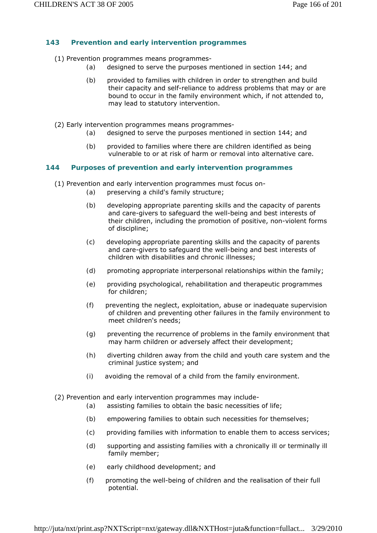### **143 Prevention and early intervention programmes**

(1) Prevention programmes means programmes-

- *(a)* designed to serve the purposes mentioned in section 144; and
- *(b)* provided to families with children in order to strengthen and build their capacity and self-reliance to address problems that may or are bound to occur in the family environment which, if not attended to, may lead to statutory intervention.
- (2) Early intervention programmes means programmes-
	- *(a)* designed to serve the purposes mentioned in section 144; and
	- *(b)* provided to families where there are children identified as being vulnerable to or at risk of harm or removal into alternative care.

#### **144 Purposes of prevention and early intervention programmes**

- (1) Prevention and early intervention programmes must focus on-
	- *(a)* preserving a child's family structure;
	- *(b)* developing appropriate parenting skills and the capacity of parents and care-givers to safeguard the well-being and best interests of their children, including the promotion of positive, non-violent forms of discipline;
	- *(c)* developing appropriate parenting skills and the capacity of parents and care-givers to safeguard the well-being and best interests of children with disabilities and chronic illnesses;
	- *(d)* promoting appropriate interpersonal relationships within the family;
	- *(e)* providing psychological, rehabilitation and therapeutic programmes for children;
	- *(f)* preventing the neglect, exploitation, abuse or inadequate supervision of children and preventing other failures in the family environment to meet children's needs;
	- *(g)* preventing the recurrence of problems in the family environment that may harm children or adversely affect their development;
	- *(h)* diverting children away from the child and youth care system and the criminal justice system; and
	- *(i)* avoiding the removal of a child from the family environment.

(2) Prevention and early intervention programmes may include-

- *(a)* assisting families to obtain the basic necessities of life;
- *(b)* empowering families to obtain such necessities for themselves;
- *(c)* providing families with information to enable them to access services;
- *(d)* supporting and assisting families with a chronically ill or terminally ill family member;
- *(e)* early childhood development; and
- *(f)* promoting the well-being of children and the realisation of their full potential.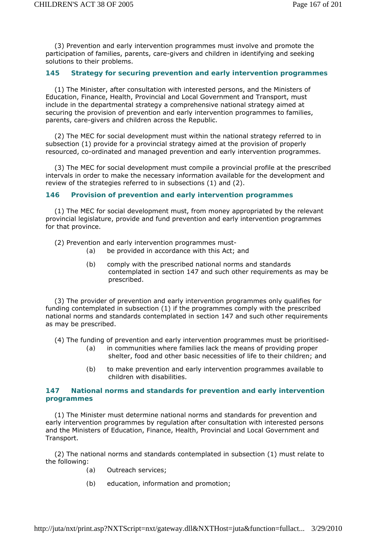(3) Prevention and early intervention programmes must involve and promote the participation of families, parents, care-givers and children in identifying and seeking solutions to their problems.

### **145 Strategy for securing prevention and early intervention programmes**

 (1) The Minister, after consultation with interested persons, and the Ministers of Education, Finance, Health, Provincial and Local Government and Transport, must include in the departmental strategy a comprehensive national strategy aimed at securing the provision of prevention and early intervention programmes to families, parents, care-givers and children across the Republic.

 (2) The MEC for social development must within the national strategy referred to in subsection (1) provide for a provincial strategy aimed at the provision of properly resourced, co-ordinated and managed prevention and early intervention programmes.

 (3) The MEC for social development must compile a provincial profile at the prescribed intervals in order to make the necessary information available for the development and review of the strategies referred to in subsections (1) and (2).

### **146 Provision of prevention and early intervention programmes**

 (1) The MEC for social development must, from money appropriated by the relevant provincial legislature, provide and fund prevention and early intervention programmes for that province.

(2) Prevention and early intervention programmes must-

- *(a)* be provided in accordance with this Act; and
- *(b)* comply with the prescribed national norms and standards contemplated in section 147 and such other requirements as may be prescribed.

 (3) The provider of prevention and early intervention programmes only qualifies for funding contemplated in subsection (1) if the programmes comply with the prescribed national norms and standards contemplated in section 147 and such other requirements as may be prescribed.

(4) The funding of prevention and early intervention programmes must be prioritised-

- *(a)* in communities where families lack the means of providing proper shelter, food and other basic necessities of life to their children; and
- *(b)* to make prevention and early intervention programmes available to children with disabilities.

#### **147 National norms and standards for prevention and early intervention programmes**

 (1) The Minister must determine national norms and standards for prevention and early intervention programmes by regulation after consultation with interested persons and the Ministers of Education, Finance, Health, Provincial and Local Government and Transport.

 (2) The national norms and standards contemplated in subsection (1) must relate to the following:

- *(a)* Outreach services;
- *(b)* education, information and promotion;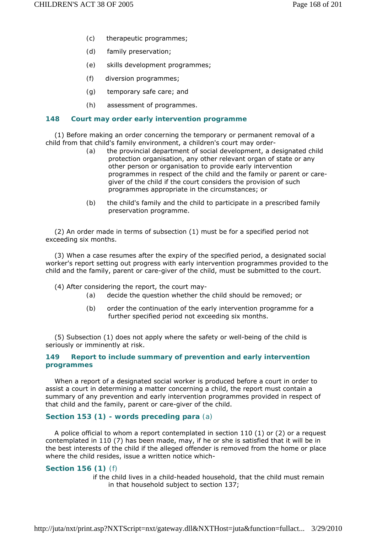- *(c)* therapeutic programmes;
- *(d)* family preservation;
- *(e)* skills development programmes;
- *(f)* diversion programmes;
- *(g)* temporary safe care; and
- *(h)* assessment of programmes.

#### **148 Court may order early intervention programme**

 (1) Before making an order concerning the temporary or permanent removal of a child from that child's family environment, a children's court may order-

- *(a)* the provincial department of social development, a designated child protection organisation, any other relevant organ of state or any other person or organisation to provide early intervention programmes in respect of the child and the family or parent or caregiver of the child if the court considers the provision of such programmes appropriate in the circumstances; or
- *(b)* the child's family and the child to participate in a prescribed family preservation programme.

 (2) An order made in terms of subsection (1) must be for a specified period not exceeding six months.

 (3) When a case resumes after the expiry of the specified period, a designated social worker's report setting out progress with early intervention programmes provided to the child and the family, parent or care-giver of the child, must be submitted to the court.

- (4) After considering the report, the court may-
	- *(a)* decide the question whether the child should be removed; or
	- *(b)* order the continuation of the early intervention programme for a further specified period not exceeding six months.

 (5) Subsection (1) does not apply where the safety or well-being of the child is seriously or imminently at risk.

### **149 Report to include summary of prevention and early intervention programmes**

 When a report of a designated social worker is produced before a court in order to assist a court in determining a matter concerning a child, the report must contain a summary of any prevention and early intervention programmes provided in respect of that child and the family, parent or care-giver of the child.

#### **Section 153 (1) - words preceding para** *(a)*

 A police official to whom a report contemplated in section 110 (1) or (2) or a request contemplated in 110 (7) has been made, may, if he or she is satisfied that it will be in the best interests of the child if the alleged offender is removed from the home or place where the child resides, issue a written notice which-

#### **Section 156 (1)** *(f)*

 if the child lives in a child-headed household, that the child must remain in that household subject to section 137;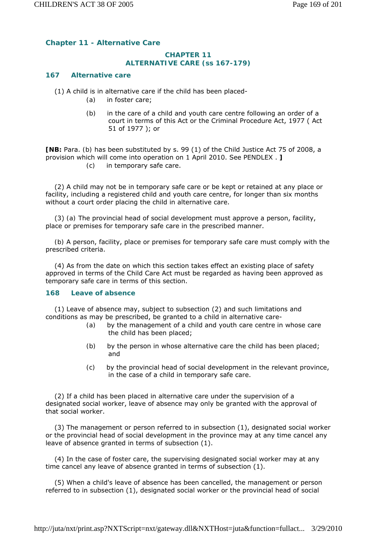### **Chapter 11 - Alternative Care**

#### **CHAPTER 11 ALTERNATIVE CARE (ss 167-179)**

#### **167 Alternative care**

(1) A child is in alternative care if the child has been placed-

- *(a)* in foster care;
- *(b)* in the care of a child and youth care centre following an order of a court in terms of this Act or the Criminal Procedure Act, 1977 ( Act 51 of 1977 ); or

**[NB:** Para. *(b)* has been substituted by s. 99 (1) of the Child Justice Act 75 of 2008, a provision which will come into operation on 1 April 2010. See PENDLEX . **]** 

*(c)* in temporary safe care.

 (2) A child may not be in temporary safe care or be kept or retained at any place or facility, including a registered child and youth care centre, for longer than six months without a court order placing the child in alternative care.

 (3) *(a)* The provincial head of social development must approve a person, facility, place or premises for temporary safe care in the prescribed manner.

 *(b)* A person, facility, place or premises for temporary safe care must comply with the prescribed criteria.

 (4) As from the date on which this section takes effect an existing place of safety approved in terms of the Child Care Act must be regarded as having been approved as temporary safe care in terms of this section.

#### **168 Leave of absence**

 (1) Leave of absence may, subject to subsection (2) and such limitations and conditions as may be prescribed, be granted to a child in alternative care-

- *(a)* by the management of a child and youth care centre in whose care the child has been placed;
- *(b)* by the person in whose alternative care the child has been placed; and
- *(c)* by the provincial head of social development in the relevant province, in the case of a child in temporary safe care.

 (2) If a child has been placed in alternative care under the supervision of a designated social worker, leave of absence may only be granted with the approval of that social worker.

 (3) The management or person referred to in subsection (1), designated social worker or the provincial head of social development in the province may at any time cancel any leave of absence granted in terms of subsection (1).

 (4) In the case of foster care, the supervising designated social worker may at any time cancel any leave of absence granted in terms of subsection (1).

 (5) When a child's leave of absence has been cancelled, the management or person referred to in subsection (1), designated social worker or the provincial head of social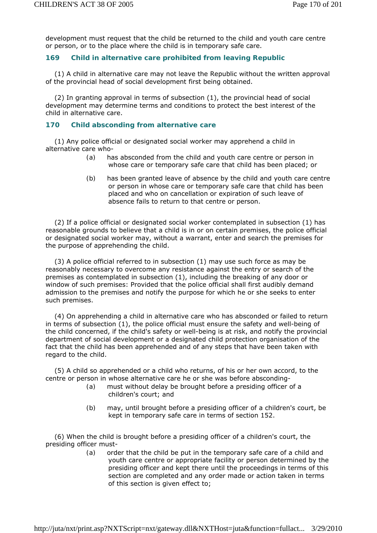development must request that the child be returned to the child and youth care centre or person, or to the place where the child is in temporary safe care.

### **169 Child in alternative care prohibited from leaving Republic**

 (1) A child in alternative care may not leave the Republic without the written approval of the provincial head of social development first being obtained.

 (2) In granting approval in terms of subsection (1), the provincial head of social development may determine terms and conditions to protect the best interest of the child in alternative care.

### **170 Child absconding from alternative care**

 (1) Any police official or designated social worker may apprehend a child in alternative care who-

- *(a)* has absconded from the child and youth care centre or person in whose care or temporary safe care that child has been placed; or
- *(b)* has been granted leave of absence by the child and youth care centre or person in whose care or temporary safe care that child has been placed and who on cancellation or expiration of such leave of absence fails to return to that centre or person.

 (2) If a police official or designated social worker contemplated in subsection (1) has reasonable grounds to believe that a child is in or on certain premises, the police official or designated social worker may, without a warrant, enter and search the premises for the purpose of apprehending the child.

 (3) A police official referred to in subsection (1) may use such force as may be reasonably necessary to overcome any resistance against the entry or search of the premises as contemplated in subsection (1), including the breaking of any door or window of such premises: Provided that the police official shall first audibly demand admission to the premises and notify the purpose for which he or she seeks to enter such premises.

 (4) On apprehending a child in alternative care who has absconded or failed to return in terms of subsection (1), the police official must ensure the safety and well-being of the child concerned, if the child's safety or well-being is at risk, and notify the provincial department of social development or a designated child protection organisation of the fact that the child has been apprehended and of any steps that have been taken with regard to the child.

 (5) A child so apprehended or a child who returns, of his or her own accord, to the centre or person in whose alternative care he or she was before absconding-

- *(a)* must without delay be brought before a presiding officer of a children's court; and
- *(b)* may, until brought before a presiding officer of a children's court, be kept in temporary safe care in terms of section 152.

 (6) When the child is brought before a presiding officer of a children's court, the presiding officer must-

> *(a)* order that the child be put in the temporary safe care of a child and youth care centre or appropriate facility or person determined by the presiding officer and kept there until the proceedings in terms of this section are completed and any order made or action taken in terms of this section is given effect to;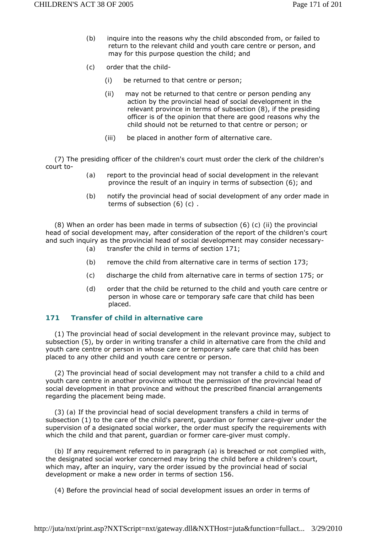- *(b)* inquire into the reasons why the child absconded from, or failed to return to the relevant child and youth care centre or person, and may for this purpose question the child; and
- *(c)* order that the child-
	- (i) be returned to that centre or person;
	- (ii) may not be returned to that centre or person pending any action by the provincial head of social development in the relevant province in terms of subsection (8), if the presiding officer is of the opinion that there are good reasons why the child should not be returned to that centre or person; or
	- (iii) be placed in another form of alternative care.

 (7) The presiding officer of the children's court must order the clerk of the children's court to-

- *(a)* report to the provincial head of social development in the relevant province the result of an inquiry in terms of subsection (6); and
- *(b)* notify the provincial head of social development of any order made in terms of subsection (6) *(c)* .

 (8) When an order has been made in terms of subsection (6) *(c)* (ii) the provincial head of social development may, after consideration of the report of the children's court and such inquiry as the provincial head of social development may consider necessary-

- *(a)* transfer the child in terms of section 171;
- *(b)* remove the child from alternative care in terms of section 173;
- *(c)* discharge the child from alternative care in terms of section 175; or
- *(d)* order that the child be returned to the child and youth care centre or person in whose care or temporary safe care that child has been placed.

### **171 Transfer of child in alternative care**

 (1) The provincial head of social development in the relevant province may, subject to subsection (5), by order in writing transfer a child in alternative care from the child and youth care centre or person in whose care or temporary safe care that child has been placed to any other child and youth care centre or person.

 (2) The provincial head of social development may not transfer a child to a child and youth care centre in another province without the permission of the provincial head of social development in that province and without the prescribed financial arrangements regarding the placement being made.

 (3) *(a)* If the provincial head of social development transfers a child in terms of subsection (1) to the care of the child's parent, guardian or former care-giver under the supervision of a designated social worker, the order must specify the requirements with which the child and that parent, guardian or former care-giver must comply.

 *(b)* If any requirement referred to in paragraph *(a)* is breached or not complied with, the designated social worker concerned may bring the child before a children's court, which may, after an inquiry, vary the order issued by the provincial head of social development or make a new order in terms of section 156.

(4) Before the provincial head of social development issues an order in terms of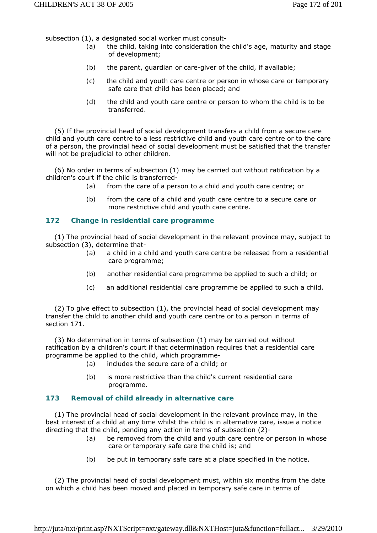subsection (1), a designated social worker must consult-

- *(a)* the child, taking into consideration the child's age, maturity and stage of development;
- *(b)* the parent, guardian or care-giver of the child, if available;
- *(c)* the child and youth care centre or person in whose care or temporary safe care that child has been placed; and
- *(d)* the child and youth care centre or person to whom the child is to be transferred.

 (5) If the provincial head of social development transfers a child from a secure care child and youth care centre to a less restrictive child and youth care centre or to the care of a person, the provincial head of social development must be satisfied that the transfer will not be prejudicial to other children.

 (6) No order in terms of subsection (1) may be carried out without ratification by a children's court if the child is transferred-

- *(a)* from the care of a person to a child and youth care centre; or
- *(b)* from the care of a child and youth care centre to a secure care or more restrictive child and youth care centre.

### **172 Change in residential care programme**

 (1) The provincial head of social development in the relevant province may, subject to subsection (3), determine that-

- *(a)* a child in a child and youth care centre be released from a residential care programme;
- *(b)* another residential care programme be applied to such a child; or
- *(c)* an additional residential care programme be applied to such a child.

 (2) To give effect to subsection (1), the provincial head of social development may transfer the child to another child and youth care centre or to a person in terms of section 171.

 (3) No determination in terms of subsection (1) may be carried out without ratification by a children's court if that determination requires that a residential care programme be applied to the child, which programme-

- *(a)* includes the secure care of a child; or
- *(b)* is more restrictive than the child's current residential care programme.

## **173 Removal of child already in alternative care**

 (1) The provincial head of social development in the relevant province may, in the best interest of a child at any time whilst the child is in alternative care, issue a notice directing that the child, pending any action in terms of subsection (2)-

- *(a)* be removed from the child and youth care centre or person in whose care or temporary safe care the child is; and
- *(b)* be put in temporary safe care at a place specified in the notice.

 (2) The provincial head of social development must, within six months from the date on which a child has been moved and placed in temporary safe care in terms of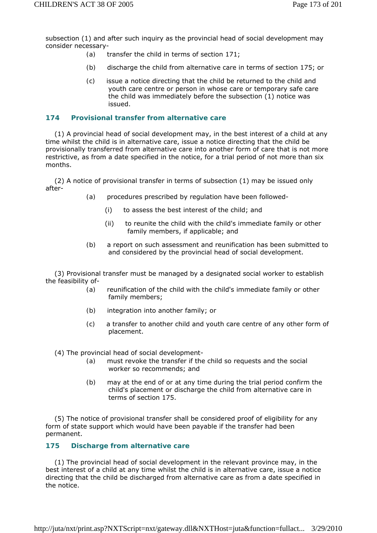subsection (1) and after such inquiry as the provincial head of social development may consider necessary-

- *(a)* transfer the child in terms of section 171;
- *(b)* discharge the child from alternative care in terms of section 175; or
- *(c)* issue a notice directing that the child be returned to the child and youth care centre or person in whose care or temporary safe care the child was immediately before the subsection (1) notice was issued.

### **174 Provisional transfer from alternative care**

 (1) A provincial head of social development may, in the best interest of a child at any time whilst the child is in alternative care, issue a notice directing that the child be provisionally transferred from alternative care into another form of care that is not more restrictive, as from a date specified in the notice, for a trial period of not more than six months.

 (2) A notice of provisional transfer in terms of subsection (1) may be issued only after-

- *(a)* procedures prescribed by regulation have been followed-
	- (i) to assess the best interest of the child; and
	- (ii) to reunite the child with the child's immediate family or other family members, if applicable; and
- *(b)* a report on such assessment and reunification has been submitted to and considered by the provincial head of social development.

 (3) Provisional transfer must be managed by a designated social worker to establish the feasibility of-

- *(a)* reunification of the child with the child's immediate family or other family members;
- *(b)* integration into another family; or
- *(c)* a transfer to another child and youth care centre of any other form of placement.

(4) The provincial head of social development-

- *(a)* must revoke the transfer if the child so requests and the social worker so recommends; and
- *(b)* may at the end of or at any time during the trial period confirm the child's placement or discharge the child from alternative care in terms of section 175.

 (5) The notice of provisional transfer shall be considered proof of eligibility for any form of state support which would have been payable if the transfer had been permanent.

### **175 Discharge from alternative care**

 (1) The provincial head of social development in the relevant province may, in the best interest of a child at any time whilst the child is in alternative care, issue a notice directing that the child be discharged from alternative care as from a date specified in the notice.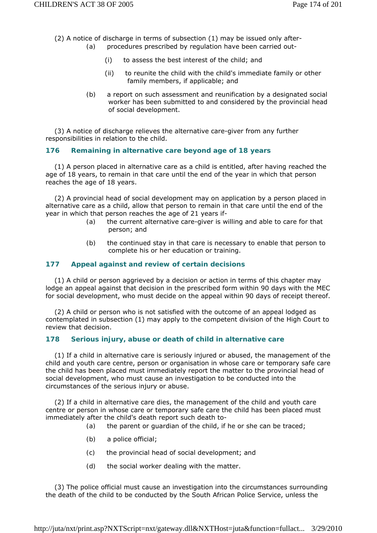- (2) A notice of discharge in terms of subsection (1) may be issued only after-
	- *(a)* procedures prescribed by regulation have been carried out-
		- (i) to assess the best interest of the child; and
		- (ii) to reunite the child with the child's immediate family or other family members, if applicable; and
	- *(b)* a report on such assessment and reunification by a designated social worker has been submitted to and considered by the provincial head of social development.

 (3) A notice of discharge relieves the alternative care-giver from any further responsibilities in relation to the child.

### **176 Remaining in alternative care beyond age of 18 years**

 (1) A person placed in alternative care as a child is entitled, after having reached the age of 18 years, to remain in that care until the end of the year in which that person reaches the age of 18 years.

 (2) A provincial head of social development may on application by a person placed in alternative care as a child, allow that person to remain in that care until the end of the year in which that person reaches the age of 21 years if-

- *(a)* the current alternative care-giver is willing and able to care for that person; and
- *(b)* the continued stay in that care is necessary to enable that person to complete his or her education or training.

### **177 Appeal against and review of certain decisions**

 (1) A child or person aggrieved by a decision or action in terms of this chapter may lodge an appeal against that decision in the prescribed form within 90 days with the MEC for social development, who must decide on the appeal within 90 days of receipt thereof.

 (2) A child or person who is not satisfied with the outcome of an appeal lodged as contemplated in subsection (1) may apply to the competent division of the High Court to review that decision.

### **178 Serious injury, abuse or death of child in alternative care**

 (1) If a child in alternative care is seriously injured or abused, the management of the child and youth care centre, person or organisation in whose care or temporary safe care the child has been placed must immediately report the matter to the provincial head of social development, who must cause an investigation to be conducted into the circumstances of the serious injury or abuse.

 (2) If a child in alternative care dies, the management of the child and youth care centre or person in whose care or temporary safe care the child has been placed must immediately after the child's death report such death to-

- *(a)* the parent or guardian of the child, if he or she can be traced;
- *(b)* a police official;
- *(c)* the provincial head of social development; and
- *(d)* the social worker dealing with the matter.

 (3) The police official must cause an investigation into the circumstances surrounding the death of the child to be conducted by the South African Police Service, unless the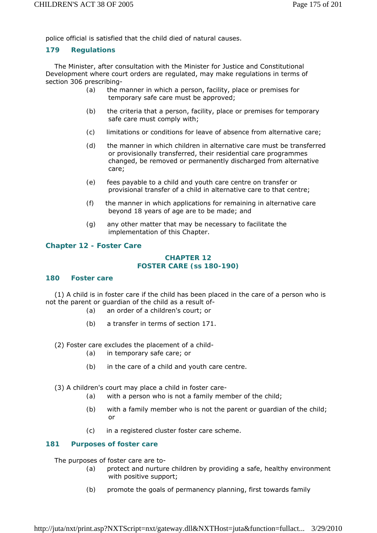police official is satisfied that the child died of natural causes.

### **179 Regulations**

 The Minister, after consultation with the Minister for Justice and Constitutional Development where court orders are regulated, may make regulations in terms of section 306 prescribing-

- *(a)* the manner in which a person, facility, place or premises for temporary safe care must be approved;
- *(b)* the criteria that a person, facility, place or premises for temporary safe care must comply with;
- *(c)* limitations or conditions for leave of absence from alternative care;
- *(d)* the manner in which children in alternative care must be transferred or provisionally transferred, their residential care programmes changed, be removed or permanently discharged from alternative care;
- *(e)* fees payable to a child and youth care centre on transfer or provisional transfer of a child in alternative care to that centre;
- *(f)* the manner in which applications for remaining in alternative care beyond 18 years of age are to be made; and
- *(g)* any other matter that may be necessary to facilitate the implementation of this Chapter.

### **Chapter 12 - Foster Care**

### **CHAPTER 12 FOSTER CARE (ss 180-190)**

#### **180 Foster care**

 (1) A child is in foster care if the child has been placed in the care of a person who is not the parent or guardian of the child as a result of-

- *(a)* an order of a children's court; or
- *(b)* a transfer in terms of section 171.

(2) Foster care excludes the placement of a child-

- *(a)* in temporary safe care; or
- *(b)* in the care of a child and youth care centre.
- (3) A children's court may place a child in foster care-
	- *(a)* with a person who is not a family member of the child;
	- *(b)* with a family member who is not the parent or guardian of the child; or
	- *(c)* in a registered cluster foster care scheme.

#### **181 Purposes of foster care**

The purposes of foster care are to-

- *(a)* protect and nurture children by providing a safe, healthy environment with positive support;
- *(b)* promote the goals of permanency planning, first towards family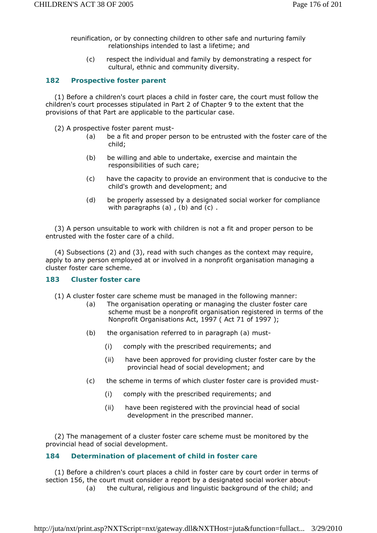reunification, or by connecting children to other safe and nurturing family relationships intended to last a lifetime; and

 *(c)* respect the individual and family by demonstrating a respect for cultural, ethnic and community diversity.

### **182 Prospective foster parent**

 (1) Before a children's court places a child in foster care, the court must follow the children's court processes stipulated in Part 2 of Chapter 9 to the extent that the provisions of that Part are applicable to the particular case.

(2) A prospective foster parent must-

- *(a)* be a fit and proper person to be entrusted with the foster care of the child;
- *(b)* be willing and able to undertake, exercise and maintain the responsibilities of such care;
- *(c)* have the capacity to provide an environment that is conducive to the child's growth and development; and
- *(d)* be properly assessed by a designated social worker for compliance with paragraphs *(a)* , *(b)* and *(c)* .

 (3) A person unsuitable to work with children is not a fit and proper person to be entrusted with the foster care of a child.

 (4) Subsections (2) and (3), read with such changes as the context may require, apply to any person employed at or involved in a nonprofit organisation managing a cluster foster care scheme.

#### **183 Cluster foster care**

- (1) A cluster foster care scheme must be managed in the following manner:
	- *(a)* The organisation operating or managing the cluster foster care scheme must be a nonprofit organisation registered in terms of the Nonprofit Organisations Act, 1997 ( Act 71 of 1997 );
	- *(b)* the organisation referred to in paragraph *(a)* must-
		- (i) comply with the prescribed requirements; and
		- (ii) have been approved for providing cluster foster care by the provincial head of social development; and
	- *(c)* the scheme in terms of which cluster foster care is provided must-
		- (i) comply with the prescribed requirements; and
		- (ii) have been registered with the provincial head of social development in the prescribed manner.

 (2) The management of a cluster foster care scheme must be monitored by the provincial head of social development.

#### **184 Determination of placement of child in foster care**

 (1) Before a children's court places a child in foster care by court order in terms of section 156, the court must consider a report by a designated social worker about-

*(a)* the cultural, religious and linguistic background of the child; and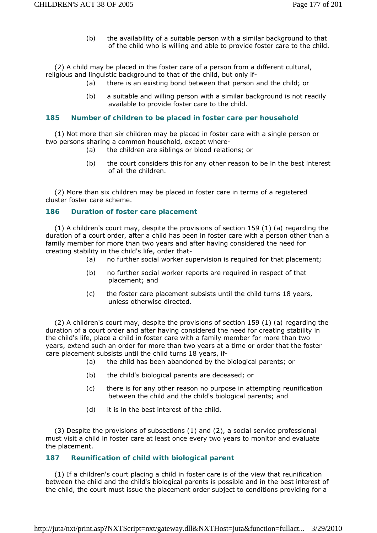*(b)* the availability of a suitable person with a similar background to that of the child who is willing and able to provide foster care to the child.

 (2) A child may be placed in the foster care of a person from a different cultural, religious and linguistic background to that of the child, but only if-

- *(a)* there is an existing bond between that person and the child; or
- *(b)* a suitable and willing person with a similar background is not readily available to provide foster care to the child.

### **185 Number of children to be placed in foster care per household**

 (1) Not more than six children may be placed in foster care with a single person or two persons sharing a common household, except where-

- *(a)* the children are siblings or blood relations; or
- *(b)* the court considers this for any other reason to be in the best interest of all the children.

 (2) More than six children may be placed in foster care in terms of a registered cluster foster care scheme.

### **186 Duration of foster care placement**

 (1) A children's court may, despite the provisions of section 159 (1) *(a)* regarding the duration of a court order, after a child has been in foster care with a person other than a family member for more than two years and after having considered the need for creating stability in the child's life, order that-

- *(a)* no further social worker supervision is required for that placement;
- *(b)* no further social worker reports are required in respect of that placement; and
- *(c)* the foster care placement subsists until the child turns 18 years, unless otherwise directed.

 (2) A children's court may, despite the provisions of section 159 (1) *(a)* regarding the duration of a court order and after having considered the need for creating stability in the child's life, place a child in foster care with a family member for more than two years, extend such an order for more than two years at a time or order that the foster care placement subsists until the child turns 18 years, if-

- *(a)* the child has been abandoned by the biological parents; or
- *(b)* the child's biological parents are deceased; or
- *(c)* there is for any other reason no purpose in attempting reunification between the child and the child's biological parents; and
- *(d)* it is in the best interest of the child.

 (3) Despite the provisions of subsections (1) and (2), a social service professional must visit a child in foster care at least once every two years to monitor and evaluate the placement.

#### **187 Reunification of child with biological parent**

 (1) If a children's court placing a child in foster care is of the view that reunification between the child and the child's biological parents is possible and in the best interest of the child, the court must issue the placement order subject to conditions providing for a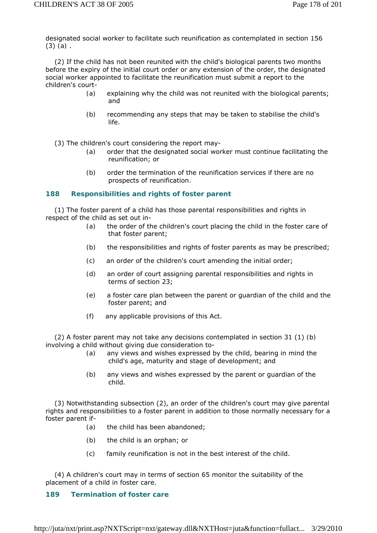designated social worker to facilitate such reunification as contemplated in section 156  $(3)$   $(a)$ .

 (2) If the child has not been reunited with the child's biological parents two months before the expiry of the initial court order or any extension of the order, the designated social worker appointed to facilitate the reunification must submit a report to the children's court-

- *(a)* explaining why the child was not reunited with the biological parents; and
- *(b)* recommending any steps that may be taken to stabilise the child's life.

(3) The children's court considering the report may-

- *(a)* order that the designated social worker must continue facilitating the reunification; or
- *(b)* order the termination of the reunification services if there are no prospects of reunification.

#### **188 Responsibilities and rights of foster parent**

 (1) The foster parent of a child has those parental responsibilities and rights in respect of the child as set out in-

- *(a)* the order of the children's court placing the child in the foster care of that foster parent;
- *(b)* the responsibilities and rights of foster parents as may be prescribed;
- *(c)* an order of the children's court amending the initial order;
- *(d)* an order of court assigning parental responsibilities and rights in terms of section 23;
- *(e)* a foster care plan between the parent or guardian of the child and the foster parent; and
- *(f)* any applicable provisions of this Act.

 (2) A foster parent may not take any decisions contemplated in section 31 (1) *(b)*  involving a child without giving due consideration to-

- *(a)* any views and wishes expressed by the child, bearing in mind the child's age, maturity and stage of development; and
- *(b)* any views and wishes expressed by the parent or guardian of the child.

 (3) Notwithstanding subsection (2), an order of the children's court may give parental rights and responsibilities to a foster parent in addition to those normally necessary for a foster parent if-

- *(a)* the child has been abandoned;
- *(b)* the child is an orphan; or
- *(c)* family reunification is not in the best interest of the child.

 (4) A children's court may in terms of section 65 monitor the suitability of the placement of a child in foster care.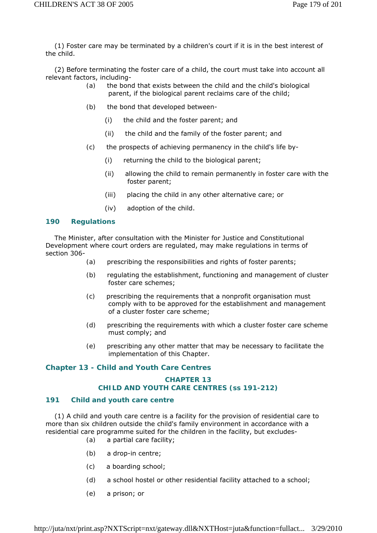(1) Foster care may be terminated by a children's court if it is in the best interest of the child.

 (2) Before terminating the foster care of a child, the court must take into account all relevant factors, including-

- *(a)* the bond that exists between the child and the child's biological parent, if the biological parent reclaims care of the child;
- *(b)* the bond that developed between-
	- (i) the child and the foster parent; and
	- (ii) the child and the family of the foster parent; and
- *(c)* the prospects of achieving permanency in the child's life by-
	- (i) returning the child to the biological parent;
	- (ii) allowing the child to remain permanently in foster care with the foster parent;
	- (iii) placing the child in any other alternative care; or
	- (iv) adoption of the child.

#### **190 Regulations**

 The Minister, after consultation with the Minister for Justice and Constitutional Development where court orders are regulated, may make regulations in terms of section 306-

- *(a)* prescribing the responsibilities and rights of foster parents;
- *(b)* regulating the establishment, functioning and management of cluster foster care schemes;
- *(c)* prescribing the requirements that a nonprofit organisation must comply with to be approved for the establishment and management of a cluster foster care scheme;
- *(d)* prescribing the requirements with which a cluster foster care scheme must comply; and
- *(e)* prescribing any other matter that may be necessary to facilitate the implementation of this Chapter.

#### **Chapter 13 - Child and Youth Care Centres**

# **CHAPTER 13 CHILD AND YOUTH CARE CENTRES (ss 191-212)**

### **191 Child and youth care centre**

 (1) A child and youth care centre is a facility for the provision of residential care to more than six children outside the child's family environment in accordance with a residential care programme suited for the children in the facility, but excludes-

- *(a)* a partial care facility;
- *(b)* a drop-in centre;
- *(c)* a boarding school;
- *(d)* a school hostel or other residential facility attached to a school;
- *(e)* a prison; or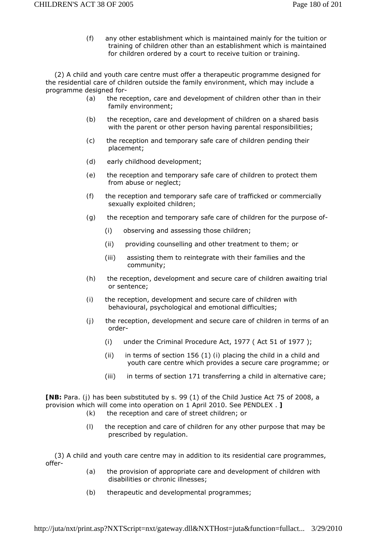*(f)* any other establishment which is maintained mainly for the tuition or training of children other than an establishment which is maintained for children ordered by a court to receive tuition or training.

 (2) A child and youth care centre must offer a therapeutic programme designed for the residential care of children outside the family environment, which may include a programme designed for-

- *(a)* the reception, care and development of children other than in their family environment;
- *(b)* the reception, care and development of children on a shared basis with the parent or other person having parental responsibilities;
- *(c)* the reception and temporary safe care of children pending their placement;
- *(d)* early childhood development;
- *(e)* the reception and temporary safe care of children to protect them from abuse or neglect;
- *(f)* the reception and temporary safe care of trafficked or commercially sexually exploited children;
- *(g)* the reception and temporary safe care of children for the purpose of-
	- (i) observing and assessing those children;
	- (ii) providing counselling and other treatment to them; or
	- (iii) assisting them to reintegrate with their families and the community;
- *(h)* the reception, development and secure care of children awaiting trial or sentence;
- *(i)* the reception, development and secure care of children with behavioural, psychological and emotional difficulties;
- *(j)* the reception, development and secure care of children in terms of an order-
	- (i) under the Criminal Procedure Act, 1977 ( Act 51 of 1977 );
	- (ii) in terms of section 156 (1) *(i)* placing the child in a child and youth care centre which provides a secure care programme; or
	- (iii) in terms of section 171 transferring a child in alternative care;

**[NB:** Para. *(j)* has been substituted by s. 99 (1) of the Child Justice Act 75 of 2008, a provision which will come into operation on 1 April 2010. See PENDLEX . **]** 

- *(k)* the reception and care of street children; or
- *(l)* the reception and care of children for any other purpose that may be prescribed by regulation.

 (3) A child and youth care centre may in addition to its residential care programmes, offer-

- *(a)* the provision of appropriate care and development of children with disabilities or chronic illnesses;
- *(b)* therapeutic and developmental programmes;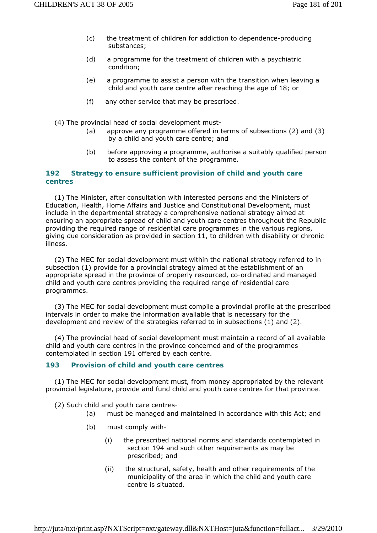- *(c)* the treatment of children for addiction to dependence-producing substances;
- *(d)* a programme for the treatment of children with a psychiatric condition;
- *(e)* a programme to assist a person with the transition when leaving a child and youth care centre after reaching the age of 18; or
- *(f)* any other service that may be prescribed.
- (4) The provincial head of social development must-
	- *(a)* approve any programme offered in terms of subsections (2) and (3) by a child and youth care centre; and
	- *(b)* before approving a programme, authorise a suitably qualified person to assess the content of the programme.

## **192 Strategy to ensure sufficient provision of child and youth care centres**

 (1) The Minister, after consultation with interested persons and the Ministers of Education, Health, Home Affairs and Justice and Constitutional Development, must include in the departmental strategy a comprehensive national strategy aimed at ensuring an appropriate spread of child and youth care centres throughout the Republic providing the required range of residential care programmes in the various regions, giving due consideration as provided in section 11, to children with disability or chronic illness.

 (2) The MEC for social development must within the national strategy referred to in subsection (1) provide for a provincial strategy aimed at the establishment of an appropriate spread in the province of properly resourced, co-ordinated and managed child and youth care centres providing the required range of residential care programmes.

 (3) The MEC for social development must compile a provincial profile at the prescribed intervals in order to make the information available that is necessary for the development and review of the strategies referred to in subsections (1) and (2).

 (4) The provincial head of social development must maintain a record of all available child and youth care centres in the province concerned and of the programmes contemplated in section 191 offered by each centre.

### **193 Provision of child and youth care centres**

 (1) The MEC for social development must, from money appropriated by the relevant provincial legislature, provide and fund child and youth care centres for that province.

(2) Such child and youth care centres-

- *(a)* must be managed and maintained in accordance with this Act; and
- *(b)* must comply with-
	- (i) the prescribed national norms and standards contemplated in section 194 and such other requirements as may be prescribed; and
	- (ii) the structural, safety, health and other requirements of the municipality of the area in which the child and youth care centre is situated.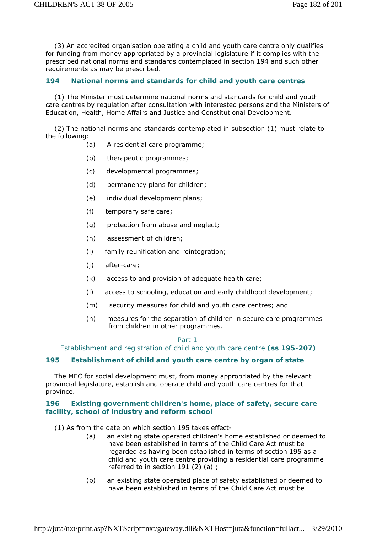(3) An accredited organisation operating a child and youth care centre only qualifies for funding from money appropriated by a provincial legislature if it complies with the prescribed national norms and standards contemplated in section 194 and such other requirements as may be prescribed.

## **194 National norms and standards for child and youth care centres**

 (1) The Minister must determine national norms and standards for child and youth care centres by regulation after consultation with interested persons and the Ministers of Education, Health, Home Affairs and Justice and Constitutional Development.

 (2) The national norms and standards contemplated in subsection (1) must relate to the following:

- *(a)* A residential care programme;
- *(b)* therapeutic programmes;
- *(c)* developmental programmes;
- *(d)* permanency plans for children;
- *(e)* individual development plans;
- *(f)* temporary safe care;
- *(g)* protection from abuse and neglect;
- *(h)* assessment of children;
- *(i)* family reunification and reintegration;
- *(j)* after-care;
- *(k)* access to and provision of adequate health care;
- *(l)* access to schooling, education and early childhood development;
- *(m)* security measures for child and youth care centres; and
- *(n)* measures for the separation of children in secure care programmes from children in other programmes.

#### *Part 1*

*Establishment and registration of child and youth care centre (ss 195-207)* 

### **195 Establishment of child and youth care centre by organ of state**

 The MEC for social development must, from money appropriated by the relevant provincial legislature, establish and operate child and youth care centres for that province.

### **196 Existing government children's home, place of safety, secure care facility, school of industry and reform school**

- (1) As from the date on which section 195 takes effect-
	- *(a)* an existing state operated children's home established or deemed to have been established in terms of the Child Care Act must be regarded as having been established in terms of section 195 as a child and youth care centre providing a residential care programme referred to in section 191 (2) *(a)* ;
	- *(b)* an existing state operated place of safety established or deemed to have been established in terms of the Child Care Act must be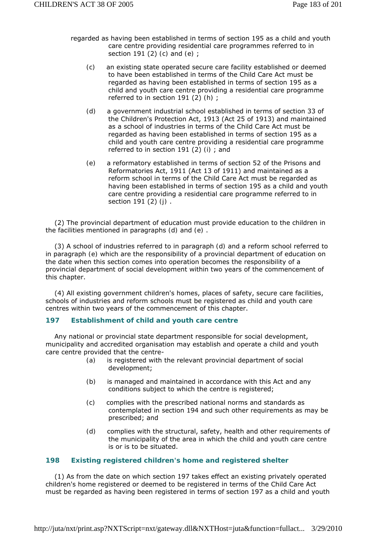- regarded as having been established in terms of section 195 as a child and youth care centre providing residential care programmes referred to in section 191 (2) *(c)* and *(e)* ;
	- *(c)* an existing state operated secure care facility established or deemed to have been established in terms of the Child Care Act must be regarded as having been established in terms of section 195 as a child and youth care centre providing a residential care programme referred to in section 191 (2) *(h)* ;
	- *(d)* a government industrial school established in terms of section 33 of the Children's Protection Act, 1913 (Act 25 of 1913) and maintained as a school of industries in terms of the Child Care Act must be regarded as having been established in terms of section 195 as a child and youth care centre providing a residential care programme referred to in section 191 (2) *(i)* ; and
	- *(e)* a reformatory established in terms of section 52 of the Prisons and Reformatories Act, 1911 (Act 13 of 1911) and maintained as a reform school in terms of the Child Care Act must be regarded as having been established in terms of section 195 as a child and youth care centre providing a residential care programme referred to in section 191 (2) *(j)* .

 (2) The provincial department of education must provide education to the children in the facilities mentioned in paragraphs *(d)* and *(e)* .

 (3) A school of industries referred to in paragraph *(d)* and a reform school referred to in paragraph *(e)* which are the responsibility of a provincial department of education on the date when this section comes into operation becomes the responsibility of a provincial department of social development within two years of the commencement of this chapter.

 (4) All existing government children's homes, places of safety, secure care facilities, schools of industries and reform schools must be registered as child and youth care centres within two years of the commencement of this chapter.

# **197 Establishment of child and youth care centre**

 Any national or provincial state department responsible for social development, municipality and accredited organisation may establish and operate a child and youth care centre provided that the centre-

- *(a)* is registered with the relevant provincial department of social development;
- *(b)* is managed and maintained in accordance with this Act and any conditions subject to which the centre is registered;
- *(c)* complies with the prescribed national norms and standards as contemplated in section 194 and such other requirements as may be prescribed; and
- *(d)* complies with the structural, safety, health and other requirements of the municipality of the area in which the child and youth care centre is or is to be situated.

### **198 Existing registered children's home and registered shelter**

 (1) As from the date on which section 197 takes effect an existing privately operated children's home registered or deemed to be registered in terms of the Child Care Act must be regarded as having been registered in terms of section 197 as a child and youth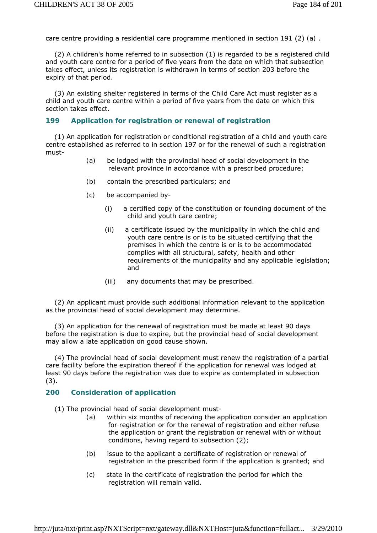care centre providing a residential care programme mentioned in section 191 (2) *(a)* .

 (2) A children's home referred to in subsection (1) is regarded to be a registered child and youth care centre for a period of five years from the date on which that subsection takes effect, unless its registration is withdrawn in terms of section 203 before the expiry of that period.

 (3) An existing shelter registered in terms of the Child Care Act must register as a child and youth care centre within a period of five years from the date on which this section takes effect.

## **199 Application for registration or renewal of registration**

 (1) An application for registration or conditional registration of a child and youth care centre established as referred to in section 197 or for the renewal of such a registration must-

- *(a)* be lodged with the provincial head of social development in the relevant province in accordance with a prescribed procedure;
- *(b)* contain the prescribed particulars; and
- *(c)* be accompanied by-
	- (i) a certified copy of the constitution or founding document of the child and youth care centre;
	- (ii) a certificate issued by the municipality in which the child and youth care centre is or is to be situated certifying that the premises in which the centre is or is to be accommodated complies with all structural, safety, health and other requirements of the municipality and any applicable legislation; and
	- (iii) any documents that may be prescribed.

 (2) An applicant must provide such additional information relevant to the application as the provincial head of social development may determine.

 (3) An application for the renewal of registration must be made at least 90 days before the registration is due to expire, but the provincial head of social development may allow a late application on good cause shown.

 (4) The provincial head of social development must renew the registration of a partial care facility before the expiration thereof if the application for renewal was lodged at least 90 days before the registration was due to expire as contemplated in subsection (3).

# **200 Consideration of application**

(1) The provincial head of social development must-

- *(a)* within six months of receiving the application consider an application for registration or for the renewal of registration and either refuse the application or grant the registration or renewal with or without conditions, having regard to subsection (2);
- *(b)* issue to the applicant a certificate of registration or renewal of registration in the prescribed form if the application is granted; and
- *(c)* state in the certificate of registration the period for which the registration will remain valid.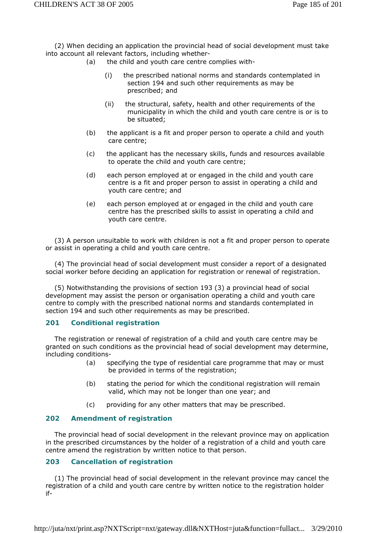(2) When deciding an application the provincial head of social development must take into account all relevant factors, including whether-

- *(a)* the child and youth care centre complies with-
	- (i) the prescribed national norms and standards contemplated in section 194 and such other requirements as may be prescribed; and
	- (ii) the structural, safety, health and other requirements of the municipality in which the child and youth care centre is or is to be situated;
- *(b)* the applicant is a fit and proper person to operate a child and youth care centre;
- *(c)* the applicant has the necessary skills, funds and resources available to operate the child and youth care centre;
- *(d)* each person employed at or engaged in the child and youth care centre is a fit and proper person to assist in operating a child and youth care centre; and
- *(e)* each person employed at or engaged in the child and youth care centre has the prescribed skills to assist in operating a child and youth care centre.

 (3) A person unsuitable to work with children is not a fit and proper person to operate or assist in operating a child and youth care centre.

 (4) The provincial head of social development must consider a report of a designated social worker before deciding an application for registration or renewal of registration.

 (5) Notwithstanding the provisions of section 193 (3) a provincial head of social development may assist the person or organisation operating a child and youth care centre to comply with the prescribed national norms and standards contemplated in section 194 and such other requirements as may be prescribed.

### **201 Conditional registration**

 The registration or renewal of registration of a child and youth care centre may be granted on such conditions as the provincial head of social development may determine, including conditions-

- *(a)* specifying the type of residential care programme that may or must be provided in terms of the registration;
- *(b)* stating the period for which the conditional registration will remain valid, which may not be longer than one year; and
- *(c)* providing for any other matters that may be prescribed.

### **202 Amendment of registration**

 The provincial head of social development in the relevant province may on application in the prescribed circumstances by the holder of a registration of a child and youth care centre amend the registration by written notice to that person.

### **203 Cancellation of registration**

 (1) The provincial head of social development in the relevant province may cancel the registration of a child and youth care centre by written notice to the registration holder if-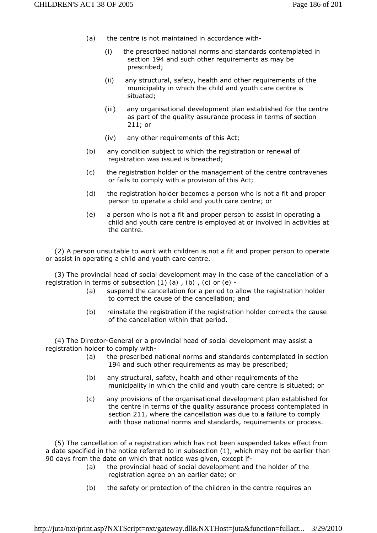- *(a)* the centre is not maintained in accordance with-
	- (i) the prescribed national norms and standards contemplated in section 194 and such other requirements as may be prescribed;
	- (ii) any structural, safety, health and other requirements of the municipality in which the child and youth care centre is situated;
	- (iii) any organisational development plan established for the centre as part of the quality assurance process in terms of section 211; or
	- (iv) any other requirements of this Act;
- *(b)* any condition subject to which the registration or renewal of registration was issued is breached;
- *(c)* the registration holder or the management of the centre contravenes or fails to comply with a provision of this Act;
- *(d)* the registration holder becomes a person who is not a fit and proper person to operate a child and youth care centre; or
- *(e)* a person who is not a fit and proper person to assist in operating a child and youth care centre is employed at or involved in activities at the centre.

 (2) A person unsuitable to work with children is not a fit and proper person to operate or assist in operating a child and youth care centre.

 (3) The provincial head of social development may in the case of the cancellation of a registration in terms of subsection (1) *(a)* , *(b)* , *(c)* or *(e)* -

- *(a)* suspend the cancellation for a period to allow the registration holder to correct the cause of the cancellation; and
- *(b)* reinstate the registration if the registration holder corrects the cause of the cancellation within that period.

 (4) The Director-General or a provincial head of social development may assist a registration holder to comply with-

- *(a)* the prescribed national norms and standards contemplated in section 194 and such other requirements as may be prescribed;
- *(b)* any structural, safety, health and other requirements of the municipality in which the child and youth care centre is situated; or
- *(c)* any provisions of the organisational development plan established for the centre in terms of the quality assurance process contemplated in section 211, where the cancellation was due to a failure to comply with those national norms and standards, requirements or process.

 (5) The cancellation of a registration which has not been suspended takes effect from a date specified in the notice referred to in subsection (1), which may not be earlier than 90 days from the date on which that notice was given, except if-

- *(a)* the provincial head of social development and the holder of the registration agree on an earlier date; or
- *(b)* the safety or protection of the children in the centre requires an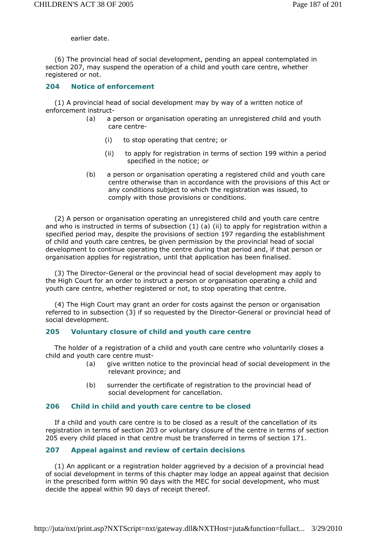earlier date.

 (6) The provincial head of social development, pending an appeal contemplated in section 207, may suspend the operation of a child and youth care centre, whether registered or not.

### **204 Notice of enforcement**

 (1) A provincial head of social development may by way of a written notice of enforcement instruct-

- *(a)* a person or organisation operating an unregistered child and youth care centre-
	- (i) to stop operating that centre; or
	- (ii) to apply for registration in terms of section 199 within a period specified in the notice; or
- *(b)* a person or organisation operating a registered child and youth care centre otherwise than in accordance with the provisions of this Act or any conditions subject to which the registration was issued, to comply with those provisions or conditions.

 (2) A person or organisation operating an unregistered child and youth care centre and who is instructed in terms of subsection (1) *(a)* (ii) to apply for registration within a specified period may, despite the provisions of section 197 regarding the establishment of child and youth care centres, be given permission by the provincial head of social development to continue operating the centre during that period and, if that person or organisation applies for registration, until that application has been finalised.

 (3) The Director-General or the provincial head of social development may apply to the High Court for an order to instruct a person or organisation operating a child and youth care centre, whether registered or not, to stop operating that centre.

 (4) The High Court may grant an order for costs against the person or organisation referred to in subsection (3) if so requested by the Director-General or provincial head of social development.

## **205 Voluntary closure of child and youth care centre**

 The holder of a registration of a child and youth care centre who voluntarily closes a child and youth care centre must-

- *(a)* give written notice to the provincial head of social development in the relevant province; and
- *(b)* surrender the certificate of registration to the provincial head of social development for cancellation.

#### **206 Child in child and youth care centre to be closed**

 If a child and youth care centre is to be closed as a result of the cancellation of its registration in terms of section 203 or voluntary closure of the centre in terms of section 205 every child placed in that centre must be transferred in terms of section 171.

## **207 Appeal against and review of certain decisions**

 (1) An applicant or a registration holder aggrieved by a decision of a provincial head of social development in terms of this chapter may lodge an appeal against that decision in the prescribed form within 90 days with the MEC for social development, who must decide the appeal within 90 days of receipt thereof.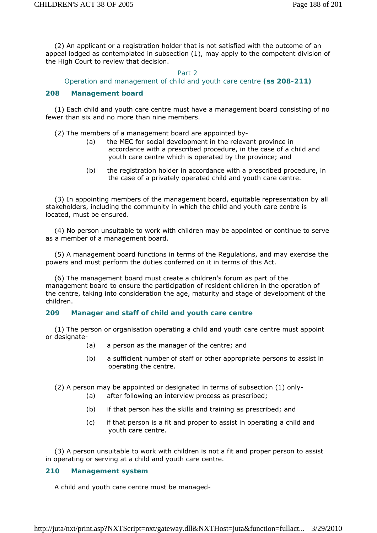(2) An applicant or a registration holder that is not satisfied with the outcome of an appeal lodged as contemplated in subsection (1), may apply to the competent division of the High Court to review that decision.

## *Part 2*

*Operation and management of child and youth care centre* **(ss 208-211)** 

### **208 Management board**

 (1) Each child and youth care centre must have a management board consisting of no fewer than six and no more than nine members.

(2) The members of a management board are appointed by-

- *(a)* the MEC for social development in the relevant province in accordance with a prescribed procedure, in the case of a child and youth care centre which is operated by the province; and
- *(b)* the registration holder in accordance with a prescribed procedure, in the case of a privately operated child and youth care centre.

 (3) In appointing members of the management board, equitable representation by all stakeholders, including the community in which the child and youth care centre is located, must be ensured.

 (4) No person unsuitable to work with children may be appointed or continue to serve as a member of a management board.

 (5) A management board functions in terms of the Regulations, and may exercise the powers and must perform the duties conferred on it in terms of this Act.

 (6) The management board must create a children's forum as part of the management board to ensure the participation of resident children in the operation of the centre, taking into consideration the age, maturity and stage of development of the children.

## **209 Manager and staff of child and youth care centre**

 (1) The person or organisation operating a child and youth care centre must appoint or designate-

- *(a)* a person as the manager of the centre; and
- *(b)* a sufficient number of staff or other appropriate persons to assist in operating the centre.

(2) A person may be appointed or designated in terms of subsection (1) only-

- *(a)* after following an interview process as prescribed;
- *(b)* if that person has the skills and training as prescribed; and
- *(c)* if that person is a fit and proper to assist in operating a child and youth care centre.

 (3) A person unsuitable to work with children is not a fit and proper person to assist in operating or serving at a child and youth care centre.

### **210 Management system**

A child and youth care centre must be managed-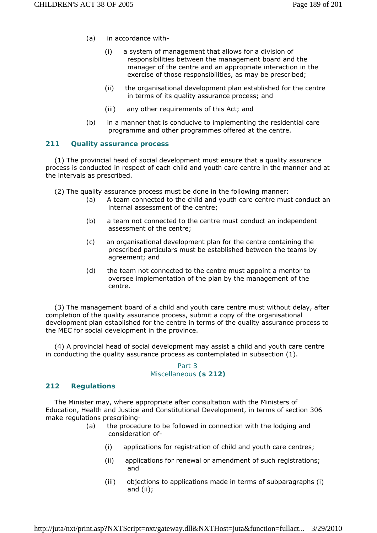- *(a)* in accordance with-
	- (i) a system of management that allows for a division of responsibilities between the management board and the manager of the centre and an appropriate interaction in the exercise of those responsibilities, as may be prescribed;
	- (ii) the organisational development plan established for the centre in terms of its quality assurance process; and
	- (iii) any other requirements of this Act; and
- *(b)* in a manner that is conducive to implementing the residential care programme and other programmes offered at the centre.

### **211 Quality assurance process**

 (1) The provincial head of social development must ensure that a quality assurance process is conducted in respect of each child and youth care centre in the manner and at the intervals as prescribed.

- (2) The quality assurance process must be done in the following manner:
	- *(a)* A team connected to the child and youth care centre must conduct an internal assessment of the centre;
	- *(b)* a team not connected to the centre must conduct an independent assessment of the centre;
	- *(c)* an organisational development plan for the centre containing the prescribed particulars must be established between the teams by agreement; and
	- *(d)* the team not connected to the centre must appoint a mentor to oversee implementation of the plan by the management of the centre.

 (3) The management board of a child and youth care centre must without delay, after completion of the quality assurance process, submit a copy of the organisational development plan established for the centre in terms of the quality assurance process to the MEC for social development in the province.

 (4) A provincial head of social development may assist a child and youth care centre in conducting the quality assurance process as contemplated in subsection (1).

### *Part 3 Miscellaneous* **(s 212)**

### **212 Regulations**

 The Minister may, where appropriate after consultation with the Ministers of Education, Health and Justice and Constitutional Development, in terms of section 306 make regulations prescribing-

- *(a)* the procedure to be followed in connection with the lodging and consideration of-
	- (i) applications for registration of child and youth care centres;
	- (ii) applications for renewal or amendment of such registrations; and
	- (iii) objections to applications made in terms of subparagraphs (i) and (ii);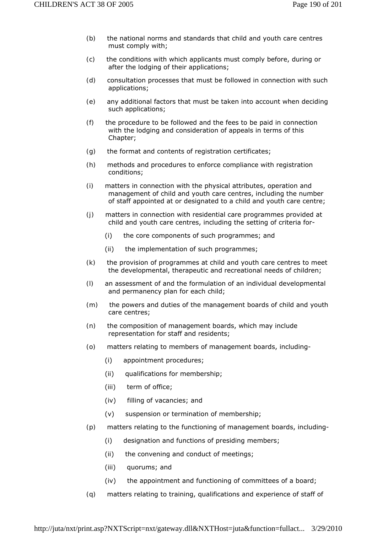- *(b)* the national norms and standards that child and youth care centres must comply with;
- *(c)* the conditions with which applicants must comply before, during or after the lodging of their applications;
- *(d)* consultation processes that must be followed in connection with such applications;
- *(e)* any additional factors that must be taken into account when deciding such applications;
- *(f)* the procedure to be followed and the fees to be paid in connection with the lodging and consideration of appeals in terms of this Chapter;
- *(g)* the format and contents of registration certificates;
- *(h)* methods and procedures to enforce compliance with registration conditions;
- *(i)* matters in connection with the physical attributes, operation and management of child and youth care centres, including the number of staff appointed at or designated to a child and youth care centre;
- *(j)* matters in connection with residential care programmes provided at child and youth care centres, including the setting of criteria for-
	- (i) the core components of such programmes; and
	- (ii) the implementation of such programmes;
- *(k)* the provision of programmes at child and youth care centres to meet the developmental, therapeutic and recreational needs of children;
- *(l)* an assessment of and the formulation of an individual developmental and permanency plan for each child;
- *(m)* the powers and duties of the management boards of child and youth care centres;
- *(n)* the composition of management boards, which may include representation for staff and residents;
- *(o)* matters relating to members of management boards, including-
	- (i) appointment procedures;
	- (ii) qualifications for membership;
	- (iii) term of office;
	- (iv) filling of vacancies; and
	- (v) suspension or termination of membership;
- *(p)* matters relating to the functioning of management boards, including-
	- (i) designation and functions of presiding members;
	- (ii) the convening and conduct of meetings;
	- (iii) quorums; and
	- (iv) the appointment and functioning of committees of a board;
- *(q)* matters relating to training, qualifications and experience of staff of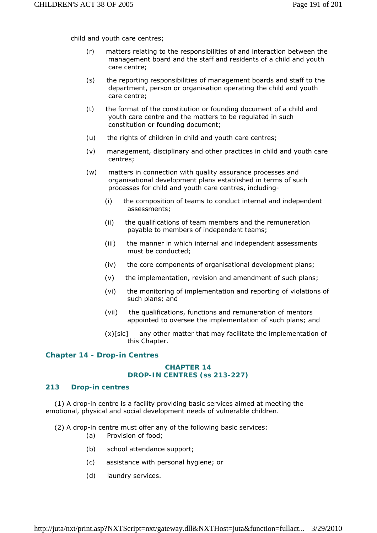child and youth care centres;

- *(r)* matters relating to the responsibilities of and interaction between the management board and the staff and residents of a child and youth care centre;
- *(s)* the reporting responsibilities of management boards and staff to the department, person or organisation operating the child and youth care centre;
- *(t)* the format of the constitution or founding document of a child and youth care centre and the matters to be regulated in such constitution or founding document;
- *(u)* the rights of children in child and youth care centres;
- *(v)* management, disciplinary and other practices in child and youth care centres;
- *(w)* matters in connection with quality assurance processes and organisational development plans established in terms of such processes for child and youth care centres, including-
	- (i) the composition of teams to conduct internal and independent assessments;
	- (ii) the qualifications of team members and the remuneration payable to members of independent teams;
	- (iii) the manner in which internal and independent assessments must be conducted;
	- (iv) the core components of organisational development plans;
	- (v) the implementation, revision and amendment of such plans;
	- (vi) the monitoring of implementation and reporting of violations of such plans; and
	- (vii) the qualifications, functions and remuneration of mentors appointed to oversee the implementation of such plans; and
	- (x)[sic] any other matter that may facilitate the implementation of this Chapter.

### **Chapter 14 - Drop-in Centres**

# **CHAPTER 14 DROP-IN CENTRES (ss 213-227)**

## **213 Drop-in centres**

 (1) A drop-in centre is a facility providing basic services aimed at meeting the emotional, physical and social development needs of vulnerable children.

(2) A drop-in centre must offer any of the following basic services:

- *(a)* Provision of food;
- *(b)* school attendance support;
- *(c)* assistance with personal hygiene; or
- *(d)* laundry services.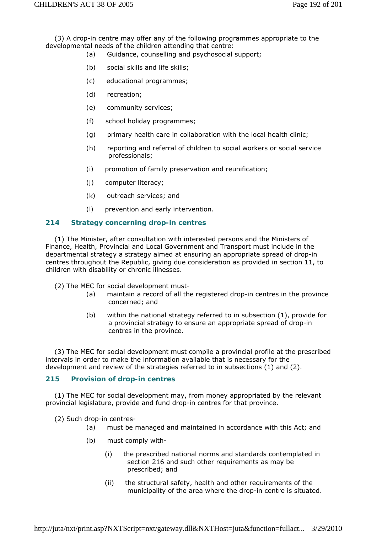(3) A drop-in centre may offer any of the following programmes appropriate to the developmental needs of the children attending that centre:

- *(a)* Guidance, counselling and psychosocial support;
- *(b)* social skills and life skills;
- *(c)* educational programmes;
- *(d)* recreation;
- *(e)* community services;
- *(f)* school holiday programmes;
- *(g)* primary health care in collaboration with the local health clinic;
- *(h)* reporting and referral of children to social workers or social service professionals;
- *(i)* promotion of family preservation and reunification;
- *(j)* computer literacy;
- *(k)* outreach services; and
- *(l)* prevention and early intervention.

## **214 Strategy concerning drop-in centres**

 (1) The Minister, after consultation with interested persons and the Ministers of Finance, Health, Provincial and Local Government and Transport must include in the departmental strategy a strategy aimed at ensuring an appropriate spread of drop-in centres throughout the Republic, giving due consideration as provided in section 11, to children with disability or chronic illnesses.

- (2) The MEC for social development must-
	- *(a)* maintain a record of all the registered drop-in centres in the province concerned; and
	- *(b)* within the national strategy referred to in subsection (1), provide for a provincial strategy to ensure an appropriate spread of drop-in centres in the province.

 (3) The MEC for social development must compile a provincial profile at the prescribed intervals in order to make the information available that is necessary for the development and review of the strategies referred to in subsections (1) and (2).

## **215 Provision of drop-in centres**

 (1) The MEC for social development may, from money appropriated by the relevant provincial legislature, provide and fund drop-in centres for that province.

- (2) Such drop-in centres-
	- *(a)* must be managed and maintained in accordance with this Act; and
	- *(b)* must comply with-
		- (i) the prescribed national norms and standards contemplated in section 216 and such other requirements as may be prescribed; and
		- (ii) the structural safety, health and other requirements of the municipality of the area where the drop-in centre is situated.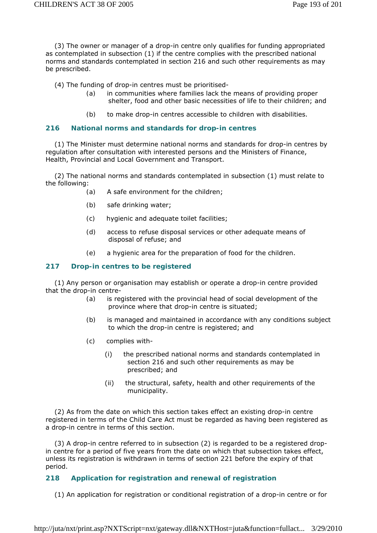(3) The owner or manager of a drop-in centre only qualifies for funding appropriated as contemplated in subsection (1) if the centre complies with the prescribed national norms and standards contemplated in section 216 and such other requirements as may be prescribed.

(4) The funding of drop-in centres must be prioritised-

- *(a)* in communities where families lack the means of providing proper shelter, food and other basic necessities of life to their children; and
- *(b)* to make drop-in centres accessible to children with disabilities.

### **216 National norms and standards for drop-in centres**

 (1) The Minister must determine national norms and standards for drop-in centres by regulation after consultation with interested persons and the Ministers of Finance, Health, Provincial and Local Government and Transport.

 (2) The national norms and standards contemplated in subsection (1) must relate to the following:

- *(a)* A safe environment for the children;
- *(b)* safe drinking water;
- *(c)* hygienic and adequate toilet facilities;
- *(d)* access to refuse disposal services or other adequate means of disposal of refuse; and
- *(e)* a hygienic area for the preparation of food for the children.

### **217 Drop-in centres to be registered**

 (1) Any person or organisation may establish or operate a drop-in centre provided that the drop-in centre-

- *(a)* is registered with the provincial head of social development of the province where that drop-in centre is situated;
- *(b)* is managed and maintained in accordance with any conditions subject to which the drop-in centre is registered; and
- *(c)* complies with-
	- (i) the prescribed national norms and standards contemplated in section 216 and such other requirements as may be prescribed; and
	- (ii) the structural, safety, health and other requirements of the municipality.

 (2) As from the date on which this section takes effect an existing drop-in centre registered in terms of the Child Care Act must be regarded as having been registered as a drop-in centre in terms of this section.

 (3) A drop-in centre referred to in subsection (2) is regarded to be a registered dropin centre for a period of five years from the date on which that subsection takes effect, unless its registration is withdrawn in terms of section 221 before the expiry of that period.

#### **218 Application for registration and renewal of registration**

(1) An application for registration or conditional registration of a drop-in centre or for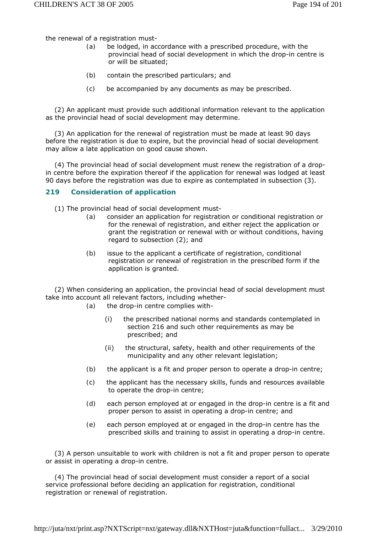the renewal of a registration must-

- *(a)* be lodged, in accordance with a prescribed procedure, with the provincial head of social development in which the drop-in centre is or will be situated;
- *(b)* contain the prescribed particulars; and
- *(c)* be accompanied by any documents as may be prescribed.

 (2) An applicant must provide such additional information relevant to the application as the provincial head of social development may determine.

 (3) An application for the renewal of registration must be made at least 90 days before the registration is due to expire, but the provincial head of social development may allow a late application on good cause shown.

 (4) The provincial head of social development must renew the registration of a dropin centre before the expiration thereof if the application for renewal was lodged at least 90 days before the registration was due to expire as contemplated in subsection (3).

### **219 Consideration of application**

(1) The provincial head of social development must-

- *(a)* consider an application for registration or conditional registration or for the renewal of registration, and either reject the application or grant the registration or renewal with or without conditions, having regard to subsection (2); and
- *(b)* issue to the applicant a certificate of registration, conditional registration or renewal of registration in the prescribed form if the application is granted.

 (2) When considering an application, the provincial head of social development must take into account all relevant factors, including whether-

- *(a)* the drop-in centre complies with-
	- (i) the prescribed national norms and standards contemplated in section 216 and such other requirements as may be prescribed; and
	- (ii) the structural, safety, health and other requirements of the municipality and any other relevant legislation;
- *(b)* the applicant is a fit and proper person to operate a drop-in centre;
- *(c)* the applicant has the necessary skills, funds and resources available to operate the drop-in centre;
- *(d)* each person employed at or engaged in the drop-in centre is a fit and proper person to assist in operating a drop-in centre; and
- *(e)* each person employed at or engaged in the drop-in centre has the prescribed skills and training to assist in operating a drop-in centre.

 (3) A person unsuitable to work with children is not a fit and proper person to operate or assist in operating a drop-in centre.

 (4) The provincial head of social development must consider a report of a social service professional before deciding an application for registration, conditional registration or renewal of registration.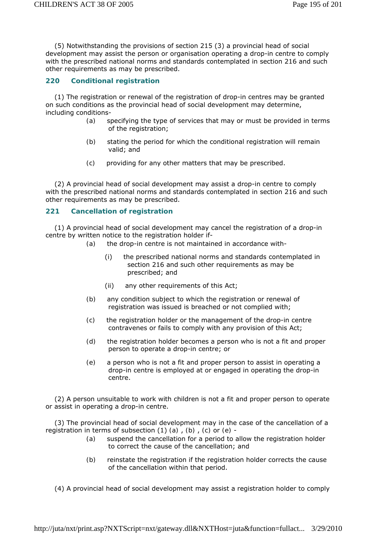(5) Notwithstanding the provisions of section 215 (3) a provincial head of social development may assist the person or organisation operating a drop-in centre to comply with the prescribed national norms and standards contemplated in section 216 and such other requirements as may be prescribed.

## **220 Conditional registration**

 (1) The registration or renewal of the registration of drop-in centres may be granted on such conditions as the provincial head of social development may determine, including conditions-

- *(a)* specifying the type of services that may or must be provided in terms of the registration;
- *(b)* stating the period for which the conditional registration will remain valid; and
- *(c)* providing for any other matters that may be prescribed.

 (2) A provincial head of social development may assist a drop-in centre to comply with the prescribed national norms and standards contemplated in section 216 and such other requirements as may be prescribed.

### **221 Cancellation of registration**

 (1) A provincial head of social development may cancel the registration of a drop-in centre by written notice to the registration holder if-

- *(a)* the drop-in centre is not maintained in accordance with-
	- (i) the prescribed national norms and standards contemplated in section 216 and such other requirements as may be prescribed; and
	- (ii) any other requirements of this Act;
- *(b)* any condition subject to which the registration or renewal of registration was issued is breached or not complied with;
- *(c)* the registration holder or the management of the drop-in centre contravenes or fails to comply with any provision of this Act;
- *(d)* the registration holder becomes a person who is not a fit and proper person to operate a drop-in centre; or
- *(e)* a person who is not a fit and proper person to assist in operating a drop-in centre is employed at or engaged in operating the drop-in centre.

 (2) A person unsuitable to work with children is not a fit and proper person to operate or assist in operating a drop-in centre.

 (3) The provincial head of social development may in the case of the cancellation of a registration in terms of subsection (1) *(a)* , *(b)* , *(c)* or *(e)* -

- *(a)* suspend the cancellation for a period to allow the registration holder to correct the cause of the cancellation; and
- *(b)* reinstate the registration if the registration holder corrects the cause of the cancellation within that period.

(4) A provincial head of social development may assist a registration holder to comply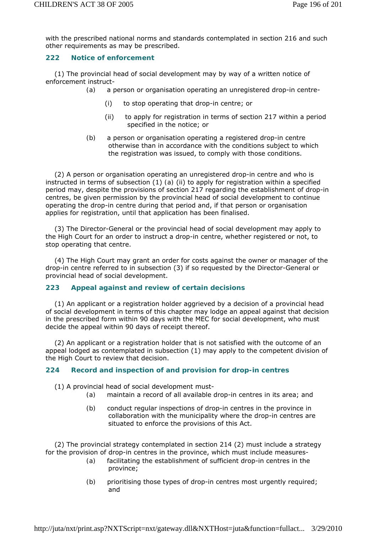with the prescribed national norms and standards contemplated in section 216 and such other requirements as may be prescribed.

### **222 Notice of enforcement**

 (1) The provincial head of social development may by way of a written notice of enforcement instruct-

- *(a)* a person or organisation operating an unregistered drop-in centre-
	- (i) to stop operating that drop-in centre; or
	- (ii) to apply for registration in terms of section 217 within a period specified in the notice; or
- *(b)* a person or organisation operating a registered drop-in centre otherwise than in accordance with the conditions subject to which the registration was issued, to comply with those conditions.

 (2) A person or organisation operating an unregistered drop-in centre and who is instructed in terms of subsection (1) *(a)* (ii) to apply for registration within a specified period may, despite the provisions of section 217 regarding the establishment of drop-in centres, be given permission by the provincial head of social development to continue operating the drop-in centre during that period and, if that person or organisation applies for registration, until that application has been finalised.

 (3) The Director-General or the provincial head of social development may apply to the High Court for an order to instruct a drop-in centre, whether registered or not, to stop operating that centre.

 (4) The High Court may grant an order for costs against the owner or manager of the drop-in centre referred to in subsection (3) if so requested by the Director-General or provincial head of social development.

## **223 Appeal against and review of certain decisions**

 (1) An applicant or a registration holder aggrieved by a decision of a provincial head of social development in terms of this chapter may lodge an appeal against that decision in the prescribed form within 90 days with the MEC for social development, who must decide the appeal within 90 days of receipt thereof.

 (2) An applicant or a registration holder that is not satisfied with the outcome of an appeal lodged as contemplated in subsection (1) may apply to the competent division of the High Court to review that decision.

### **224 Record and inspection of and provision for drop-in centres**

(1) A provincial head of social development must-

- *(a)* maintain a record of all available drop-in centres in its area; and
- *(b)* conduct regular inspections of drop-in centres in the province in collaboration with the municipality where the drop-in centres are situated to enforce the provisions of this Act.

 (2) The provincial strategy contemplated in section 214 (2) must include a strategy for the provision of drop-in centres in the province, which must include measures-

- *(a)* facilitating the establishment of sufficient drop-in centres in the province;
- *(b)* prioritising those types of drop-in centres most urgently required; and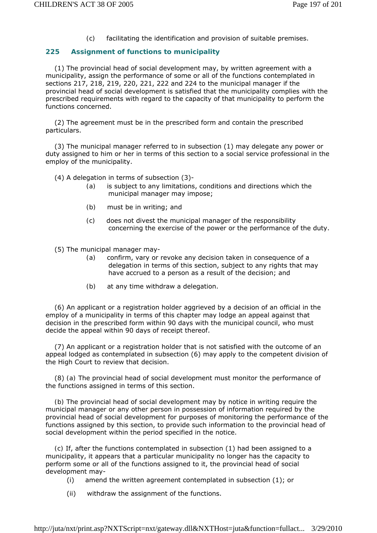*(c)* facilitating the identification and provision of suitable premises.

### **225 Assignment of functions to municipality**

 (1) The provincial head of social development may, by written agreement with a municipality, assign the performance of some or all of the functions contemplated in sections 217, 218, 219, 220, 221, 222 and 224 to the municipal manager if the provincial head of social development is satisfied that the municipality complies with the prescribed requirements with regard to the capacity of that municipality to perform the functions concerned.

 (2) The agreement must be in the prescribed form and contain the prescribed particulars.

 (3) The municipal manager referred to in subsection (1) may delegate any power or duty assigned to him or her in terms of this section to a social service professional in the employ of the municipality.

(4) A delegation in terms of subsection (3)-

- *(a)* is subject to any limitations, conditions and directions which the municipal manager may impose;
- *(b)* must be in writing; and
- *(c)* does not divest the municipal manager of the responsibility concerning the exercise of the power or the performance of the duty.

(5) The municipal manager may-

- *(a)* confirm, vary or revoke any decision taken in consequence of a delegation in terms of this section, subject to any rights that may have accrued to a person as a result of the decision; and
- *(b)* at any time withdraw a delegation.

 (6) An applicant or a registration holder aggrieved by a decision of an official in the employ of a municipality in terms of this chapter may lodge an appeal against that decision in the prescribed form within 90 days with the municipal council, who must decide the appeal within 90 days of receipt thereof.

 (7) An applicant or a registration holder that is not satisfied with the outcome of an appeal lodged as contemplated in subsection (6) may apply to the competent division of the High Court to review that decision.

 (8) *(a)* The provincial head of social development must monitor the performance of the functions assigned in terms of this section.

 *(b)* The provincial head of social development may by notice in writing require the municipal manager or any other person in possession of information required by the provincial head of social development for purposes of monitoring the performance of the functions assigned by this section, to provide such information to the provincial head of social development within the period specified in the notice.

 *(c)* If, after the functions contemplated in subsection (1) had been assigned to a municipality, it appears that a particular municipality no longer has the capacity to perform some or all of the functions assigned to it, the provincial head of social development may-

- (i) amend the written agreement contemplated in subsection (1); or
- (ii) withdraw the assignment of the functions.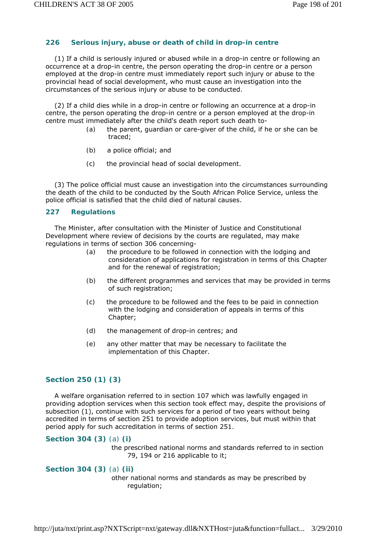## **226 Serious injury, abuse or death of child in drop-in centre**

 (1) If a child is seriously injured or abused while in a drop-in centre or following an occurrence at a drop-in centre, the person operating the drop-in centre or a person employed at the drop-in centre must immediately report such injury or abuse to the provincial head of social development, who must cause an investigation into the circumstances of the serious injury or abuse to be conducted.

 (2) If a child dies while in a drop-in centre or following an occurrence at a drop-in centre, the person operating the drop-in centre or a person employed at the drop-in centre must immediately after the child's death report such death to-

- *(a)* the parent, guardian or care-giver of the child, if he or she can be traced;
- *(b)* a police official; and
- *(c)* the provincial head of social development.

 (3) The police official must cause an investigation into the circumstances surrounding the death of the child to be conducted by the South African Police Service, unless the police official is satisfied that the child died of natural causes.

### **227 Regulations**

 The Minister, after consultation with the Minister of Justice and Constitutional Development where review of decisions by the courts are regulated, may make regulations in terms of section 306 concerning-

- *(a)* the procedure to be followed in connection with the lodging and consideration of applications for registration in terms of this Chapter and for the renewal of registration;
- *(b)* the different programmes and services that may be provided in terms of such registration;
- *(c)* the procedure to be followed and the fees to be paid in connection with the lodging and consideration of appeals in terms of this Chapter;
- *(d)* the management of drop-in centres; and
- *(e)* any other matter that may be necessary to facilitate the implementation of this Chapter.

# **Section 250 (1) (3)**

 A welfare organisation referred to in section 107 which was lawfully engaged in providing adoption services when this section took effect may, despite the provisions of subsection (1), continue with such services for a period of two years without being accredited in terms of section 251 to provide adoption services, but must within that period apply for such accreditation in terms of section 251.

### **Section 304 (3)** *(a)* **(i)**

 the prescribed national norms and standards referred to in section 79, 194 or 216 applicable to it;

# **Section 304 (3)** *(a)* **(ii)**

 other national norms and standards as may be prescribed by regulation;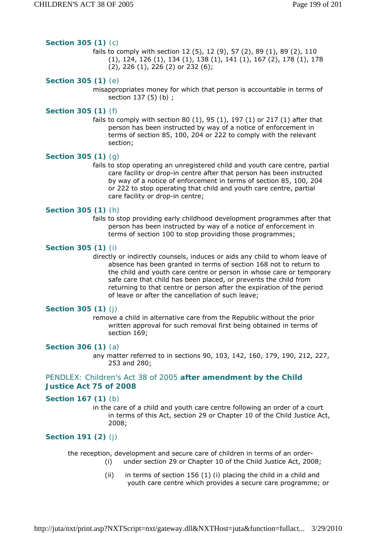### **Section 305 (1)** *(c)*

 fails to comply with section 12 (5), 12 (9), 57 (2), 89 (1), 89 (2), 110 (1), 124, 126 (1), 134 (1), 138 (1), 141 (1), 167 (2), 178 (1), 178 (2), 226 (1), 226 (2) or 232 (6);

## **Section 305 (1)** *(e)*

 misappropriates money for which that person is accountable in terms of section 137 (5) *(b)* ;

### **Section 305 (1)** *(f)*

 fails to comply with section 80 (1), 95 (1), 197 (1) or 217 (1) after that person has been instructed by way of a notice of enforcement in terms of section 85, 100, 204 or 222 to comply with the relevant section;

# **Section 305 (1)** *(g)*

 fails to stop operating an unregistered child and youth care centre, partial care facility or drop-in centre after that person has been instructed by way of a notice of enforcement in terms of section 85, 100, 204 or 222 to stop operating that child and youth care centre, partial care facility or drop-in centre;

## **Section 305 (1)** *(h)*

 fails to stop providing early childhood development programmes after that person has been instructed by way of a notice of enforcement in terms of section 100 to stop providing those programmes;

### **Section 305 (1)** *(i)*

 directly or indirectly counsels, induces or aids any child to whom leave of absence has been granted in terms of section 168 not to return to the child and youth care centre or person in whose care or temporary safe care that child has been placed, or prevents the child from returning to that centre or person after the expiration of the period of leave or after the cancellation of such leave;

### **Section 305 (1)** *(j)*

 remove a child in alternative care from the Republic without the prior written approval for such removal first being obtained in terms of section 169;

# **Section 306 (1)** *(a)*

 any matter referred to in sections 90, 103, 142, 160, 179, 190, 212, 227, 253 and 280;

# *PENDLEX: Children's Act 38 of 2005* **after amendment by the Child Justice Act 75 of 2008**

# **Section 167 (1)** *(b)*

 in the care of a child and youth care centre following an order of a court in terms of this Act, section 29 or Chapter 10 of the Child Justice Act, 2008;

### **Section 191 (2)** *(j)*

the reception, development and secure care of children in terms of an order-

- (i) under section 29 or Chapter 10 of the Child Justice Act, 2008;
- (ii) in terms of section 156 (1) *(i)* placing the child in a child and youth care centre which provides a secure care programme; or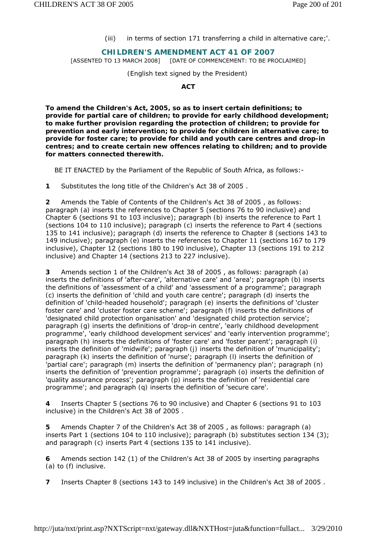(iii) in terms of section 171 transferring a child in alternative care;'.

# **CHILDREN'S AMENDMENT ACT 41 OF 2007**

[ASSENTED TO 13 MARCH 2008] [DATE OF COMMENCEMENT: TO BE PROCLAIMED]

*(English text signed by the President)* 

**ACT** 

**To amend the Children's Act, 2005, so as to insert certain definitions; to provide for partial care of children; to provide for early childhood development; to make further provision regarding the protection of children; to provide for prevention and early intervention; to provide for children in alternative care; to provide for foster care; to provide for child and youth care centres and drop-in centres; and to create certain new offences relating to children; and to provide for matters connected therewith.** 

BE IT ENACTED by the Parliament of the Republic of South Africa, as follows:-

**1** Substitutes the long title of the Children's Act 38 of 2005 .

**2** Amends the Table of Contents of the Children's Act 38 of 2005 , as follows: paragraph *(a)* inserts the references to Chapter 5 (sections 76 to 90 inclusive) and Chapter 6 (sections 91 to 103 inclusive); paragraph *(b)* inserts the reference to Part 1 (sections 104 to 110 inclusive); paragraph *(c)* inserts the reference to Part 4 (sections 135 to 141 inclusive); paragraph *(d)* inserts the reference to Chapter 8 (sections 143 to 149 inclusive); paragraph *(e)* inserts the references to Chapter 11 (sections 167 to 179 inclusive), Chapter 12 (sections 180 to 190 inclusive), Chapter 13 (sections 191 to 212 inclusive) and Chapter 14 (sections 213 to 227 inclusive).

**3** Amends section 1 of the Children's Act 38 of 2005 , as follows: paragraph *(a)*  inserts the definitions of 'after-care', 'alternative care' and 'area'; paragraph *(b)* inserts the definitions of 'assessment of a child' and 'assessment of a programme'; paragraph *(c)* inserts the definition of 'child and youth care centre'; paragraph *(d)* inserts the definition of 'child-headed household'; paragraph *(e)* inserts the definitions of 'cluster foster care' and 'cluster foster care scheme'; paragraph *(f)* inserts the definitions of 'designated child protection organisation' and 'designated child protection service'; paragraph *(g)* inserts the definitions of 'drop-in centre', 'early childhood development programme', 'early childhood development services' and 'early intervention programme'; paragraph *(h)* inserts the definitions of 'foster care' and 'foster parent'; paragraph *(i)*  inserts the definition of 'midwife'; paragraph *(j)* inserts the definition of 'municipality'; paragraph *(k)* inserts the definition of 'nurse'; paragraph *(l)* inserts the definition of 'partial care'; paragraph *(m)* inserts the definition of 'permanency plan'; paragraph *(n)*  inserts the definition of 'prevention programme'; paragraph *(o)* inserts the definition of 'quality assurance process'; paragraph *(p)* inserts the definition of 'residential care programme'; and paragraph *(q)* inserts the definition of 'secure care'.

**4** Inserts Chapter 5 (sections 76 to 90 inclusive) and Chapter 6 (sections 91 to 103 inclusive) in the Children's Act 38 of 2005 .

**5** Amends Chapter 7 of the Children's Act 38 of 2005 , as follows: paragraph *(a)*  inserts Part 1 (sections 104 to 110 inclusive); paragraph *(b)* substitutes section 134 (3); and paragraph *(c)* inserts Part 4 (sections 135 to 141 inclusive).

**6** Amends section 142 (1) of the Children's Act 38 of 2005 by inserting paragraphs *(a)* to *(f)* inclusive.

**7** Inserts Chapter 8 (sections 143 to 149 inclusive) in the Children's Act 38 of 2005 .